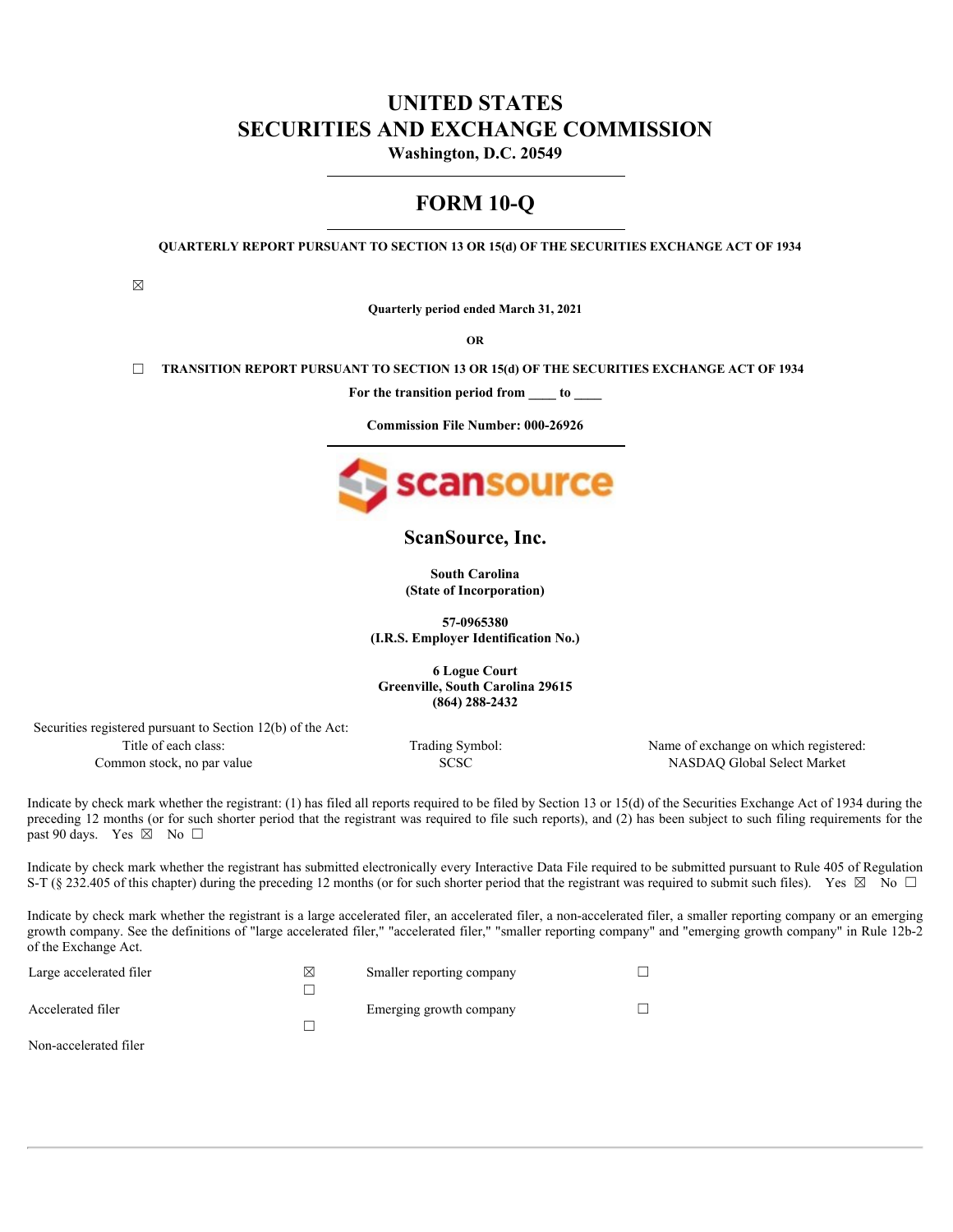# **UNITED STATES SECURITIES AND EXCHANGE COMMISSION**

**Washington, D.C. 20549**

# **FORM 10-Q**

**QUARTERLY REPORT PURSUANT TO SECTION 13 OR 15(d) OF THE SECURITIES EXCHANGE ACT OF 1934**

 $\boxtimes$ 

**Quarterly period ended March 31, 2021**

**OR**

☐ **TRANSITION REPORT PURSUANT TO SECTION 13 OR 15(d) OF THE SECURITIES EXCHANGE ACT OF 1934**

**For the transition period from \_\_\_\_ to \_\_\_\_**

**Commission File Number: 000-26926**



# **ScanSource, Inc.**

**South Carolina (State of Incorporation)**

**57-0965380 (I.R.S. Employer Identification No.)**

**6 Logue Court Greenville, South Carolina 29615 (864) 288-2432**

Securities registered pursuant to Section 12(b) of the Act: Title of each class: Trading Symbol: Trading Symbol: Name of exchange on which registered: Common stock, no par value SCSC SCSC NASDAQ Global Select Market

Indicate by check mark whether the registrant: (1) has filed all reports required to be filed by Section 13 or 15(d) of the Securities Exchange Act of 1934 during the preceding 12 months (or for such shorter period that the registrant was required to file such reports), and (2) has been subject to such filing requirements for the past 90 days. Yes  $\boxtimes$  No  $\Box$ 

Indicate by check mark whether the registrant has submitted electronically every Interactive Data File required to be submitted pursuant to Rule 405 of Regulation S-T (§ 232.405 of this chapter) during the preceding 12 months (or for such shorter period that the registrant was required to submit such files). Yes  $\boxtimes$  No  $\Box$ 

Indicate by check mark whether the registrant is a large accelerated filer, an accelerated filer, a non-accelerated filer, a smaller reporting company or an emerging growth company. See the definitions of "large accelerated filer," "accelerated filer," "smaller reporting company" and "emerging growth company" in Rule 12b-2 of the Exchange Act.

| Large accelerated filer | - | Smaller reporting company |  |
|-------------------------|---|---------------------------|--|
|                         |   |                           |  |
| Accelerated filer       |   | Emerging growth company   |  |
|                         |   |                           |  |

Non-accelerated filer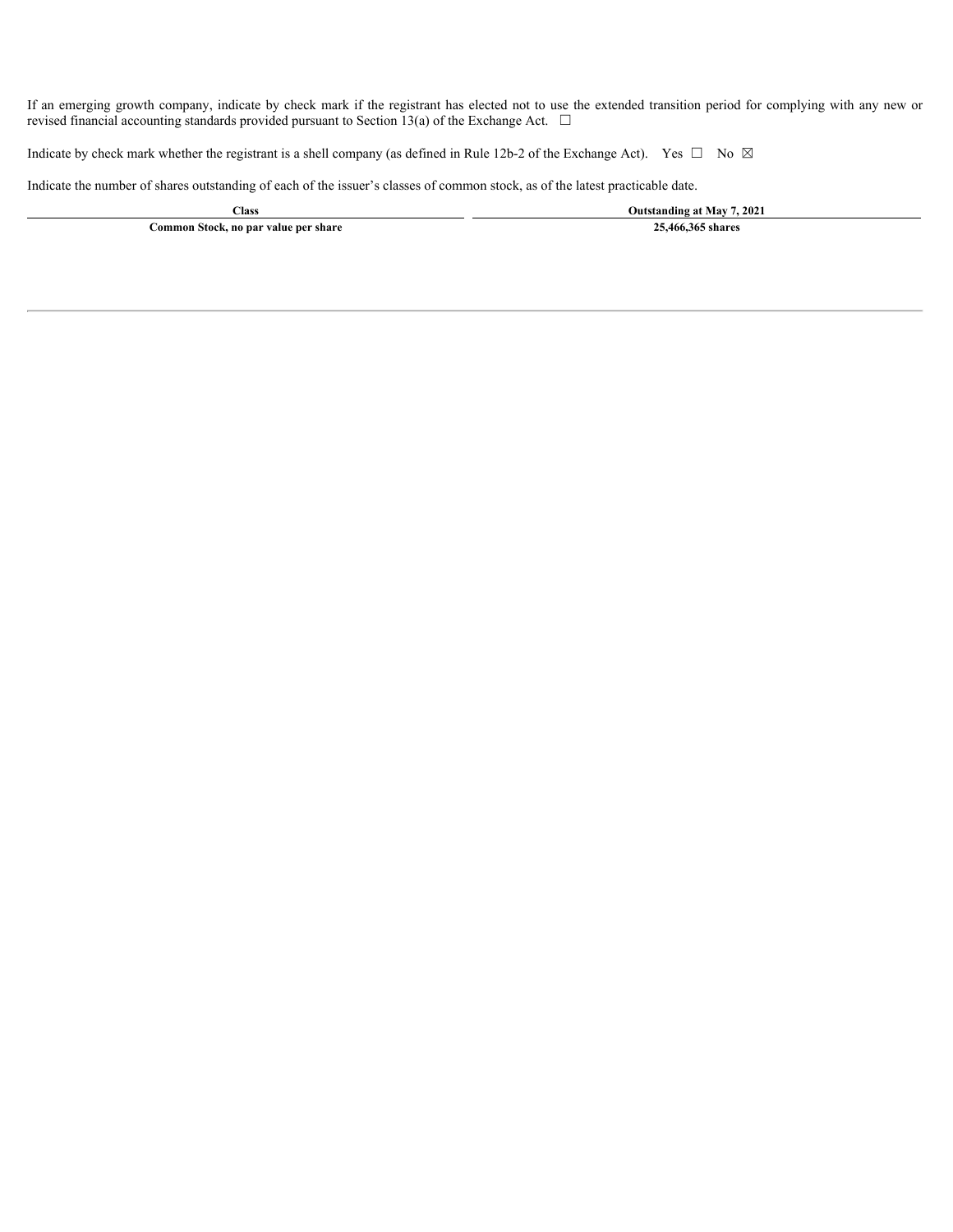If an emerging growth company, indicate by check mark if the registrant has elected not to use the extended transition period for complying with any new or revised financial accounting standards provided pursuant to Section 13(a) of the Exchange Act.  $\Box$ 

Indicate by check mark whether the registrant is a shell company (as defined in Rule 12b-2 of the Exchange Act). Yes  $\Box$  No  $\boxtimes$ 

<span id="page-1-0"></span>Indicate the number of shares outstanding of each of the issuer's classes of common stock, as of the latest practicable date.

**Class Outstanding at May 7, 2021**

**Common Stock, no par value per share 25,466,365 shares**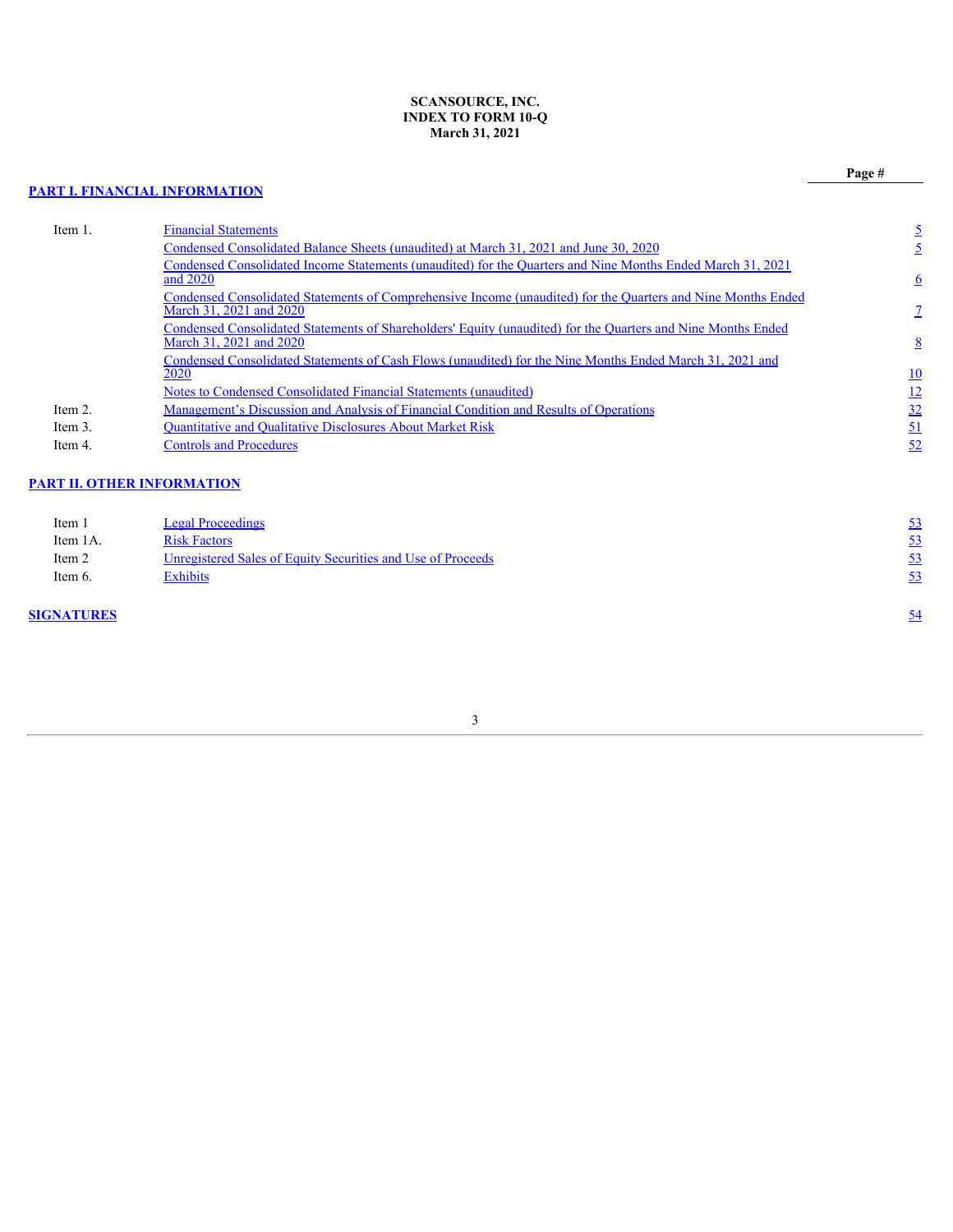## **SCANSOURCE, INC. INDEX TO FORM 10-Q March 31, 2021**

**Page #**

# **[PART I. FINANCIAL INFORMATION](#page-3-0)**

| Item 1.  | <b>Financial Statements</b>                                                                                                             |            |
|----------|-----------------------------------------------------------------------------------------------------------------------------------------|------------|
|          | Condensed Consolidated Balance Sheets (unaudited) at March 31, 2021 and June 30, 2020                                                   |            |
|          | Condensed Consolidated Income Statements (unaudited) for the Quarters and Nine Months Ended March 31, 2021                              |            |
|          | and 2020                                                                                                                                |            |
|          | Condensed Consolidated Statements of Comprehensive Income (unaudited) for the Quarters and Nine Months Ended                            |            |
|          | March 31, 2021 and 2020                                                                                                                 |            |
|          | Condensed Consolidated Statements of Shareholders' Equity (unaudited) for the Quarters and Nine Months Ended<br>March 31, 2021 and 2020 | 8          |
|          | Condensed Consolidated Statements of Cash Flows (unaudited) for the Nine Months Ended March 31, 2021 and                                |            |
|          | 2020                                                                                                                                    | <u>10</u>  |
|          | <b>Notes to Condensed Consolidated Financial Statements (unaudited)</b>                                                                 | <u> 12</u> |
| Item 2.  | <u>Management's Discussion and Analysis of Financial Condition and Results of Operations</u>                                            | 32         |
| Item 3.  | Quantitative and Qualitative Disclosures About Market Risk                                                                              | 51         |
| Item 4.  | <b>Controls and Procedures</b>                                                                                                          | 52         |
|          | PART II. OTHER INFORMATION                                                                                                              |            |
|          |                                                                                                                                         |            |
| Item 1   | <b>Legal Proceedings</b>                                                                                                                | <u>53</u>  |
| Item 1A. | <b>Risk Factors</b>                                                                                                                     | 53         |
| Item 2   | Unregistered Sales of Equity Securities and Use of Proceeds                                                                             | 53         |
| Item 6.  | <b>Exhibits</b>                                                                                                                         | 53         |
|          |                                                                                                                                         |            |
|          |                                                                                                                                         |            |

**[SIGNATURES](#page-52-4)** [54](#page-52-4)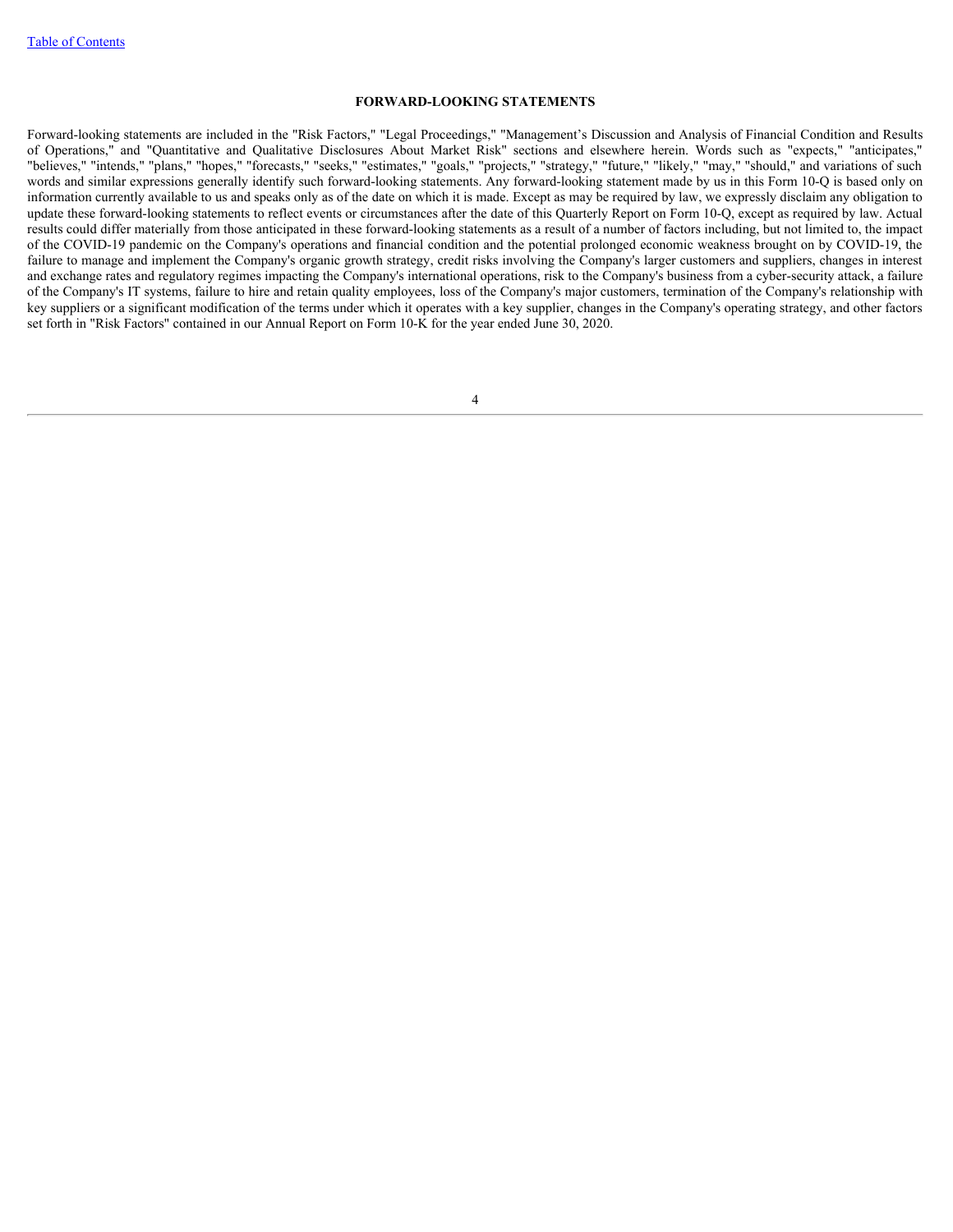#### <span id="page-3-0"></span>**FORWARD-LOOKING STATEMENTS**

Forward-looking statements are included in the "Risk Factors," "Legal Proceedings," "Management's Discussion and Analysis of Financial Condition and Results Tableof Contents<br>
Forward-looking statements are included in the "Risk Factors," "Legal Proceedings," "Margement's Discussion and Analysis of Financial Condition and Results<br>
of Operations," and "Quantitative and Qualitat "believes," "intends," "plans," "hopes," "forecasts," "seeks," "estimates," "goals," "projects," "strategy," "future," "likely," "may," "should," and variations of such words and similar expressions generally identify such forward-looking statements. Any forward-looking statement made by us in this Form 10-Q is based only on information currently available to us and speaks only as of the date on which it is made. Except as may be required by law, we expressly disclaim any obligation to update these forward-looking statements to reflect events or circumstances after the date of this Quarterly Report on Form 10-Q, except as required by law. Actual results could differ materially from those anticipated in these forward-looking statements as a result of a number of factors including, but not limited to, the impact of the COVID-19 pandemic on the Company's operations and financial condition and the potential prolonged economic weakness brought on by COVID-19, the failure to manage and implement the Company's organic growth strategy, credit risks involving the Company's larger customers and suppliers, changes in interest and exchange rates and regulatory regimes impacting the Company's international operations, risk to the Company's business from a cyber-security attack, a failure of the Company's IT systems, failure to hire and retain quality employees, loss of the Company's major customers, termination of the Company's relationship with key suppliers or a significant modification of the terms under which it operates with a key supplier, changes in the Company's operating strategy, and other factors set forth in "Risk Factors" contained in our Annual Report on Form 10-K for the year ended June 30, 2020.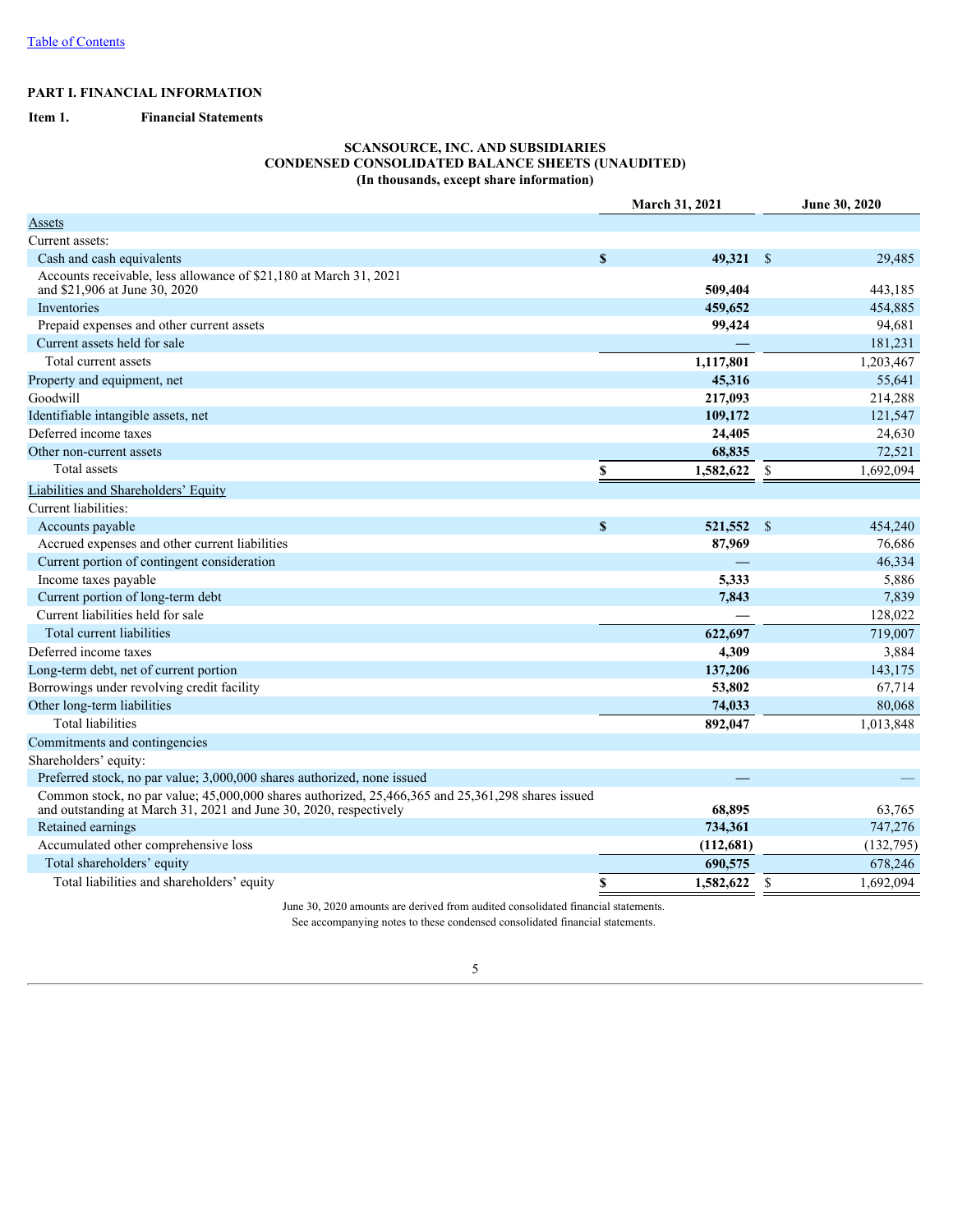## **PART I. FINANCIAL INFORMATION**

<span id="page-4-1"></span><span id="page-4-0"></span>**Item 1. Financial Statements**

## **SCANSOURCE, INC. AND SUBSIDIARIES CONDENSED CONSOLIDATED BALANCE SHEETS (UNAUDITED) (In thousands, except share information)**

|                                                                                                                                                                        |              | March 31, 2021    |    | June 30, 2020 |
|------------------------------------------------------------------------------------------------------------------------------------------------------------------------|--------------|-------------------|----|---------------|
| Assets                                                                                                                                                                 |              |                   |    |               |
| Current assets:                                                                                                                                                        |              |                   |    |               |
| Cash and cash equivalents                                                                                                                                              | $\mathbf{s}$ | $49.321$ \$       |    | 29,485        |
| Accounts receivable, less allowance of \$21,180 at March 31, 2021                                                                                                      |              |                   |    |               |
| and \$21,906 at June 30, 2020                                                                                                                                          |              | 509,404           |    | 443,185       |
| Inventories                                                                                                                                                            |              | 459,652           |    | 454,885       |
| Prepaid expenses and other current assets                                                                                                                              |              | 99,424            |    | 94,681        |
| Current assets held for sale                                                                                                                                           |              | $\hspace{0.05cm}$ |    | 181,231       |
| Total current assets                                                                                                                                                   |              | 1,117,801         |    | 1,203,467     |
| Property and equipment, net                                                                                                                                            |              | 45,316            |    | 55,641        |
| Goodwill                                                                                                                                                               |              | 217,093           |    | 214,288       |
| Identifiable intangible assets, net                                                                                                                                    |              | 109,172           |    | 121,547       |
| Deferred income taxes                                                                                                                                                  |              | 24,405            |    | 24,630        |
| Other non-current assets                                                                                                                                               |              | 68,835            |    | 72,521        |
| Total assets                                                                                                                                                           |              | 1,582,622 \$      |    | 1,692,094     |
| Liabilities and Shareholders' Equity                                                                                                                                   |              |                   |    |               |
| Current liabilities:                                                                                                                                                   |              |                   |    |               |
| Accounts payable                                                                                                                                                       | S            | 521,552 \$        |    | 454,240       |
| Accrued expenses and other current liabilities                                                                                                                         |              | 87,969            |    | 76,686        |
| Current portion of contingent consideration                                                                                                                            |              |                   |    | 46,334        |
| Income taxes payable                                                                                                                                                   |              | 5,333             |    | 5,886         |
| Current portion of long-term debt                                                                                                                                      |              | 7,843             |    | 7,839         |
| Current liabilities held for sale                                                                                                                                      |              |                   |    | 128,022       |
| Total current liabilities                                                                                                                                              |              | 622,697           |    | 719,007       |
| Deferred income taxes                                                                                                                                                  |              | 4,309             |    | 3,884         |
| Long-term debt, net of current portion                                                                                                                                 |              | 137,206           |    | 143,175       |
| Borrowings under revolving credit facility                                                                                                                             |              | 53,802            |    | 67,714        |
| Other long-term liabilities                                                                                                                                            |              | 74,033            |    | 80,068        |
| Total liabilities                                                                                                                                                      |              | 892,047           |    | 1,013,848     |
| Commitments and contingencies                                                                                                                                          |              |                   |    |               |
| Shareholders' equity:                                                                                                                                                  |              |                   |    |               |
| Preferred stock, no par value; 3,000,000 shares authorized, none issued                                                                                                |              |                   |    |               |
| Common stock, no par value; 45,000,000 shares authorized, 25,466,365 and 25,361,298 shares issued<br>and outstanding at March 31, 2021 and June 30, 2020, respectively |              | 68,895            |    | 63,765        |
| Retained earnings                                                                                                                                                      |              | 734,361           |    | 747,276       |
| Accumulated other comprehensive loss                                                                                                                                   |              | (112,681)         |    | (132,795)     |
| Total shareholders' equity                                                                                                                                             |              | 690,575           |    | 678,246       |
| Total liabilities and shareholders' equity                                                                                                                             |              | 1,582,622         | -S | 1,692,094     |
|                                                                                                                                                                        |              |                   |    |               |

<span id="page-4-2"></span>June 30, 2020 amounts are derived from audited consolidated financial statements.

See accompanying notes to these condensed consolidated financial statements.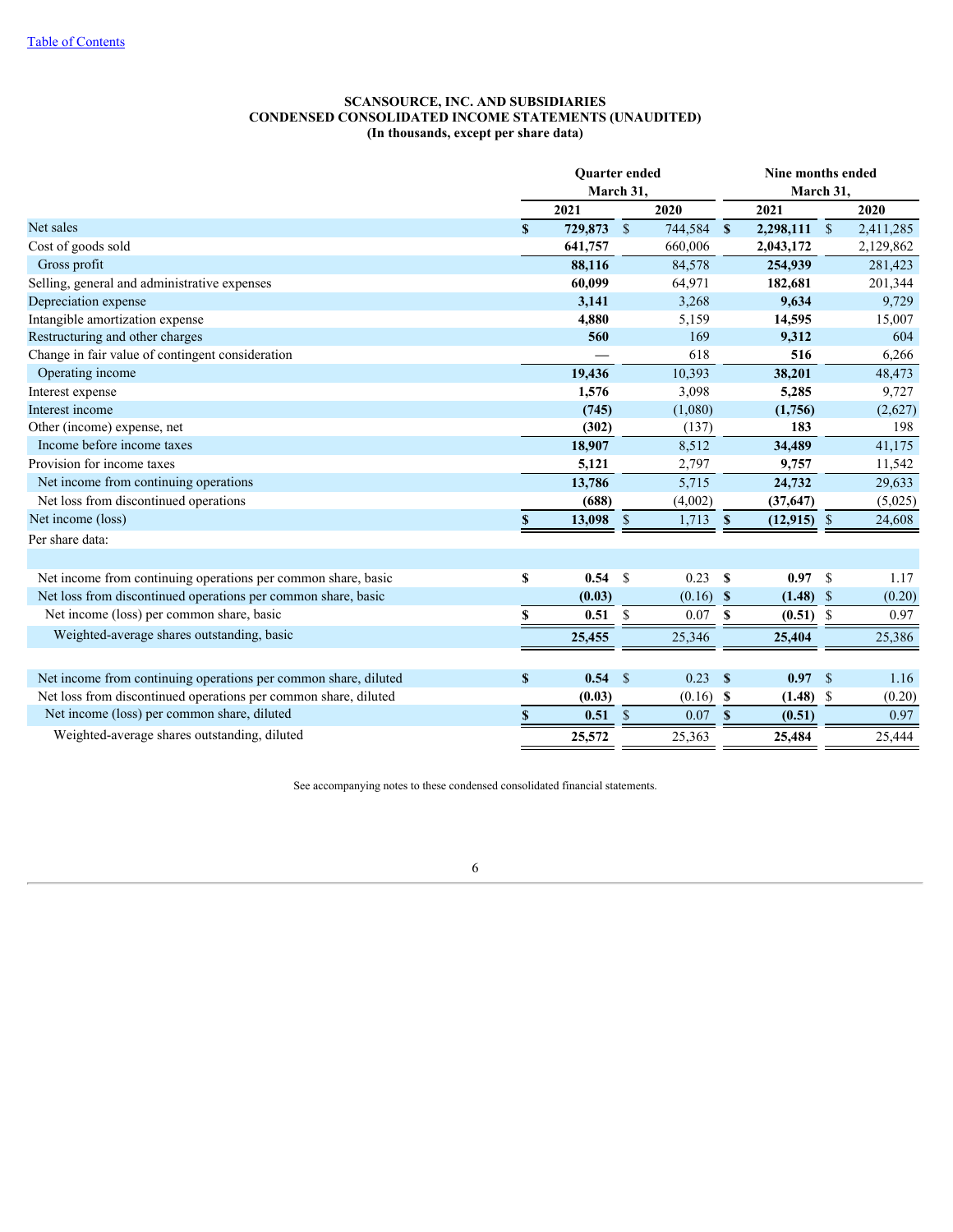## **SCANSOURCE, INC. AND SUBSIDIARIES CONDENSED CONSOLIDATED INCOME STATEMENTS (UNAUDITED) (In thousands, except per share data)**

|                                                                 |              | <b>Ouarter</b> ended<br>March 31, |              |             |              |               | Nine months ended<br>March 31, |           |
|-----------------------------------------------------------------|--------------|-----------------------------------|--------------|-------------|--------------|---------------|--------------------------------|-----------|
|                                                                 |              | 2021                              |              | 2020        |              | 2021          |                                | 2020      |
| Net sales                                                       | S            | 729,873 \$                        |              | 744,584 \$  |              | 2,298,111 \$  |                                | 2,411,285 |
| Cost of goods sold                                              |              | 641,757                           |              | 660,006     |              | 2,043,172     |                                | 2,129,862 |
| Gross profit                                                    |              | 88,116                            |              | 84,578      |              | 254,939       |                                | 281,423   |
| Selling, general and administrative expenses                    |              | 60,099                            |              | 64,971      |              | 182,681       |                                | 201,344   |
| Depreciation expense                                            |              | 3,141                             |              | 3,268       |              | 9,634         |                                | 9,729     |
| Intangible amortization expense                                 |              | 4,880                             |              | 5,159       |              | 14,595        |                                | 15,007    |
| Restructuring and other charges                                 |              | 560                               |              | 169         |              | 9,312         |                                | 604       |
| Change in fair value of contingent consideration                |              |                                   |              | 618         |              | 516           |                                | 6,266     |
| Operating income                                                |              | 19,436                            |              | 10,393      |              | 38,201        |                                | 48,473    |
| Interest expense                                                |              | 1,576                             |              | 3,098       |              | 5,285         |                                | 9,727     |
| Interest income                                                 |              | (745)                             |              | (1,080)     |              | (1,756)       |                                | (2,627)   |
| Other (income) expense, net                                     |              | (302)                             |              | (137)       |              | 183           |                                | 198       |
| Income before income taxes                                      |              | 18,907                            |              | 8,512       |              | 34,489        |                                | 41,175    |
| Provision for income taxes                                      |              | 5,121                             |              | 2,797       |              | 9,757         |                                | 11,542    |
| Net income from continuing operations                           |              | 13,786                            |              | 5,715       |              | 24,732        |                                | 29,633    |
| Net loss from discontinued operations                           |              | (688)                             |              | (4,002)     |              | (37, 647)     |                                | (5,025)   |
| Net income (loss)                                               |              | 13,098                            | <sup>S</sup> | $1,713$ \$  |              | $(12,915)$ \$ |                                | 24,608    |
| Per share data:                                                 |              |                                   |              |             |              |               |                                |           |
| Net income from continuing operations per common share, basic   | S            | 0.54 S                            |              | 0.23        | $\mathbf{s}$ | 0.97 S        |                                | 1.17      |
| Net loss from discontinued operations per common share, basic   |              | (0.03)                            |              | $(0.16)$ \$ |              | $(1.48)$ \$   |                                | (0.20)    |
| Net income (loss) per common share, basic                       | S            | 0.51 S                            |              | 0.07        | S            | $(0.51)$ \$   |                                | 0.97      |
| Weighted-average shares outstanding, basic                      |              | 25,455                            |              | 25,346      |              | 25,404        |                                | 25,386    |
| Net income from continuing operations per common share, diluted | $\mathbf{s}$ | $0.54$ \$                         |              | $0.23$ \$   |              | 0.97 S        |                                | 1.16      |
| Net loss from discontinued operations per common share, diluted |              | (0.03)                            |              | (0.16)      | -S           | $(1.48)$ \$   |                                | (0.20)    |
| Net income (loss) per common share, diluted                     |              | 0.51                              | <sup>S</sup> | 0.07        | <sup>S</sup> | (0.51)        |                                | 0.97      |
| Weighted-average shares outstanding, diluted                    |              | 25,572                            |              | 25,363      |              | 25,484        |                                | 25,444    |

<span id="page-5-0"></span>See accompanying notes to these condensed consolidated financial statements.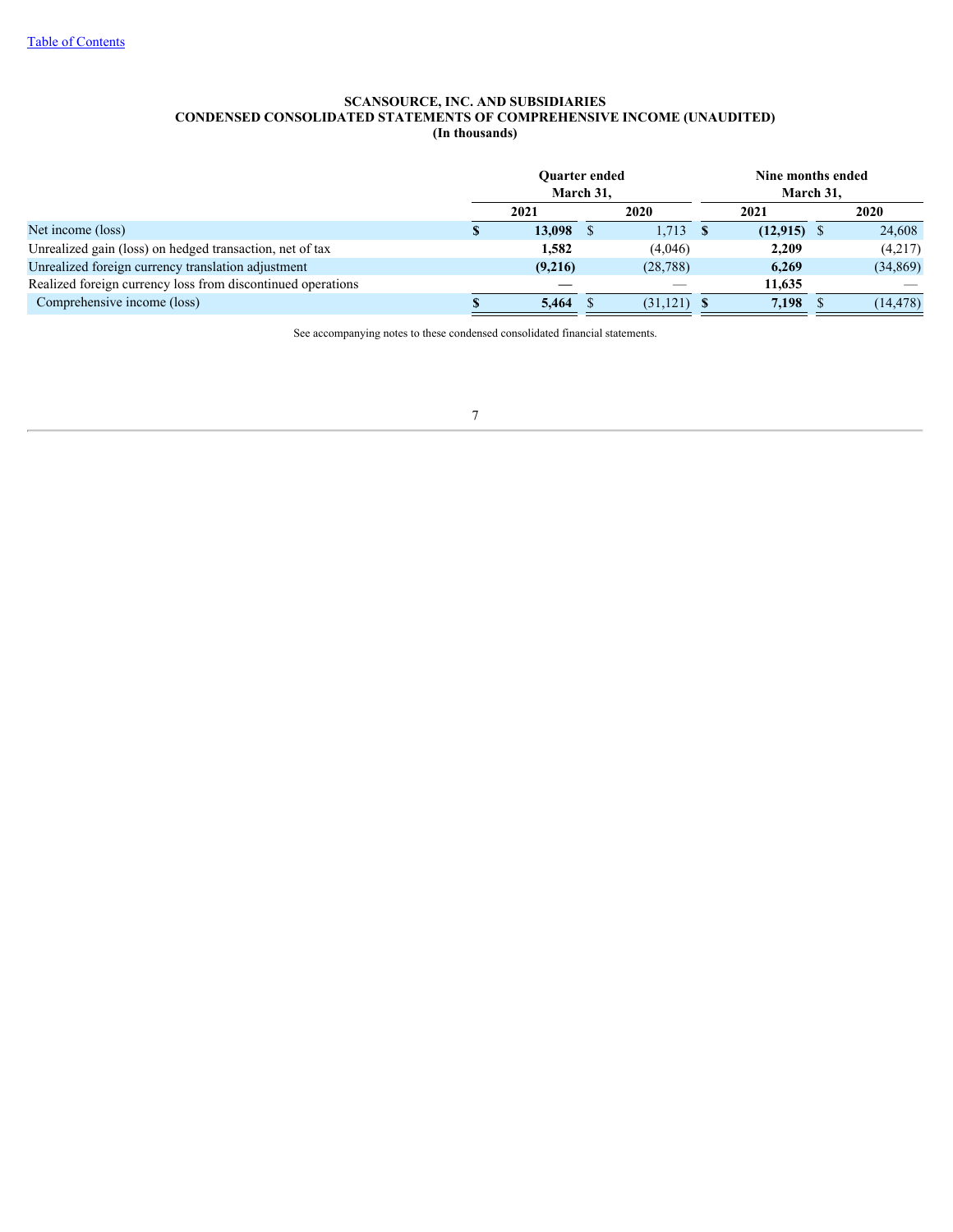## **SCANSOURCE, INC. AND SUBSIDIARIES CONDENSED CONSOLIDATED STATEMENTS OF COMPREHENSIVE INCOME (UNAUDITED) (In thousands)**

<span id="page-6-0"></span>

|                                                             | <b>Ouarter ended</b> |  |                                | Nine months ended |               |  |           |  |  |
|-------------------------------------------------------------|----------------------|--|--------------------------------|-------------------|---------------|--|-----------|--|--|
|                                                             | March 31.            |  |                                |                   | March 31.     |  |           |  |  |
|                                                             | 2021                 |  | 2020                           |                   | 2021          |  | 2020      |  |  |
| Net income (loss)                                           | $13,098$ \$          |  | $1,713$ \$                     |                   | $(12.915)$ \$ |  | 24,608    |  |  |
| Unrealized gain (loss) on hedged transaction, net of tax    | 1,582                |  | (4,046)                        |                   | 2,209         |  | (4,217)   |  |  |
| Unrealized foreign currency translation adjustment          | (9,216)              |  | (28, 788)                      |                   | 6,269         |  | (34, 869) |  |  |
| Realized foreign currency loss from discontinued operations |                      |  | $\overbrace{\hspace{25mm}}^{}$ |                   | 11.635        |  |           |  |  |
| Comprehensive income (loss)                                 | 5,464                |  | $(31,121)$ \$                  |                   | 7,198         |  | (14, 478) |  |  |
|                                                             |                      |  |                                |                   |               |  |           |  |  |

See accompanying notes to these condensed consolidated financial statements.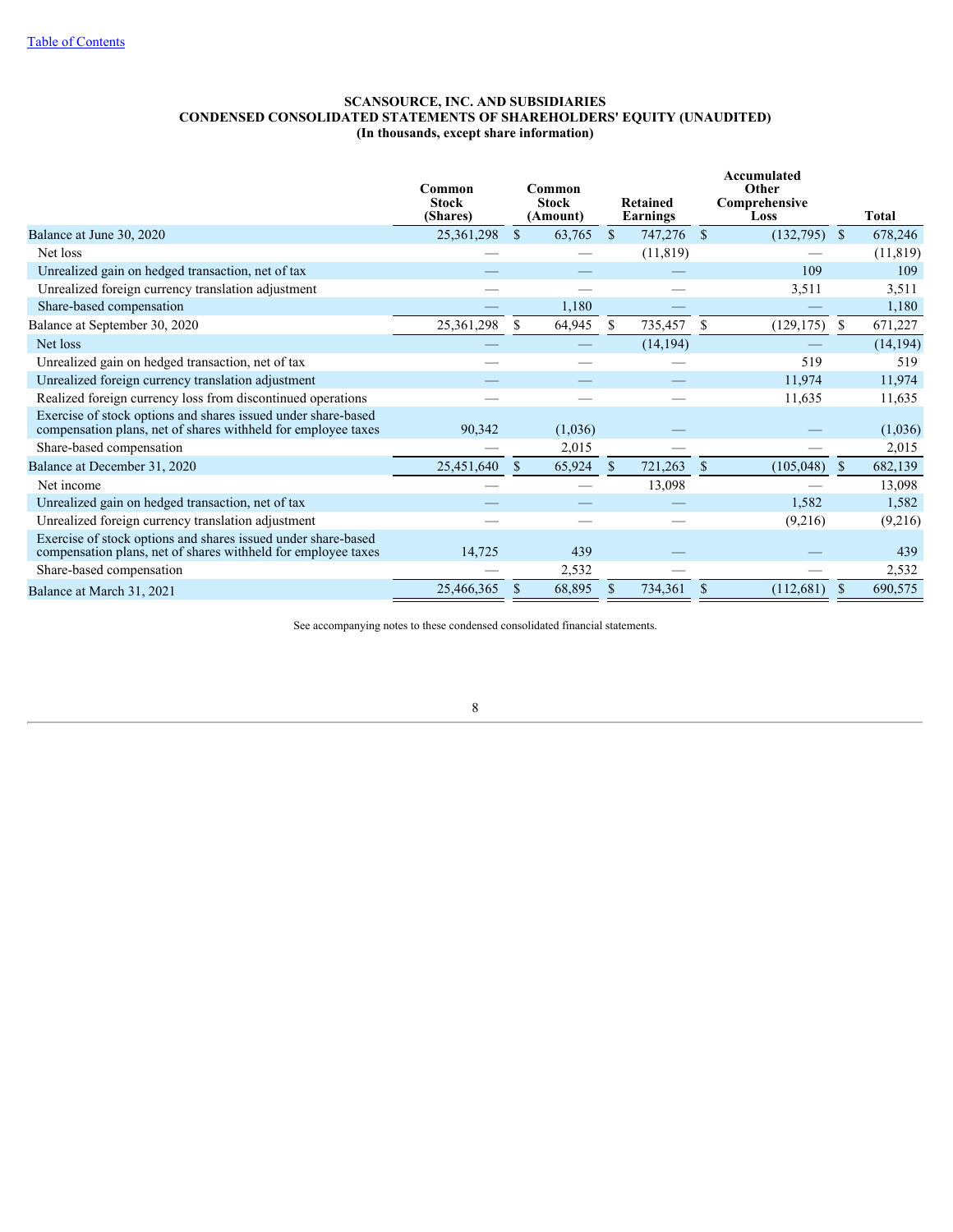## **SCANSOURCE, INC. AND SUBSIDIARIES CONDENSED CONSOLIDATED STATEMENTS OF SHAREHOLDERS' EQUITY (UNAUDITED) (In thousands, except share information)**

|                                                                                                                                | Common<br><b>Stock</b><br>(Shares) |               | Common<br><b>Stock</b><br>(Amount) | <b>Retained</b><br><b>Earnings</b> |    | <b>Accumulated</b><br>Other<br>Comprehensive<br>Loss | Total     |
|--------------------------------------------------------------------------------------------------------------------------------|------------------------------------|---------------|------------------------------------|------------------------------------|----|------------------------------------------------------|-----------|
| Balance at June 30, 2020                                                                                                       | 25,361,298                         | <sup>\$</sup> | 63,765                             | 747,276 \$                         |    | $(132,795)$ \$                                       | 678,246   |
| Net loss                                                                                                                       |                                    |               |                                    | (11, 819)                          |    |                                                      | (11, 819) |
| Unrealized gain on hedged transaction, net of tax                                                                              |                                    |               |                                    |                                    |    | 109                                                  | 109       |
| Unrealized foreign currency translation adjustment                                                                             |                                    |               |                                    |                                    |    | 3,511                                                | 3,511     |
| Share-based compensation                                                                                                       |                                    |               | 1,180                              |                                    |    |                                                      | 1,180     |
| Balance at September 30, 2020                                                                                                  | 25,361,298                         |               | 64,945                             | 735,457                            | -S | (129, 175)                                           | 671,227   |
| Net loss                                                                                                                       |                                    |               |                                    | (14, 194)                          |    |                                                      | (14, 194) |
| Unrealized gain on hedged transaction, net of tax                                                                              |                                    |               |                                    |                                    |    | 519                                                  | 519       |
| Unrealized foreign currency translation adjustment                                                                             |                                    |               |                                    |                                    |    | 11,974                                               | 11,974    |
| Realized foreign currency loss from discontinued operations                                                                    |                                    |               |                                    |                                    |    | 11,635                                               | 11,635    |
| Exercise of stock options and shares issued under share-based<br>compensation plans, net of shares withheld for employee taxes | 90,342                             |               | (1,036)                            |                                    |    |                                                      | (1,036)   |
| Share-based compensation                                                                                                       |                                    |               | 2,015                              |                                    |    |                                                      | 2,015     |
| Balance at December 31, 2020                                                                                                   | 25,451,640                         |               | 65,924                             | 721,263                            |    | (105, 048)                                           | 682,139   |
| Net income                                                                                                                     |                                    |               |                                    | 13,098                             |    |                                                      | 13,098    |
| Unrealized gain on hedged transaction, net of tax                                                                              |                                    |               |                                    |                                    |    | 1,582                                                | 1,582     |
| Unrealized foreign currency translation adjustment                                                                             |                                    |               |                                    |                                    |    | (9,216)                                              | (9,216)   |
| Exercise of stock options and shares issued under share-based<br>compensation plans, net of shares withheld for employee taxes | 14,725                             |               | 439                                |                                    |    |                                                      | 439       |
| Share-based compensation                                                                                                       |                                    |               | 2,532                              |                                    |    |                                                      | 2,532     |
| Balance at March 31, 2021                                                                                                      | 25,466,365                         |               | 68,895                             | 734,361                            |    | (112,681)                                            | 690,575   |
|                                                                                                                                |                                    |               |                                    |                                    |    |                                                      |           |

See accompanying notes to these condensed consolidated financial statements.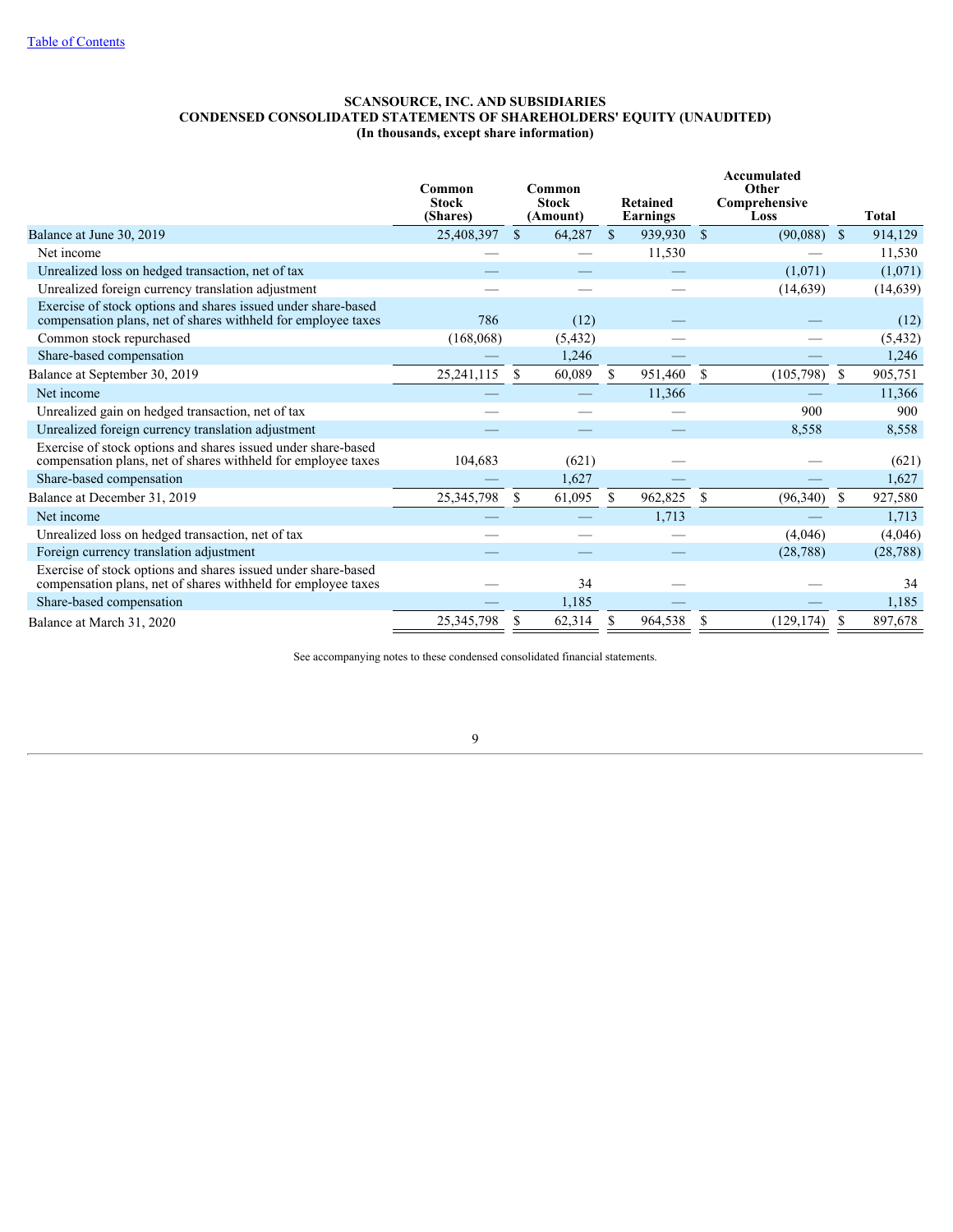## **SCANSOURCE, INC. AND SUBSIDIARIES CONDENSED CONSOLIDATED STATEMENTS OF SHAREHOLDERS' EQUITY (UNAUDITED) (In thousands, except share information)**

|                                                                                                                                | Common<br><b>Stock</b><br>(Shares) |                    | Common<br><b>Stock</b><br>(Amount) |               | <b>Retained</b><br>Earnings |    | Accumulated<br>Other<br>Comprehensive<br>Loss | Total     |
|--------------------------------------------------------------------------------------------------------------------------------|------------------------------------|--------------------|------------------------------------|---------------|-----------------------------|----|-----------------------------------------------|-----------|
| Balance at June 30, 2019                                                                                                       | 25,408,397                         | $\mathbf{\hat{s}}$ | 64,287                             | - \$          | 939,930 \$                  |    | $(90,088)$ \$                                 | 914,129   |
| Net income                                                                                                                     |                                    |                    |                                    |               | 11,530                      |    |                                               | 11,530    |
| Unrealized loss on hedged transaction, net of tax                                                                              |                                    |                    |                                    |               |                             |    | (1,071)                                       | (1,071)   |
| Unrealized foreign currency translation adjustment                                                                             |                                    |                    |                                    |               |                             |    | (14, 639)                                     | (14, 639) |
| Exercise of stock options and shares issued under share-based<br>compensation plans, net of shares withheld for employee taxes | 786                                |                    | (12)                               |               |                             |    |                                               | (12)      |
| Common stock repurchased                                                                                                       | (168,068)                          |                    | (5, 432)                           |               |                             |    |                                               | (5, 432)  |
| Share-based compensation                                                                                                       |                                    |                    | 1,246                              |               |                             |    |                                               | 1,246     |
| Balance at September 30, 2019                                                                                                  | 25, 241, 115                       |                    | 60,089                             | <sup>\$</sup> | 951,460                     | -S | (105,798)                                     | 905,751   |
| Net income                                                                                                                     |                                    |                    |                                    |               | 11,366                      |    |                                               | 11,366    |
| Unrealized gain on hedged transaction, net of tax                                                                              |                                    |                    |                                    |               |                             |    | 900                                           | 900       |
| Unrealized foreign currency translation adjustment                                                                             |                                    |                    |                                    |               |                             |    | 8,558                                         | 8,558     |
| Exercise of stock options and shares issued under share-based<br>compensation plans, net of shares withheld for employee taxes | 104,683                            |                    | (621)                              |               |                             |    |                                               | (621)     |
| Share-based compensation                                                                                                       |                                    |                    | 1,627                              |               |                             |    |                                               | 1,627     |
| Balance at December 31, 2019                                                                                                   | 25,345,798                         |                    | 61,095                             | -S            | 962,825                     | -S | (96, 340)                                     | 927,580   |
| Net income                                                                                                                     |                                    |                    |                                    |               | 1,713                       |    |                                               | 1,713     |
| Unrealized loss on hedged transaction, net of tax                                                                              |                                    |                    |                                    |               |                             |    | (4,046)                                       | (4,046)   |
| Foreign currency translation adjustment                                                                                        |                                    |                    |                                    |               |                             |    | (28, 788)                                     | (28, 788) |
| Exercise of stock options and shares issued under share-based<br>compensation plans, net of shares withheld for employee taxes |                                    |                    | 34                                 |               |                             |    |                                               | 34        |
| Share-based compensation                                                                                                       |                                    |                    | 1,185                              |               |                             |    |                                               | 1,185     |
| Balance at March 31, 2020                                                                                                      | 25,345,798                         |                    | 62,314                             |               | 964,538                     |    | (129, 174)                                    | 897,678   |
|                                                                                                                                |                                    |                    |                                    |               |                             |    |                                               |           |

<span id="page-8-0"></span>See accompanying notes to these condensed consolidated financial statements.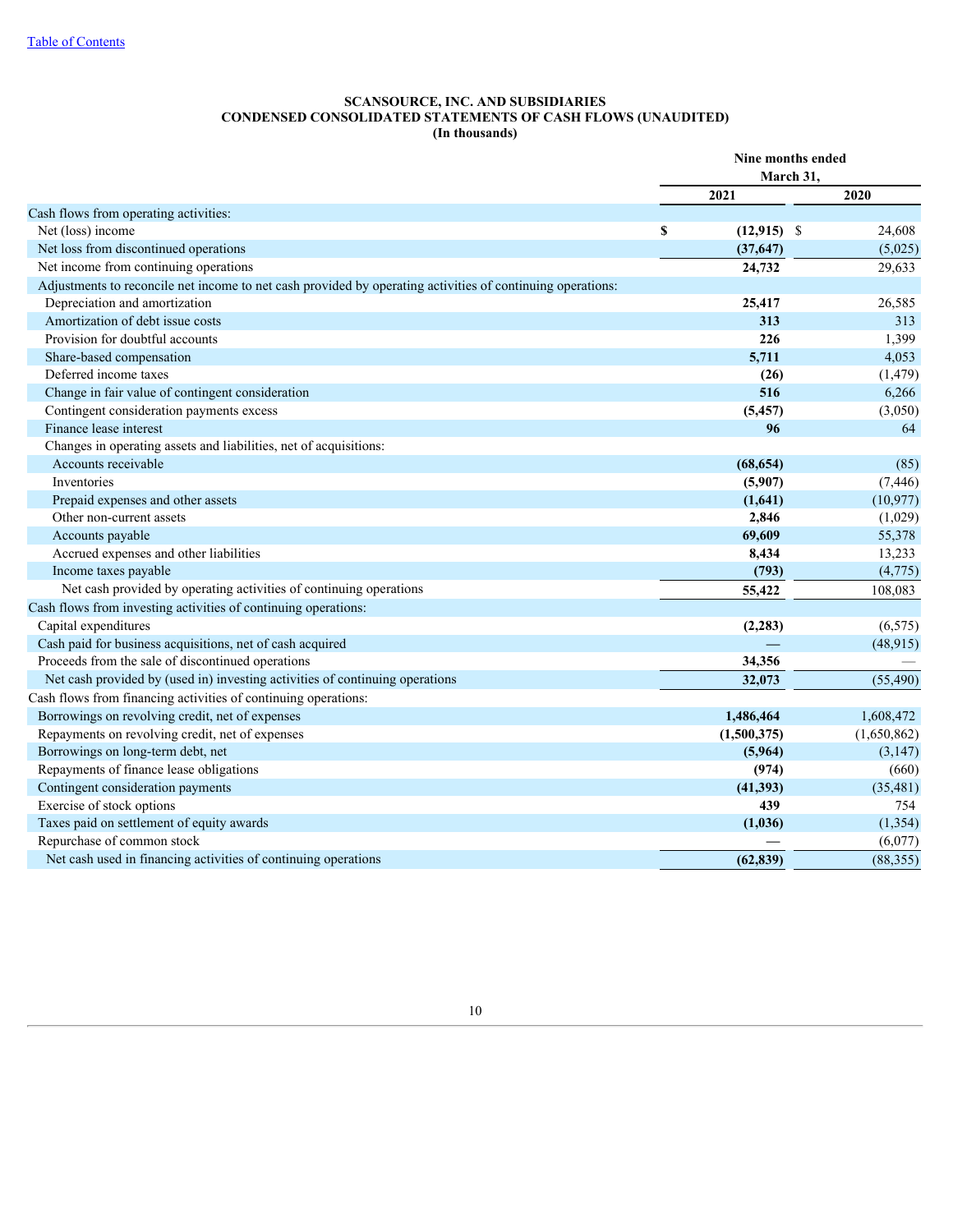## **SCANSOURCE, INC. AND SUBSIDIARIES CONDENSED CONSOLIDATED STATEMENTS OF CASH FLOWS (UNAUDITED) (In thousands)**

| 2020<br>2021<br>Cash flows from operating activities:<br>Net (loss) income<br>$(12,915)$ \$<br>24,608<br>S<br>Net loss from discontinued operations<br>(37, 647)<br>(5,025)<br>Net income from continuing operations<br>24,732<br>29,633<br>Adjustments to reconcile net income to net cash provided by operating activities of continuing operations:<br>Depreciation and amortization<br>25,417<br>26,585<br>313<br>Amortization of debt issue costs<br>313<br>Provision for doubtful accounts<br>226<br>1,399<br>Share-based compensation<br>4,053<br>5,711<br>Deferred income taxes<br>(26)<br>(1, 479)<br>Change in fair value of contingent consideration<br>516<br>6,266<br>Contingent consideration payments excess<br>(5, 457)<br>(3,050)<br>Finance lease interest<br>96<br>64<br>Changes in operating assets and liabilities, net of acquisitions:<br>Accounts receivable<br>(68, 654)<br>(85)<br><b>Inventories</b><br>(5,907)<br>(7, 446)<br>(10, 977)<br>Prepaid expenses and other assets<br>(1,641)<br>Other non-current assets<br>2,846<br>(1,029)<br>Accounts payable<br>69,609<br>55,378<br>8,434<br>13,233<br>Accrued expenses and other liabilities<br>Income taxes payable<br>(793)<br>(4, 775)<br>Net cash provided by operating activities of continuing operations<br>55,422<br>108,083<br>Cash flows from investing activities of continuing operations:<br>Capital expenditures<br>(2, 283)<br>(6, 575)<br>Cash paid for business acquisitions, net of cash acquired<br>(48, 915)<br>Proceeds from the sale of discontinued operations<br>34,356<br>Net cash provided by (used in) investing activities of continuing operations<br>32,073<br>(55, 490)<br>Cash flows from financing activities of continuing operations:<br>Borrowings on revolving credit, net of expenses<br>1,608,472<br>1,486,464<br>Repayments on revolving credit, net of expenses<br>(1,500,375)<br>(1,650,862)<br>Borrowings on long-term debt, net<br>(5,964)<br>(3,147)<br>Repayments of finance lease obligations<br>(974)<br>(660)<br>Contingent consideration payments<br>(41, 393)<br>(35, 481)<br>Exercise of stock options<br>439<br>754<br>Taxes paid on settlement of equity awards<br>(1, 354)<br>(1,036)<br>Repurchase of common stock<br>(6,077) |                                                                |  | Nine months ended |           |  |
|-------------------------------------------------------------------------------------------------------------------------------------------------------------------------------------------------------------------------------------------------------------------------------------------------------------------------------------------------------------------------------------------------------------------------------------------------------------------------------------------------------------------------------------------------------------------------------------------------------------------------------------------------------------------------------------------------------------------------------------------------------------------------------------------------------------------------------------------------------------------------------------------------------------------------------------------------------------------------------------------------------------------------------------------------------------------------------------------------------------------------------------------------------------------------------------------------------------------------------------------------------------------------------------------------------------------------------------------------------------------------------------------------------------------------------------------------------------------------------------------------------------------------------------------------------------------------------------------------------------------------------------------------------------------------------------------------------------------------------------------------------------------------------------------------------------------------------------------------------------------------------------------------------------------------------------------------------------------------------------------------------------------------------------------------------------------------------------------------------------------------------------------------------------------------------------------------------------------------------------------------------------------|----------------------------------------------------------------|--|-------------------|-----------|--|
|                                                                                                                                                                                                                                                                                                                                                                                                                                                                                                                                                                                                                                                                                                                                                                                                                                                                                                                                                                                                                                                                                                                                                                                                                                                                                                                                                                                                                                                                                                                                                                                                                                                                                                                                                                                                                                                                                                                                                                                                                                                                                                                                                                                                                                                                   |                                                                |  |                   |           |  |
|                                                                                                                                                                                                                                                                                                                                                                                                                                                                                                                                                                                                                                                                                                                                                                                                                                                                                                                                                                                                                                                                                                                                                                                                                                                                                                                                                                                                                                                                                                                                                                                                                                                                                                                                                                                                                                                                                                                                                                                                                                                                                                                                                                                                                                                                   |                                                                |  |                   |           |  |
|                                                                                                                                                                                                                                                                                                                                                                                                                                                                                                                                                                                                                                                                                                                                                                                                                                                                                                                                                                                                                                                                                                                                                                                                                                                                                                                                                                                                                                                                                                                                                                                                                                                                                                                                                                                                                                                                                                                                                                                                                                                                                                                                                                                                                                                                   |                                                                |  |                   |           |  |
|                                                                                                                                                                                                                                                                                                                                                                                                                                                                                                                                                                                                                                                                                                                                                                                                                                                                                                                                                                                                                                                                                                                                                                                                                                                                                                                                                                                                                                                                                                                                                                                                                                                                                                                                                                                                                                                                                                                                                                                                                                                                                                                                                                                                                                                                   |                                                                |  |                   |           |  |
|                                                                                                                                                                                                                                                                                                                                                                                                                                                                                                                                                                                                                                                                                                                                                                                                                                                                                                                                                                                                                                                                                                                                                                                                                                                                                                                                                                                                                                                                                                                                                                                                                                                                                                                                                                                                                                                                                                                                                                                                                                                                                                                                                                                                                                                                   |                                                                |  |                   |           |  |
|                                                                                                                                                                                                                                                                                                                                                                                                                                                                                                                                                                                                                                                                                                                                                                                                                                                                                                                                                                                                                                                                                                                                                                                                                                                                                                                                                                                                                                                                                                                                                                                                                                                                                                                                                                                                                                                                                                                                                                                                                                                                                                                                                                                                                                                                   |                                                                |  |                   |           |  |
|                                                                                                                                                                                                                                                                                                                                                                                                                                                                                                                                                                                                                                                                                                                                                                                                                                                                                                                                                                                                                                                                                                                                                                                                                                                                                                                                                                                                                                                                                                                                                                                                                                                                                                                                                                                                                                                                                                                                                                                                                                                                                                                                                                                                                                                                   |                                                                |  |                   |           |  |
|                                                                                                                                                                                                                                                                                                                                                                                                                                                                                                                                                                                                                                                                                                                                                                                                                                                                                                                                                                                                                                                                                                                                                                                                                                                                                                                                                                                                                                                                                                                                                                                                                                                                                                                                                                                                                                                                                                                                                                                                                                                                                                                                                                                                                                                                   |                                                                |  |                   |           |  |
|                                                                                                                                                                                                                                                                                                                                                                                                                                                                                                                                                                                                                                                                                                                                                                                                                                                                                                                                                                                                                                                                                                                                                                                                                                                                                                                                                                                                                                                                                                                                                                                                                                                                                                                                                                                                                                                                                                                                                                                                                                                                                                                                                                                                                                                                   |                                                                |  |                   |           |  |
|                                                                                                                                                                                                                                                                                                                                                                                                                                                                                                                                                                                                                                                                                                                                                                                                                                                                                                                                                                                                                                                                                                                                                                                                                                                                                                                                                                                                                                                                                                                                                                                                                                                                                                                                                                                                                                                                                                                                                                                                                                                                                                                                                                                                                                                                   |                                                                |  |                   |           |  |
|                                                                                                                                                                                                                                                                                                                                                                                                                                                                                                                                                                                                                                                                                                                                                                                                                                                                                                                                                                                                                                                                                                                                                                                                                                                                                                                                                                                                                                                                                                                                                                                                                                                                                                                                                                                                                                                                                                                                                                                                                                                                                                                                                                                                                                                                   |                                                                |  |                   |           |  |
|                                                                                                                                                                                                                                                                                                                                                                                                                                                                                                                                                                                                                                                                                                                                                                                                                                                                                                                                                                                                                                                                                                                                                                                                                                                                                                                                                                                                                                                                                                                                                                                                                                                                                                                                                                                                                                                                                                                                                                                                                                                                                                                                                                                                                                                                   |                                                                |  |                   |           |  |
|                                                                                                                                                                                                                                                                                                                                                                                                                                                                                                                                                                                                                                                                                                                                                                                                                                                                                                                                                                                                                                                                                                                                                                                                                                                                                                                                                                                                                                                                                                                                                                                                                                                                                                                                                                                                                                                                                                                                                                                                                                                                                                                                                                                                                                                                   |                                                                |  |                   |           |  |
|                                                                                                                                                                                                                                                                                                                                                                                                                                                                                                                                                                                                                                                                                                                                                                                                                                                                                                                                                                                                                                                                                                                                                                                                                                                                                                                                                                                                                                                                                                                                                                                                                                                                                                                                                                                                                                                                                                                                                                                                                                                                                                                                                                                                                                                                   |                                                                |  |                   |           |  |
|                                                                                                                                                                                                                                                                                                                                                                                                                                                                                                                                                                                                                                                                                                                                                                                                                                                                                                                                                                                                                                                                                                                                                                                                                                                                                                                                                                                                                                                                                                                                                                                                                                                                                                                                                                                                                                                                                                                                                                                                                                                                                                                                                                                                                                                                   |                                                                |  |                   |           |  |
|                                                                                                                                                                                                                                                                                                                                                                                                                                                                                                                                                                                                                                                                                                                                                                                                                                                                                                                                                                                                                                                                                                                                                                                                                                                                                                                                                                                                                                                                                                                                                                                                                                                                                                                                                                                                                                                                                                                                                                                                                                                                                                                                                                                                                                                                   |                                                                |  |                   |           |  |
|                                                                                                                                                                                                                                                                                                                                                                                                                                                                                                                                                                                                                                                                                                                                                                                                                                                                                                                                                                                                                                                                                                                                                                                                                                                                                                                                                                                                                                                                                                                                                                                                                                                                                                                                                                                                                                                                                                                                                                                                                                                                                                                                                                                                                                                                   |                                                                |  |                   |           |  |
|                                                                                                                                                                                                                                                                                                                                                                                                                                                                                                                                                                                                                                                                                                                                                                                                                                                                                                                                                                                                                                                                                                                                                                                                                                                                                                                                                                                                                                                                                                                                                                                                                                                                                                                                                                                                                                                                                                                                                                                                                                                                                                                                                                                                                                                                   |                                                                |  |                   |           |  |
|                                                                                                                                                                                                                                                                                                                                                                                                                                                                                                                                                                                                                                                                                                                                                                                                                                                                                                                                                                                                                                                                                                                                                                                                                                                                                                                                                                                                                                                                                                                                                                                                                                                                                                                                                                                                                                                                                                                                                                                                                                                                                                                                                                                                                                                                   |                                                                |  |                   |           |  |
|                                                                                                                                                                                                                                                                                                                                                                                                                                                                                                                                                                                                                                                                                                                                                                                                                                                                                                                                                                                                                                                                                                                                                                                                                                                                                                                                                                                                                                                                                                                                                                                                                                                                                                                                                                                                                                                                                                                                                                                                                                                                                                                                                                                                                                                                   |                                                                |  |                   |           |  |
|                                                                                                                                                                                                                                                                                                                                                                                                                                                                                                                                                                                                                                                                                                                                                                                                                                                                                                                                                                                                                                                                                                                                                                                                                                                                                                                                                                                                                                                                                                                                                                                                                                                                                                                                                                                                                                                                                                                                                                                                                                                                                                                                                                                                                                                                   |                                                                |  |                   |           |  |
|                                                                                                                                                                                                                                                                                                                                                                                                                                                                                                                                                                                                                                                                                                                                                                                                                                                                                                                                                                                                                                                                                                                                                                                                                                                                                                                                                                                                                                                                                                                                                                                                                                                                                                                                                                                                                                                                                                                                                                                                                                                                                                                                                                                                                                                                   |                                                                |  |                   |           |  |
|                                                                                                                                                                                                                                                                                                                                                                                                                                                                                                                                                                                                                                                                                                                                                                                                                                                                                                                                                                                                                                                                                                                                                                                                                                                                                                                                                                                                                                                                                                                                                                                                                                                                                                                                                                                                                                                                                                                                                                                                                                                                                                                                                                                                                                                                   |                                                                |  |                   |           |  |
|                                                                                                                                                                                                                                                                                                                                                                                                                                                                                                                                                                                                                                                                                                                                                                                                                                                                                                                                                                                                                                                                                                                                                                                                                                                                                                                                                                                                                                                                                                                                                                                                                                                                                                                                                                                                                                                                                                                                                                                                                                                                                                                                                                                                                                                                   |                                                                |  |                   |           |  |
|                                                                                                                                                                                                                                                                                                                                                                                                                                                                                                                                                                                                                                                                                                                                                                                                                                                                                                                                                                                                                                                                                                                                                                                                                                                                                                                                                                                                                                                                                                                                                                                                                                                                                                                                                                                                                                                                                                                                                                                                                                                                                                                                                                                                                                                                   |                                                                |  |                   |           |  |
|                                                                                                                                                                                                                                                                                                                                                                                                                                                                                                                                                                                                                                                                                                                                                                                                                                                                                                                                                                                                                                                                                                                                                                                                                                                                                                                                                                                                                                                                                                                                                                                                                                                                                                                                                                                                                                                                                                                                                                                                                                                                                                                                                                                                                                                                   |                                                                |  |                   |           |  |
|                                                                                                                                                                                                                                                                                                                                                                                                                                                                                                                                                                                                                                                                                                                                                                                                                                                                                                                                                                                                                                                                                                                                                                                                                                                                                                                                                                                                                                                                                                                                                                                                                                                                                                                                                                                                                                                                                                                                                                                                                                                                                                                                                                                                                                                                   |                                                                |  |                   |           |  |
|                                                                                                                                                                                                                                                                                                                                                                                                                                                                                                                                                                                                                                                                                                                                                                                                                                                                                                                                                                                                                                                                                                                                                                                                                                                                                                                                                                                                                                                                                                                                                                                                                                                                                                                                                                                                                                                                                                                                                                                                                                                                                                                                                                                                                                                                   |                                                                |  |                   |           |  |
|                                                                                                                                                                                                                                                                                                                                                                                                                                                                                                                                                                                                                                                                                                                                                                                                                                                                                                                                                                                                                                                                                                                                                                                                                                                                                                                                                                                                                                                                                                                                                                                                                                                                                                                                                                                                                                                                                                                                                                                                                                                                                                                                                                                                                                                                   |                                                                |  |                   |           |  |
|                                                                                                                                                                                                                                                                                                                                                                                                                                                                                                                                                                                                                                                                                                                                                                                                                                                                                                                                                                                                                                                                                                                                                                                                                                                                                                                                                                                                                                                                                                                                                                                                                                                                                                                                                                                                                                                                                                                                                                                                                                                                                                                                                                                                                                                                   |                                                                |  |                   |           |  |
|                                                                                                                                                                                                                                                                                                                                                                                                                                                                                                                                                                                                                                                                                                                                                                                                                                                                                                                                                                                                                                                                                                                                                                                                                                                                                                                                                                                                                                                                                                                                                                                                                                                                                                                                                                                                                                                                                                                                                                                                                                                                                                                                                                                                                                                                   |                                                                |  |                   |           |  |
|                                                                                                                                                                                                                                                                                                                                                                                                                                                                                                                                                                                                                                                                                                                                                                                                                                                                                                                                                                                                                                                                                                                                                                                                                                                                                                                                                                                                                                                                                                                                                                                                                                                                                                                                                                                                                                                                                                                                                                                                                                                                                                                                                                                                                                                                   |                                                                |  |                   |           |  |
|                                                                                                                                                                                                                                                                                                                                                                                                                                                                                                                                                                                                                                                                                                                                                                                                                                                                                                                                                                                                                                                                                                                                                                                                                                                                                                                                                                                                                                                                                                                                                                                                                                                                                                                                                                                                                                                                                                                                                                                                                                                                                                                                                                                                                                                                   |                                                                |  |                   |           |  |
|                                                                                                                                                                                                                                                                                                                                                                                                                                                                                                                                                                                                                                                                                                                                                                                                                                                                                                                                                                                                                                                                                                                                                                                                                                                                                                                                                                                                                                                                                                                                                                                                                                                                                                                                                                                                                                                                                                                                                                                                                                                                                                                                                                                                                                                                   |                                                                |  |                   |           |  |
|                                                                                                                                                                                                                                                                                                                                                                                                                                                                                                                                                                                                                                                                                                                                                                                                                                                                                                                                                                                                                                                                                                                                                                                                                                                                                                                                                                                                                                                                                                                                                                                                                                                                                                                                                                                                                                                                                                                                                                                                                                                                                                                                                                                                                                                                   |                                                                |  |                   |           |  |
|                                                                                                                                                                                                                                                                                                                                                                                                                                                                                                                                                                                                                                                                                                                                                                                                                                                                                                                                                                                                                                                                                                                                                                                                                                                                                                                                                                                                                                                                                                                                                                                                                                                                                                                                                                                                                                                                                                                                                                                                                                                                                                                                                                                                                                                                   |                                                                |  |                   |           |  |
|                                                                                                                                                                                                                                                                                                                                                                                                                                                                                                                                                                                                                                                                                                                                                                                                                                                                                                                                                                                                                                                                                                                                                                                                                                                                                                                                                                                                                                                                                                                                                                                                                                                                                                                                                                                                                                                                                                                                                                                                                                                                                                                                                                                                                                                                   |                                                                |  |                   |           |  |
|                                                                                                                                                                                                                                                                                                                                                                                                                                                                                                                                                                                                                                                                                                                                                                                                                                                                                                                                                                                                                                                                                                                                                                                                                                                                                                                                                                                                                                                                                                                                                                                                                                                                                                                                                                                                                                                                                                                                                                                                                                                                                                                                                                                                                                                                   | Net cash used in financing activities of continuing operations |  | (62, 839)         | (88, 355) |  |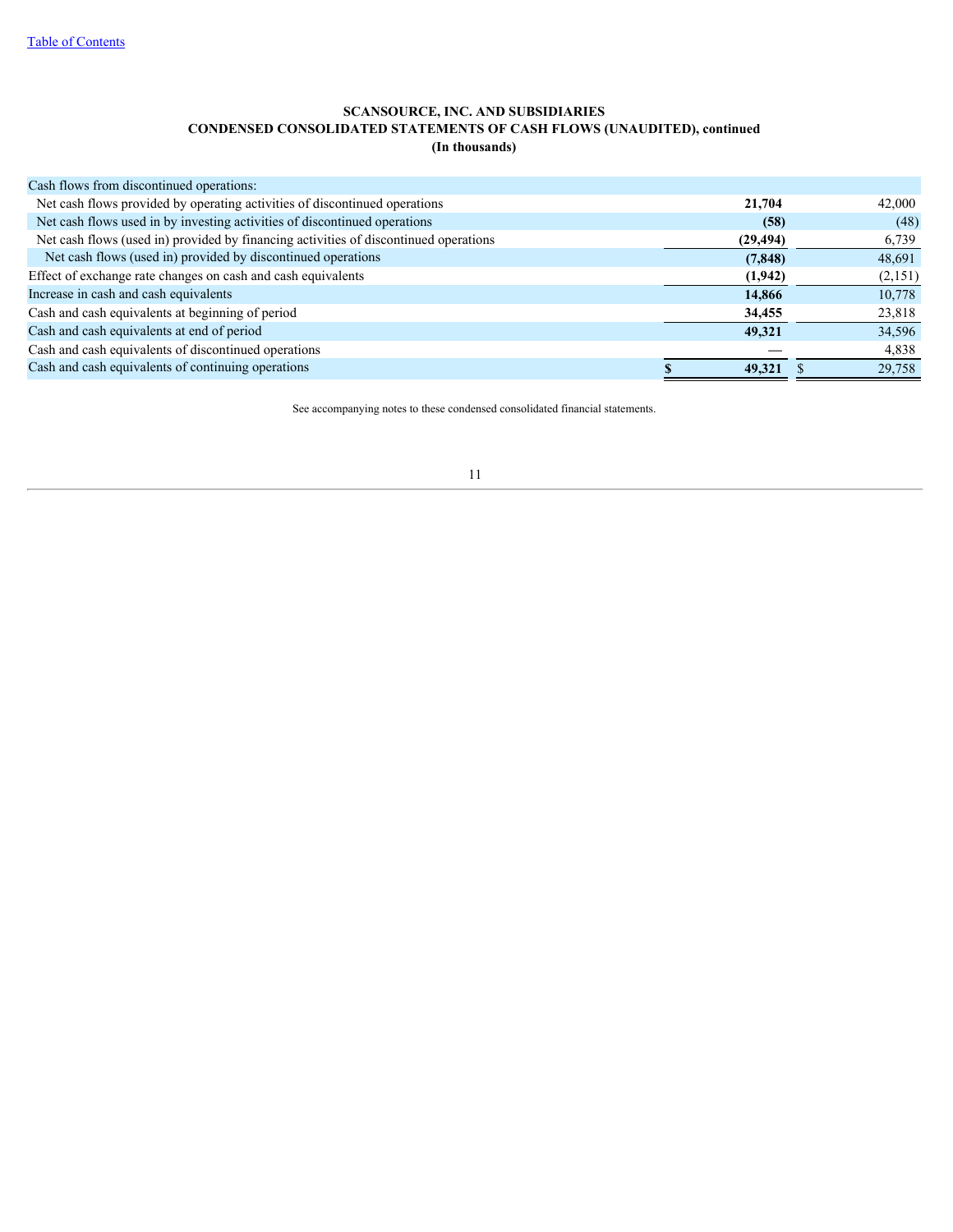## **SCANSOURCE, INC. AND SUBSIDIARIES CONDENSED CONSOLIDATED STATEMENTS OF CASH FLOWS (UNAUDITED), continued (In thousands)**

| Cash flows from discontinued operations:                                             |           |         |
|--------------------------------------------------------------------------------------|-----------|---------|
| Net cash flows provided by operating activities of discontinued operations           | 21,704    | 42,000  |
| Net cash flows used in by investing activities of discontinued operations            | (58)      | (48)    |
| Net cash flows (used in) provided by financing activities of discontinued operations | (29, 494) | 6,739   |
| Net cash flows (used in) provided by discontinued operations                         | (7, 848)  | 48,691  |
| Effect of exchange rate changes on cash and cash equivalents                         | (1, 942)  | (2,151) |
| Increase in cash and cash equivalents                                                | 14,866    | 10,778  |
| Cash and cash equivalents at beginning of period                                     | 34,455    | 23,818  |
| Cash and cash equivalents at end of period                                           | 49.321    | 34,596  |
| Cash and cash equivalents of discontinued operations                                 |           | 4,838   |
| Cash and cash equivalents of continuing operations                                   | 49.321    | 29,758  |
|                                                                                      |           |         |

<span id="page-10-0"></span>See accompanying notes to these condensed consolidated financial statements.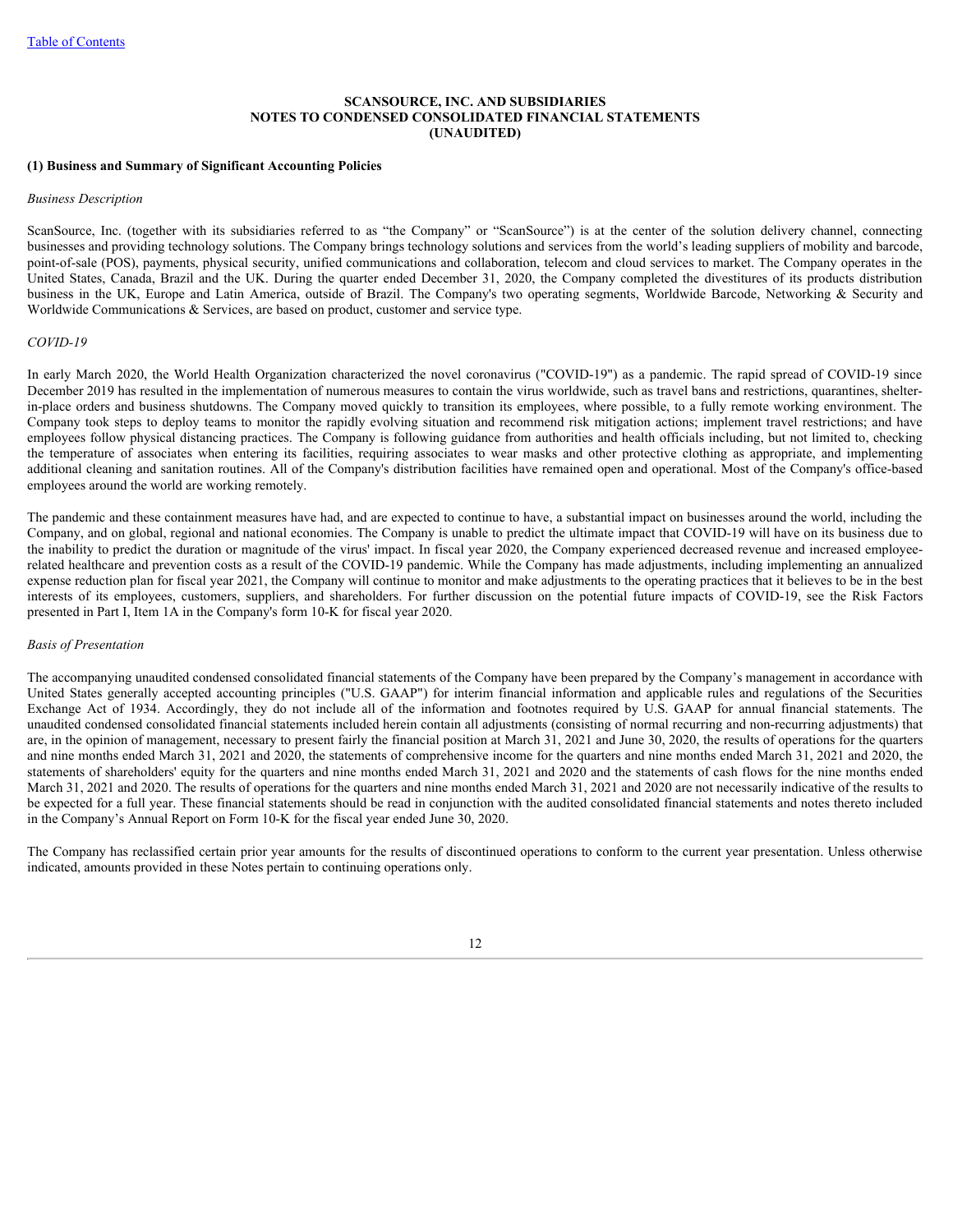#### **SCANSOURCE, INC. AND SUBSIDIARIES NOTES TO CONDENSED CONSOLIDATED FINANCIAL STATEMENTS (UNAUDITED)**

#### **(1) Business and Summary of Significant Accounting Policies**

#### *Business Description*

SCANSOURCE,INC. AND SUBSIDIARIES<br>
SCANSOURCE, INC. AND SUBSIDIARIES<br>
(I) Business and Summary of Significant Accounting Policies<br>
Business Description<br>
ScanSource, Inc. (together with its subsidiaries referred to as "the businesses and providing technology solutions. The Company brings technology solutions and services from the world's leading suppliers of mobility and barcode, point-of-sale (POS), payments, physical security, unified communications and collaboration, telecom and cloud services to market. The Company operates in the SCANSOURCE, INC. AND SUBSIDIARIES<br>
(UNAUDITED)<br>
(UNAUDITED)<br>
(UNAUDITED)<br>
Business and **Summary of Significant Accounting Policies**<br>
CONDENSED CONSIDIARIES<br>
CONDENTED)<br>
Sumstress, Decription<br>
Businesses, and providing tech **SCANSOURCE, INC. AND SUBSIDIARIES**<br> **SCANSOURCE, INC. AND SUBSIDIARIES**<br>
(I) **Dusiness and Summary of Significant Accounting Policies**<br> *Business Deceription*<br> *Business and providing technology solutions*. The Company br Worldwide Communications & Services, are based on product, customer and service type.

## *COVID-19*

In early March 2020, the World Health Organization characterized the novel coronavirus ("COVID-19") as a pandemic. The rapid spread of COVID-19 since December 2019 has resulted in the implementation of numerous measures to contain the virus worldwide, such as travel bans and restrictions, quarantines, shelterin-place orders and business shutdowns. The Company moved quickly to transition its employees, where possible, to a fully remote working environment. The Company took steps to deploy teams to monitor the rapidly evolving situation and recommend risk mitigation actions; implement travel restrictions; and have employees follow physical distancing practices. The Company is following guidance from authorities and health officials including, but not limited to, checking Table of Contents<br>
NOTES TO CONDENSED CONSOLETED PRANCIALS TATEMENTS<br>
(1) Business and Summary of Significant Accounting Policies<br>
(PAACOLETED PRANCIAL STATEMENTS<br>
(PAACOLETED PRANCIAL STATEMENTS<br>
Nearboards *Alexanders i* additional cleaning and sanitation routines. All of the Company's distribution facilities have remained open and operational. Most of the Company's office-based employees around the world are working remotely. COVID-19<br> **interests of its employees of its employees of its employees of its employees** of its employees of its employees of the interest of the company of Significant Accounting Policies<br>
Monneas Decretors of the subst

The pandemic and these containment measures have had, and are expected to continue to have, a substantial impact on businesses around the world, including the Company, and on global, regional and national economies. The Company is unable to predict the ultimate impact that COVID-19 will have on its business due to the inability to predict the duration or magnitude of the virus' impact. In fiscal year 2020, the Company experienced decreased revenue and increased employeerelated healthcare and prevention costs as a result of the COVID-19 pandemic. While the Company has made adjustments, including implementing an annualized expense reduction plan for fiscal year 2021, the Company will continue to monitor and make adjustments to the operating practices that it believes to be in the best presented in Part I, Item 1A in the Company's form 10-K for fiscal year 2020.

#### *Basis of Presentation*

The accompanying unaudited condensed consolidated financial statements of the Company have been prepared by the Company's management in accordance with Besidens Dencycles<br>
Standards responses with its substituties referred to as "the Company" or "Sunksonics") is at the center of the ululation channel connecting<br>
Standards in (NPS), popenerally accepted security, unified Howeve Recorption. The transmission of the interest of the interest of the interest of the interest of the interest of the interest of the interest of the interest of the interest of the interest of the interest of the int unaudited condensed consolidated financial statements included herein contain all adjustments (consisting of normal recurring and non-recurring adjustments) that are, in the opinion of management, necessary to present fairly the financial position at March 31, 2021 and June 30, 2020, the results of operations for the quarters and nine months ended March 31, 2021 and 2020, the statements of comprehensive income for the quarters and nine months ended March 31, 2021 and 2020, the statements of shareholders' equity for the quarters and nine months ended March 31, 2021 and 2020 and the statements of cash flows for the nine months ended March 31, 2021 and 2020. The results of operations for the quarters and nine months ended March 31, 2021 and 2020 are not necessarily indicative of the results to be expected for a full year. These financial statements should be read in conjunction with the audited consolidated financial statements and notes thereto included in the Company's Annual Report on Form 10-K for the fiscal year ended June 30, 2020.

The Company has reclassified certain prior year amounts for the results of discontinued operations to conform to the current year presentation. Unless otherwise indicated, amounts provided in these Notes pertain to continuing operations only.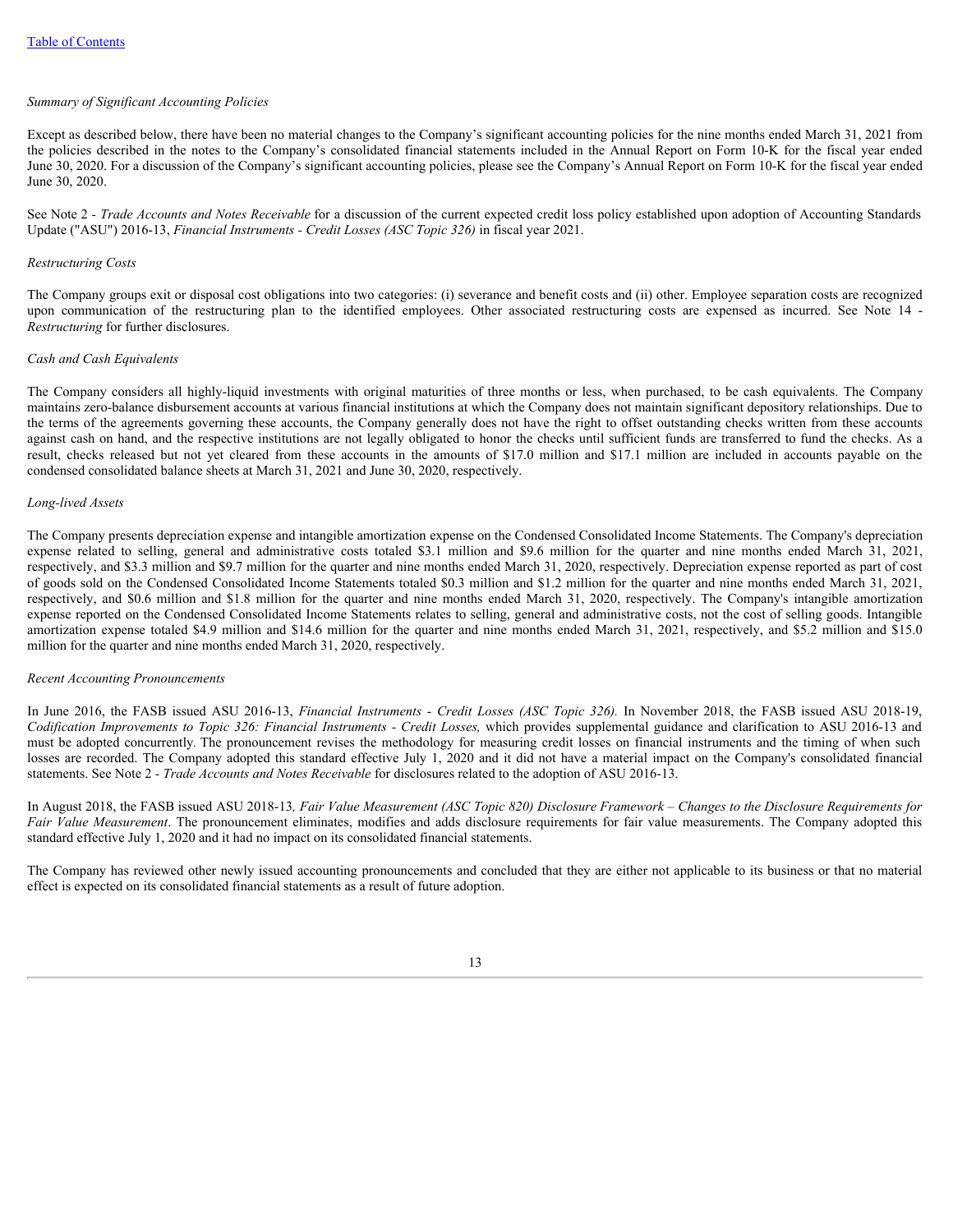#### *Summary of Significant Accounting Policies*

Except as described below, there have been no material changes to the Company's significant accounting policies for the nine months ended March 31, 2021 from Tableof Contents<br>Exterpt as described baw, there have been no material changes to the Company's significant accounting policies for the nine months ended March 31, 2021 from<br>Except as described in the notes to the Company June 30, 2020. For a discussion of the Company's significant accounting policies, please see the Company's Annual Report on Form 10-K for the fiscal year ended June 30, 2020. Table of Contents<br>Summary of Significant Accounting Policies<br>Every us described in the notes boxe here no mutrial channes to the Company's significant accounting policies for the rime municipal restricted in the Annual Rep

See Note 2 *- Trade Accounts and Notes Receivable* for a discussion of the current expected credit loss policy established upon adoption of Accounting Standards Update ("ASU") 2016-13, *Financial Instruments - Credit Losses (ASC Topic 326)* in fiscal year 2021.

#### *Restructuring Costs*

The Company groups exit or disposal cost obligations into two categories: (i) severance and benefit costs and (ii) other. Employee separation costs are recognized *Restructuring* for further disclosures.

#### *Cash and Cash Equivalents*

Table of Contents<br>Sommary of Significant Accousting Policies<br>
Except as described below, there have been no material changes to the Company's significant accounting policies for the nine months ended Match 31, 2021 from<br> maintains zero-balance disbursement accounts at various financial institutions at which the Company does not maintain significant depository relationships. Due to the terms of the agreements governing these accounts, the Company generally does not have the right to offset outstanding checks written from these accounts against cash on hand, and the respective institutions are not legally obligated to honor the checks until sufficient funds are transferred to fund the checks. As a Table of Contents<br>Summary of Significant Accounting Policies<br>Except as described but when there been to material changes to the Company's significant accounting policies for the airse accounts and the amounts of the Compan condensed consolidated balance sheets at March 31, 2021 and June 30, 2020, respectively.

#### *Long-lived Assets*

The Company presents depreciation expense and intangible amortization expense on the Condensed Consolidated Income Statements. The Company's depreciation Similar Comines<br>Sommary of Significant Accounting Palocus<br>tisapp in decided to sell know the company's considered function and and committee in should first normal Report on Form (i.b.f. for the first) system and<br>the philo respectively, and \$3.3 million and \$9.7 million for the quarter and nine months ended March 31, 2020, respectively. Depreciation expense reported as part of cost of goods sold on the Condensed Consolidated Income Statements totaled \$0.3 million and \$1.2 million for the quarter and nine months ended March 31, 2021, Summary of Nigotican Accountous Poleons<br>theory as described bolow, also like the Company's completed from and starteries include in the Award Report in Tore Tole K on the Company's completed from and started in the Award expense reported on the Condensed Consolidated Income Statements relates to selling, general and administrative costs, not the cost of selling goods. Intangible the term of the spectral of the term interacted changes in the term in Supplication scenaring policies in the controlled and the state in the month of the basis and the state in the state of the controlled first and the st million for the quarter and nine months ended March 31, 2020, respectively. See Nare 2, *Fronto foremest* and Note Receives the actions of the survey asymptote restrictions appear on the Fast instruments - Credit Losses (ASC Topic 326). The Fast instruments - Credit Losses (ASU 2016-13, *Financial* Update CASU') 2016-13. Franchief heater was - Credi Losses (ASU Topic 370) in teach year 2017.<br>
Returnative Cort is depend concluded interviewed by the relation the properties of the standard concelled concelled concelled apparent and the restricted the print of the identified and the proposes. Other associated restructing only are exposed as increased as increased as increased as increased as increased as increased as increased as increase

#### *Recent Accounting Pronouncements*

Codification Improvements to Topic 326: Financial Instruments - Credit Losses, which provides supplemental guidance and clarification to ASU 2016-13 and losses are recorded. The Company adopted this standard effective July 1, 2020 and it did not have a material impact on the Company's consolidated financial statements. See Note 2 *- Trade Accounts and Notes Receivable* for disclosures related to the adoption of ASU 2016-13.

In August 2018, the FASB issued ASU 2018-13*, Fair Value Measurement (ASC Topic 820) Disclosure Framework – Changes to the Disclosure Requirements for* standard effective July 1, 2020 and it had no impact on its consolidated financial statements.

The Company has reviewed other newly issued accounting pronouncements and concluded that they are either not applicable to its business or that no material effect is expected on its consolidated financial statements as a result of future adoption.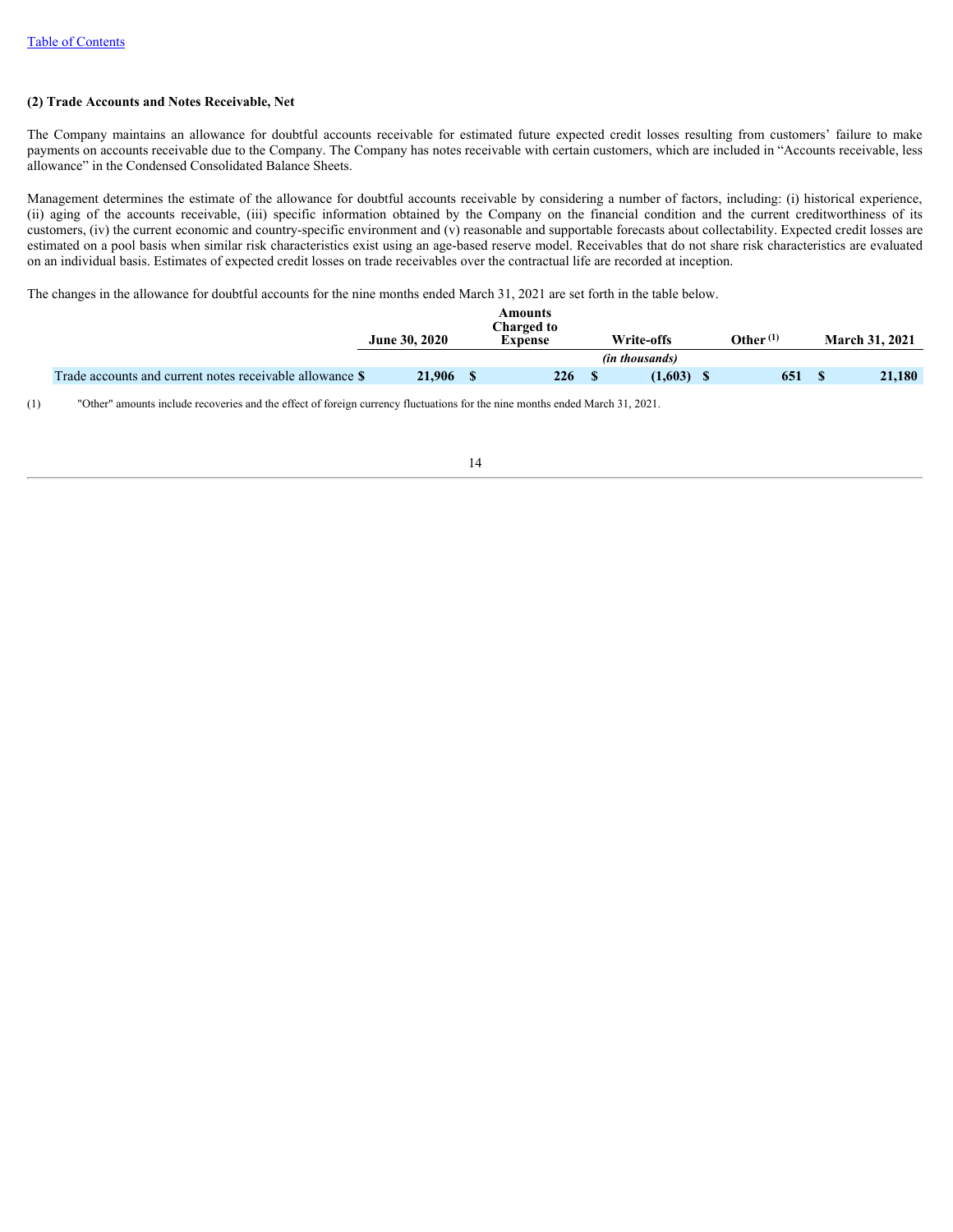## **(2) Trade Accounts and Notes Receivable, Net**

payments on accounts receivable due to the Company. The Company has notes receivable with certain customers, which are included in "Accounts receivable, less allowance" in the Condensed Consolidated Balance Sheets.

Tableof Contents<br>
(2) Trade Accounts and Notes Receivable, Net<br>
The Company maintains an allowance for doubtful accounts receivable for estimated future expected credit losses resulting from customers' failure to make<br>
pa Management determines the estimate of the allowance for doubtful accounts receivable by considering a number of factors, including: (i) historical experience, (ii) aging of the accounts receivable, (iii) specific informati Table of Contents<br>
(2) Trade Accounts and Notes Receivable, Net<br>
The Company maintains an allowance for doubtful accounts receivable for estimated future expected credit losses resulting from customers' failure to make<br>
a customers, (iv) the current economic and country-specific environment and (v) reasonable and supportable forecasts about collectability. Expected credit losses are estimated on a pool basis when similar risk characteristics exist using an age-based reserve model. Receivables that do not share risk characteristics are evaluated on an individual basis. Estimates of expected credit losses on trade receivables over the contractual life are recorded at inception.

The changes in the allowance for doubtful accounts for the nine months ended March 31, 2021 are set forth in the table below.

|                                                          | June 30, 2020 | Amounts<br><b>Charged to</b><br>Expense | Write-offs            | Other $(1)$ | <b>March 31, 2021</b> |
|----------------------------------------------------------|---------------|-----------------------------------------|-----------------------|-------------|-----------------------|
|                                                          |               |                                         | <i>(in thousands)</i> |             |                       |
| Trade accounts and current notes receivable allowance \$ | 21,906        | 226                                     | (1,603)               | 651         | 21.180                |

(1) "Other" amounts include recoveries and the effect of foreign currency fluctuations for the nine months ended March 31, 2021.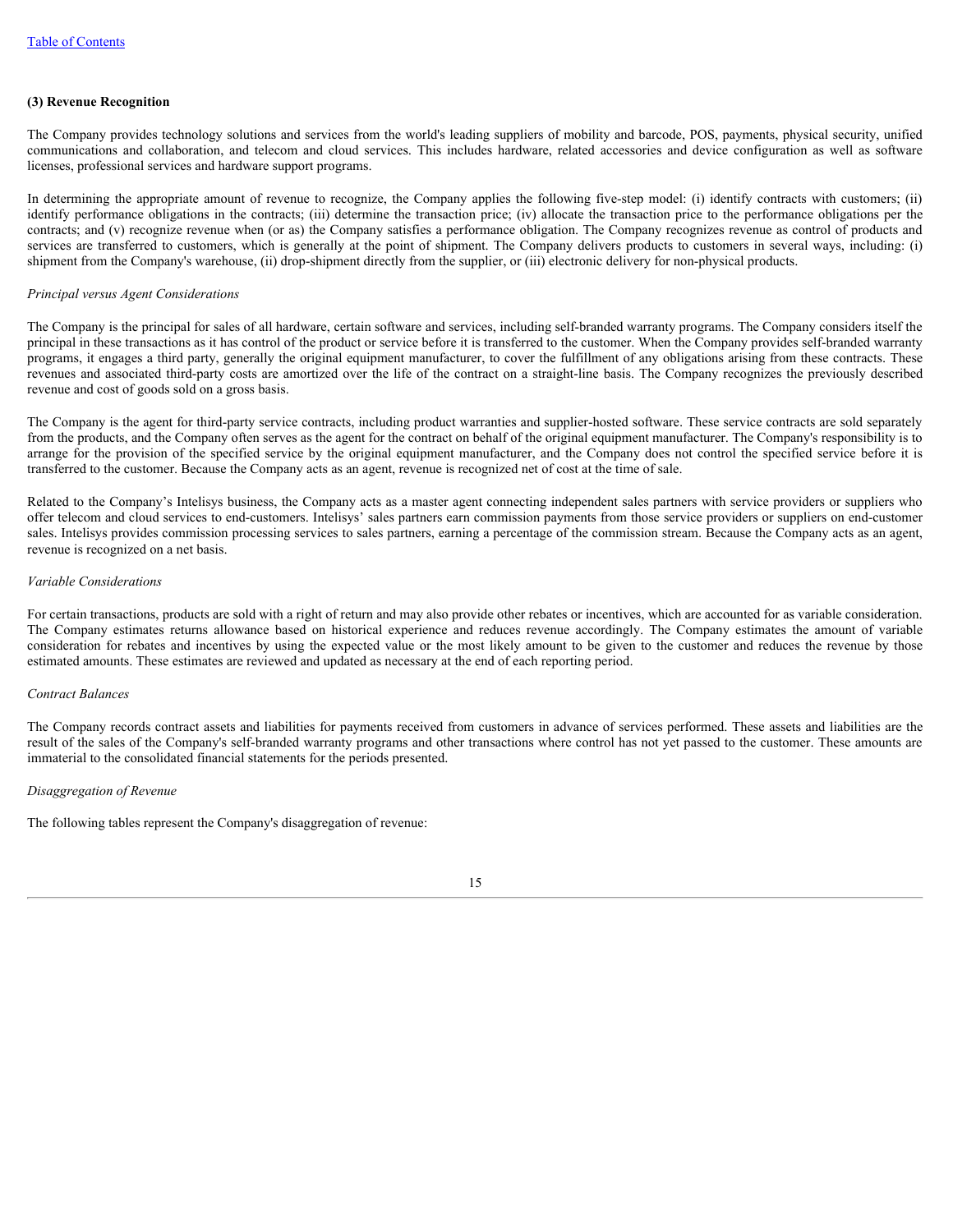#### **(3) Revenue Recognition**

The Company provides technology solutions and services from the world's leading suppliers of mobility and barcode, POS, payments, physical security, unified licenses, professional services and hardware support programs.

Tableof Contents<br>
(3) Revenue Recognition<br>
Che Company provides technology solutions and services from the world's leading suppliers of mobility and barcode, POS, payments, physical security, unified<br>
Communications and c Table of Contents<br>
(3) Revenue Recognition<br>
The Company provides technology solutions and services from the world's leading suppliers of mobility and barcode, POS, payments, physical security, unified<br>
oromnumications and identify performance obligations in the contracts; (iii) determine the transaction price; (iv) allocate the transaction price to the performance obligations per the contracts; and (v) recognize revenue when (or as) the Company satisfies a performance obligation. The Company recognizes revenue as control of products and services are transferred to customers, which is generally at the point of shipment. The Company delivers products to customers in several ways, including: (i) shipment from the Company's warehouse, (ii) drop-shipment directly from the supplier, or (iii) electronic delivery for non-physical products. The Company provide behinding which the returns are the results allow the company estimates returns allow the company estimates returns and the company of a distribution in decision and the company of a georgical experienc Consider provide by collection and consider the restricts on the world leading amples of reduces and the expected value of the expected value of the experimental and the experimental provide the experimental provide the ex

#### *Principal versus Agent Considerations*

The Company is the principal for sales of all hardware, certain software and services, including self-branded warranty programs. The Company considers itself the principal in these transactions as it has control of the product or service before it is transferred to the customer. When the Company provides self-branded warranty programs, it engages a third party, generally the original equipment manufacturer, to cover the fulfillment of any obligations arising from these contracts. These revenues and associated third-party costs are amortized over the life of the contract on a straight-line basis. The Company recognizes the previously described revenue and cost of goods sold on a gross basis.

The Company is the agent for third-party service contracts, including product warranties and supplier-hosted software. These service contracts are sold separately from the products, and the Company often serves as the agent for the contract on behalf of the original equipment manufacturer. The Company's responsibility is to arrange for the provision of the specified service by the original equipment manufacturer, and the Company does not control the specified service before it is transferred to the customer. Because the Company acts as an agent, revenue is recognized net of cost at the time of sale.

Related to the Company's Intelisys business, the Company acts as a master agent connecting independent sales partners with service providers or suppliers who offer telecom and cloud services to end-customers. Intelisys' sales partners earn commission payments from those service providers or suppliers on end-customer sales. Intelisys provides commission processing services to sales partners, earning a percentage of the commission stream. Because the Company acts as an agent, revenue is recognized on a net basis.

#### *Variable Considerations*

For certain transactions, products are sold with a right of return and may also provide other rebates or incentives, which are accounted for as variable consideration. estimated amounts. These estimates are reviewed and updated as necessary at the end of each reporting period.

## *Contract Balances*

The Company records contract assets and liabilities for payments received from customers in advance of services performed. These assets and liabilities are the result of the sales of the Company's self-branded warranty programs and other transactions where control has not yet passed to the customer. These amounts are immaterial to the consolidated financial statements for the periods presented.

#### *Disaggregation of Revenue*

The following tables represent the Company's disaggregation of revenue:

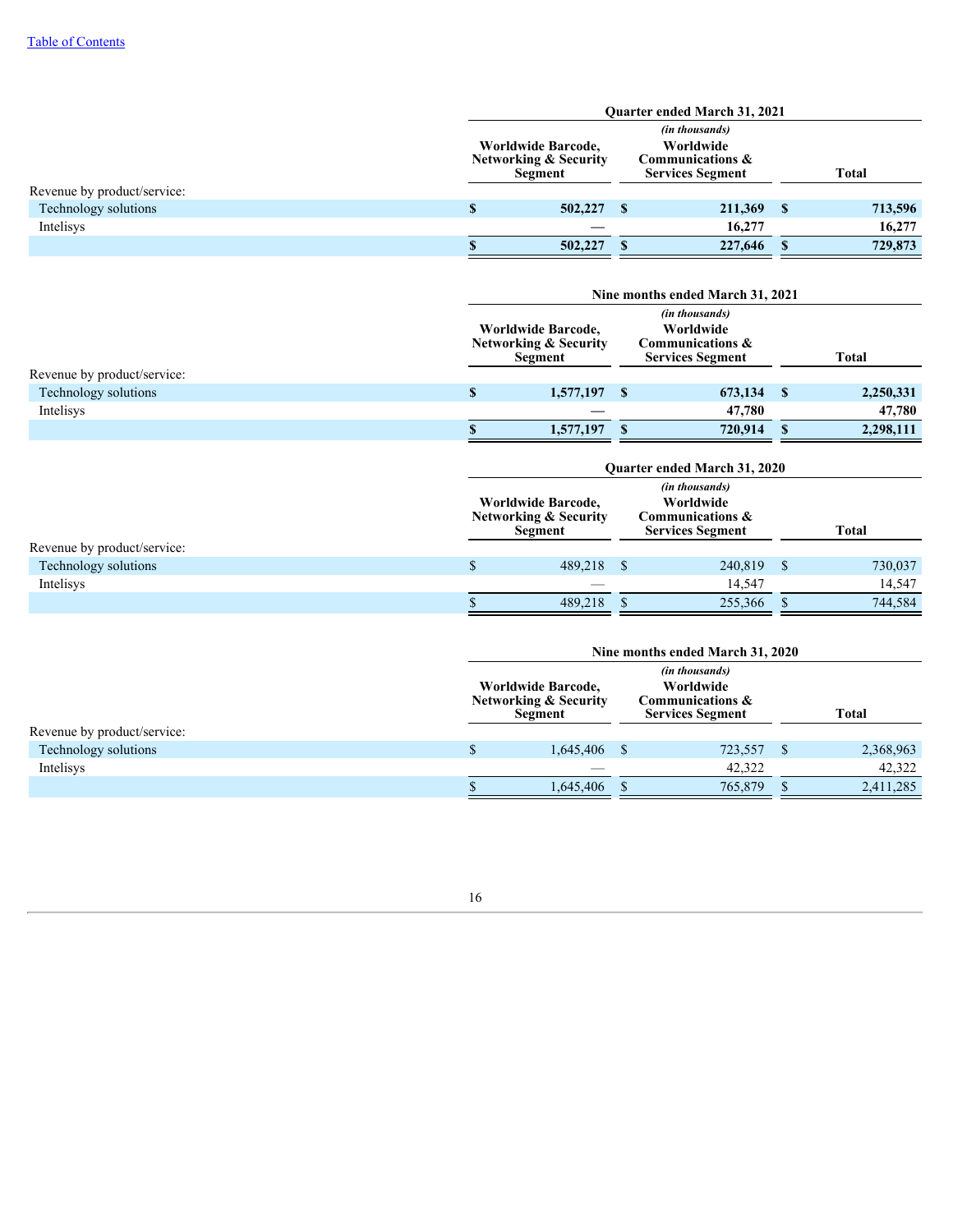|                             |  | Quarter ended March 31, 2021                                             |                                                                            |            |         |  |  |  |  |  |  |  |
|-----------------------------|--|--------------------------------------------------------------------------|----------------------------------------------------------------------------|------------|---------|--|--|--|--|--|--|--|
|                             |  | <b>Worldwide Barcode,</b><br><b>Networking &amp; Security</b><br>Segment | (in thousands)<br>Worldwide<br>Communications &<br><b>Services Segment</b> |            | Total   |  |  |  |  |  |  |  |
| Revenue by product/service: |  |                                                                          |                                                                            |            |         |  |  |  |  |  |  |  |
| Technology solutions        |  | $502,227$ \$                                                             |                                                                            | 211,369 \$ | 713,596 |  |  |  |  |  |  |  |
| Intelisys                   |  |                                                                          |                                                                            | 16,277     | 16,277  |  |  |  |  |  |  |  |
|                             |  | 502,227                                                                  |                                                                            | 227,646    | 729,873 |  |  |  |  |  |  |  |
|                             |  |                                                                          |                                                                            |            |         |  |  |  |  |  |  |  |

|                             |                                                                          | Nine months ended March 31, 2021                         |       |           |  |  |  |
|-----------------------------|--------------------------------------------------------------------------|----------------------------------------------------------|-------|-----------|--|--|--|
|                             |                                                                          | <i>(in thousands)</i>                                    |       |           |  |  |  |
|                             | <b>Worldwide Barcode,</b><br><b>Networking &amp; Security</b><br>Segment | Worldwide<br>Communications &<br><b>Services Segment</b> | Total |           |  |  |  |
| Revenue by product/service: |                                                                          |                                                          |       |           |  |  |  |
| Technology solutions        | 1,577,197 \$                                                             | 673,134 \$                                               |       | 2,250,331 |  |  |  |
| Intelisys                   |                                                                          | 47,780                                                   |       | 47,780    |  |  |  |
|                             | $1,577,197$ \$                                                           | 720,914                                                  |       | 2,298,111 |  |  |  |

|                             |                                                                          | <b>Ouarter ended March 31, 2020</b>                      |  |              |  |  |  |  |  |
|-----------------------------|--------------------------------------------------------------------------|----------------------------------------------------------|--|--------------|--|--|--|--|--|
|                             |                                                                          | <i>(in thousands)</i>                                    |  |              |  |  |  |  |  |
|                             | <b>Worldwide Barcode,</b><br><b>Networking &amp; Security</b><br>Segment | Worldwide<br>Communications &<br><b>Services Segment</b> |  | <b>Total</b> |  |  |  |  |  |
| Revenue by product/service: |                                                                          |                                                          |  |              |  |  |  |  |  |
| Technology solutions        | 489,218 \$                                                               | 240,819 \$                                               |  | 730,037      |  |  |  |  |  |
| Intelisys                   |                                                                          | 14,547                                                   |  | 14,547       |  |  |  |  |  |
|                             | 489,218 \$                                                               | 255,366                                                  |  | 744,584      |  |  |  |  |  |
|                             |                                                                          |                                                          |  |              |  |  |  |  |  |

|                             |                                                                          | Nine months ended March 31, 2020                                                  |  |              |  |  |  |  |  |
|-----------------------------|--------------------------------------------------------------------------|-----------------------------------------------------------------------------------|--|--------------|--|--|--|--|--|
|                             | <b>Worldwide Barcode,</b><br><b>Networking &amp; Security</b><br>Segment | <i>(in thousands)</i><br>Worldwide<br>Communications &<br><b>Services Segment</b> |  | <b>Total</b> |  |  |  |  |  |
| Revenue by product/service: |                                                                          |                                                                                   |  |              |  |  |  |  |  |
| Technology solutions        | $1,645,406$ \$                                                           | 723,557 \$                                                                        |  | 2,368,963    |  |  |  |  |  |
| Intelisys                   |                                                                          | 42,322                                                                            |  | 42,322       |  |  |  |  |  |
|                             | 1,645,406                                                                | 765,879                                                                           |  | 2,411,285    |  |  |  |  |  |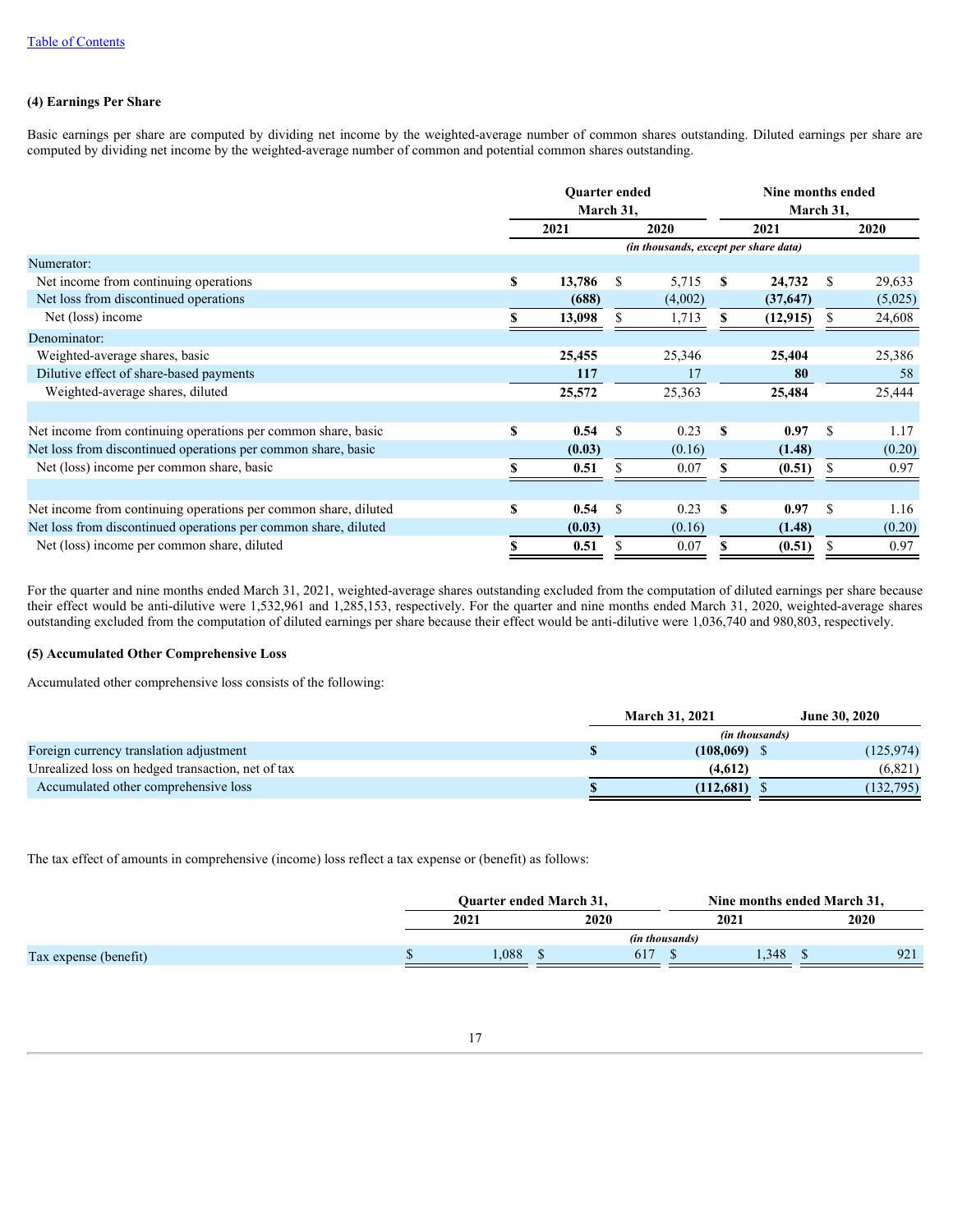## **(4) Earnings Per Share**

Basic earnings per share are computed by dividing net income by the weighted-average number of common shares outstanding. Diluted earnings per share are computed by dividing net income by the weighted-average number of common and potential common shares outstanding.

|                                                                 |   | <b>Ouarter ended</b><br>March 31, |     |                                       |    | Nine months ended<br>March 31, |  |         |
|-----------------------------------------------------------------|---|-----------------------------------|-----|---------------------------------------|----|--------------------------------|--|---------|
|                                                                 |   | 2021                              |     | 2020                                  |    | 2021                           |  | 2020    |
|                                                                 |   |                                   |     | (in thousands, except per share data) |    |                                |  |         |
| Numerator:                                                      |   |                                   |     |                                       |    |                                |  |         |
| Net income from continuing operations                           | S | 13,786                            | -85 | 5,715                                 | -S | 24,732                         |  | 29,633  |
| Net loss from discontinued operations                           |   | (688)                             |     | (4,002)                               |    | (37, 647)                      |  | (5,025) |
| Net (loss) income                                               |   | 13,098                            |     | 1,713                                 |    | (12, 915)                      |  | 24,608  |
| Denominator:                                                    |   |                                   |     |                                       |    |                                |  |         |
| Weighted-average shares, basic                                  |   | 25,455                            |     | 25,346                                |    | 25,404                         |  | 25,386  |
| Dilutive effect of share-based payments                         |   | 117                               |     | 17                                    |    | 80                             |  | 58      |
| Weighted-average shares, diluted                                |   | 25,572                            |     | 25,363                                |    | 25,484                         |  | 25,444  |
|                                                                 |   |                                   |     |                                       |    |                                |  |         |
| Net income from continuing operations per common share, basic   | S | 0.54                              | -8  | 0.23                                  | -S | 0.97                           |  | 1.17    |
| Net loss from discontinued operations per common share, basic   |   | (0.03)                            |     | (0.16)                                |    | (1.48)                         |  | (0.20)  |
| Net (loss) income per common share, basic                       |   | 0.51                              |     | 0.07                                  |    | (0.51)                         |  | 0.97    |
|                                                                 |   |                                   |     |                                       |    |                                |  |         |
| Net income from continuing operations per common share, diluted | S | $0.54$ \$                         |     | 0.23                                  | S  | 0.97 S                         |  | 1.16    |
| Net loss from discontinued operations per common share, diluted |   | (0.03)                            |     | (0.16)                                |    | (1.48)                         |  | (0.20)  |
| Net (loss) income per common share, diluted                     |   | 0.51                              |     | 0.07                                  |    | (0.51)                         |  | 0.97    |
|                                                                 |   |                                   |     |                                       |    |                                |  |         |

For the quarter and nine months ended March 31, 2021, weighted-average shares outstanding excluded from the computation of diluted earnings per share because their effect would be anti-dilutive were 1,532,961 and 1,285,153, respectively. For the quarter and nine months ended March 31, 2020, weighted-average shares outstanding excluded from the computation of diluted earnings per share because their effect would be anti-dilutive were 1,036,740 and 980,803, respectively.

## **(5) Accumulated Other Comprehensive Loss**

Accumulated other comprehensive loss consists of the following:

|                                                   | <b>March 31, 2021</b> | <b>June 30, 2020</b>  |
|---------------------------------------------------|-----------------------|-----------------------|
|                                                   |                       | <i>(in thousands)</i> |
| Foreign currency translation adjustment           | (108,069)             | (125, 974)            |
| Unrealized loss on hedged transaction, net of tax | (4.612)               | (6,821)               |
| Accumulated other comprehensive loss              | (112,681)             | (132, 795)            |

The tax effect of amounts in comprehensive (income) loss reflect a tax expense or (benefit) as follows:

|                       |       | <b>Ouarter ended March 31,</b> |                       | Nine months ended March 31, |      |  |
|-----------------------|-------|--------------------------------|-----------------------|-----------------------------|------|--|
|                       | 2021  | 2020                           |                       | 2021                        | 2020 |  |
|                       |       |                                | <i>(in thousands)</i> |                             |      |  |
| Tax expense (benefit) | 1,088 |                                | 617                   | .348                        | 921  |  |
|                       |       |                                |                       |                             |      |  |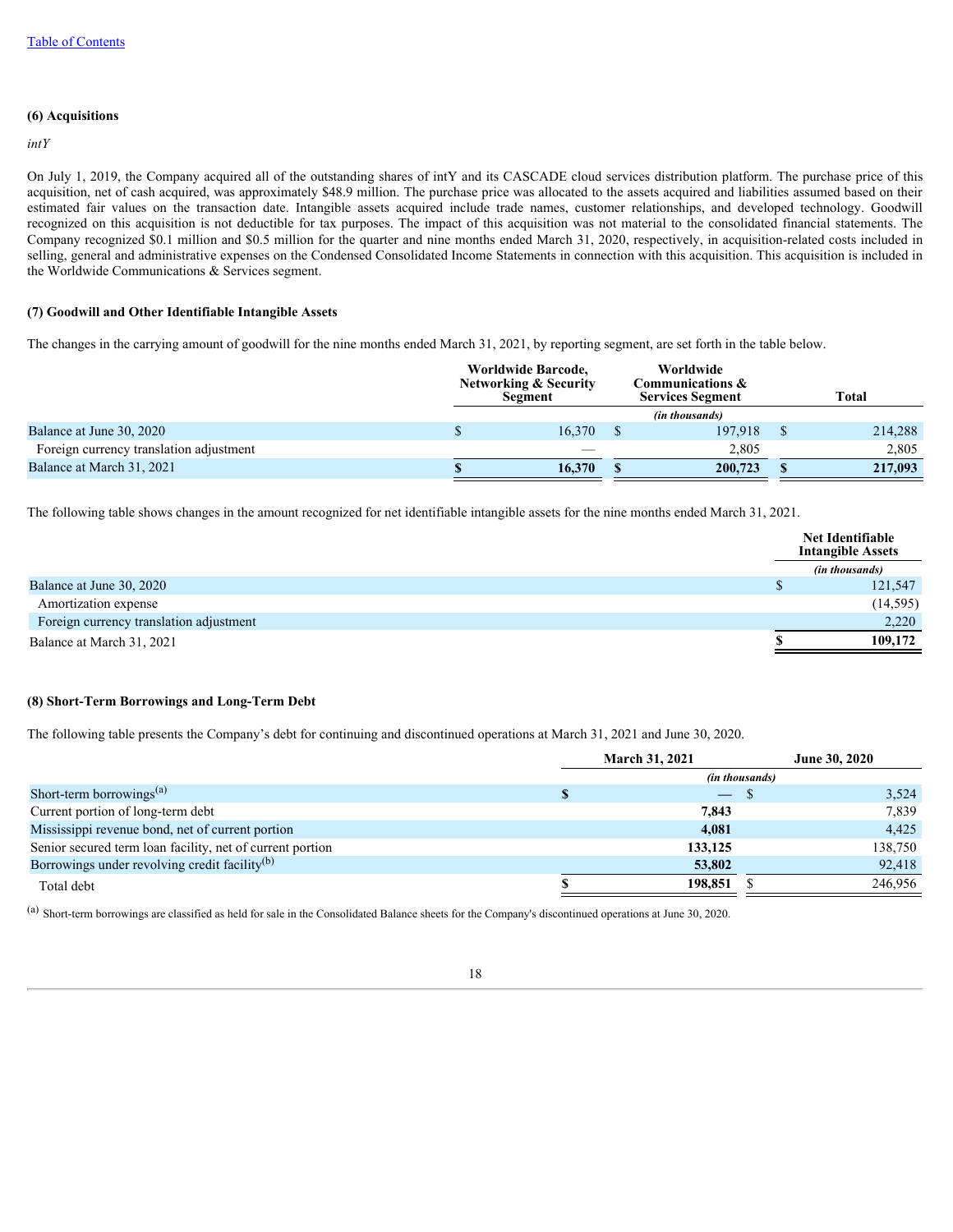## **(6) Acquisitions**

## *intY*

On July 1, 2019, the Company acquired all of the outstanding shares of intY and its CASCADE cloud services distribution platform. The purchase price of this acquisition, net of cash acquired, was approximately \$48.9 million. The purchase price was allocated to the assets acquired and liabilities assumed based on their Tableof Contents<br>  $int$ <br>  $int$ <br>
(6) Acquisition, net of cash acquired, was approximately \$48.9 million. The purchase price was allocated to the assets acquired and liabilities assumed based on their<br>
acquisition, net of cash recognized on this acquisition is not deductible for tax purposes. The impact of this acquisition was not material to the consolidated financial statements. The Company recognized \$0.1 million and \$0.5 million for the quarter and nine months ended March 31, 2020, respectively, in acquisition-related costs included in selling, general and administrative expenses on the Condensed Consolidated Income Statements in connection with this acquisition. This acquisition is included in the Worldwide Communications & Services segment.

## **(7) Goodwill and Other Identifiable Intangible Assets**

The changes in the carrying amount of goodwill for the nine months ended March 31, 2021, by reporting segment, are set forth in the table below.

|                                         | <b>Worldwide Barcode,</b><br><b>Networking &amp; Security</b><br>Segment | Worldwide<br>Communications &<br><b>Services Segment</b> | Total   |
|-----------------------------------------|--------------------------------------------------------------------------|----------------------------------------------------------|---------|
|                                         |                                                                          | <i>(in thousands)</i>                                    |         |
| Balance at June 30, 2020                | 16,370                                                                   | 197,918                                                  | 214,288 |
| Foreign currency translation adjustment |                                                                          | 2,805                                                    | 2,805   |
| Balance at March 31, 2021               | 16,370                                                                   | 200,723                                                  | 217,093 |
|                                         |                                                                          |                                                          |         |

The following table shows changes in the amount recognized for net identifiable intangible assets for the nine months ended March 31, 2021.

|                                         | <b>Net Identifiable</b><br><b>Intangible Assets</b> |  |  |  |
|-----------------------------------------|-----------------------------------------------------|--|--|--|
|                                         | <i>(in thousands)</i>                               |  |  |  |
| Balance at June 30, 2020                | 121,547                                             |  |  |  |
| Amortization expense                    | (14, 595)                                           |  |  |  |
| Foreign currency translation adjustment | 2,220                                               |  |  |  |
| Balance at March 31, 2021               | 109,172                                             |  |  |  |

## **(8) Short-Term Borrowings and Long-Term Debt**

The following table presents the Company's debt for continuing and discontinued operations at March 31, 2021 and June 30, 2020.

|                                                           | <b>March 31, 2021</b> | <b>June 30, 2020</b> |
|-----------------------------------------------------------|-----------------------|----------------------|
|                                                           | <i>(in thousands)</i> |                      |
| Short-term borrowings <sup>(a)</sup>                      |                       | 3,524                |
| Current portion of long-term debt                         | 7,843                 | 7,839                |
| Mississippi revenue bond, net of current portion          | 4,081                 | 4,425                |
| Senior secured term loan facility, net of current portion | 133,125               | 138,750              |
| Borrowings under revolving credit facility <sup>(b)</sup> | 53,802                | 92,418               |
| Total debt                                                | 198,851               | 246,956              |
|                                                           |                       |                      |

 $^{(a)}$  Short-term borrowings are classified as held for sale in the Consolidated Balance sheets for the Company's discontinued operations at June 30, 2020.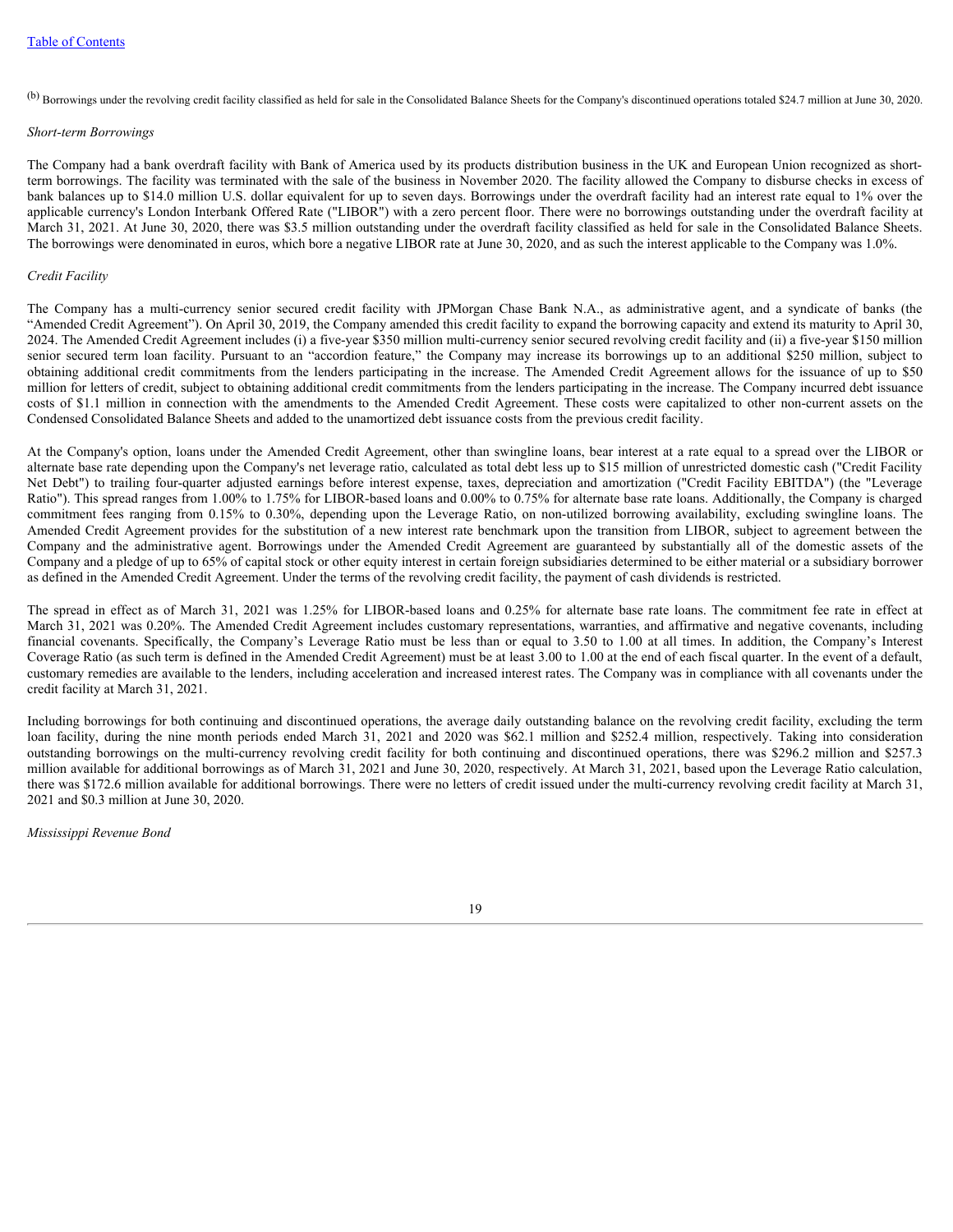(b) Borrowings under the revolving credit facility classified as held for sale in the Consolidated Balance Sheets for the Company's discontinued operations totaled \$24.7 million at June 30, 2020.

#### *Short-term Borrowings*

The Company had a bank overdraft facility with Bank of America used by its products distribution business in the UK and European Union recognized as shortterm borrowings. The facility was terminated with the sale of the business in November 2020. The facility allowed the Company to disburse checks in excess of bank balances up to \$14.0 million U.S. dollar equivalent for up to seven days. Borrowings under the overdraft facility had an interest rate equal to 1% over the applicable currency's London Interbank Offered Rate ("LIBOR") with a zero percent floor. There were no borrowings outstanding under the overdraft facility at March 31, 2021. At June 30, 2020, there was \$3.5 million outstanding under the overdraft facility classified as held for sale in the Consolidated Balance Sheets. The borrowings were denominated in euros, which bore a negative LIBOR rate at June 30, 2020, and as such the interest applicable to the Company was 1.0%.

## *Credit Facility*

Tableof Contents<br><sup>60</sup> Borrovings under the revolving credit facility classified as hold for sale in the Consolidated Balance Sheets for the Company's discontinued operations totaled \$24.7 million at Jane 30, 2020.<br>Short-t "Amended Credit Agreement"). On April 30, 2019, the Company amended this credit facility to expand the borrowing capacity and extend its maturity to April 30, 2024. The Amended Credit Agreement includes (i) a five-year \$350 million multi-currency senior secured revolving credit facility and (ii) a five-year \$150 million Table of Contents<br>
(b) Bonoving under die reedving credit facility classified as bold for sale is the Consolidated Balmec Sheets for the Company's discontinued operations touled \$24.7 million at June 30, 2020.<br>
Short-term Table of Contents<br>
Table of Contents<br>
2018 Berrowing onder the reavising credit facility with Bank of America used by its products distinuisties for the Company's dissuminate operations souled S247 million at lone 30, 2020 million for letters of credit, subject to obtaining additional credit commitments from the lenders participating in the increase. The Company incurred debt issuance Table of Contents<br>
The Connection is between the reveloing criticality channel be also the formulation bases of the Company's discontinued specialized Amended As a media base of  $\theta$  and base of  $\theta$  and the amended Credi Condensed Consolidated Balance Sheets and added to the unamortized debt issuance costs from the previous credit facility.

At the Company's option, loans under the Amended Credit Agreement, other than swingline loans, bear interest at a rate equal to a spread over the LIBOR or alternate base rate depending upon the Company's net leverage ratio, calculated as total debt less up to \$15 million of unrestricted domestic cash ("Credit Facility Table of Contents<br>Net remember and the revelocity could be the content of the content of the company discussions or one SAC reliable to the<br>Short-term Berrovings<br>2. Short-term Berovings<br>2. Short-term Berovings<br>2. Short-ter Ratio"). This spread ranges from 1.00% to 1.75% for LIBOR-based loans and 0.00% to 0.75% for alternate base rate loans. Additionally, the Company is charged izale commitment from the computer of the computer of the computer of the Computer of the Computer of the Computer of the Computer of the Computer of the Computer of the Computer of the Computer of the Computer of the Comp Amended Credit Agreement provides for the substitution of a new interest rate benchmark upon the transition from LIBOR, subject to agreement between the Take of Company and the administrative agent for the administrative agent. Borrowing and the administrative agent of the administrative agent of the administrative agent of the administrative agent of the administrative ag Company and a pledge of up to 65% of capital stock or other equity interest in certain foreign subsidiaries determined to be either material or a subsidiary borrower as defined in the Amended Credit Agreement. Under the terms of the revolving credit facility, the payment of cash dividends is restricted. <sup>364</sup> functions of the method in education which was the base rate Considered function in effect as of the base rate in effect as of March 21, 2021 was 1.25% for LIBOR-based with the spread in effect as of March 2021 was Specifically distributed the specifical cost in the company in the company in the leverage Ratio must be leverage Ratio and the company in the company is leverage. The format in the company is distributed in Company is dis Merich 1, 2021. Al into 30, 2020, there was \$2.5 million containing under the nine monetaristic and into Consider Bellin and Single Consider Bellin and Consider Bellin and Single Consider Bellin and Single 2021 and 2021 a The borrowings were denominated in cone, which bore a negative LHSOR rate also 2000, and as noth the multi-currency result of the multi-currency result of the multi-currency result of the multi-currency result of the multi

March 31, 2021 was 0.20%. The Amended Credit Agreement includes customary representations, warranties, and affirmative and negative covenants, including financial covenants. Specifically, the Company's Leverage Ratio must Coverage Ratio (as such term is defined in the Amended Credit Agreement) must be at least 3.00 to 1.00 at the end of each fiscal quarter. In the event of a default, customary remedies are available to the lenders, including acceleration and increased interest rates. The Company was in compliance with all covenants under the credit facility at March 31, 2021.

Including borrowings for both continuing and discontinued operations, the average daily outstanding balance on the revolving credit facility, excluding the term loan facility, during the nine month periods ended March 31, million available for additional borrowings as of March 31, 2021 and June 30, 2020, respectively. At March 31, 2021, based upon the Leverage Ratio calculation, there was \$172.6 million available for additional borrowings. There were no letters of credit issued under the multi-currency revolving credit facility at March 31, 2021 and \$0.3 million at June 30, 2020.

*Mississippi Revenue Bond*

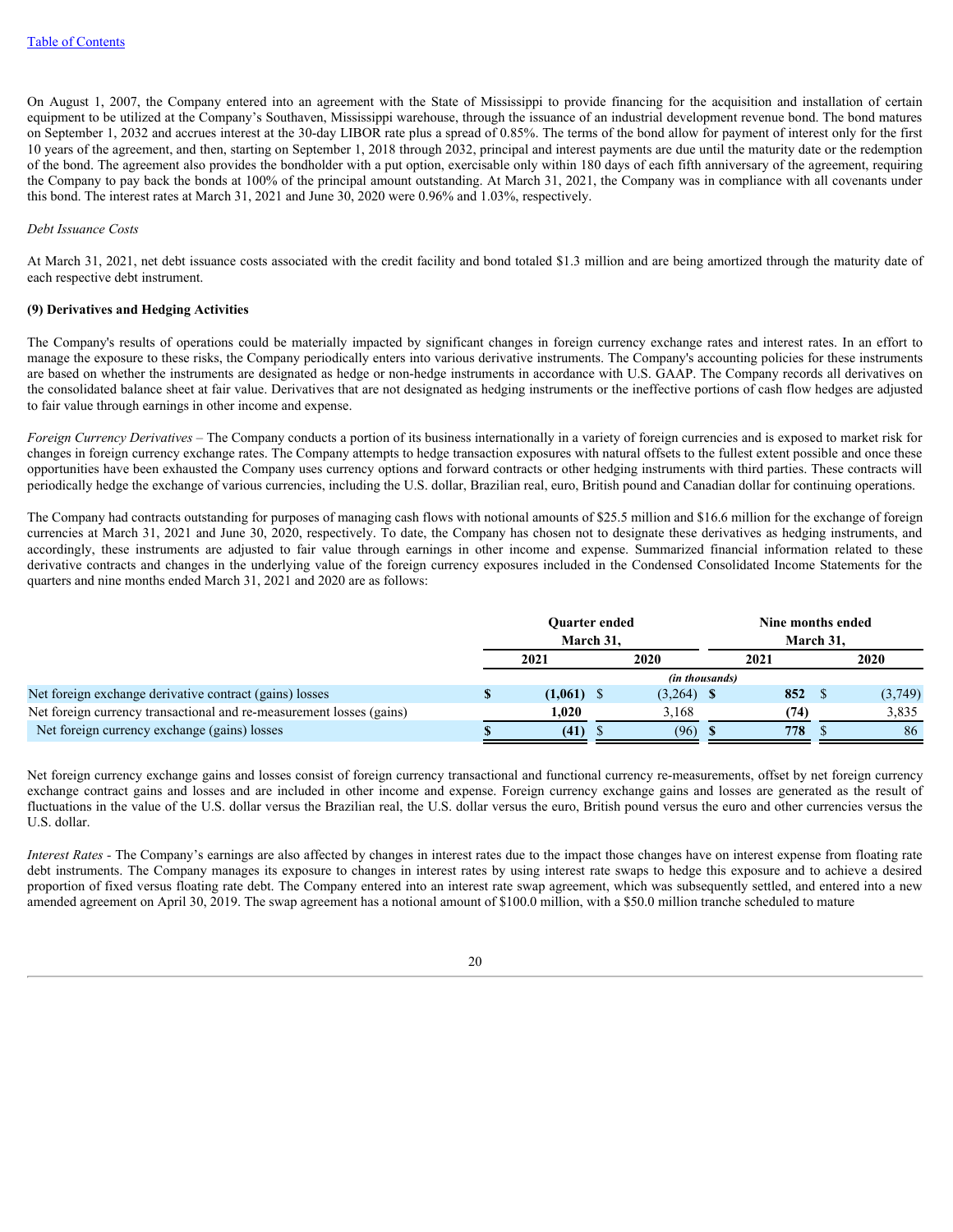Tableof Contents<br>On August 1, 2007, the Company entered into an agreement with the State of Mississippi to provide financing for the acquisition and installation of certain<br>equipment to be utilized at the Company's Southa equipment to be utilized at the Company's Southaven, Mississippi warehouse, through the issuance of an industrial development revenue bond. The bond matures on September 1, 2032 and accrues interest at the 30-day LIBOR rate plus a spread of 0.85%. The terms of the bond allow for payment of interest only for the first 10 years of the agreement, and then, starting on September 1, 2018 through 2032, principal and interest payments are due until the maturity date or the redemption of the bond. The agreement also provides the bondholder with a put option, exercisable only within 180 days of each fifth anniversary of the agreement, requiring the Company to pay back the bonds at 100% of the principal amount outstanding. At March 31, 2021, the Company was in compliance with all covenants under this bond. The interest rates at March 31, 2021 and June 30, 2020 were 0.96% and 1.03%, respectively. Table of Contents<br>
Table of Contents<br>
companyer of observations an agreement with the State of Mississippi to provide financing for the acquisition and installation of certain<br>
equipment to be material, and the Company's S Table of Comments).<br>
Similar Comments be substantingly, the shower between the state of Ministeps in gravite framewored in the commenter in the solution of extent and the commentent in the state of the state of the state

#### *Debt Issuance Costs*

At March 31, 2021, net debt issuance costs associated with the credit facility and bond totaled \$1.3 million and are being amortized through the maturity date of each respective debt instrument.

#### **(9) Derivatives and Hedging Activities**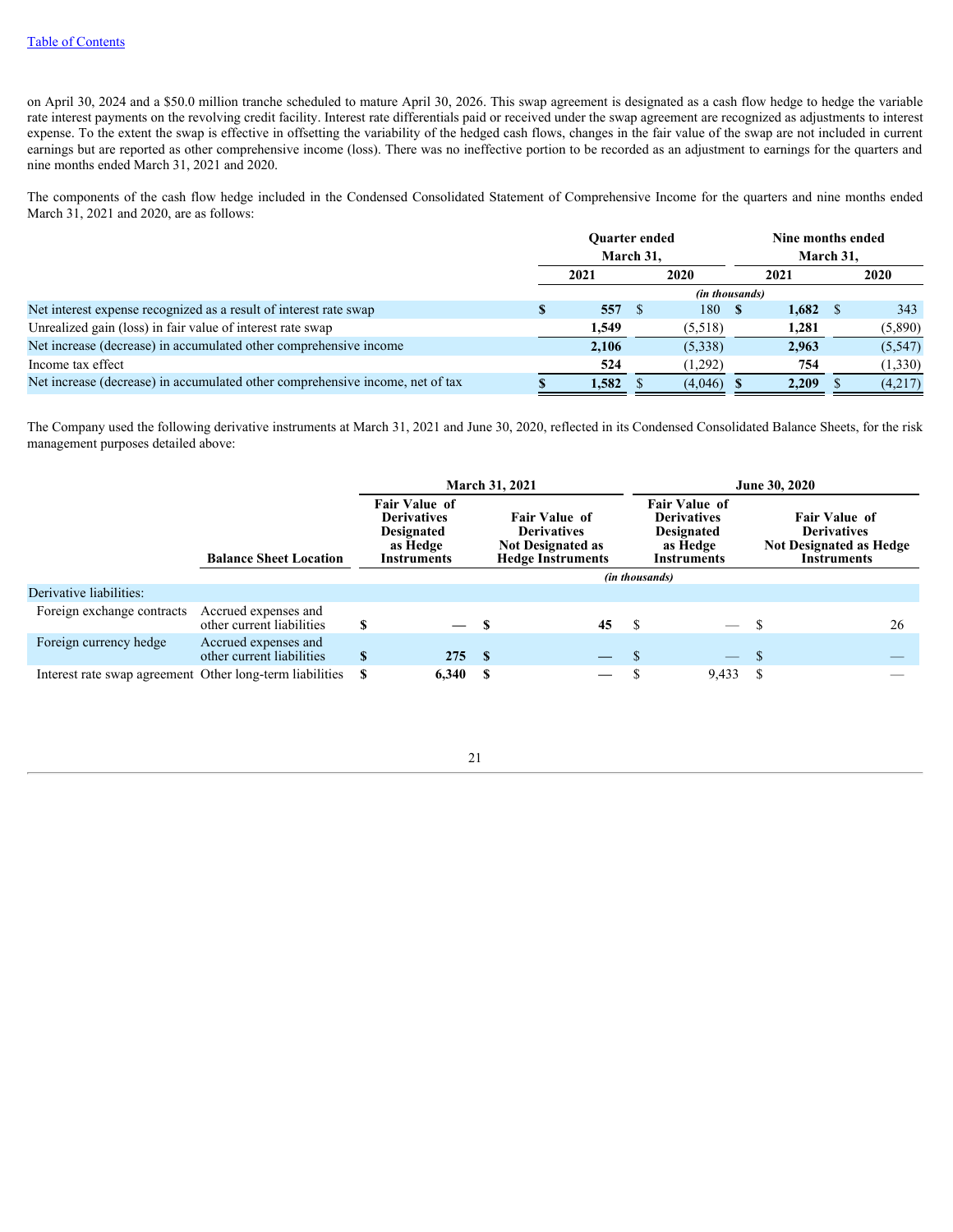on April 30, 2024 and a \$50.0 million tranche scheduled to mature April 30, 2026. This swap agreement is designated as a cash flow hedge to hedge the variable rate interest payments on the revolving credit facility. Interest rate differentials paid or received under the swap agreement are recognized as adjustments to interest expense. To the extent the swap is effective in offsetting the variability of the hedged cash flows, changes in the fair value of the swap are not included in current earnings but are reported as other comprehensive income (loss). There was no ineffective portion to be recorded as an adjustment to earnings for the quarters and nine months ended March 31, 2021 and 2020.

The components of the cash flow hedge included in the Condensed Consolidated Statement of Comprehensive Income for the quarters and nine months ended March 31, 2021 and 2020, are as follows:

|                                                                               | <b>Ouarter ended</b><br>March 31. |                       | Nine months ended<br>March 31. |      |          |
|-------------------------------------------------------------------------------|-----------------------------------|-----------------------|--------------------------------|------|----------|
|                                                                               | 2021                              | 2020                  | 2021                           | 2020 |          |
|                                                                               |                                   | <i>(in thousands)</i> |                                |      |          |
| Net interest expense recognized as a result of interest rate swap             | 557                               | 180 <b>S</b>          | 1,682                          |      | 343      |
| Unrealized gain (loss) in fair value of interest rate swap                    | 1,549                             | (5.518)               | 1,281                          |      | (5,890)  |
| Net increase (decrease) in accumulated other comprehensive income             | 2.106                             | (5,338)               | 2,963                          |      | (5, 547) |
| Income tax effect                                                             | 524                               | (1,292)               | 754                            |      | (1, 330) |
| Net increase (decrease) in accumulated other comprehensive income, net of tax | 1,582                             | $(4,046)$ \$          | 2,209                          |      | (4,217)  |
|                                                                               |                                   |                       |                                |      |          |

The Company used the following derivative instruments at March 31, 2021 and June 30, 2020, reflected in its Condensed Consolidated Balance Sheets, for the risk management purposes detailed above:

|                                                             |                                                   |             |                                                                                                                                          |      | March 31, 2021                                       |               |                                                                                                                                                                       |  | June 30, 2020                 |  |  |  |  |  |  |                                |  |
|-------------------------------------------------------------|---------------------------------------------------|-------------|------------------------------------------------------------------------------------------------------------------------------------------|------|------------------------------------------------------|---------------|-----------------------------------------------------------------------------------------------------------------------------------------------------------------------|--|-------------------------------|--|--|--|--|--|--|--------------------------------|--|
|                                                             | <b>Balance Sheet Location</b>                     |             | <b>Fair Value of</b><br><b>Derivatives</b><br><b>Fair Value of</b><br><b>Designated</b><br><b>Derivatives</b><br>as Hedge<br>Instruments |      | <b>Not Designated as</b><br><b>Hedge Instruments</b> |               | <b>Fair Value of</b><br><b>Fair Value of</b><br><b>Derivatives</b><br><b>Designated</b><br><b>Derivatives</b><br>as Hedge<br><b>Instruments</b><br><b>Instruments</b> |  |                               |  |  |  |  |  |  | <b>Not Designated as Hedge</b> |  |
|                                                             |                                                   |             |                                                                                                                                          |      |                                                      |               | (in thousands)                                                                                                                                                        |  |                               |  |  |  |  |  |  |                                |  |
| Derivative liabilities:                                     |                                                   |             |                                                                                                                                          |      |                                                      |               |                                                                                                                                                                       |  |                               |  |  |  |  |  |  |                                |  |
| Foreign exchange contracts                                  | Accrued expenses and<br>other current liabilities | S           |                                                                                                                                          | - 55 | 45                                                   | <sup>\$</sup> | $\overline{\phantom{0}}$                                                                                                                                              |  | 26                            |  |  |  |  |  |  |                                |  |
| Foreign currency hedge                                      | Accrued expenses and<br>other current liabilities | $\mathbf S$ | 275S                                                                                                                                     |      | $\overline{\phantom{m}}$                             |               | $\overline{\phantom{a}}$                                                                                                                                              |  | $\overbrace{\phantom{aaaaa}}$ |  |  |  |  |  |  |                                |  |
| Interest rate swap agreement Other long-term liabilities \$ |                                                   |             | $6,340$ \$                                                                                                                               |      | $\overbrace{\phantom{123321}}$                       |               | 9,433 \$                                                                                                                                                              |  |                               |  |  |  |  |  |  |                                |  |
|                                                             |                                                   |             | 21                                                                                                                                       |      |                                                      |               |                                                                                                                                                                       |  |                               |  |  |  |  |  |  |                                |  |

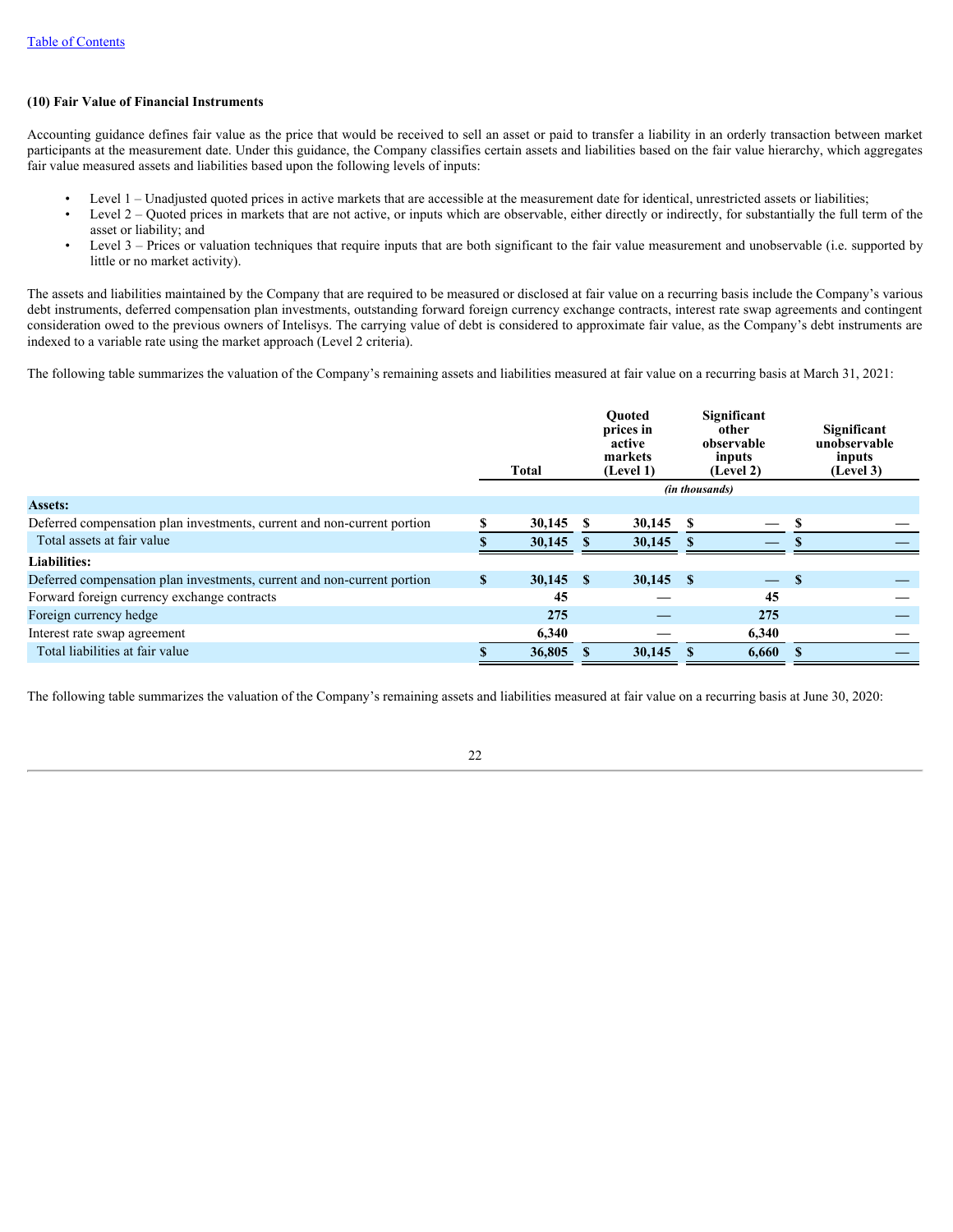## **(10) Fair Value of Financial Instruments**

Accounting guidance defines fair value as the price that would be received to sell an asset or paid to transfer a liability in an orderly transaction between market participants at the measurement date. Under this guidance, the Company classifies certain assets and liabilities based on the fair value hierarchy, which aggregates fair value measured assets and liabilities based upon the following levels of inputs:

- Level 1 Unadjusted quoted prices in active markets that are accessible at the measurement date for identical, unrestricted assets or liabilities;
- Level 2 Quoted prices in markets that are not active, or inputs which are observable, either directly or indirectly, for substantially the full term of the asset or liability; and
- Level 3 Prices or valuation techniques that require inputs that are both significant to the fair value measurement and unobservable (i.e. supported by little or no market activity).

The assets and liabilities maintained by the Company that are required to be measured or disclosed at fair value on a recurring basis include the Company's various debt instruments, deferred compensation plan investments, outstanding forward foreign currency exchange contracts, interest rate swap agreements and contingent consideration owed to the previous owners of Intelisys. The carrying value of debt is considered to approximate fair value, as the Company's debt instruments are indexed to a variable rate using the market approach (Level 2 criteria).

The following table summarizes the valuation of the Company's remaining assets and liabilities measured at fair value on a recurring basis at March 31, 2021:

| Significant<br>Quoted<br>Significant<br>prices in<br>other<br>observable<br>unobservable<br>active<br>markets<br>inputs<br>inputs<br><b>Total</b><br>(Level 3)<br>(Level 2)<br>(Level 1) |
|------------------------------------------------------------------------------------------------------------------------------------------------------------------------------------------|
| <i>(in thousands)</i>                                                                                                                                                                    |
| <b>Assets:</b>                                                                                                                                                                           |
| Deferred compensation plan investments, current and non-current portion<br>$30,145$ \$<br>$30,145$ \$<br>$\overline{\phantom{0}}$                                                        |
| Total assets at fair value<br>$30,145$ \$<br>$30,145$ \$<br>$\overline{\phantom{m}}$                                                                                                     |
| <b>Liabilities:</b>                                                                                                                                                                      |
| Deferred compensation plan investments, current and non-current portion<br>$30,145$ \$<br>$30,145$ \$<br>$\overline{\phantom{a}}$<br>- 3                                                 |
| 45<br>45<br>Forward foreign currency exchange contracts<br>$\overline{\phantom{m}}$                                                                                                      |
| 275<br>275<br>Foreign currency hedge<br>$\overline{\phantom{m}}$<br>$\hspace{0.05cm}$                                                                                                    |
| 6,340<br>6,340<br>Interest rate swap agreement<br>$\overline{\phantom{m}}$                                                                                                               |
| Total liabilities at fair value<br>$36,805$ \$<br>6,660<br>$30,145$ \$                                                                                                                   |

The following table summarizes the valuation of the Company's remaining assets and liabilities measured at fair value on a recurring basis at June 30, 2020: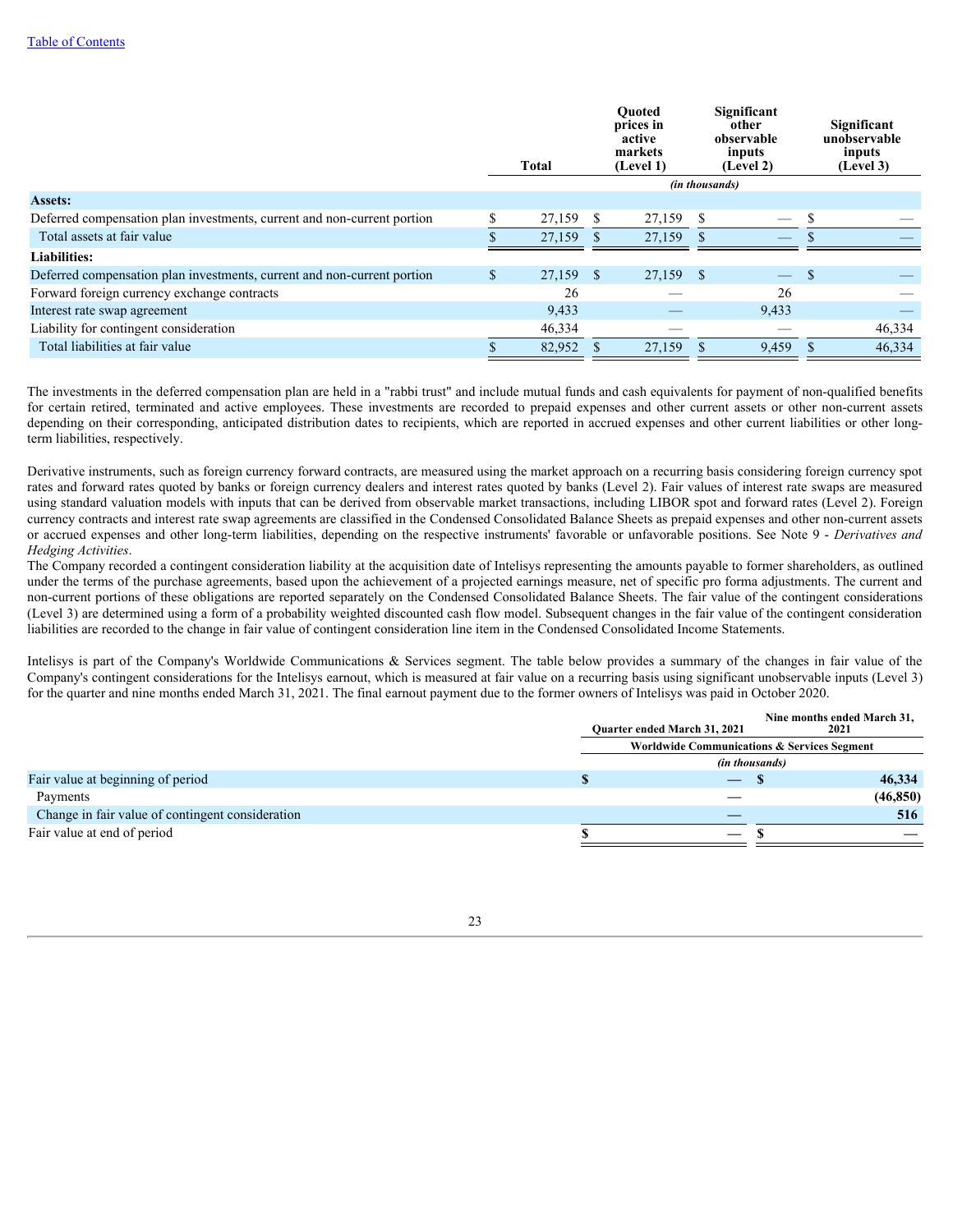| <b>Table of Contents</b>                                                                                                                                                                                                                                                                                                                                                                                                                                                                                                                                                                                                                                                                                                                                                                                                                                                                                                                                                                                                                                                                                                                                                                                                                                                                                                                                                                                                                                                                                                                                                                                                                                                                                                                                                                                                                                                                                                                                                                                                                                                                                                                                                                                                                                                                                                                                                                                                                                                                                                                                                                                                                                                                                                                         |                        |             |                                                       |                                                                                 |               |                                                    |
|--------------------------------------------------------------------------------------------------------------------------------------------------------------------------------------------------------------------------------------------------------------------------------------------------------------------------------------------------------------------------------------------------------------------------------------------------------------------------------------------------------------------------------------------------------------------------------------------------------------------------------------------------------------------------------------------------------------------------------------------------------------------------------------------------------------------------------------------------------------------------------------------------------------------------------------------------------------------------------------------------------------------------------------------------------------------------------------------------------------------------------------------------------------------------------------------------------------------------------------------------------------------------------------------------------------------------------------------------------------------------------------------------------------------------------------------------------------------------------------------------------------------------------------------------------------------------------------------------------------------------------------------------------------------------------------------------------------------------------------------------------------------------------------------------------------------------------------------------------------------------------------------------------------------------------------------------------------------------------------------------------------------------------------------------------------------------------------------------------------------------------------------------------------------------------------------------------------------------------------------------------------------------------------------------------------------------------------------------------------------------------------------------------------------------------------------------------------------------------------------------------------------------------------------------------------------------------------------------------------------------------------------------------------------------------------------------------------------------------------------------|------------------------|-------------|-------------------------------------------------------|---------------------------------------------------------------------------------|---------------|----------------------------------------------------|
|                                                                                                                                                                                                                                                                                                                                                                                                                                                                                                                                                                                                                                                                                                                                                                                                                                                                                                                                                                                                                                                                                                                                                                                                                                                                                                                                                                                                                                                                                                                                                                                                                                                                                                                                                                                                                                                                                                                                                                                                                                                                                                                                                                                                                                                                                                                                                                                                                                                                                                                                                                                                                                                                                                                                                  |                        |             |                                                       |                                                                                 |               |                                                    |
|                                                                                                                                                                                                                                                                                                                                                                                                                                                                                                                                                                                                                                                                                                                                                                                                                                                                                                                                                                                                                                                                                                                                                                                                                                                                                                                                                                                                                                                                                                                                                                                                                                                                                                                                                                                                                                                                                                                                                                                                                                                                                                                                                                                                                                                                                                                                                                                                                                                                                                                                                                                                                                                                                                                                                  |                        | Total       | Quoted<br>prices in<br>active<br>markets<br>(Level 1) | Significant<br>other<br>observable<br>inputs<br>(Level 2)                       |               | Significant<br>unobservable<br>inputs<br>(Level 3) |
|                                                                                                                                                                                                                                                                                                                                                                                                                                                                                                                                                                                                                                                                                                                                                                                                                                                                                                                                                                                                                                                                                                                                                                                                                                                                                                                                                                                                                                                                                                                                                                                                                                                                                                                                                                                                                                                                                                                                                                                                                                                                                                                                                                                                                                                                                                                                                                                                                                                                                                                                                                                                                                                                                                                                                  |                        |             |                                                       | (in thousands)                                                                  |               |                                                    |
| <b>Assets:</b>                                                                                                                                                                                                                                                                                                                                                                                                                                                                                                                                                                                                                                                                                                                                                                                                                                                                                                                                                                                                                                                                                                                                                                                                                                                                                                                                                                                                                                                                                                                                                                                                                                                                                                                                                                                                                                                                                                                                                                                                                                                                                                                                                                                                                                                                                                                                                                                                                                                                                                                                                                                                                                                                                                                                   |                        |             |                                                       |                                                                                 |               |                                                    |
| Deferred compensation plan investments, current and non-current portion                                                                                                                                                                                                                                                                                                                                                                                                                                                                                                                                                                                                                                                                                                                                                                                                                                                                                                                                                                                                                                                                                                                                                                                                                                                                                                                                                                                                                                                                                                                                                                                                                                                                                                                                                                                                                                                                                                                                                                                                                                                                                                                                                                                                                                                                                                                                                                                                                                                                                                                                                                                                                                                                          |                        | 27,159 \$   | $27,159$ \$                                           |                                                                                 | - S           |                                                    |
| Total assets at fair value                                                                                                                                                                                                                                                                                                                                                                                                                                                                                                                                                                                                                                                                                                                                                                                                                                                                                                                                                                                                                                                                                                                                                                                                                                                                                                                                                                                                                                                                                                                                                                                                                                                                                                                                                                                                                                                                                                                                                                                                                                                                                                                                                                                                                                                                                                                                                                                                                                                                                                                                                                                                                                                                                                                       |                        | 27,159      | 27,159                                                |                                                                                 |               |                                                    |
| <b>Liabilities:</b>                                                                                                                                                                                                                                                                                                                                                                                                                                                                                                                                                                                                                                                                                                                                                                                                                                                                                                                                                                                                                                                                                                                                                                                                                                                                                                                                                                                                                                                                                                                                                                                                                                                                                                                                                                                                                                                                                                                                                                                                                                                                                                                                                                                                                                                                                                                                                                                                                                                                                                                                                                                                                                                                                                                              |                        |             |                                                       |                                                                                 |               |                                                    |
| Deferred compensation plan investments, current and non-current portion                                                                                                                                                                                                                                                                                                                                                                                                                                                                                                                                                                                                                                                                                                                                                                                                                                                                                                                                                                                                                                                                                                                                                                                                                                                                                                                                                                                                                                                                                                                                                                                                                                                                                                                                                                                                                                                                                                                                                                                                                                                                                                                                                                                                                                                                                                                                                                                                                                                                                                                                                                                                                                                                          | $\mathbf{\mathcal{S}}$ | $27,159$ \$ | 27,159 \$                                             |                                                                                 | $-$ S         |                                                    |
| Forward foreign currency exchange contracts                                                                                                                                                                                                                                                                                                                                                                                                                                                                                                                                                                                                                                                                                                                                                                                                                                                                                                                                                                                                                                                                                                                                                                                                                                                                                                                                                                                                                                                                                                                                                                                                                                                                                                                                                                                                                                                                                                                                                                                                                                                                                                                                                                                                                                                                                                                                                                                                                                                                                                                                                                                                                                                                                                      |                        | 26          |                                                       |                                                                                 | 26            |                                                    |
| Interest rate swap agreement<br>Liability for contingent consideration                                                                                                                                                                                                                                                                                                                                                                                                                                                                                                                                                                                                                                                                                                                                                                                                                                                                                                                                                                                                                                                                                                                                                                                                                                                                                                                                                                                                                                                                                                                                                                                                                                                                                                                                                                                                                                                                                                                                                                                                                                                                                                                                                                                                                                                                                                                                                                                                                                                                                                                                                                                                                                                                           |                        | 9,433       |                                                       |                                                                                 | 9,433         | 46,334                                             |
| Total liabilities at fair value                                                                                                                                                                                                                                                                                                                                                                                                                                                                                                                                                                                                                                                                                                                                                                                                                                                                                                                                                                                                                                                                                                                                                                                                                                                                                                                                                                                                                                                                                                                                                                                                                                                                                                                                                                                                                                                                                                                                                                                                                                                                                                                                                                                                                                                                                                                                                                                                                                                                                                                                                                                                                                                                                                                  |                        | 46,334      |                                                       |                                                                                 |               |                                                    |
|                                                                                                                                                                                                                                                                                                                                                                                                                                                                                                                                                                                                                                                                                                                                                                                                                                                                                                                                                                                                                                                                                                                                                                                                                                                                                                                                                                                                                                                                                                                                                                                                                                                                                                                                                                                                                                                                                                                                                                                                                                                                                                                                                                                                                                                                                                                                                                                                                                                                                                                                                                                                                                                                                                                                                  |                        |             |                                                       |                                                                                 |               |                                                    |
|                                                                                                                                                                                                                                                                                                                                                                                                                                                                                                                                                                                                                                                                                                                                                                                                                                                                                                                                                                                                                                                                                                                                                                                                                                                                                                                                                                                                                                                                                                                                                                                                                                                                                                                                                                                                                                                                                                                                                                                                                                                                                                                                                                                                                                                                                                                                                                                                                                                                                                                                                                                                                                                                                                                                                  |                        | 82,952      | 27,159                                                | <sup>\$</sup>                                                                   | 9,459<br>- \$ | 46,334                                             |
|                                                                                                                                                                                                                                                                                                                                                                                                                                                                                                                                                                                                                                                                                                                                                                                                                                                                                                                                                                                                                                                                                                                                                                                                                                                                                                                                                                                                                                                                                                                                                                                                                                                                                                                                                                                                                                                                                                                                                                                                                                                                                                                                                                                                                                                                                                                                                                                                                                                                                                                                                                                                                                                                                                                                                  |                        |             |                                                       |                                                                                 |               |                                                    |
|                                                                                                                                                                                                                                                                                                                                                                                                                                                                                                                                                                                                                                                                                                                                                                                                                                                                                                                                                                                                                                                                                                                                                                                                                                                                                                                                                                                                                                                                                                                                                                                                                                                                                                                                                                                                                                                                                                                                                                                                                                                                                                                                                                                                                                                                                                                                                                                                                                                                                                                                                                                                                                                                                                                                                  |                        |             |                                                       |                                                                                 |               |                                                    |
| The investments in the deferred compensation plan are held in a "rabbi trust" and include mutual funds and cash equivalents for payment of non-qualified benefits<br>for certain retired, terminated and active employees. These investments are recorded to prepaid expenses and other current assets or other non-current assets<br>depending on their corresponding, anticipated distribution dates to recipients, which are reported in accrued expenses and other current liabilities or other long-<br>term liabilities, respectively.<br>Derivative instruments, such as foreign currency forward contracts, are measured using the market approach on a recurring basis considering foreign currency spot<br>rates and forward rates quoted by banks or foreign currency dealers and interest rates quoted by banks (Level 2). Fair values of interest rate swaps are measured<br>using standard valuation models with inputs that can be derived from observable market transactions, including LIBOR spot and forward rates (Level 2). Foreign<br>currency contracts and interest rate swap agreements are classified in the Condensed Consolidated Balance Sheets as prepaid expenses and other non-current assets<br>or accrued expenses and other long-term liabilities, depending on the respective instruments' favorable or unfavorable positions. See Note 9 - <i>Derivatives and</i><br>Hedging Activities.<br>The Company recorded a contingent consideration liability at the acquisition date of Intelisys representing the amounts payable to former shareholders, as outlined<br>under the terms of the purchase agreements, based upon the achievement of a projected earnings measure, net of specific pro forma adjustments. The current and<br>non-current portions of these obligations are reported separately on the Condensed Consolidated Balance Sheets. The fair value of the contingent considerations<br>(Level 3) are determined using a form of a probability weighted discounted cash flow model. Subsequent changes in the fair value of the contingent consideration<br>liabilities are recorded to the change in fair value of contingent consideration line item in the Condensed Consolidated Income Statements.<br>Intelisys is part of the Company's Worldwide Communications & Services segment. The table below provides a summary of the changes in fair value of the<br>Company's contingent considerations for the Intelisys earnout, which is measured at fair value on a recurring basis using significant unobservable inputs (Level 3)<br>for the quarter and nine months ended March 31, 2021. The final earnout payment due to the former owners of Intelisys was paid in October 2020. |                        |             | Quarter ended March 31, 2021                          |                                                                                 |               | Nine months ended March 31,<br>2021                |
|                                                                                                                                                                                                                                                                                                                                                                                                                                                                                                                                                                                                                                                                                                                                                                                                                                                                                                                                                                                                                                                                                                                                                                                                                                                                                                                                                                                                                                                                                                                                                                                                                                                                                                                                                                                                                                                                                                                                                                                                                                                                                                                                                                                                                                                                                                                                                                                                                                                                                                                                                                                                                                                                                                                                                  |                        |             |                                                       | <b>Worldwide Communications &amp; Services Segment</b><br><i>(in thousands)</i> |               |                                                    |

|                                                  |                                                        | Nine months ended March 31, |
|--------------------------------------------------|--------------------------------------------------------|-----------------------------|
|                                                  | Quarter ended March 31, 2021                           | 2021                        |
|                                                  | <b>Worldwide Communications &amp; Services Segment</b> |                             |
|                                                  | <i>(in thousands)</i>                                  |                             |
| Fair value at beginning of period                | $\overline{\phantom{0}}$                               | 46,334                      |
| Payments                                         | $\hspace{0.05cm}$                                      | (46, 850)                   |
| Change in fair value of contingent consideration |                                                        | 516                         |
| Fair value at end of period                      |                                                        |                             |
|                                                  |                                                        |                             |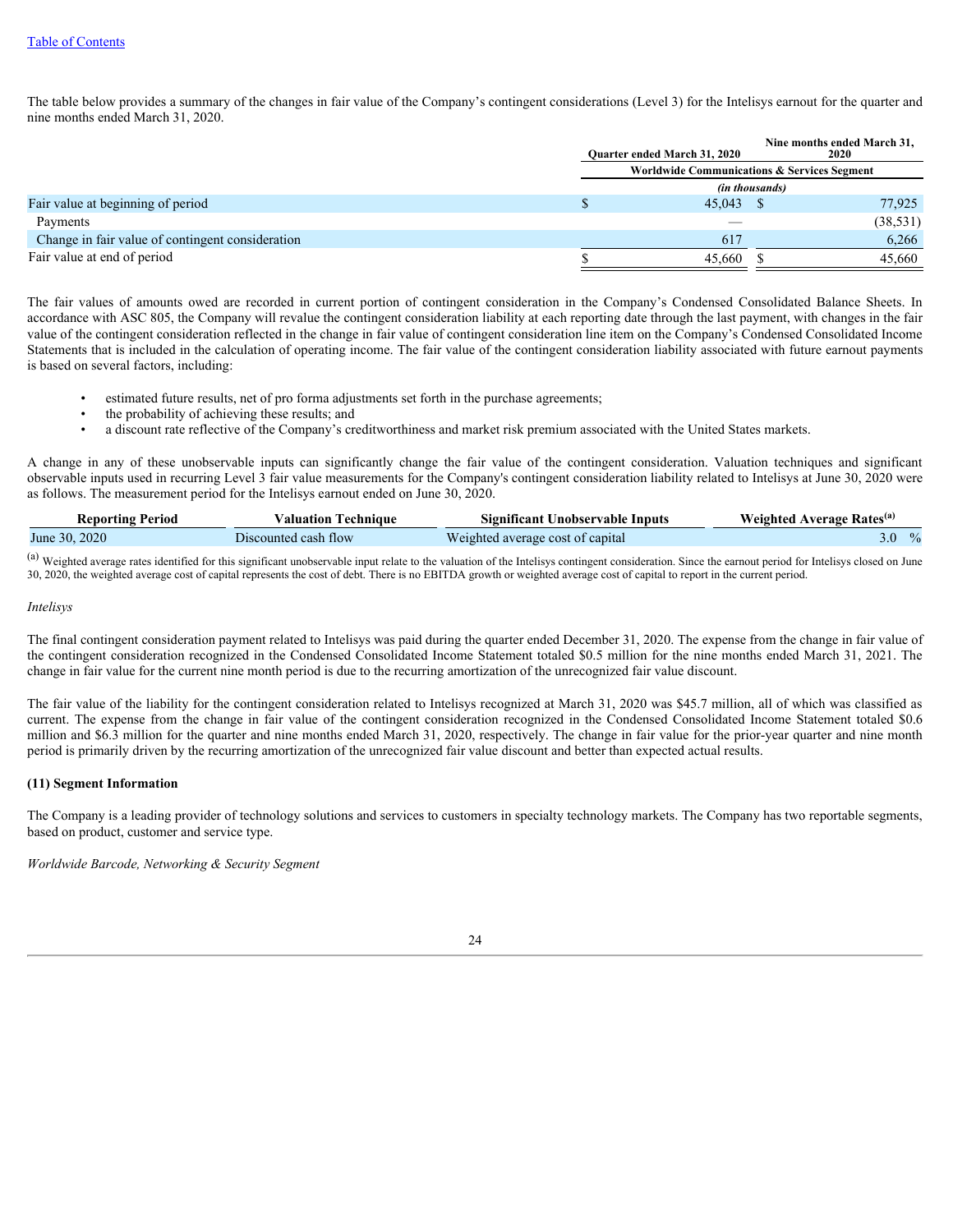| <b>Table of Contents</b>                                                                                                                                                                                                                                    |                                                                                              |                                                                                                                                                                                                                                                                                                                                                                                                                                                                                                                                                                                                                                                                          |                                                        |                                              |                                     |
|-------------------------------------------------------------------------------------------------------------------------------------------------------------------------------------------------------------------------------------------------------------|----------------------------------------------------------------------------------------------|--------------------------------------------------------------------------------------------------------------------------------------------------------------------------------------------------------------------------------------------------------------------------------------------------------------------------------------------------------------------------------------------------------------------------------------------------------------------------------------------------------------------------------------------------------------------------------------------------------------------------------------------------------------------------|--------------------------------------------------------|----------------------------------------------|-------------------------------------|
|                                                                                                                                                                                                                                                             |                                                                                              |                                                                                                                                                                                                                                                                                                                                                                                                                                                                                                                                                                                                                                                                          |                                                        |                                              |                                     |
|                                                                                                                                                                                                                                                             |                                                                                              |                                                                                                                                                                                                                                                                                                                                                                                                                                                                                                                                                                                                                                                                          |                                                        |                                              |                                     |
|                                                                                                                                                                                                                                                             |                                                                                              |                                                                                                                                                                                                                                                                                                                                                                                                                                                                                                                                                                                                                                                                          |                                                        |                                              |                                     |
| nine months ended March 31, 2020.                                                                                                                                                                                                                           |                                                                                              | The table below provides a summary of the changes in fair value of the Company's contingent considerations (Level 3) for the Intelisys earnout for the quarter and                                                                                                                                                                                                                                                                                                                                                                                                                                                                                                       |                                                        |                                              |                                     |
|                                                                                                                                                                                                                                                             |                                                                                              |                                                                                                                                                                                                                                                                                                                                                                                                                                                                                                                                                                                                                                                                          |                                                        |                                              |                                     |
|                                                                                                                                                                                                                                                             |                                                                                              |                                                                                                                                                                                                                                                                                                                                                                                                                                                                                                                                                                                                                                                                          | Quarter ended March 31, 2020                           |                                              | Nine months ended March 31,<br>2020 |
|                                                                                                                                                                                                                                                             |                                                                                              |                                                                                                                                                                                                                                                                                                                                                                                                                                                                                                                                                                                                                                                                          | <b>Worldwide Communications &amp; Services Segment</b> |                                              |                                     |
|                                                                                                                                                                                                                                                             |                                                                                              |                                                                                                                                                                                                                                                                                                                                                                                                                                                                                                                                                                                                                                                                          | (in thousands)                                         |                                              |                                     |
| Fair value at beginning of period                                                                                                                                                                                                                           |                                                                                              |                                                                                                                                                                                                                                                                                                                                                                                                                                                                                                                                                                                                                                                                          | $45.043$ \$                                            |                                              | 77,925                              |
| Payments<br>Change in fair value of contingent consideration                                                                                                                                                                                                |                                                                                              |                                                                                                                                                                                                                                                                                                                                                                                                                                                                                                                                                                                                                                                                          | 617                                                    |                                              | (38, 531)<br>6,266                  |
| Fair value at end of period                                                                                                                                                                                                                                 |                                                                                              |                                                                                                                                                                                                                                                                                                                                                                                                                                                                                                                                                                                                                                                                          | 45,660                                                 | -S                                           | 45,660                              |
|                                                                                                                                                                                                                                                             |                                                                                              |                                                                                                                                                                                                                                                                                                                                                                                                                                                                                                                                                                                                                                                                          |                                                        |                                              |                                     |
| is based on several factors, including:                                                                                                                                                                                                                     |                                                                                              | The fair values of amounts owed are recorded in current portion of contingent consideration in the Company's Condensed Consolidated Balance Sheets. In<br>accordance with ASC 805, the Company will revalue the contingent consideration liability at each reporting date through the last payment, with changes in the fair<br>value of the contingent consideration reflected in the change in fair value of contingent consideration line item on the Company's Condensed Consolidated Income<br>Statements that is included in the calculation of operating income. The fair value of the contingent consideration liability associated with future earnout payments |                                                        |                                              |                                     |
| the probability of achieving these results; and                                                                                                                                                                                                             | estimated future results, net of pro forma adjustments set forth in the purchase agreements; | a discount rate reflective of the Company's creditworthiness and market risk premium associated with the United States markets.                                                                                                                                                                                                                                                                                                                                                                                                                                                                                                                                          |                                                        |                                              |                                     |
|                                                                                                                                                                                                                                                             |                                                                                              | A change in any of these unobservable inputs can significantly change the fair value of the contingent consideration. Valuation techniques and significant                                                                                                                                                                                                                                                                                                                                                                                                                                                                                                               |                                                        |                                              |                                     |
| observable inputs used in recurring Level 3 fair value measurements for the Company's contingent consideration liability related to Intelisys at June 30, 2020 were<br>as follows. The measurement period for the Intelisys earnout ended on June 30, 2020. |                                                                                              |                                                                                                                                                                                                                                                                                                                                                                                                                                                                                                                                                                                                                                                                          |                                                        |                                              |                                     |
| <b>Reporting Period</b>                                                                                                                                                                                                                                     | <b>Valuation Technique</b>                                                                   | <b>Significant Unobservable Inputs</b><br>Weighted average cost of capital                                                                                                                                                                                                                                                                                                                                                                                                                                                                                                                                                                                               |                                                        | <b>Weighted Average Rates</b> <sup>(a)</sup> |                                     |

accordance with ASC 805, the Company will revalue the contingent consideration liability at each reporting date through the last payment, with changes in the fair value of the contingent consideration reflected in the change in fair value of contingent consideration line item on the Company's Condensed Consolidated Income Statements that is included in the calculation of operating income. The fair value of the contingent consideration liability associated with future earnout payments is based on several factors, including: current. The expense of contingent consideration current parties of the contingent consideration recognized in the change in fact value of the continent of the continent continent in the Consequence of the continent of th

- estimated future results, net of pro forma adjustments set forth in the purchase agreements;
- the probability of achieving these results; and
- a discount rate reflective of the Company's creditworthiness and market risk premium associated with the United States markets.

| <b>Reporting Period</b> | .<br>Valuation Technique | $\sim$<br>Significant Unobservable Inputs | Weighteu<br>l Average Rates <sup>(a)</sup> |
|-------------------------|--------------------------|-------------------------------------------|--------------------------------------------|
| June 30, 2020           | Discounted cash flow     | Weighted average cost of capital          | 3.0 <sub>1</sub>                           |
|                         |                          |                                           |                                            |

#### *Intelisys*

The final contingent consideration payment related to Intelisys was paid during the quarter ended December 31, 2020. The expense from the change in fair value of the contingent consideration recognized in the Condensed Consolidated Income Statement totaled \$0.5 million for the nine months ended March 31, 2021. The change in fair value for the current nine month period is due to the recurring amortization of the unrecognized fair value discount.

The fair value of the liability for the contingent consideration related to Intelisys recognized at March 31, 2020 was \$45.7 million, all of which was classified as current. The expense from the change in fair value of the million and \$6.3 million for the quarter and nine months ended March 31, 2020, respectively. The change in fair value for the prior-year quarter and nine month period is primarily driven by the recurring amortization of the unrecognized fair value discount and better than expected actual results.

#### **(11) Segment Information**

The Company is a leading provider of technology solutions and services to customers in specialty technology markets. The Company has two reportable segments, based on product, customer and service type.

*Worldwide Barcode, Networking & Security Segment*

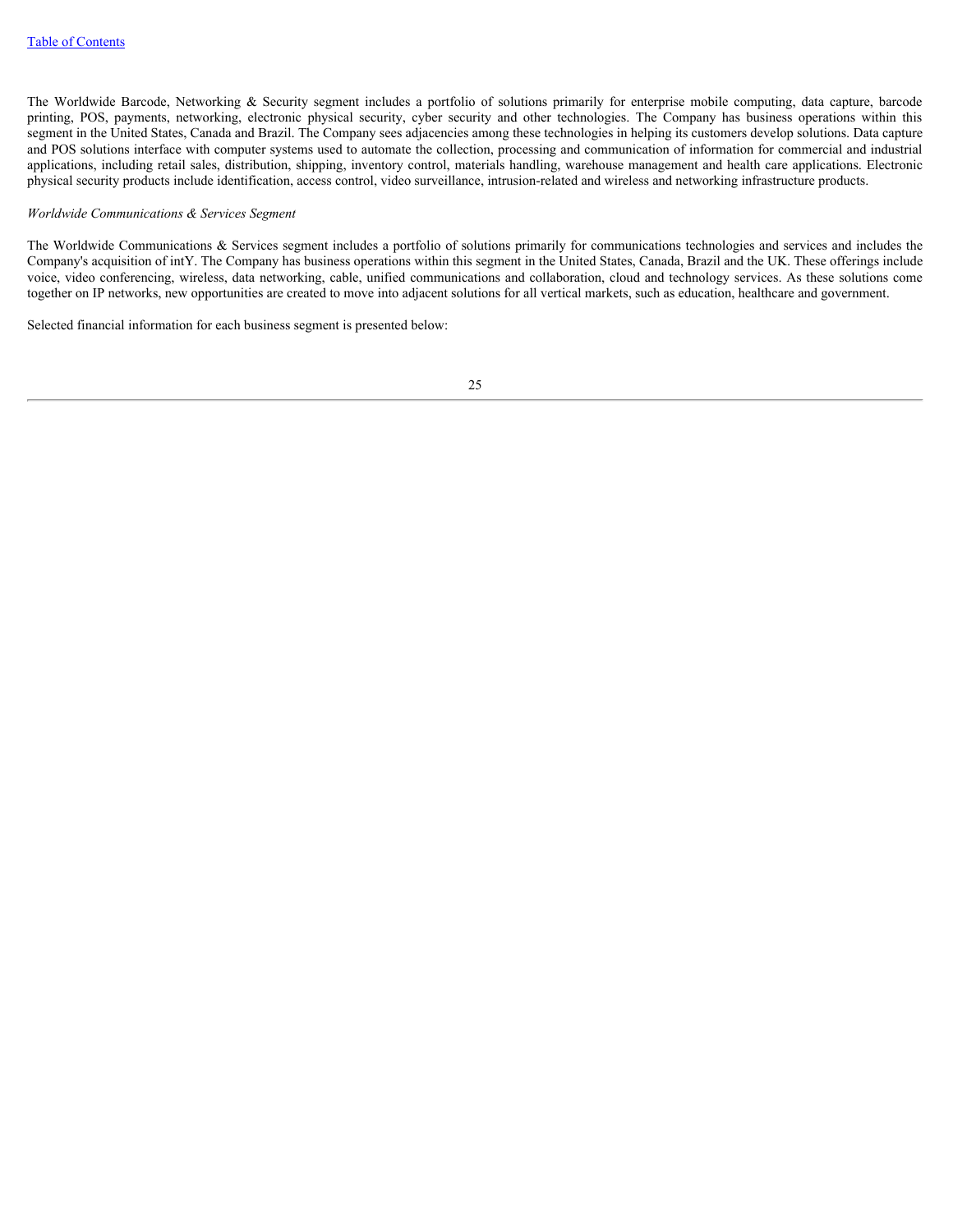Tableof Contents<br>The Worldwide Barcode, Networking & Security segment includes a portfolio of solutions primarily for enterprise mobile computing, data capture, barcode<br>printing, POS, payments, networking, electronic phys Table of Contents<br>The Worldwide Barcode, Networking & Security segment includes a portfolio of solutions primarily for enterprise mobile computing, data capture, barcode<br>printing, POS, payments, networking, electronic phys segment in the United States, Canada and Brazil. The Company sees adjacencies among these technologies in helping its customers develop solutions. Data capture and POS solutions interface with computer systems used to automate the collection, processing and communication of information for commercial and industrial applications, including retail sales, distribution, shipping, inventory control, materials handling, warehouse management and health care applications. Electronic physical security products include identification, access control, video surveillance, intrusion-related and wireless and networking infrastructure products.

## *Worldwide Communications & Services Segment*

The Worldwide Communications & Services segment includes a portfolio of solutions primarily for communications technologies and services and includes the Company's acquisition of intY. The Company has business operations within this segment in the United States, Canada, Brazil and the UK. These offerings include voice, video conferencing, wireless, data networking, cable, unified communications and collaboration, cloud and technology services. As these solutions come together on IP networks, new opportunities are created to move into adjacent solutions for all vertical markets, such as education, healthcare and government.

Selected financial information for each business segment is presented below: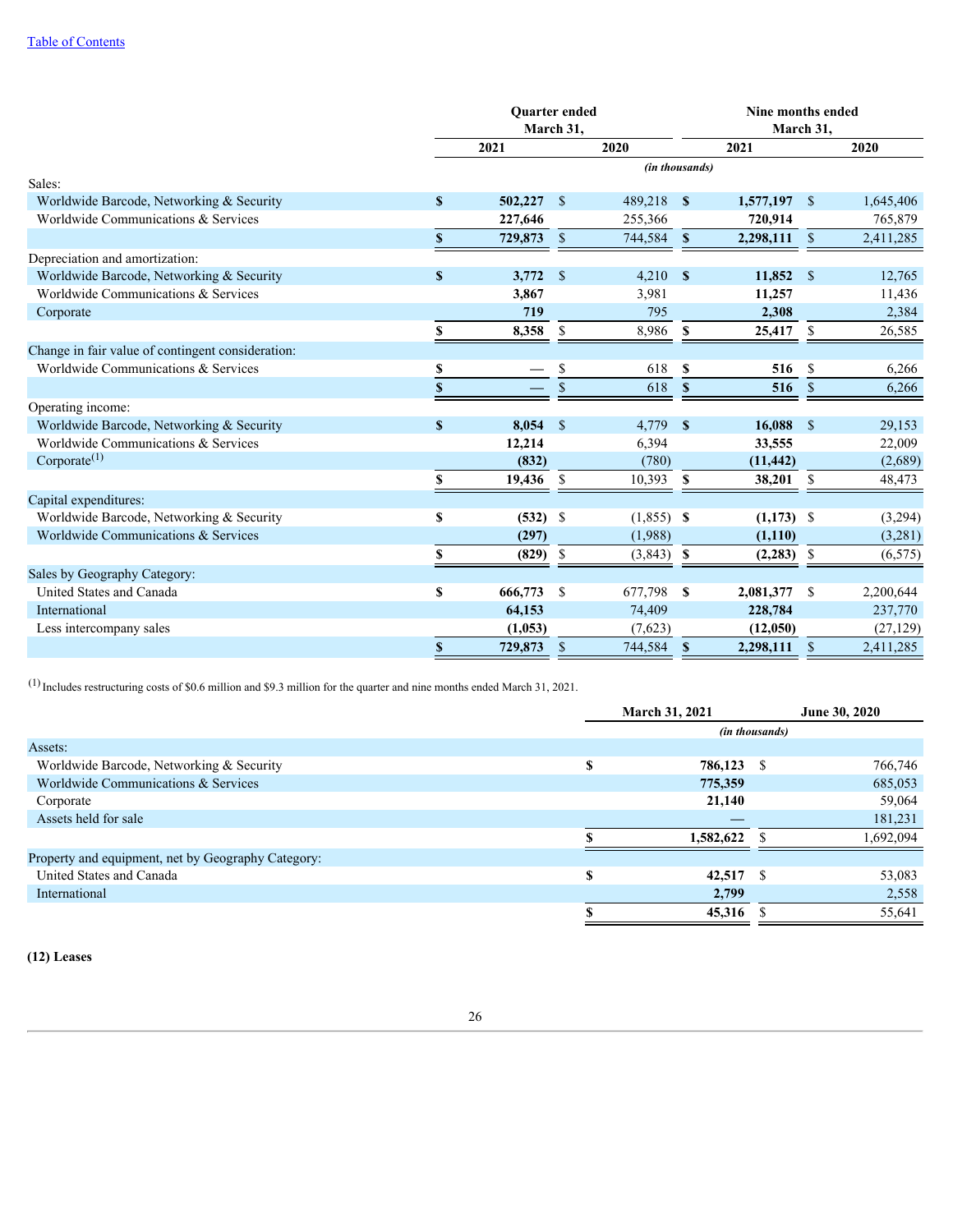|                                                   |              | <b>Ouarter</b> ended     | March 31,     |                |              | Nine months ended<br>March 31, |           |
|---------------------------------------------------|--------------|--------------------------|---------------|----------------|--------------|--------------------------------|-----------|
|                                                   |              | 2021                     |               | 2020           |              | 2021                           | 2020      |
|                                                   |              |                          |               | (in thousands) |              |                                |           |
| Sales:                                            |              |                          |               |                |              |                                |           |
| Worldwide Barcode, Networking & Security          | $\mathbf{s}$ | $502,227$ \$             |               | 489,218 \$     |              | 1,577,197 \$                   | 1,645,406 |
| Worldwide Communications & Services               |              | 227,646                  |               | 255,366        |              | 720,914                        | 765,879   |
|                                                   | S.           | 729,873 \$               |               | 744,584 \$     |              | 2,298,111 \$                   | 2,411,285 |
| Depreciation and amortization:                    |              |                          |               |                |              |                                |           |
| Worldwide Barcode, Networking & Security          | $\mathbf{s}$ | $3,772$ \$               |               | $4,210$ \$     |              | $11,852$ \$                    | 12,765    |
| Worldwide Communications & Services               |              | 3,867                    |               | 3,981          |              | 11,257                         | 11,436    |
| Corporate                                         |              | 719                      |               | 795            |              | 2,308                          | 2,384     |
|                                                   | \$           | 8,358 \$                 |               | 8,986 \$       |              | 25,417 \$                      | 26,585    |
| Change in fair value of contingent consideration: |              |                          |               |                |              |                                |           |
| Worldwide Communications & Services               | \$           |                          | <sup>\$</sup> | 618            | <b>S</b>     | 516 \$                         | 6,266     |
|                                                   | $\mathbf{s}$ | $\overline{\phantom{0}}$ | <sup>\$</sup> | 618            | $\mathbf{s}$ | $516$ \$                       | 6,266     |
| Operating income:                                 |              |                          |               |                |              |                                |           |
| Worldwide Barcode, Networking & Security          | $\mathbf{s}$ | $8.054$ \$               |               | $4,779$ \$     |              | $16,088$ \$                    | 29,153    |
| Worldwide Communications & Services               |              | 12,214                   |               | 6,394          |              | 33,555                         | 22,009    |
| Corporate <sup>(1)</sup>                          |              | (832)                    |               | (780)          |              | (11, 442)                      | (2,689)   |
|                                                   | \$           | 19,436                   | <sup>\$</sup> | 10,393         | $\mathbf{s}$ | 38,201 \$                      | 48,473    |
| Capital expenditures:                             |              |                          |               |                |              |                                |           |
| Worldwide Barcode, Networking & Security          | S            | $(532)$ \$               |               | $(1,855)$ \$   |              | $(1,173)$ \$                   | (3,294)   |
| Worldwide Communications & Services               |              | (297)                    |               | (1,988)        |              | (1,110)                        | (3,281)   |
|                                                   | S            | $(829)$ \$               |               | $(3,843)$ \$   |              | $(2,283)$ \$                   | (6, 575)  |
| Sales by Geography Category:                      |              |                          |               |                |              |                                |           |
| United States and Canada                          | $\mathbf{s}$ | 666,773 \$               |               | 677,798 \$     |              | 2,081,377 \$                   | 2,200,644 |
| International                                     |              | 64,153                   |               | 74,409         |              | 228,784                        | 237,770   |
| Less intercompany sales                           |              | (1,053)                  |               | (7,623)        |              | (12,050)                       | (27, 129) |
|                                                   | S            | 729,873                  | -S            | 744,584 \$     |              | 2,298,111 \$                   | 2,411,285 |
|                                                   |              |                          |               |                |              |                                |           |

 $<sup>(1)</sup>$  Includes restructuring costs of \$0.6 million and \$9.3 million for the quarter and nine months ended March 31, 2021.</sup>

|                                                    | <b>March 31, 2021</b> | <b>June 30, 2020</b> |
|----------------------------------------------------|-----------------------|----------------------|
|                                                    |                       | (in thousands)       |
| Assets:                                            |                       |                      |
| Worldwide Barcode, Networking & Security           | 786,123 \$            | 766,746              |
| Worldwide Communications & Services                | 775,359               | 685,053              |
| Corporate                                          | 21,140                | 59,064               |
| Assets held for sale                               | $\hspace{0.05cm}$     | 181,231              |
|                                                    | 1,582,622 \$          | 1,692,094            |
| Property and equipment, net by Geography Category: |                       |                      |
| United States and Canada                           | 42,517 \$             | 53,083               |
| International                                      | 2,799                 | 2,558                |
|                                                    | 45,316                | 55,641               |
|                                                    |                       |                      |

**(12) Leases**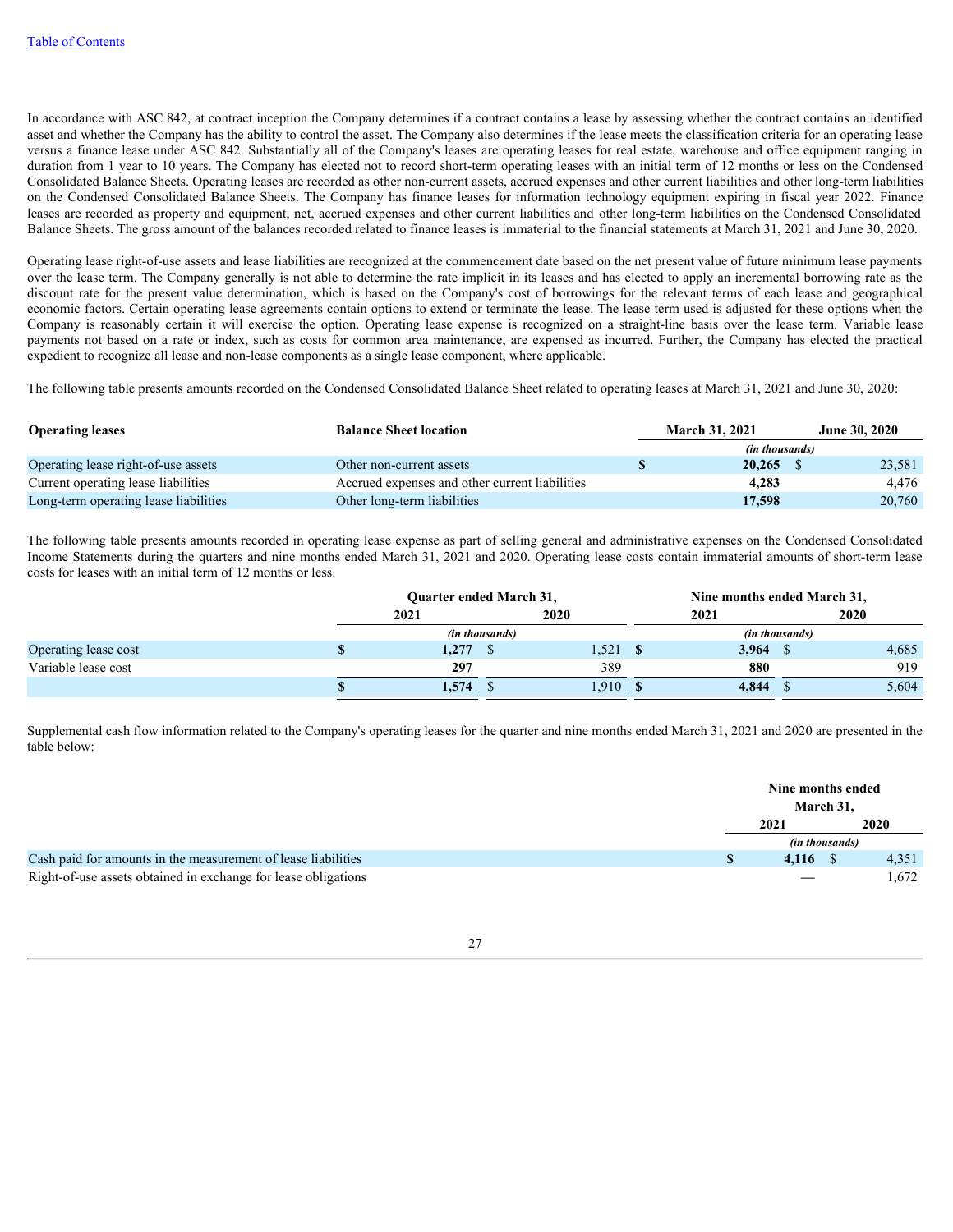In accordance with ASC 842, at contract inception the Company determines if a contract contains a lease by assessing whether the contract contains an identified asset and whether the Company has the ability to control the asset. The Company also determines if the lease meets the classification criteria for an operating lease versus a finance lease under ASC 842. Substantially all of the Company's leases are operating leases for real estate, warehouse and office equipment ranging in duration from 1 year to 10 years. The Company has elected not to record short-term operating leases with an initial term of 12 months or less on the Condensed Consolidated Balance Sheets. Operating leases are recorded as other non-current assets, accrued expenses and other current liabilities and other long-term liabilities Table of Contents<br>In accordance with ASC 842, at contract inception the Company determines if a contract contains a lease by assessing whether the contract contains an identified<br>asset and whether the Company has the abili leases are recorded as property and equipment, net, accrued expenses and other current liabilities and other long-term liabilities on the Condensed Consolidated Balance Sheets. The gross amount of the balances recorded related to finance leases is immaterial to the financial statements at March 31, 2021 and June 30, 2020. Table of Contents<br>In accordance with ASC 842, at contract inception the Company determines if a contract contains a lease by assessing whether the contract contains an identified<br>asses and whether the Company has the abil Table of Contents<br>
Table of Contents<br>
asset and whether the Company has the ability to control the asset. The Company abso determines if a contrast contains a lease by assessing whether the contrast contains an identified

Operating lease right-of-use assets and lease liabilities are recognized at the commencement date based on the net present value of future minimum lease payments over the lease term. The Company generally is not able to determine the rate implicit in its leases and has elected to apply an incremental borrowing rate as the economic factors. Certain operating lease agreements contain options to extend or terminate the lease. The lease term used is adjusted for these options when the payments not based on a rate or index, such as costs for common area maintenance, are expensed as incurred. Further, the Company has elected the practical expedient to recognize all lease and non-lease components as a single lease component, where applicable.

The following table presents amounts recorded on the Condensed Consolidated Balance Sheet related to operating leases at March 31, 2021 and June 30, 2020:

| <b>Operating leases</b>               | <b>Balance Sheet location</b>                  | <b>March 31, 2021</b> | June 30, 2020 |
|---------------------------------------|------------------------------------------------|-----------------------|---------------|
|                                       |                                                | <i>(in thousands)</i> |               |
| Operating lease right-of-use assets   | Other non-current assets                       | 20,265                | 23,581        |
| Current operating lease liabilities   | Accrued expenses and other current liabilities | 4,283                 | 4,476         |
| Long-term operating lease liabilities | Other long-term liabilities                    | 17,598                | 20,760        |

The following table presents amounts recorded in operating lease expense as part of selling general and administrative expenses on the Condensed Consolidated Income Statements during the quarters and nine months ended March 31, 2021 and 2020. Operating lease costs contain immaterial amounts of short-term lease costs for leases with an initial term of 12 months or less.

|                      | <b>Ouarter ended March 31,</b> |       | Nine months ended March 31, |                |       |
|----------------------|--------------------------------|-------|-----------------------------|----------------|-------|
|                      | 2021                           | 2020  | 2021                        |                | 2020  |
|                      | (in thousands)                 |       |                             | (in thousands) |       |
| Operating lease cost | 1,277                          | .521  | 3,964                       |                | 4,685 |
| Variable lease cost  | 297                            | 389   | 880                         |                | 919   |
|                      | 1,574                          | 1,910 | 4,844                       |                | 5,604 |

Supplemental cash flow information related to the Company's operating leases for the quarter and nine months ended March 31, 2021 and 2020 are presented in the table below:

|                                                                | Nine months ended<br>March 31, |       |
|----------------------------------------------------------------|--------------------------------|-------|
|                                                                | 2020<br>2021                   |       |
|                                                                | (in thousands)                 |       |
| Cash paid for amounts in the measurement of lease liabilities  | 4,116                          | 4,351 |
| Right-of-use assets obtained in exchange for lease obligations |                                | 1,672 |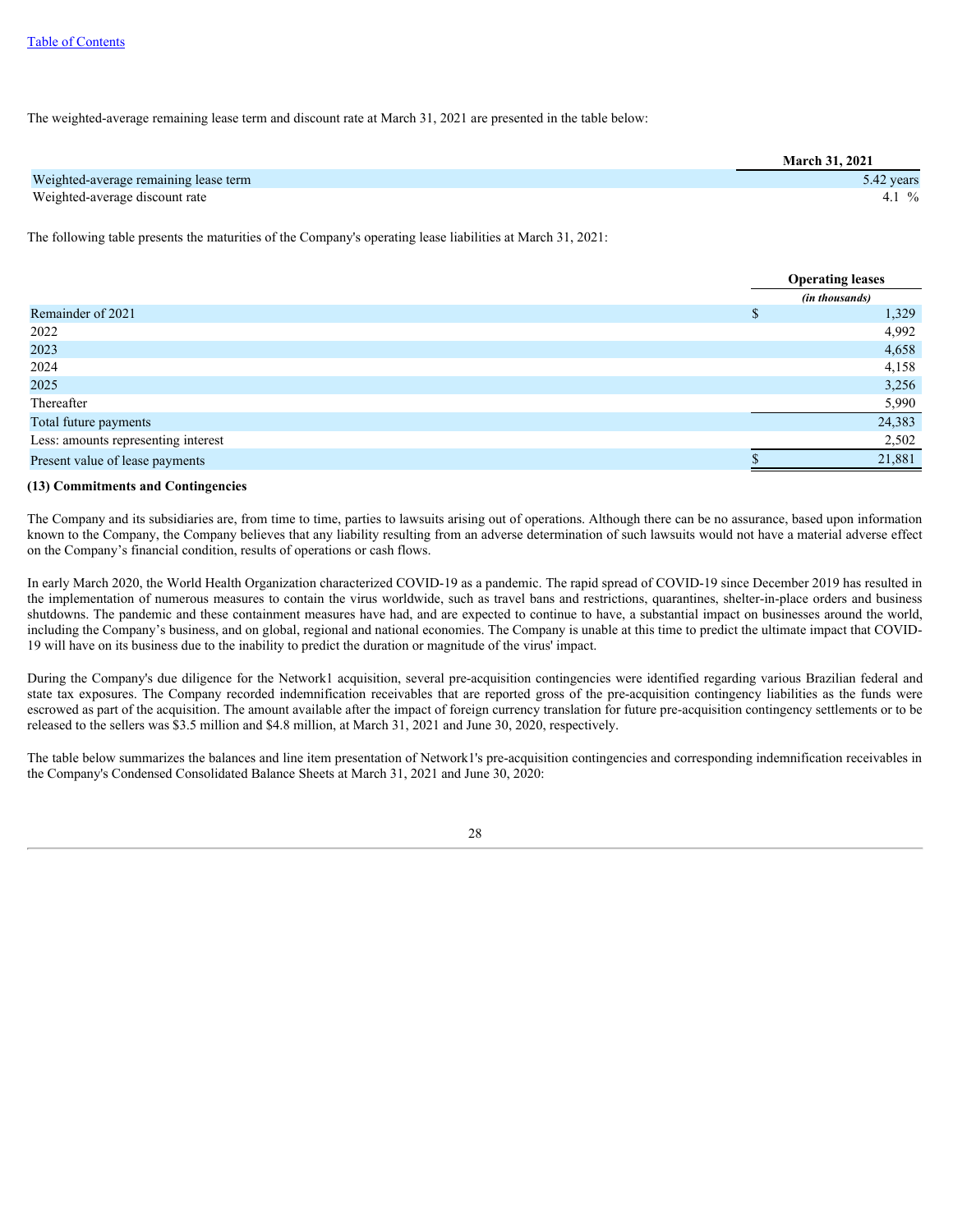The weighted-average remaining lease term and discount rate at March 31, 2021 are presented in the table below:

|                                       | <b>March 31, 2021</b> |
|---------------------------------------|-----------------------|
| Weighted-average remaining lease term | 5.42 years            |
| Weighted-average discount rate        |                       |

| <b>Operating leases</b><br>(in thousands)<br>Remainder of 2021<br>1,329<br>4,992<br>4,658<br>4,158<br>3,256<br>5,990<br>24,383<br>2,502<br>21,881<br>Present value of lease payments<br>(13) Commitments and Contingencies<br>The Company and its subsidiaries are, from time to time, parties to lawsuits arising out of operations. Although there can be no assurance, based upon information<br>known to the Company, the Company believes that any liability resulting from an adverse determination of such lawsuits would not have a material adverse effect<br>In early March 2020, the World Health Organization characterized COVID-19 as a pandemic. The rapid spread of COVID-19 since December 2019 has resulted in<br>the implementation of numerous measures to contain the virus worldwide, such as travel bans and restrictions, quarantines, shelter-in-place orders and business<br>shutdowns. The pandemic and these containment measures have had, and are expected to continue to have, a substantial impact on businesses around the world,<br>including the Company's business, and on global, regional and national economies. The Company is unable at this time to predict the ultimate impact that COVID-<br>During the Company's due diligence for the Network1 acquisition, several pre-acquisition contingencies were identified regarding various Brazilian federal and<br>state tax exposures. The Company recorded indemnification receivables that are reported gross of the pre-acquisition contingency liabilities as the funds were<br>escrowed as part of the acquisition. The amount available after the impact of foreign currency translation for future pre-acquisition contingency settlements or to be<br>The table below summarizes the balances and line item presentation of Network1's pre-acquisition contingencies and corresponding indemnification receivables in | weighted-average remaining lease term                                                                                                                                                                                                                                                                         | 5.42 years |
|------------------------------------------------------------------------------------------------------------------------------------------------------------------------------------------------------------------------------------------------------------------------------------------------------------------------------------------------------------------------------------------------------------------------------------------------------------------------------------------------------------------------------------------------------------------------------------------------------------------------------------------------------------------------------------------------------------------------------------------------------------------------------------------------------------------------------------------------------------------------------------------------------------------------------------------------------------------------------------------------------------------------------------------------------------------------------------------------------------------------------------------------------------------------------------------------------------------------------------------------------------------------------------------------------------------------------------------------------------------------------------------------------------------------------------------------------------------------------------------------------------------------------------------------------------------------------------------------------------------------------------------------------------------------------------------------------------------------------------------------------------------------------------------------------------------------------------------------------------------------------------------------------------------------|---------------------------------------------------------------------------------------------------------------------------------------------------------------------------------------------------------------------------------------------------------------------------------------------------------------|------------|
|                                                                                                                                                                                                                                                                                                                                                                                                                                                                                                                                                                                                                                                                                                                                                                                                                                                                                                                                                                                                                                                                                                                                                                                                                                                                                                                                                                                                                                                                                                                                                                                                                                                                                                                                                                                                                                                                                                                        | Weighted-average discount rate                                                                                                                                                                                                                                                                                | 4.1 $\%$   |
|                                                                                                                                                                                                                                                                                                                                                                                                                                                                                                                                                                                                                                                                                                                                                                                                                                                                                                                                                                                                                                                                                                                                                                                                                                                                                                                                                                                                                                                                                                                                                                                                                                                                                                                                                                                                                                                                                                                        | The following table presents the maturities of the Company's operating lease liabilities at March 31, 2021:                                                                                                                                                                                                   |            |
|                                                                                                                                                                                                                                                                                                                                                                                                                                                                                                                                                                                                                                                                                                                                                                                                                                                                                                                                                                                                                                                                                                                                                                                                                                                                                                                                                                                                                                                                                                                                                                                                                                                                                                                                                                                                                                                                                                                        |                                                                                                                                                                                                                                                                                                               |            |
|                                                                                                                                                                                                                                                                                                                                                                                                                                                                                                                                                                                                                                                                                                                                                                                                                                                                                                                                                                                                                                                                                                                                                                                                                                                                                                                                                                                                                                                                                                                                                                                                                                                                                                                                                                                                                                                                                                                        |                                                                                                                                                                                                                                                                                                               |            |
|                                                                                                                                                                                                                                                                                                                                                                                                                                                                                                                                                                                                                                                                                                                                                                                                                                                                                                                                                                                                                                                                                                                                                                                                                                                                                                                                                                                                                                                                                                                                                                                                                                                                                                                                                                                                                                                                                                                        |                                                                                                                                                                                                                                                                                                               |            |
|                                                                                                                                                                                                                                                                                                                                                                                                                                                                                                                                                                                                                                                                                                                                                                                                                                                                                                                                                                                                                                                                                                                                                                                                                                                                                                                                                                                                                                                                                                                                                                                                                                                                                                                                                                                                                                                                                                                        | 2022                                                                                                                                                                                                                                                                                                          |            |
|                                                                                                                                                                                                                                                                                                                                                                                                                                                                                                                                                                                                                                                                                                                                                                                                                                                                                                                                                                                                                                                                                                                                                                                                                                                                                                                                                                                                                                                                                                                                                                                                                                                                                                                                                                                                                                                                                                                        | 2023                                                                                                                                                                                                                                                                                                          |            |
|                                                                                                                                                                                                                                                                                                                                                                                                                                                                                                                                                                                                                                                                                                                                                                                                                                                                                                                                                                                                                                                                                                                                                                                                                                                                                                                                                                                                                                                                                                                                                                                                                                                                                                                                                                                                                                                                                                                        | 2024                                                                                                                                                                                                                                                                                                          |            |
|                                                                                                                                                                                                                                                                                                                                                                                                                                                                                                                                                                                                                                                                                                                                                                                                                                                                                                                                                                                                                                                                                                                                                                                                                                                                                                                                                                                                                                                                                                                                                                                                                                                                                                                                                                                                                                                                                                                        | 2025                                                                                                                                                                                                                                                                                                          |            |
|                                                                                                                                                                                                                                                                                                                                                                                                                                                                                                                                                                                                                                                                                                                                                                                                                                                                                                                                                                                                                                                                                                                                                                                                                                                                                                                                                                                                                                                                                                                                                                                                                                                                                                                                                                                                                                                                                                                        | Thereafter                                                                                                                                                                                                                                                                                                    |            |
|                                                                                                                                                                                                                                                                                                                                                                                                                                                                                                                                                                                                                                                                                                                                                                                                                                                                                                                                                                                                                                                                                                                                                                                                                                                                                                                                                                                                                                                                                                                                                                                                                                                                                                                                                                                                                                                                                                                        | Total future payments                                                                                                                                                                                                                                                                                         |            |
|                                                                                                                                                                                                                                                                                                                                                                                                                                                                                                                                                                                                                                                                                                                                                                                                                                                                                                                                                                                                                                                                                                                                                                                                                                                                                                                                                                                                                                                                                                                                                                                                                                                                                                                                                                                                                                                                                                                        | Less: amounts representing interest                                                                                                                                                                                                                                                                           |            |
|                                                                                                                                                                                                                                                                                                                                                                                                                                                                                                                                                                                                                                                                                                                                                                                                                                                                                                                                                                                                                                                                                                                                                                                                                                                                                                                                                                                                                                                                                                                                                                                                                                                                                                                                                                                                                                                                                                                        |                                                                                                                                                                                                                                                                                                               |            |
|                                                                                                                                                                                                                                                                                                                                                                                                                                                                                                                                                                                                                                                                                                                                                                                                                                                                                                                                                                                                                                                                                                                                                                                                                                                                                                                                                                                                                                                                                                                                                                                                                                                                                                                                                                                                                                                                                                                        | on the Company's financial condition, results of operations or cash flows.<br>19 will have on its business due to the inability to predict the duration or magnitude of the virus' impact.<br>released to the sellers was \$3.5 million and \$4.8 million, at March 31, 2021 and June 30, 2020, respectively. |            |
|                                                                                                                                                                                                                                                                                                                                                                                                                                                                                                                                                                                                                                                                                                                                                                                                                                                                                                                                                                                                                                                                                                                                                                                                                                                                                                                                                                                                                                                                                                                                                                                                                                                                                                                                                                                                                                                                                                                        | the Company's Condensed Consolidated Balance Sheets at March 31, 2021 and June 30, 2020:                                                                                                                                                                                                                      |            |
|                                                                                                                                                                                                                                                                                                                                                                                                                                                                                                                                                                                                                                                                                                                                                                                                                                                                                                                                                                                                                                                                                                                                                                                                                                                                                                                                                                                                                                                                                                                                                                                                                                                                                                                                                                                                                                                                                                                        |                                                                                                                                                                                                                                                                                                               |            |

#### **(13) Commitments and Contingencies**

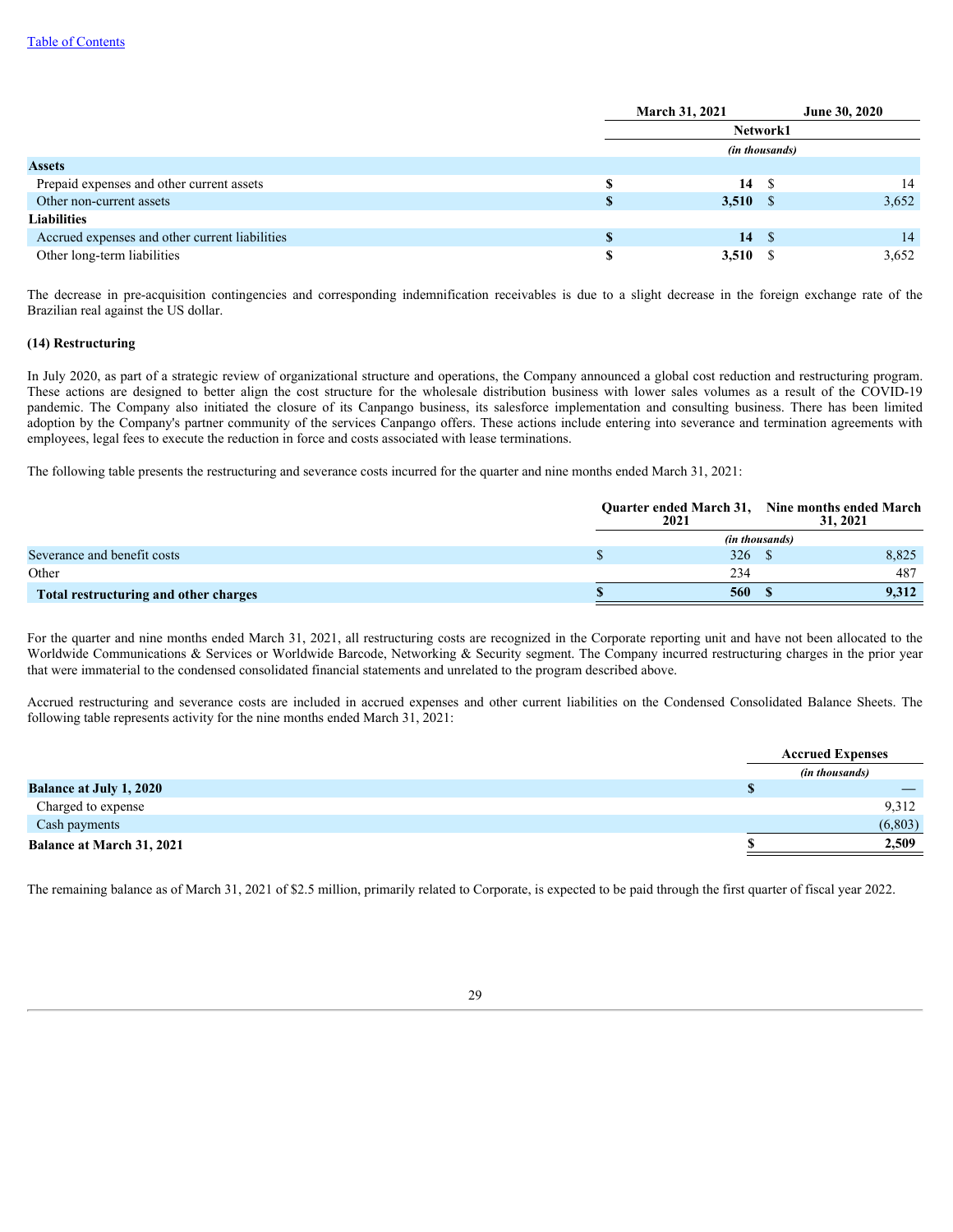| <b>Table of Contents</b>                                                                                                                                                                                                                                                                                                                                                                                                        |              |                                                         |               |
|---------------------------------------------------------------------------------------------------------------------------------------------------------------------------------------------------------------------------------------------------------------------------------------------------------------------------------------------------------------------------------------------------------------------------------|--------------|---------------------------------------------------------|---------------|
|                                                                                                                                                                                                                                                                                                                                                                                                                                 |              |                                                         |               |
|                                                                                                                                                                                                                                                                                                                                                                                                                                 |              |                                                         |               |
|                                                                                                                                                                                                                                                                                                                                                                                                                                 |              | March 31, 2021                                          | June 30, 2020 |
|                                                                                                                                                                                                                                                                                                                                                                                                                                 |              | Network1                                                |               |
|                                                                                                                                                                                                                                                                                                                                                                                                                                 |              | (in thousands)                                          |               |
| <b>Assets</b>                                                                                                                                                                                                                                                                                                                                                                                                                   |              |                                                         |               |
| Prepaid expenses and other current assets                                                                                                                                                                                                                                                                                                                                                                                       | <b>S</b>     | 14S                                                     | 14            |
| Other non-current assets                                                                                                                                                                                                                                                                                                                                                                                                        | $\mathbf{s}$ | $3,510$ \$                                              | 3,652         |
| Liabilities                                                                                                                                                                                                                                                                                                                                                                                                                     |              |                                                         |               |
| Accrued expenses and other current liabilities                                                                                                                                                                                                                                                                                                                                                                                  | $\mathbb{S}$ | 14S                                                     | 14            |
| Other long-term liabilities                                                                                                                                                                                                                                                                                                                                                                                                     | $\mathbf S$  | $3,510$ \$                                              | 3,652         |
| The decrease in pre-acquisition contingencies and corresponding indemnification receivables is due to a slight decrease in the foreign exchange rate of the<br>Brazilian real against the US dollar.                                                                                                                                                                                                                            |              |                                                         |               |
| (14) Restructuring                                                                                                                                                                                                                                                                                                                                                                                                              |              |                                                         |               |
| In July 2020, as part of a strategic review of organizational structure and operations, the Company announced a global cost reduction and restructuring program.                                                                                                                                                                                                                                                                |              |                                                         |               |
| These actions are designed to better align the cost structure for the wholesale distribution business with lower sales volumes as a result of the COVID-19                                                                                                                                                                                                                                                                      |              |                                                         |               |
| pandemic. The Company also initiated the closure of its Canpango business, its salesforce implementation and consulting business. There has been limited<br>adoption by the Company's partner community of the services Canpango offers. These actions include entering into severance and termination agreements with<br>employees, legal fees to execute the reduction in force and costs associated with lease terminations. |              |                                                         |               |
| The following table presents the restructuring and severance costs incurred for the quarter and nine months ended March 31, 2021:                                                                                                                                                                                                                                                                                               |              |                                                         |               |
|                                                                                                                                                                                                                                                                                                                                                                                                                                 |              | Quarter ended March 31, Nine months ended March<br>2021 | 31, 2021      |
|                                                                                                                                                                                                                                                                                                                                                                                                                                 |              |                                                         |               |

### **(14) Restructuring**

| I repara expenses and other carrent assets                                                                                                                                                                                                                                                                                                                                                                                                                                                                                                                                                                                                                                                                                                                        |              |               |                | $\mathbf{1}$                                                |
|-------------------------------------------------------------------------------------------------------------------------------------------------------------------------------------------------------------------------------------------------------------------------------------------------------------------------------------------------------------------------------------------------------------------------------------------------------------------------------------------------------------------------------------------------------------------------------------------------------------------------------------------------------------------------------------------------------------------------------------------------------------------|--------------|---------------|----------------|-------------------------------------------------------------|
| Other non-current assets                                                                                                                                                                                                                                                                                                                                                                                                                                                                                                                                                                                                                                                                                                                                          | $\mathbf{s}$ | $3,510$ \$    |                | 3,652                                                       |
| <b>Liabilities</b>                                                                                                                                                                                                                                                                                                                                                                                                                                                                                                                                                                                                                                                                                                                                                |              |               |                |                                                             |
| Accrued expenses and other current liabilities                                                                                                                                                                                                                                                                                                                                                                                                                                                                                                                                                                                                                                                                                                                    |              | 14S           |                | 14                                                          |
| Other long-term liabilities                                                                                                                                                                                                                                                                                                                                                                                                                                                                                                                                                                                                                                                                                                                                       | <b>S</b>     | $3,510$ \$    |                | 3,652                                                       |
| The decrease in pre-acquisition contingencies and corresponding indemnification receivables is due to a slight decrease in the foreign exchange rate of the<br>Brazilian real against the US dollar.<br>(14) Restructuring                                                                                                                                                                                                                                                                                                                                                                                                                                                                                                                                        |              |               |                |                                                             |
| In July 2020, as part of a strategic review of organizational structure and operations, the Company announced a global cost reduction and restructuring program.<br>These actions are designed to better align the cost structure for the wholesale distribution business with lower sales volumes as a result of the COVID-19<br>pandemic. The Company also initiated the closure of its Canpango business, its salesforce implementation and consulting business. There has been limited<br>adoption by the Company's partner community of the services Canpango offers. These actions include entering into severance and termination agreements with<br>employees, legal fees to execute the reduction in force and costs associated with lease terminations. |              |               |                |                                                             |
| The following table presents the restructuring and severance costs incurred for the quarter and nine months ended March 31, 2021:                                                                                                                                                                                                                                                                                                                                                                                                                                                                                                                                                                                                                                 |              |               |                |                                                             |
|                                                                                                                                                                                                                                                                                                                                                                                                                                                                                                                                                                                                                                                                                                                                                                   | 2021         |               |                | Quarter ended March 31, Nine months ended March<br>31, 2021 |
|                                                                                                                                                                                                                                                                                                                                                                                                                                                                                                                                                                                                                                                                                                                                                                   |              |               | (in thousands) |                                                             |
| Severance and benefit costs                                                                                                                                                                                                                                                                                                                                                                                                                                                                                                                                                                                                                                                                                                                                       | $\mathbf{S}$ | $326$ \$      |                | 8,825                                                       |
| Other                                                                                                                                                                                                                                                                                                                                                                                                                                                                                                                                                                                                                                                                                                                                                             |              | 234           |                | 487                                                         |
| Total restructuring and other charges                                                                                                                                                                                                                                                                                                                                                                                                                                                                                                                                                                                                                                                                                                                             |              | 560 \$        |                | 9,312                                                       |
| For the quarter and nine months ended March 31, 2021, all restructuring costs are recognized in the Corporate reporting unit and have not been allocated to the<br>Worldwide Communications & Services or Worldwide Barcode, Networking & Security segment. The Company incurred restructuring charges in the prior year<br>that were immaterial to the condensed consolidated financial statements and unrelated to the program described above.<br>Accrued restructuring and severance costs are included in accrued expenses and other current liabilities on the Condensed Consolidated Balance Sheets. The<br>following table represents activity for the nine months ended March 31, 2021:                                                                  |              |               |                |                                                             |
|                                                                                                                                                                                                                                                                                                                                                                                                                                                                                                                                                                                                                                                                                                                                                                   |              |               |                |                                                             |
|                                                                                                                                                                                                                                                                                                                                                                                                                                                                                                                                                                                                                                                                                                                                                                   |              |               |                | <b>Accrued Expenses</b>                                     |
|                                                                                                                                                                                                                                                                                                                                                                                                                                                                                                                                                                                                                                                                                                                                                                   |              |               |                | (in thousands)                                              |
| <b>Balance at July 1, 2020</b>                                                                                                                                                                                                                                                                                                                                                                                                                                                                                                                                                                                                                                                                                                                                    |              | $\mathcal{S}$ |                | $\qquad \qquad -$                                           |
| Charged to expense<br>Cash payments                                                                                                                                                                                                                                                                                                                                                                                                                                                                                                                                                                                                                                                                                                                               |              |               |                | 9,312<br>(6,803)                                            |

|                                  | <b>Accrued Expenses</b> |         |
|----------------------------------|-------------------------|---------|
|                                  | (in thousands)          |         |
| <b>Balance at July 1, 2020</b>   |                         |         |
| Charged to expense               |                         | 9,312   |
| Cash payments                    |                         | (6,803) |
| <b>Balance at March 31, 2021</b> |                         | 2,509   |

The remaining balance as of March 31, 2021 of \$2.5 million, primarily related to Corporate, is expected to be paid through the first quarter of fiscal year 2022.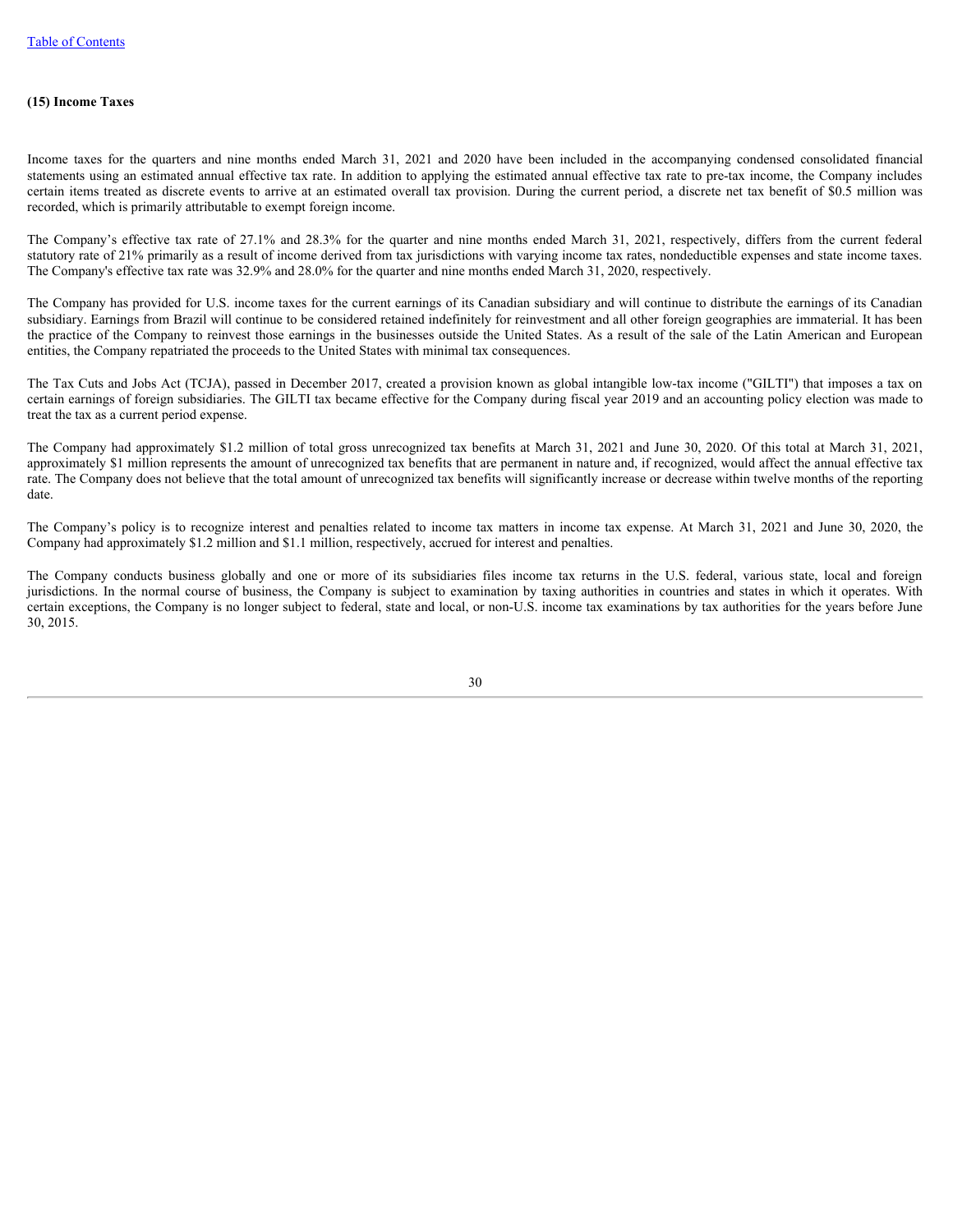## **(15) Income Taxes**

Tableof Contents<br>Income taxes for the quarters and nine months ended March 31, 2021 and 2020 have been included in the accompanying condensed consolidated financial<br>statements using an estimated amual effective tax rate. statements using an estimated annual effective tax rate. In addition to applying the estimated annual effective tax rate to pre-tax income, the Company includes certain items treated as discrete events to arrive at an estimated overall tax provision. During the current period, a discrete net tax benefit of \$0.5 million was recorded, which is primarily attributable to exempt foreign income.

statutory rate of 21% primarily as a result of income derived from tax jurisdictions with varying income tax rates, nondeductible expenses and state income taxes. The Company's effective tax rate was 32.9% and 28.0% for the quarter and nine months ended March 31, 2020, respectively.

Table of Contents<br>
(15) Income Taxes<br>
Income Taxes<br>
income taxes for the quarters and nine months ended March 31, 2021 and 2020 have been included in the accompanying condensed consolidated financial<br>
insternation iterated The Company has provided for U.S. income taxes for the current earnings of its Canadian subsidiary and will continue to distribute the earnings of its Canadian subsidiary. Earnings from Brazil will continue to be considered retained indefinitely for reinvestment and all other foreign geographies are immaterial. It has been the practice of the Company to reinvest those earnings in the businesses outside the United States. As a result of the sale of the Latin American and European entities, the Company repatriated the proceeds to the United States with minimal tax consequences. Timbe of Communis<br>
1(8) Income Taxes<br>
1(8) Theome Taxes<br>
1(8) Theome Taxes<br>
Income mass are interested annual effective ins rate in additional in applying the extension annual effective to recognize interest and percent an (15) Income Taxes<br>
Income taxes for the quanter and nine media and of March 31, 2011 and 2006 have been included in the accompanying condensed considered financial<br>
including an extended an electric come for or more or mor

The Tax Cuts and Jobs Act (TCJA), passed in December 2017, created a provision known as global intangible low-tax income ("GILTI") that imposes a tax on certain earnings of foreign subsidiaries. The GILTI tax became effective for the Company during fiscal year 2019 and an accounting policy election was made to treat the tax as a current period expense.

The Company had approximately \$1.2 million of total gross unrecognized tax benefits at March 31, 2021 and June 30, 2020. Of this total at March 31, 2021, approximately \$1 million represents the amount of unrecognized tax benefits that are permanent in nature and, if recognized, would affect the annual effective tax rate. The Company does not believe that the total amount of unrecognized tax benefits will significantly increase or decrease within twelve months of the reporting date.

Company had approximately \$1.2 million and \$1.1 million, respectively, accrued for interest and penalties.

jurisdictions. In the normal course of business, the Company is subject to examination by taxing authorities in countries and states in which it operates. With certain exceptions, the Company is no longer subject to federal, state and local, or non-U.S. income tax examinations by tax authorities for the years before June 30, 2015.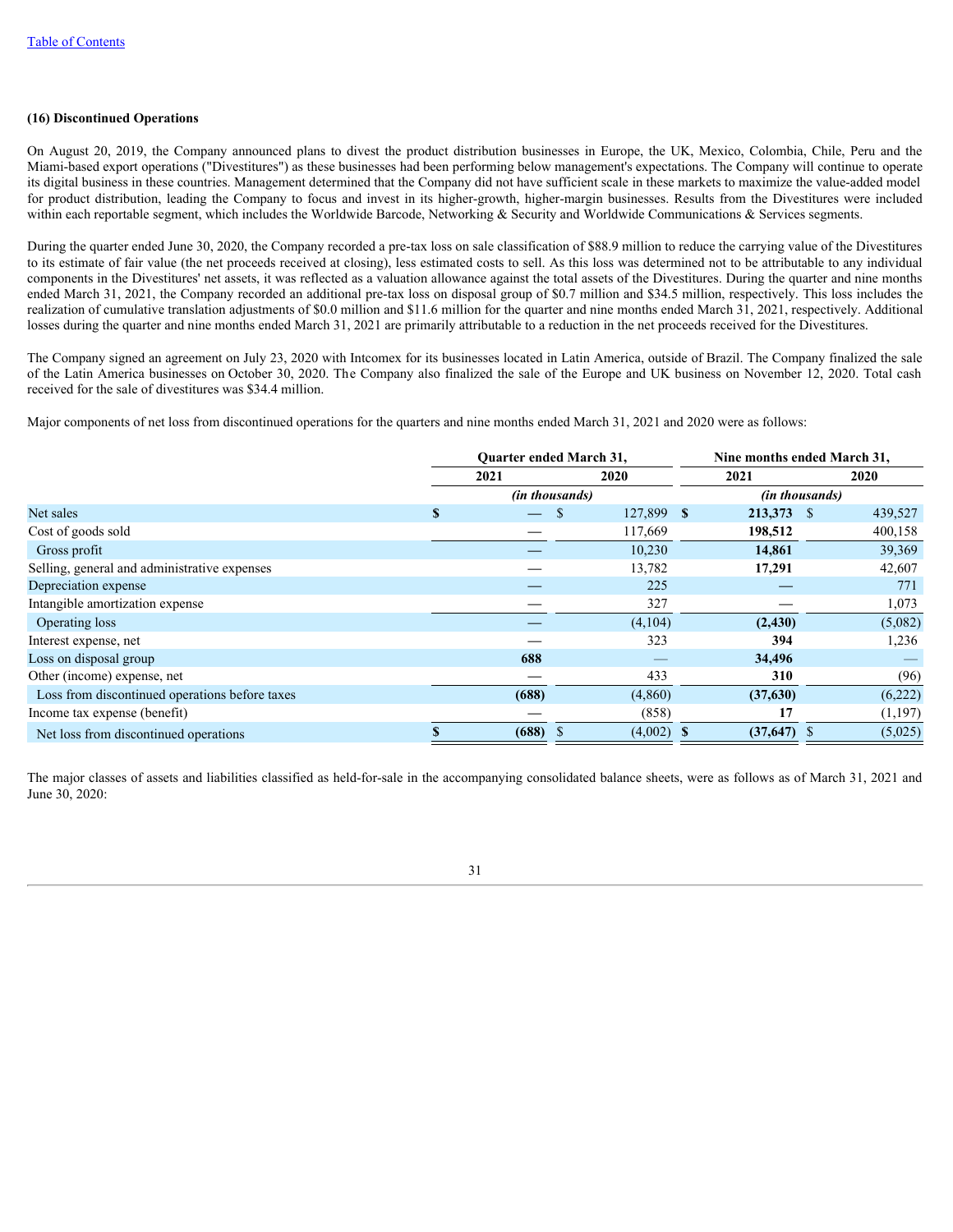## **(16) Discontinued Operations**

Tableof Contents<br>
On August 20, 2019, the Company amounced plans to divest the product distribution businesses in Europe, the UK, Mexico, Colombia, Chile, Peru and the<br>
Miami-based export operations ("Divestitures") as th Miami-based export operations ("Divestitures") as these businesses had been performing below management's expectations. The Company will continue to operate its digital business in these countries. Management determined that the Company did not have sufficient scale in these markets to maximize the value-added model<br>for product distribution, leading the Company to focus and in within each reportable segment, which includes the Worldwide Barcode, Networking & Security and Worldwide Communications & Services segments.

Table of Contents<br>(16) Discontinued Operations<br>On Anguat 20, 2019, the Company amounced plans to divest the product distribution businesses in Europe, the UK, Mexico, Colombia, Chile, Peru and the<br>Miami-based export operat During the quarter ended June 30, 2020, the Company recorded a pre-tax loss on sale classification of \$88.9 million to reduce the carrying value of the Divestitures to its estimate of fair value (the net proceeds received at closing), less estimated costs to sell. As this loss was determined not to be attributable to any individual components in the Divestitures' net assets, it was reflected as a valuation allowance against the total assets of the Divestitures. During the quarter and nine months ended March 31, 2021, the Company recorded an additional pre-tax loss on disposal group of \$0.7 million and \$34.5 million, respectively. This loss includes the realization of cumulative translation adjustments of \$0.0 million and \$11.6 million for the quarter and nine months ended March 31, 2021, respectively. Additional losses during the quarter and nine months ended March 31, 2021 are primarily attributable to a reduction in the net proceeds received for the Divestitures.

The Company signed an agreement on July 23, 2020 with Intcomex for its businesses located in Latin America, outside of Brazil. The Company finalized the sale of the Latin America businesses on October 30, 2020. The Company also finalized the sale of the Europe and UK business on November 12, 2020. Total cash received for the sale of divestitures was \$34.4 million.

Major components of net loss from discontinued operations for the quarters and nine months ended March 31, 2021 and 2020 were as follows:

|                                                |                   | <b>Ouarter ended March 31,</b> | Nine months ended March 31, |         |
|------------------------------------------------|-------------------|--------------------------------|-----------------------------|---------|
|                                                | 2021              | 2020                           | 2021                        | 2020    |
|                                                |                   | <i>(in thousands)</i>          | <i>(in thousands)</i>       |         |
| Net sales                                      |                   | 127,899 \$<br>$-$ S            | 213,373 \$                  | 439,527 |
| Cost of goods sold                             | —                 | 117,669                        | 198,512                     | 400,158 |
| Gross profit                                   |                   | 10,230                         | 14,861                      | 39,369  |
| Selling, general and administrative expenses   |                   | 13,782                         | 17,291                      | 42,607  |
| Depreciation expense                           |                   | 225                            |                             | 771     |
| Intangible amortization expense                | $\hspace{0.05cm}$ | 327                            |                             | 1,073   |
| Operating loss                                 |                   | (4,104)                        | (2,430)                     | (5,082) |
| Interest expense, net                          |                   | 323                            | 394                         | 1,236   |
| Loss on disposal group                         | 688               |                                | 34,496                      |         |
| Other (income) expense, net                    | $\hspace{0.05cm}$ | 433                            | 310                         | (96)    |
| Loss from discontinued operations before taxes | (688)             | (4,860)                        | (37, 630)                   | (6,222) |
| Income tax expense (benefit)                   | $\hspace{0.05cm}$ | (858)                          | 17                          | (1,197) |
| Net loss from discontinued operations          | (688)             | $(4,002)$ \$                   | $(37,647)$ \$               | (5,025) |

The major classes of assets and liabilities classified as held-for-sale in the accompanying consolidated balance sheets, were as follows as of March 31, 2021 and June 30, 2020: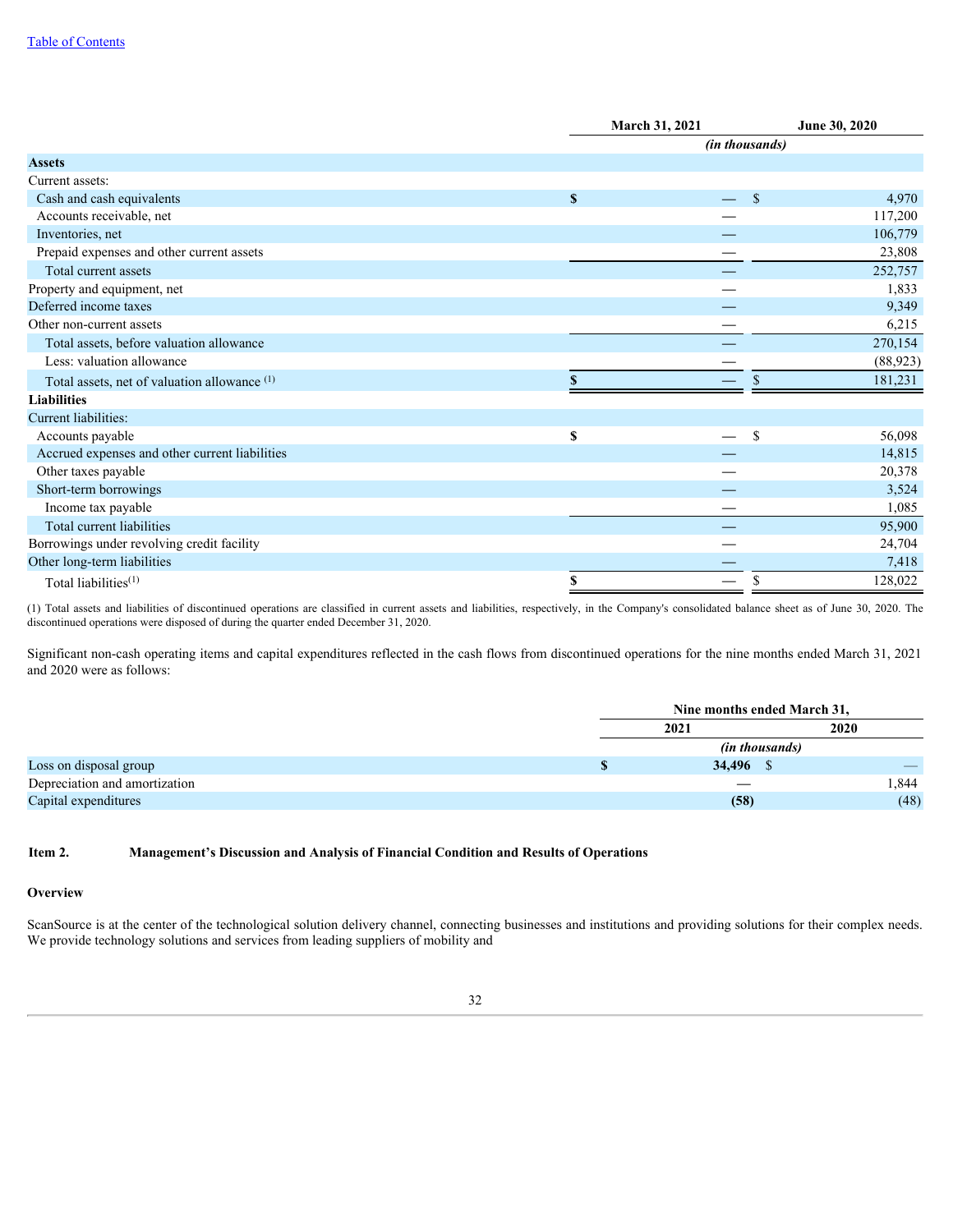|                                                                                                                                                                                                  |             | March 31, 2021              | June 30, 2020 |
|--------------------------------------------------------------------------------------------------------------------------------------------------------------------------------------------------|-------------|-----------------------------|---------------|
|                                                                                                                                                                                                  |             | (in thousands)              |               |
| <b>Assets</b>                                                                                                                                                                                    |             |                             |               |
| Current assets:                                                                                                                                                                                  |             |                             |               |
| Cash and cash equivalents                                                                                                                                                                        | S           |                             | 4,970         |
| Accounts receivable, net                                                                                                                                                                         |             |                             | 117,200       |
| Inventories, net                                                                                                                                                                                 |             |                             | 106,779       |
| Prepaid expenses and other current assets                                                                                                                                                        |             |                             | 23,808        |
| Total current assets                                                                                                                                                                             |             |                             | 252,757       |
| Property and equipment, net                                                                                                                                                                      |             |                             | 1,833         |
| Deferred income taxes                                                                                                                                                                            |             |                             | 9,349         |
| Other non-current assets                                                                                                                                                                         |             | —                           | 6,215         |
| Total assets, before valuation allowance                                                                                                                                                         |             |                             | 270,154       |
| Less: valuation allowance                                                                                                                                                                        |             |                             | (88, 923)     |
| Total assets, net of valuation allowance (1)                                                                                                                                                     | \$          | -S                          | 181,231       |
| Liabilities                                                                                                                                                                                      |             |                             |               |
| Current liabilities:                                                                                                                                                                             |             |                             |               |
| Accounts payable                                                                                                                                                                                 | $\mathbb S$ |                             | 56,098        |
| Accrued expenses and other current liabilities                                                                                                                                                   |             |                             | 14,815        |
| Other taxes payable                                                                                                                                                                              |             |                             | 20,378        |
| Short-term borrowings                                                                                                                                                                            |             |                             | 3,524         |
| Income tax payable                                                                                                                                                                               |             |                             | 1,085         |
| Total current liabilities                                                                                                                                                                        |             |                             | 95,900        |
| Borrowings under revolving credit facility                                                                                                                                                       |             |                             | 24,704        |
| Other long-term liabilities                                                                                                                                                                      |             |                             | 7,418         |
| Total liabilities <sup>(1)</sup>                                                                                                                                                                 |             | $\overline{\phantom{0}}$    | 128,022       |
| (1) Total assets and liabilities of discontinued operations are classified in current assets and liabilities, respectively, in the Company's consolidated balance sheet as of June 30, 2020. The |             |                             |               |
| discontinued operations were disposed of during the quarter ended December 31, 2020.                                                                                                             |             |                             |               |
| Significant non-cash operating items and capital expenditures reflected in the cash flows from discontinued operations for the nine months ended March 31, 2021<br>and 2020 were as follows:     |             |                             |               |
|                                                                                                                                                                                                  |             | Nine months ended March 31, |               |
|                                                                                                                                                                                                  |             |                             |               |

|                               | Nine months ended March 31, |                               |
|-------------------------------|-----------------------------|-------------------------------|
|                               | 2021                        | 2020                          |
|                               | <i>(in thousands)</i>       |                               |
| Loss on disposal group        | 34,496 \$                   | $\overbrace{\phantom{aaaaa}}$ |
| Depreciation and amortization | $\overline{\phantom{m}}$    | 1,844                         |
| Capital expenditures          | (58)                        | (48)                          |

<span id="page-31-0"></span>**Item 2. Management's Discussion and Analysis of Financial Condition and Results of Operations**

## **Overview Overview**

ScanSource is at the center of the technological solution delivery channel, connecting businesses and institutions and providing solutions for their complex needs. We provide technology solutions and services from leading suppliers of mobility and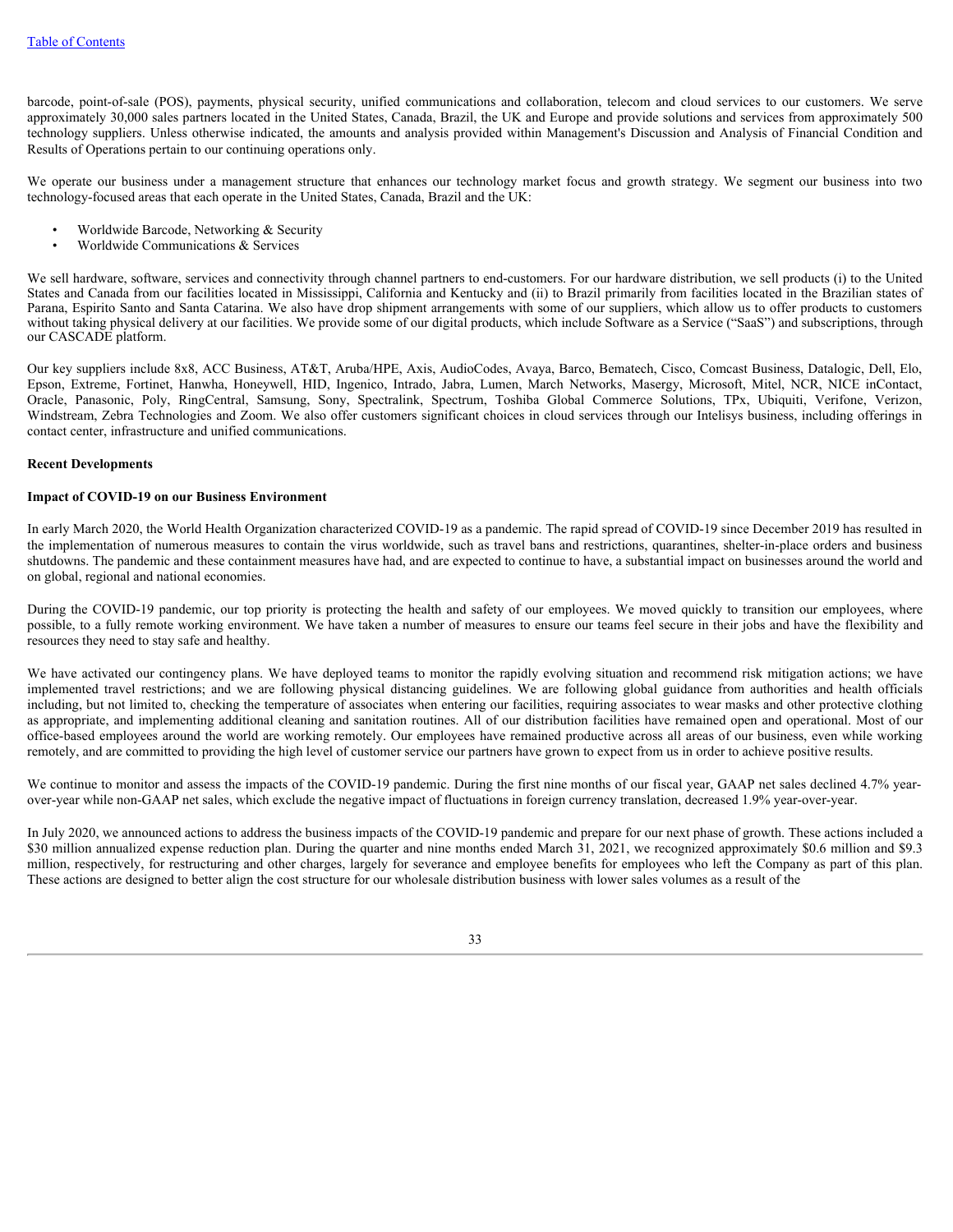Tableof Contents<br>barcode, point-of-sale (POS), payments, physical security, unified communications and collaboration, telecom and cloud services to our customers. We serve<br>approximately 30,000 sales partners located in th approximately 30,000 sales partners located in the United States, Canada, Brazil, the UK and Europe and provide solutions and services from approximately 500 technology suppliers. Unless otherwise indicated, the amounts and analysis provided within Management's Discussion and Analysis of Financial Condition and Results of Operations pertain to our continuing operations only. Table of Contents<br>
barcode, point-of-sale (POS), payments, physical security, unified communications and collaboration, telecom and cloud services to our customers. We serve<br>
deproximately 30,000 sales partnes located in t

technology-focused areas that each operate in the United States, Canada, Brazil and the UK:

- Worldwide Barcode, Networking & Security
- Worldwide Communications & Services

We sell hardware, software, services and connectivity through channel partners to end-customers. For our hardware distribution, we sell products (i) to the United States and Canada from our facilities located in Mississippi, California and Kentucky and (ii) to Brazil primarily from facilities located in the Brazilian states of Parana, Espirito Santo and Santa Catarina. We also have drop shipment arrangements with some of our suppliers, which allow us to offer products to customers without taking physical delivery at our facilities. We provide some of our digital products, which include Software as a Service ("SaaS") and subscriptions, through our CASCADE platform.

Our key suppliers include 8x8, ACC Business, AT&T, Aruba/HPE, Axis, AudioCodes, Avaya, Barco, Bematech, Cisco, Comcast Business, Datalogic, Dell, Elo, The solution is the solution & Fortinet is the solution of the solution of the solution of the solution of the solution of the solution of the solution of the solution of the solution of the solution of the solution of the Table of Contents<br>
Neveale, point-of-sale (POS), payments, physical seturity, unified communications and collaboration, telecom and doud services to our customers. We servel<br>
networking by 900000 sales partners located in Windstream, Zebra Technologies and Zoom. We also offer customers significant choices in cloud services through our Intelisys business, including offerings in contact center, infrastructure and unified communications.

#### **Recent Developments**

#### **Impact of COVID-19 on our Business Environment**

In early March 2020, the World Health Organization characterized COVID-19 as a pandemic. The rapid spread of COVID-19 since December 2019 has resulted in the implementation of numerous measures to contain the virus worldwide, such as travel bans and restrictions, quarantines, shelter-in-place orders and business shutdowns. The pandemic and these containment measures have had, and are expected to continue to have, a substantial impact on businesses around the world and on global, regional and national economies.

During the COVID-19 pandemic, our top priority is protecting the health and safety of our employees. We moved quickly to transition our employees, where possible, to a fully remote working environment. We have taken a number of measures to ensure our teams feel secure in their jobs and have the flexibility and resources they need to stay safe and healthy.

We have activated our contingency plans. We have deployed teams to monitor the rapidly evolving situation and recommend risk mitigation actions; we have We entrie on Pointes under transported travel reduced to the choice of trace of the content of the content of the strictions; and a content of the content of the content of the content of the content of the content of the including, but not limited to, checking the temperature of associates when entering our facilities, requiring associates to wear masks and other protective clothing as appropriate, and implementing additional cleaning and sanitation routines. All of our distribution facilities have remained open and operational. Most of our office-based employees around the world are working remotely. Our employees have remained productive across all areas of our business, even while working remotely, and are committed to providing the high level of customer service our partners have grown to expect from us in order to achieve positive results.

We continue to monitor and assess the impacts of the COVID-19 pandemic. During the first nine months of our fiscal year, GAAP net sales declined 4.7% yearover-year while non-GAAP net sales, which exclude the negative impact of fluctuations in foreign currency translation, decreased 1.9% year-over-year.

In July 2020, we announced actions to address the business impacts of the COVID-19 pandemic and prepare for our next phase of growth. These actions included a \$30 million annualized expense reduction plan. During the quarter and nine months ended March 31, 2021, we recognized approximately \$0.6 million and \$9.3 million, respectively, for restructuring and other charges, largely for severance and employee benefits for employees who left the Company as part of this plan. These actions are designed to better align the cost structure for our wholesale distribution business with lower sales volumes as a result of the

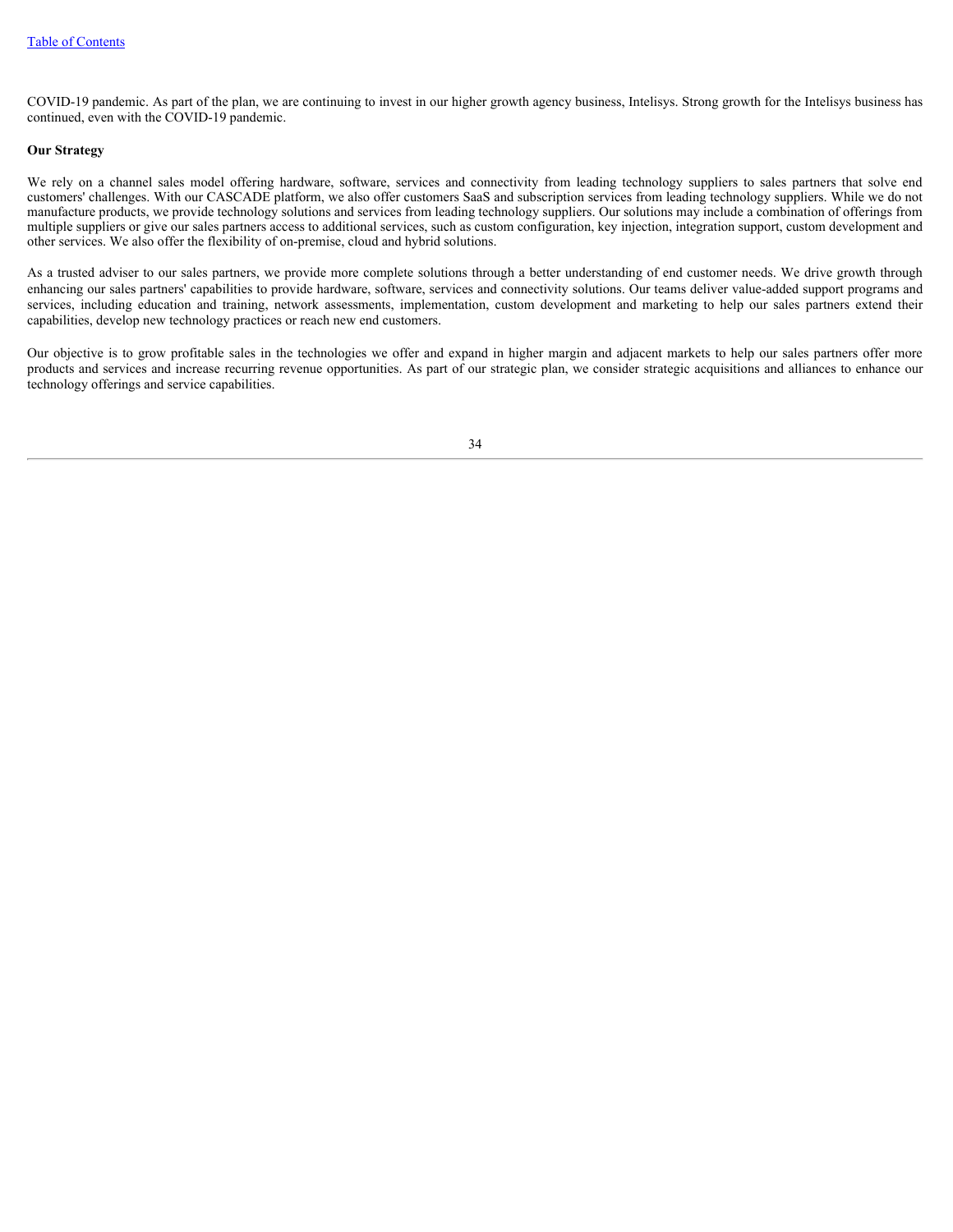COVID-19 pandemic. As part of the plan, we are continuing to invest in our higher growth agency business, Intelisys. Strong growth for the Intelisys business has continued, even with the COVID-19 pandemic.

## **Our Strategy**

Tableof Contents<br>COVID-19 pandemic. As part of the plan, we are continuing to invest in our higher growth agency business, Intelisys. Strong growth for the Intelisys business has<br>continued, even with the COVID-19 pandemic customers' challenges. With our CASCADE platform, we also offer customers SaaS and subscription services from leading technology suppliers. While we do not manufacture products, we provide technology solutions and services from leading technology suppliers. Our solutions may include a combination of offerings from multiple suppliers or give our sales partners access to additional services, such as custom configuration, key injection, integration support, custom development and other services. We also offer the flexibility of on-premise, cloud and hybrid solutions. Table of Contents<br>COVID-19 pandemic. As part of the plan, we are continuing to invest in our higher growth agency business, Intelisys. Strong growth for the Intelisys business has<br>contrinued, coen with the COVID-19 pandemi

As a trusted adviser to our sales partners, we provide more complete solutions through a better understanding of end customer needs. We drive growth through enhancing our sales partners' capabilities to provide hardware, software, services and connectivity solutions. Our teams deliver value-added support programs and capabilities, develop new technology practices or reach new end customers.

Our objective is to grow profitable sales in the technologies we offer and expand in higher margin and adjacent markets to help our sales partners offer more products and services and increase recurring revenue opportunities. As part of our strategic plan, we consider strategic acquisitions and alliances to enhance our technology offerings and service capabilities.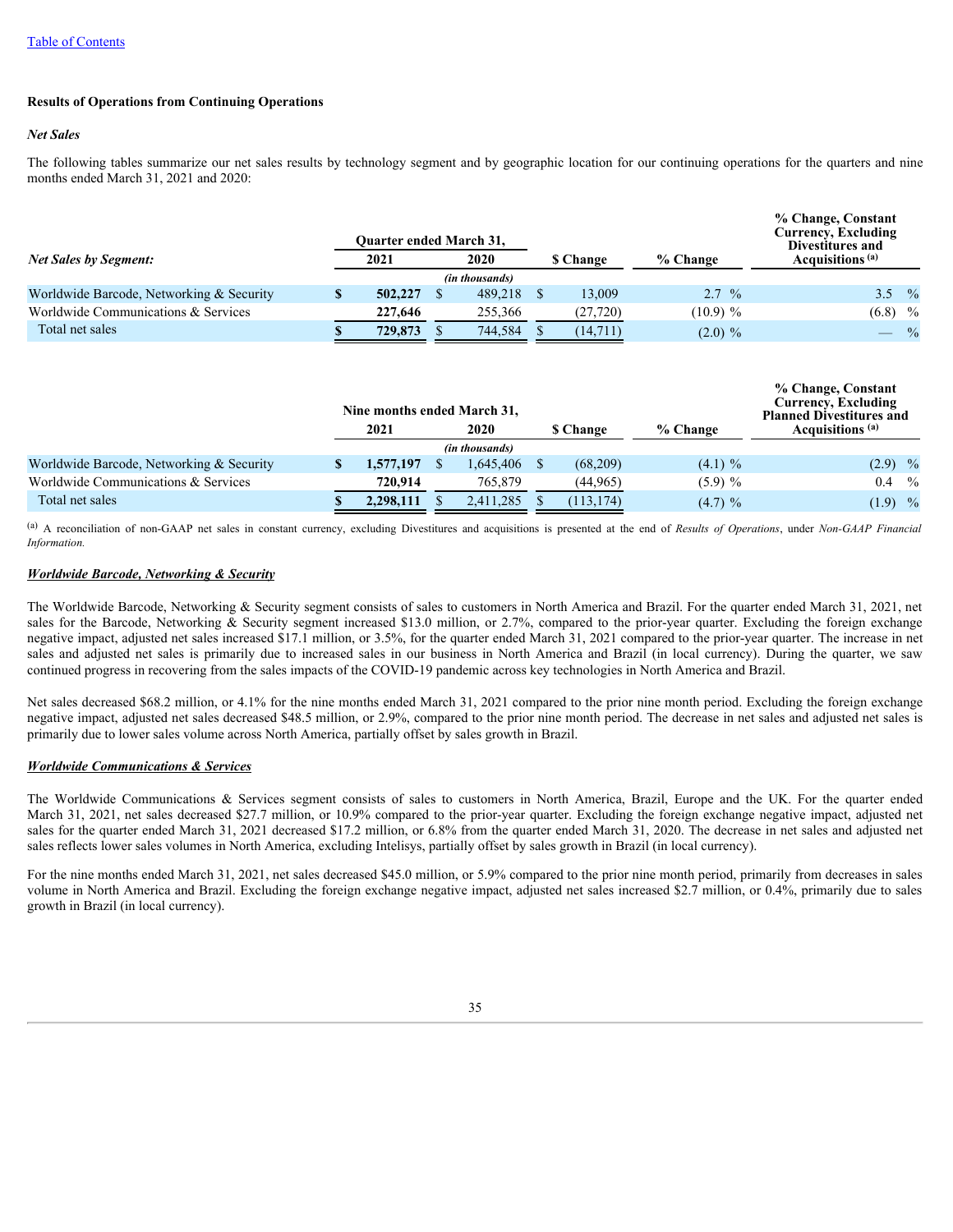## **Results of Operations from Continuing Operations**

## *Net Sales*

| <b>Results of Operations from Continuing Operations</b>                                                                                                                                                                                                                                                                                                                                                                                                                                                                                                                                                                                                                                                                                                                                                                                                                                                                                                                                                                                                                                                                                                                                                                                                                                                                                                           |              |                                                          |      |                |                            |            |                                                                                                             |
|-------------------------------------------------------------------------------------------------------------------------------------------------------------------------------------------------------------------------------------------------------------------------------------------------------------------------------------------------------------------------------------------------------------------------------------------------------------------------------------------------------------------------------------------------------------------------------------------------------------------------------------------------------------------------------------------------------------------------------------------------------------------------------------------------------------------------------------------------------------------------------------------------------------------------------------------------------------------------------------------------------------------------------------------------------------------------------------------------------------------------------------------------------------------------------------------------------------------------------------------------------------------------------------------------------------------------------------------------------------------|--------------|----------------------------------------------------------|------|----------------|----------------------------|------------|-------------------------------------------------------------------------------------------------------------|
| <b>Net Sales</b>                                                                                                                                                                                                                                                                                                                                                                                                                                                                                                                                                                                                                                                                                                                                                                                                                                                                                                                                                                                                                                                                                                                                                                                                                                                                                                                                                  |              |                                                          |      |                |                            |            |                                                                                                             |
| The following tables summarize our net sales results by technology segment and by geographic location for our continuing operations for the quarters and nine<br>months ended March 31, 2021 and 2020:                                                                                                                                                                                                                                                                                                                                                                                                                                                                                                                                                                                                                                                                                                                                                                                                                                                                                                                                                                                                                                                                                                                                                            |              |                                                          |      |                |                            |            |                                                                                                             |
| <b>Net Sales by Segment:</b>                                                                                                                                                                                                                                                                                                                                                                                                                                                                                                                                                                                                                                                                                                                                                                                                                                                                                                                                                                                                                                                                                                                                                                                                                                                                                                                                      |              | Quarter ended March 31,<br>2021                          |      | 2020           | \$ Change                  | % Change   | % Change, Constant<br><b>Currency, Excluding</b><br>Divestitures and<br>Acquisitions <sup>(a)</sup>         |
|                                                                                                                                                                                                                                                                                                                                                                                                                                                                                                                                                                                                                                                                                                                                                                                                                                                                                                                                                                                                                                                                                                                                                                                                                                                                                                                                                                   |              |                                                          |      | (in thousands) |                            |            |                                                                                                             |
| Worldwide Barcode, Networking & Security                                                                                                                                                                                                                                                                                                                                                                                                                                                                                                                                                                                                                                                                                                                                                                                                                                                                                                                                                                                                                                                                                                                                                                                                                                                                                                                          | $\mathbf{s}$ | 502,227                                                  | - \$ | 489,218 \$     | 13,009                     | $2.7\%$    | $3.5 \frac{9}{6}$                                                                                           |
| Worldwide Communications & Services                                                                                                                                                                                                                                                                                                                                                                                                                                                                                                                                                                                                                                                                                                                                                                                                                                                                                                                                                                                                                                                                                                                                                                                                                                                                                                                               |              | 227,646                                                  |      | 255,366        | (27, 720)                  | (10.9) %   | $(6.8)$ %                                                                                                   |
| Total net sales                                                                                                                                                                                                                                                                                                                                                                                                                                                                                                                                                                                                                                                                                                                                                                                                                                                                                                                                                                                                                                                                                                                                                                                                                                                                                                                                                   |              | 729,873                                                  |      | 744,584        | (14,711)<br><sup>S</sup>   | $(2.0) \%$ | $-$ %                                                                                                       |
|                                                                                                                                                                                                                                                                                                                                                                                                                                                                                                                                                                                                                                                                                                                                                                                                                                                                                                                                                                                                                                                                                                                                                                                                                                                                                                                                                                   |              | Nine months ended March 31,<br>2021<br>2020<br>\$ Change |      |                |                            | % Change   | % Change, Constant<br>Currency, Excluding<br><b>Planned Divestitures and</b><br>Acquisitions <sup>(a)</sup> |
|                                                                                                                                                                                                                                                                                                                                                                                                                                                                                                                                                                                                                                                                                                                                                                                                                                                                                                                                                                                                                                                                                                                                                                                                                                                                                                                                                                   |              |                                                          |      | (in thousands) |                            |            |                                                                                                             |
| Worldwide Barcode, Networking & Security                                                                                                                                                                                                                                                                                                                                                                                                                                                                                                                                                                                                                                                                                                                                                                                                                                                                                                                                                                                                                                                                                                                                                                                                                                                                                                                          |              | $1,577,197$ \$                                           |      | 1,645,406 \$   | (68,209)                   | $(4.1) \%$ | $(2.9)$ %                                                                                                   |
| Worldwide Communications & Services                                                                                                                                                                                                                                                                                                                                                                                                                                                                                                                                                                                                                                                                                                                                                                                                                                                                                                                                                                                                                                                                                                                                                                                                                                                                                                                               |              | 720,914                                                  |      | 765,879        | (44,965)                   | $(5.9) \%$ | $0.4\frac{6}{6}$                                                                                            |
| Total net sales                                                                                                                                                                                                                                                                                                                                                                                                                                                                                                                                                                                                                                                                                                                                                                                                                                                                                                                                                                                                                                                                                                                                                                                                                                                                                                                                                   |              | $2,298,111$ \$                                           |      | 2,411,285      | (113, 174)<br><sup>S</sup> | $(4.7) \%$ | $(1.9)$ %                                                                                                   |
|                                                                                                                                                                                                                                                                                                                                                                                                                                                                                                                                                                                                                                                                                                                                                                                                                                                                                                                                                                                                                                                                                                                                                                                                                                                                                                                                                                   |              |                                                          |      |                |                            |            |                                                                                                             |
| (a) A reconciliation of non-GAAP net sales in constant currency, excluding Divestitures and acquisitions is presented at the end of Results of Operations, under Non-GAAP Financial<br>Information.                                                                                                                                                                                                                                                                                                                                                                                                                                                                                                                                                                                                                                                                                                                                                                                                                                                                                                                                                                                                                                                                                                                                                               |              |                                                          |      |                |                            |            |                                                                                                             |
| <b>Worldwide Barcode, Networking &amp; Security</b><br>The Worldwide Barcode, Networking & Security segment consists of sales to customers in North America and Brazil. For the quarter ended March 31, 2021, net<br>sales for the Barcode, Networking & Security segment increased \$13.0 million, or 2.7%, compared to the prior-year quarter. Excluding the foreign exchange<br>negative impact, adjusted net sales increased \$17.1 million, or 3.5%, for the quarter ended March 31, 2021 compared to the prior-year quarter. The increase in net<br>sales and adjusted net sales is primarily due to increased sales in our business in North America and Brazil (in local currency). During the quarter, we saw<br>continued progress in recovering from the sales impacts of the COVID-19 pandemic across key technologies in North America and Brazil.<br>Net sales decreased \$68.2 million, or 4.1% for the nine months ended March 31, 2021 compared to the prior nine month period. Excluding the foreign exchange<br>negative impact, adjusted net sales decreased \$48.5 million, or 2.9%, compared to the prior nine month period. The decrease in net sales and adjusted net sales is<br>primarily due to lower sales volume across North America, partially offset by sales growth in Brazil.<br><b>Worldwide Communications &amp; Services</b> |              |                                                          |      |                |                            |            |                                                                                                             |

| Worldwide Barcode, Networking & Security                                                                                                                                                                                                                                                                                            | $\mathbf{S}$ | $502,227$ \$                | 489,218 \$     |              | 13,009     | $2.7\%$    | 3.5 $%$                                   |
|-------------------------------------------------------------------------------------------------------------------------------------------------------------------------------------------------------------------------------------------------------------------------------------------------------------------------------------|--------------|-----------------------------|----------------|--------------|------------|------------|-------------------------------------------|
| Worldwide Communications & Services                                                                                                                                                                                                                                                                                                 |              | 227,646                     | 255,366        |              | (27, 720)  | (10.9) %   | $(6.8)$ %                                 |
| Total net sales                                                                                                                                                                                                                                                                                                                     | $\mathbf{s}$ | 729,873 \$                  | 744,584 \$     |              | (14,711)   | $(2.0) \%$ | $-$ %                                     |
|                                                                                                                                                                                                                                                                                                                                     |              |                             |                |              |            |            |                                           |
|                                                                                                                                                                                                                                                                                                                                     |              |                             |                |              |            |            |                                           |
|                                                                                                                                                                                                                                                                                                                                     |              |                             |                |              |            |            | % Change, Constant<br>Currency, Excluding |
|                                                                                                                                                                                                                                                                                                                                     |              | Nine months ended March 31, |                |              |            |            | <b>Planned Divestitures and</b>           |
|                                                                                                                                                                                                                                                                                                                                     |              | 2021                        | 2020           |              | \$ Change  | % Change   | Acquisitions <sup>(a)</sup>               |
|                                                                                                                                                                                                                                                                                                                                     |              |                             | (in thousands) |              |            |            |                                           |
| Worldwide Barcode, Networking & Security                                                                                                                                                                                                                                                                                            | S.           | $1,577,197$ \$              | $1,645,406$ \$ |              | (68,209)   | $(4.1) \%$ | $(2.9)$ %                                 |
| Worldwide Communications & Services                                                                                                                                                                                                                                                                                                 |              | 720,914                     | 765,879        |              | (44,965)   | $(5.9) \%$ | $0.4 \t%$                                 |
| Total net sales                                                                                                                                                                                                                                                                                                                     |              | $2,298,111$ \$              | 2,411,285      | <sup>S</sup> | (113, 174) | $(4.7) \%$ | $(1.9)$ %                                 |
| (a) A reconciliation of non-GAAP net sales in constant currency, excluding Divestitures and acquisitions is presented at the end of Results of Operations, under Non-GAAP Financial                                                                                                                                                 |              |                             |                |              |            |            |                                           |
| Information.                                                                                                                                                                                                                                                                                                                        |              |                             |                |              |            |            |                                           |
|                                                                                                                                                                                                                                                                                                                                     |              |                             |                |              |            |            |                                           |
| <b>Worldwide Barcode, Networking &amp; Security</b>                                                                                                                                                                                                                                                                                 |              |                             |                |              |            |            |                                           |
|                                                                                                                                                                                                                                                                                                                                     |              |                             |                |              |            |            |                                           |
| The Worldwide Barcode, Networking & Security segment consists of sales to customers in North America and Brazil. For the quarter ended March 31, 2021, net                                                                                                                                                                          |              |                             |                |              |            |            |                                           |
| sales for the Barcode, Networking & Security segment increased \$13.0 million, or 2.7%, compared to the prior-year quarter. Excluding the foreign exchange                                                                                                                                                                          |              |                             |                |              |            |            |                                           |
| negative impact, adjusted net sales increased \$17.1 million, or 3.5%, for the quarter ended March 31, 2021 compared to the prior-year quarter. The increase in net                                                                                                                                                                 |              |                             |                |              |            |            |                                           |
| sales and adjusted net sales is primarily due to increased sales in our business in North America and Brazil (in local currency). During the quarter, we saw                                                                                                                                                                        |              |                             |                |              |            |            |                                           |
| continued progress in recovering from the sales impacts of the COVID-19 pandemic across key technologies in North America and Brazil.                                                                                                                                                                                               |              |                             |                |              |            |            |                                           |
|                                                                                                                                                                                                                                                                                                                                     |              |                             |                |              |            |            |                                           |
| Net sales decreased \$68.2 million, or 4.1% for the nine months ended March 31, 2021 compared to the prior nine month period. Excluding the foreign exchange                                                                                                                                                                        |              |                             |                |              |            |            |                                           |
| negative impact, adjusted net sales decreased \$48.5 million, or 2.9%, compared to the prior nine month period. The decrease in net sales and adjusted net sales is<br>primarily due to lower sales volume across North America, partially offset by sales growth in Brazil.                                                        |              |                             |                |              |            |            |                                           |
|                                                                                                                                                                                                                                                                                                                                     |              |                             |                |              |            |            |                                           |
| <b>Worldwide Communications &amp; Services</b>                                                                                                                                                                                                                                                                                      |              |                             |                |              |            |            |                                           |
|                                                                                                                                                                                                                                                                                                                                     |              |                             |                |              |            |            |                                           |
| The Worldwide Communications & Services segment consists of sales to customers in North America, Brazil, Europe and the UK. For the quarter ended                                                                                                                                                                                   |              |                             |                |              |            |            |                                           |
| March 31, 2021, net sales decreased \$27.7 million, or 10.9% compared to the prior-year quarter. Excluding the foreign exchange negative impact, adjusted net                                                                                                                                                                       |              |                             |                |              |            |            |                                           |
| sales for the quarter ended March 31, 2021 decreased \$17.2 million, or 6.8% from the quarter ended March 31, 2020. The decrease in net sales and adjusted net                                                                                                                                                                      |              |                             |                |              |            |            |                                           |
| sales reflects lower sales volumes in North America, excluding Intelisys, partially offset by sales growth in Brazil (in local currency).                                                                                                                                                                                           |              |                             |                |              |            |            |                                           |
|                                                                                                                                                                                                                                                                                                                                     |              |                             |                |              |            |            |                                           |
| For the nine months ended March 31, 2021, net sales decreased \$45.0 million, or 5.9% compared to the prior nine month period, primarily from decreases in sales<br>volume in North America and Brazil. Excluding the foreign exchange negative impact, adjusted net sales increased \$2.7 million, or 0.4%, primarily due to sales |              |                             |                |              |            |            |                                           |
| growth in Brazil (in local currency).                                                                                                                                                                                                                                                                                               |              |                             |                |              |            |            |                                           |
|                                                                                                                                                                                                                                                                                                                                     |              |                             |                |              |            |            |                                           |
|                                                                                                                                                                                                                                                                                                                                     |              |                             |                |              |            |            |                                           |

## *Worldwide Barcode, Networking & Security*

## *Worldwide Communications & Services*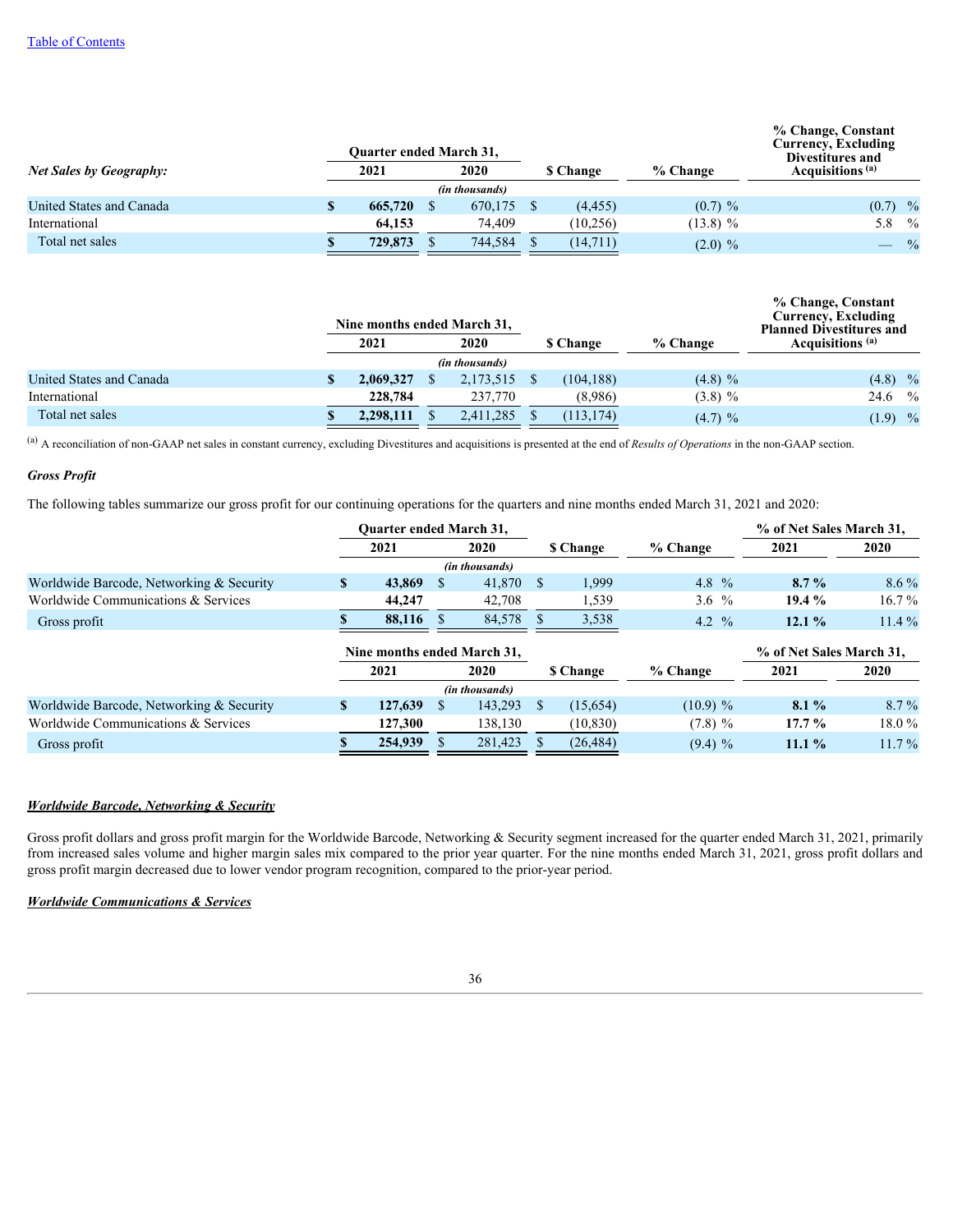|                                | <b>Ouarter ended March 31,</b> |                       |                 |             | % Change, Constant<br>Currency, Excluding<br>Divestitures and |
|--------------------------------|--------------------------------|-----------------------|-----------------|-------------|---------------------------------------------------------------|
| <b>Net Sales by Geography:</b> | 2021                           | 2020                  | <b>S</b> Change | % Change    | Acquisitions <sup>(a)</sup>                                   |
|                                |                                | <i>(in thousands)</i> |                 |             |                                                               |
| United States and Canada       | 665,720                        | 670,175               | (4, 455)        | $(0.7)$ %   | $(0.7)$ %                                                     |
| International                  | 64,153                         | 74,409                | (10, 256)       | $(13.8) \%$ | 5.8 $\%$                                                      |
| Total net sales                | 729,873                        | 744,584               | (14, 711)       | $(2.0) \%$  |                                                               |
|                                |                                |                       |                 |             |                                                               |

|                          |           | Nine months ended March 31, |                 |            | % Change, Constant<br><b>Currency, Excluding</b><br><b>Planned Divestitures and</b> |
|--------------------------|-----------|-----------------------------|-----------------|------------|-------------------------------------------------------------------------------------|
|                          | 2021      | 2020                        | <b>S</b> Change | % Change   | Acquisitions <sup>(a)</sup>                                                         |
|                          |           | <i>(in thousands)</i>       |                 |            |                                                                                     |
| United States and Canada | 2,069,327 | 2,173,515                   | (104, 188)      | $(4.8) \%$ | $(4.8)$ %                                                                           |
| International            | 228,784   | 237,770                     | (8,986)         | $(3.8) \%$ | $24.6\frac{9}{6}$                                                                   |
| Total net sales          | 2,298,111 | 2,411,285                   | (113, 174)      | $(4.7)$ %  | $(1.9)$ %                                                                           |

A reconciliation of non-GAAP net sales in constant currency, excluding Divestitures and acquisitions is presented at the end of *Results of Operations* in the non-GAAP section. (a)

## *Gross Profit*

The following tables summarize our gross profit for our continuing operations for the quarters and nine months ended March 31, 2021 and 2020:

|                                          |      | <b>Ouarter ended March 31,</b> |             |                       |                  |             | % of Net Sales March 31, |          |  |  |
|------------------------------------------|------|--------------------------------|-------------|-----------------------|------------------|-------------|--------------------------|----------|--|--|
|                                          | 2021 |                                | <b>2020</b> |                       | <b>\$ Change</b> | % Change    | 2021                     | 2020     |  |  |
|                                          |      |                                |             | (in thousands)        |                  |             |                          |          |  |  |
| Worldwide Barcode, Networking & Security |      | 43,869                         |             | 41,870 \$             | 1,999            | 4.8 $%$     | $8.7\%$                  | 8.6 %    |  |  |
| Worldwide Communications & Services      |      | 44,247                         |             | 42,708                | 1,539            | 3.6 $%$     | 19.4 $%$                 | $16.7\%$ |  |  |
| Gross profit                             |      | 88,116 \$                      |             | 84,578 \$             | 3,538            | 4.2 $%$     | 12.1%                    | 11.4 %   |  |  |
|                                          |      | Nine months ended March 31,    |             |                       |                  |             | % of Net Sales March 31, |          |  |  |
|                                          |      | 2021                           |             | 2020                  | <b>S</b> Change  | % Change    | 2021                     | 2020     |  |  |
|                                          |      |                                |             | <i>(in thousands)</i> |                  |             |                          |          |  |  |
| Worldwide Barcode, Networking & Security |      | 127,639                        |             | 143,293               | (15,654)         | $(10.9) \%$ | $8.1\%$                  | 8.7%     |  |  |
| Worldwide Communications & Services      |      | 127,300                        |             | 138,130               | (10, 830)        | $(7.8) \%$  | $17.7\%$                 | 18.0%    |  |  |
| Gross profit                             |      | 254,939                        |             | 281,423               | (26, 484)        | $(9.4) \%$  | 11.1%                    | 11.7%    |  |  |
|                                          |      |                                |             |                       |                  |             |                          |          |  |  |

## *Worldwide Barcode, Networking & Security*

Gross profit dollars and gross profit margin for the Worldwide Barcode, Networking & Security segment increased for the quarter ended March 31, 2021, primarily from increased sales volume and higher margin sales mix compared to the prior year quarter. For the nine months ended March 31, 2021, gross profit dollars and gross profit margin decreased due to lower vendor program recognition, compared to the prior-year period.

## *Worldwide Communications & Services*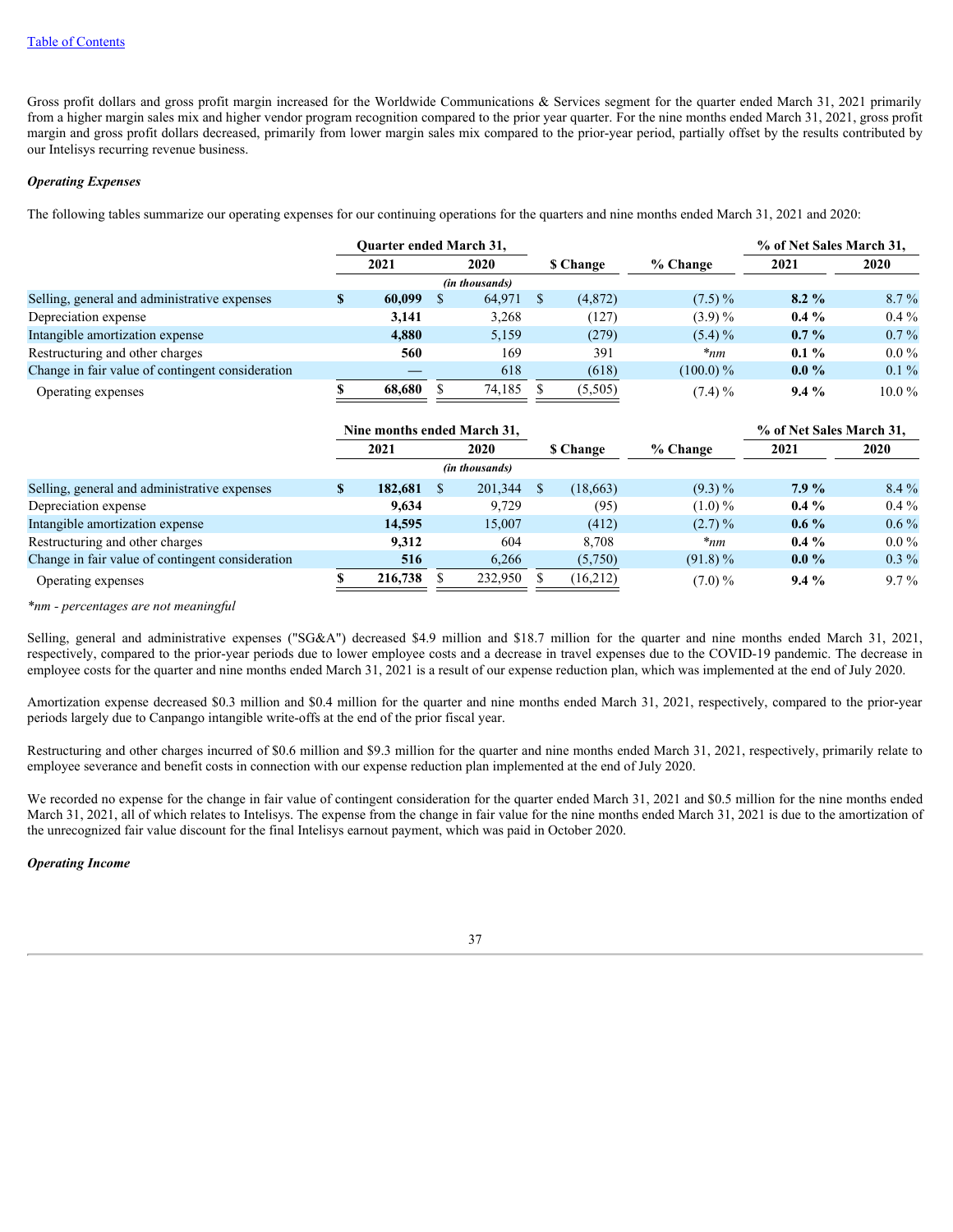Gross profit dollars and gross profit margin increased for the Worldwide Communications & Services segment for the quarter ended March 31, 2021 primarily from a higher margin sales mix and higher vendor program recognition compared to the prior year quarter. For the nine months ended March 31, 2021, gross profit margin and gross profit dollars decreased, primarily from lower margin sales mix compared to the prior-year period, partially offset by the results contributed by our Intelisys recurring revenue business.

#### *Operating Expenses*

|                                                  | <b>Ouarter ended March 31,</b> |                       |  |                 |             | % of Net Sales March 31, |          |  |
|--------------------------------------------------|--------------------------------|-----------------------|--|-----------------|-------------|--------------------------|----------|--|
|                                                  | 2021                           | 2020                  |  | <b>S</b> Change | % Change    | 2021                     | 2020     |  |
|                                                  |                                | <i>(in thousands)</i> |  |                 |             |                          |          |  |
| Selling, general and administrative expenses     | $60,099$ \$                    | 64,971                |  | (4,872)         | $(7.5) \%$  | $8.2\%$                  | 8.7%     |  |
| Depreciation expense                             | 3,141                          | 3,268                 |  | (127)           | $(3.9)\%$   | $0.4\%$                  | $0.4\%$  |  |
| Intangible amortization expense                  | 4,880                          | 5,159                 |  | (279)           | $(5.4) \%$  | $0.7\%$                  | $0.7\%$  |  |
| Restructuring and other charges                  | 560                            | 169                   |  | 391             | $*_{nm}$    | $0.1\%$                  | $0.0\%$  |  |
| Change in fair value of contingent consideration |                                | 618                   |  | (618)           | $(100.0)\%$ | $0.0\%$                  | $0.1 \%$ |  |
| Operating expenses                               | 68,680                         | 74,185                |  | (5,505)         | $(7.4) \%$  | $9.4\%$                  | $10.0\%$ |  |

| <b>Operating Expenses</b>                                                                                                                           |              |                             |                |                 |                 |             |                          |          |
|-----------------------------------------------------------------------------------------------------------------------------------------------------|--------------|-----------------------------|----------------|-----------------|-----------------|-------------|--------------------------|----------|
| The following tables summarize our operating expenses for our continuing operations for the quarters and nine months ended March 31, 2021 and 2020: |              |                             |                |                 |                 |             |                          |          |
|                                                                                                                                                     |              | Quarter ended March 31,     |                |                 |                 |             | % of Net Sales March 31, |          |
|                                                                                                                                                     |              | 2021                        |                | 2020            | <b>S</b> Change | % Change    | 2021                     | 2020     |
|                                                                                                                                                     |              |                             | (in thousands) |                 |                 |             |                          |          |
| Selling, general and administrative expenses                                                                                                        | $\mathbf{s}$ | 60,099                      |                | 64,971 \$       | (4,872)         | $(7.5) \%$  | $8.2\%$                  | $8.7\%$  |
| Depreciation expense                                                                                                                                |              | 3,141                       |                | 3,268           | (127)           | $(3.9)\%$   | $0.4\%$                  | $0.4\%$  |
| Intangible amortization expense                                                                                                                     |              | 4,880                       |                | 5,159           | (279)           | $(5.4) \%$  | $0.7\%$                  | $0.7\%$  |
| Restructuring and other charges                                                                                                                     |              | 560                         |                | 169             | 391             | $*_{nm}$    | $0.1 \%$                 | $0.0\%$  |
| Change in fair value of contingent consideration                                                                                                    |              | $\overline{\phantom{m}}$    |                | 618             | (618)           | $(100.0)\%$ | $0.0\%$                  | $0.1\%$  |
| Operating expenses                                                                                                                                  |              | 68,680                      | - \$           | 74,185<br>-S    | (5,505)         | $(7.4) \%$  | 9.4%                     | $10.0\%$ |
|                                                                                                                                                     |              | Nine months ended March 31, |                |                 |                 |             | % of Net Sales March 31, |          |
|                                                                                                                                                     |              | 2021                        |                | 2020            | <b>S</b> Change | % Change    | 2021                     | 2020     |
|                                                                                                                                                     |              |                             | (in thousands) |                 |                 |             |                          |          |
| Selling, general and administrative expenses                                                                                                        | $\mathbf{s}$ | 182,681                     |                | 201,344 \$      | (18,663)        | $(9.3)\%$   | 7.9 %                    | 8.4 %    |
| Depreciation expense                                                                                                                                |              | 9,634                       |                | 9,729           | (95)            | $(1.0)\%$   | $0.4\%$                  | $0.4\%$  |
| Intangible amortization expense                                                                                                                     |              | 14,595                      |                | 15,007          | (412)           | $(2.7) \%$  | $0.6\%$                  | $0.6\%$  |
| Restructuring and other charges                                                                                                                     |              | 9,312                       |                | 604             | 8,708           | $*_{nm}$    | $0.4\%$                  | $0.0\%$  |
| Change in fair value of contingent consideration                                                                                                    |              | 516                         |                | 6,266           | (5,750)         | $(91.8)\%$  | $0.0\%$                  | $0.3\%$  |
| Operating expenses                                                                                                                                  |              | 216,738                     |                | 232,950<br>- \$ | (16,212)        | $(7.0)\%$   | $9.4\%$                  | $9.7\%$  |
|                                                                                                                                                     |              |                             |                |                 |                 |             |                          |          |

Restructuring and other charges incurred of \$0.6 million and \$9.3 million for the quarter and nine months ended March 31, 2021, respectively, primarily relate to employee severance and benefit costs in connection with our expense reduction plan implemented at the end of July 2020.

We recorded no expense for the change in fair value of contingent consideration for the quarter ended March 31, 2021 and \$0.5 million for the nine months ended March 31, 2021, all of which relates to Intelisys. The expense from the change in fair value for the nine months ended March 31, 2021 is due to the amortization of the unrecognized fair value discount for the final Intelisys earnout payment, which was paid in October 2020.

*Operating Income*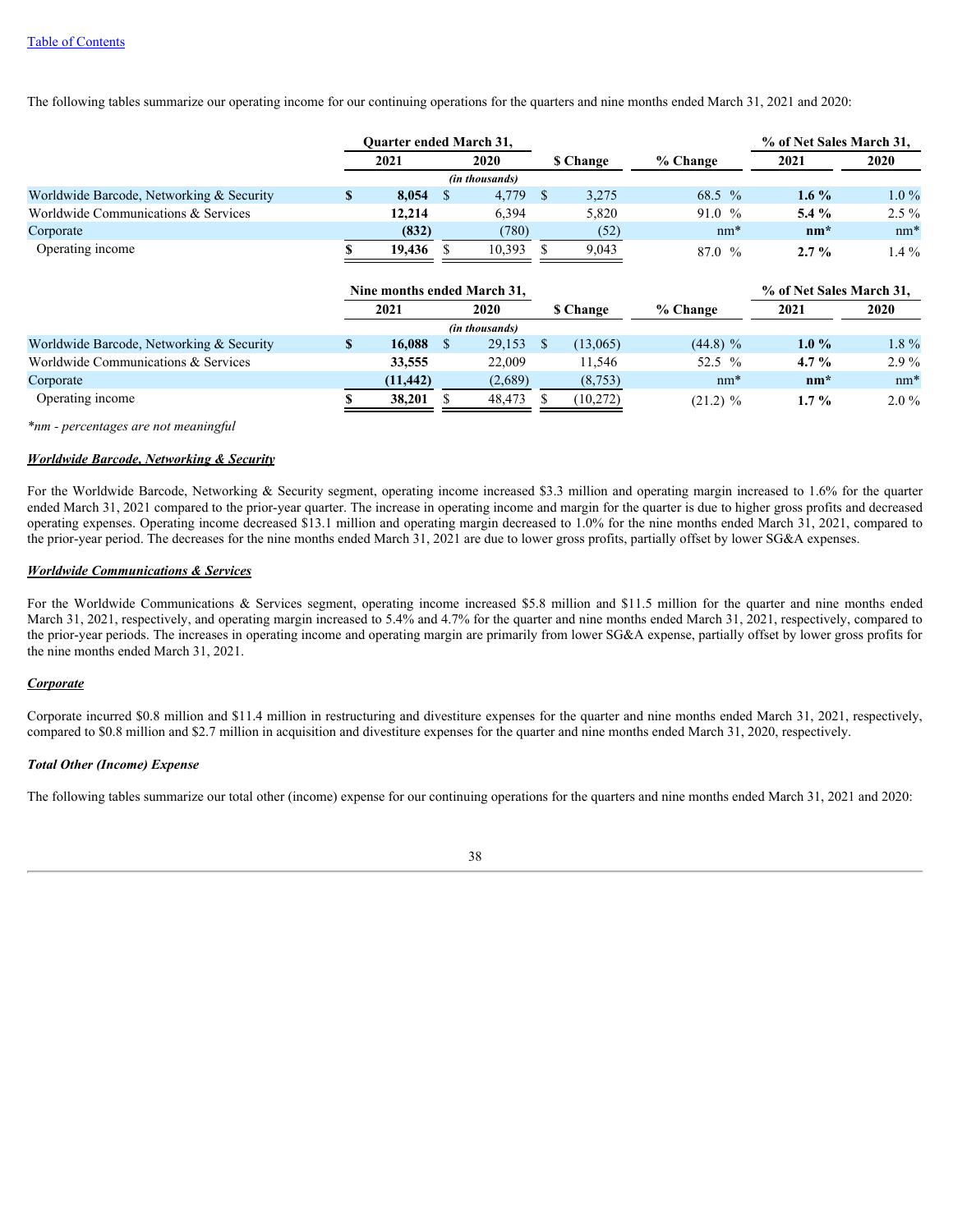| The following tables summarize our operating income for our continuing operations for the quarters and nine months ended March 31, 2021 and 2020:                                                                                                                                                                                                                                                                                                                                                                                                                                                                                                      |                             |                |                  |            |                          |         |  |
|--------------------------------------------------------------------------------------------------------------------------------------------------------------------------------------------------------------------------------------------------------------------------------------------------------------------------------------------------------------------------------------------------------------------------------------------------------------------------------------------------------------------------------------------------------------------------------------------------------------------------------------------------------|-----------------------------|----------------|------------------|------------|--------------------------|---------|--|
|                                                                                                                                                                                                                                                                                                                                                                                                                                                                                                                                                                                                                                                        | Quarter ended March 31,     |                |                  |            | % of Net Sales March 31, |         |  |
|                                                                                                                                                                                                                                                                                                                                                                                                                                                                                                                                                                                                                                                        | 2021                        | 2020           | <b>S</b> Change  | % Change   | 2021                     | 2020    |  |
|                                                                                                                                                                                                                                                                                                                                                                                                                                                                                                                                                                                                                                                        |                             | (in thousands) |                  |            |                          |         |  |
| Worldwide Barcode, Networking & Security                                                                                                                                                                                                                                                                                                                                                                                                                                                                                                                                                                                                               | $8,054$ \$<br>S.            | $4,779$ \$     | 3,275            | 68.5 %     | 1.6 $%$                  | $1.0\%$ |  |
| Worldwide Communications & Services                                                                                                                                                                                                                                                                                                                                                                                                                                                                                                                                                                                                                    | 12.214                      | 6,394          | 5,820            | 91.0%      | $5.4\%$                  | $2.5\%$ |  |
| Corporate                                                                                                                                                                                                                                                                                                                                                                                                                                                                                                                                                                                                                                              | (832)                       | (780)          | (52)             | $nm*$      | $nm*$                    | $nm*$   |  |
| Operating income                                                                                                                                                                                                                                                                                                                                                                                                                                                                                                                                                                                                                                       | 19,436                      | 10,393<br>- S  | 9,043<br>- \$    | 87.0 %     | $2.7\%$                  | $1.4\%$ |  |
|                                                                                                                                                                                                                                                                                                                                                                                                                                                                                                                                                                                                                                                        | Nine months ended March 31, |                |                  |            | % of Net Sales March 31, |         |  |
|                                                                                                                                                                                                                                                                                                                                                                                                                                                                                                                                                                                                                                                        | 2021                        | 2020           | \$ Change        | % Change   | 2021                     | 2020    |  |
|                                                                                                                                                                                                                                                                                                                                                                                                                                                                                                                                                                                                                                                        |                             | (in thousands) |                  |            |                          |         |  |
| Worldwide Barcode, Networking & Security                                                                                                                                                                                                                                                                                                                                                                                                                                                                                                                                                                                                               | <sup>S</sup><br>$16,088$ \$ | 29,153         | (13,065)<br>- S  | $(44.8)$ % | $1.0\%$                  | 1.8%    |  |
| Worldwide Communications & Services                                                                                                                                                                                                                                                                                                                                                                                                                                                                                                                                                                                                                    | 33,555                      | 22,009         | 11,546           | 52.5 %     | 4.7 $%$                  | 2.9%    |  |
| Corporate                                                                                                                                                                                                                                                                                                                                                                                                                                                                                                                                                                                                                                              | (11, 442)                   | (2,689)        | (8,753)          | $nm*$      | $nm*$                    | $nm*$   |  |
| Operating income                                                                                                                                                                                                                                                                                                                                                                                                                                                                                                                                                                                                                                       | $38,201$ \$                 | 48,473         | (10,272)<br>- \$ | $(21.2)$ % | $1.7\%$                  | $2.0\%$ |  |
| *nm - percentages are not meaningful                                                                                                                                                                                                                                                                                                                                                                                                                                                                                                                                                                                                                   |                             |                |                  |            |                          |         |  |
| <b>Worldwide Barcode, Networking &amp; Security</b>                                                                                                                                                                                                                                                                                                                                                                                                                                                                                                                                                                                                    |                             |                |                  |            |                          |         |  |
| For the Worldwide Barcode, Networking & Security segment, operating income increased \$3.3 million and operating margin increased to 1.6% for the quarter<br>ended March 31, 2021 compared to the prior-year quarter. The increase in operating income and margin for the quarter is due to higher gross profits and decreased<br>operating expenses. Operating income decreased \$13.1 million and operating margin decreased to 1.0% for the nine months ended March 31, 2021, compared to<br>the prior-year period. The decreases for the nine months ended March 31, 2021 are due to lower gross profits, partially offset by lower SG&A expenses. |                             |                |                  |            |                          |         |  |
| <b>Worldwide Communications &amp; Services</b>                                                                                                                                                                                                                                                                                                                                                                                                                                                                                                                                                                                                         |                             |                |                  |            |                          |         |  |
| For the Worldwide Communications & Services segment, operating income increased \$5.8 million and \$11.5 million for the quarter and nine months ended<br>March 31, 2021, respectively, and operating margin increased to 5.4% and 4.7% for the quarter and nine months ended March 31, 2021, respectively, compared to<br>the prior-year periods. The increases in operating income and operating margin are primarily from lower SG&A expense, partially offset by lower gross profits for<br>the nine months ended March 31, 2021.                                                                                                                  |                             |                |                  |            |                          |         |  |
| <b>Corporate</b>                                                                                                                                                                                                                                                                                                                                                                                                                                                                                                                                                                                                                                       |                             |                |                  |            |                          |         |  |
| Corporate incurred \$0.8 million and \$11.4 million in restructuring and divestiture expenses for the quarter and nine months ended March 31, 2021, respectively,<br>compared to $$0.8$ million and $$2.7$ million in acquisition and divestiture expenses for the quarter and nine months ended March 31, 2020, respectively                                                                                                                                                                                                                                                                                                                          |                             |                |                  |            |                          |         |  |

#### *Worldwide Barcode, Networking & Security*

## *Worldwide Communications & Services*

#### *Corporate*

Corporate incurred \$0.8 million and \$11.4 million in restructuring and divestiture expenses for the quarter and nine months ended March 31, 2021, respectively, compared to \$0.8 million and \$2.7 million in acquisition and divestiture expenses for the quarter and nine months ended March 31, 2020, respectively.

#### *Total Other (Income) Expense*

The following tables summarize our total other (income) expense for our continuing operations for the quarters and nine months ended March 31, 2021 and 2020:

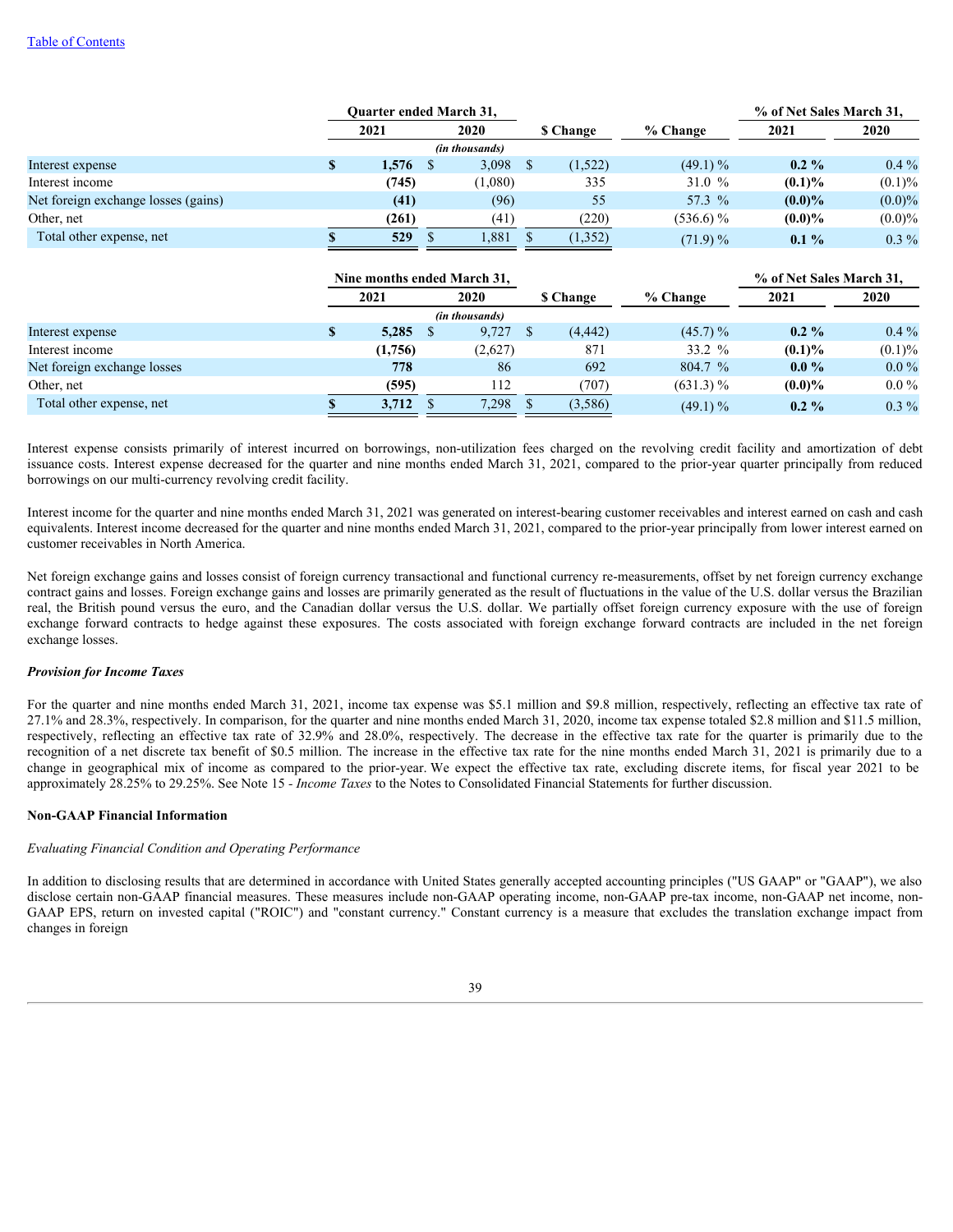|                                     | <b>Ouarter ended March 31,</b> |                |                 |             | % of Net Sales March 31, |           |  |
|-------------------------------------|--------------------------------|----------------|-----------------|-------------|--------------------------|-----------|--|
|                                     | 2021                           | 2020           | <b>S</b> Change | % Change    | 2021                     | 2020      |  |
|                                     |                                | (in thousands) |                 |             |                          |           |  |
| Interest expense                    | 1,576                          | 3,098          | (1, 522)        | $(49.1)\%$  | $0.2\%$                  | $0.4\%$   |  |
| Interest income                     | (745)                          | 1,080)         | 335             | 31.0 %      | $(0.1)\%$                | (0.1)%    |  |
| Net foreign exchange losses (gains) | (41)                           | (96)           | 55              | 57.3 %      | $(0.0)\%$                | $(0.0)\%$ |  |
| Other, net                          | (261)                          | (41)           | (220)           | $(536.6)\%$ | $(0.0)\%$                | $(0.0)\%$ |  |
| Total other expense, net            | 529                            | 1,881          | (1, 352)        | $(71.9) \%$ | $0.1\%$                  | $0.3\%$   |  |

| <b>Table of Contents</b>                                                                                                                                                                                                                                                                                                                                                                                                                                                                                                                                                                                                                                                                                                                                                                                                                                                                                                                                                                                                                                                                                                                                                                                                                                                                                                                                                                                                                                                                                                |              |                |                              |                  |                           |                          |                    |  |
|-------------------------------------------------------------------------------------------------------------------------------------------------------------------------------------------------------------------------------------------------------------------------------------------------------------------------------------------------------------------------------------------------------------------------------------------------------------------------------------------------------------------------------------------------------------------------------------------------------------------------------------------------------------------------------------------------------------------------------------------------------------------------------------------------------------------------------------------------------------------------------------------------------------------------------------------------------------------------------------------------------------------------------------------------------------------------------------------------------------------------------------------------------------------------------------------------------------------------------------------------------------------------------------------------------------------------------------------------------------------------------------------------------------------------------------------------------------------------------------------------------------------------|--------------|----------------|------------------------------|------------------|---------------------------|--------------------------|--------------------|--|
|                                                                                                                                                                                                                                                                                                                                                                                                                                                                                                                                                                                                                                                                                                                                                                                                                                                                                                                                                                                                                                                                                                                                                                                                                                                                                                                                                                                                                                                                                                                         |              |                |                              |                  |                           |                          |                    |  |
|                                                                                                                                                                                                                                                                                                                                                                                                                                                                                                                                                                                                                                                                                                                                                                                                                                                                                                                                                                                                                                                                                                                                                                                                                                                                                                                                                                                                                                                                                                                         |              |                | Quarter ended March 31,      |                  |                           | % of Net Sales March 31, |                    |  |
|                                                                                                                                                                                                                                                                                                                                                                                                                                                                                                                                                                                                                                                                                                                                                                                                                                                                                                                                                                                                                                                                                                                                                                                                                                                                                                                                                                                                                                                                                                                         | 2021         |                | 2020                         | \$ Change        | % Change                  | 2021                     | 2020               |  |
| Interest expense                                                                                                                                                                                                                                                                                                                                                                                                                                                                                                                                                                                                                                                                                                                                                                                                                                                                                                                                                                                                                                                                                                                                                                                                                                                                                                                                                                                                                                                                                                        | S.           | $1,576$ \$     | (in thousands)<br>$3,098$ \$ | (1,522)          | $(49.1)\%$                | $0.2\%$                  | $0.4\%$            |  |
| Interest income                                                                                                                                                                                                                                                                                                                                                                                                                                                                                                                                                                                                                                                                                                                                                                                                                                                                                                                                                                                                                                                                                                                                                                                                                                                                                                                                                                                                                                                                                                         |              | (745)          | (1,080)                      | 335              | 31.0 %                    | $(0.1)\%$                | $(0.1)\%$          |  |
| Net foreign exchange losses (gains)                                                                                                                                                                                                                                                                                                                                                                                                                                                                                                                                                                                                                                                                                                                                                                                                                                                                                                                                                                                                                                                                                                                                                                                                                                                                                                                                                                                                                                                                                     |              | (41)           | (96)                         | 55               | 57.3 %                    | $(0.0)\%$                | $(0.0)\%$          |  |
| Other, net                                                                                                                                                                                                                                                                                                                                                                                                                                                                                                                                                                                                                                                                                                                                                                                                                                                                                                                                                                                                                                                                                                                                                                                                                                                                                                                                                                                                                                                                                                              |              | (261)          | (41)                         | (220)            | $(536.6)\%$               | $(0.0)\%$                | $(0.0)\%$          |  |
| Total other expense, net                                                                                                                                                                                                                                                                                                                                                                                                                                                                                                                                                                                                                                                                                                                                                                                                                                                                                                                                                                                                                                                                                                                                                                                                                                                                                                                                                                                                                                                                                                |              | 529            | 1,881                        |                  |                           |                          |                    |  |
|                                                                                                                                                                                                                                                                                                                                                                                                                                                                                                                                                                                                                                                                                                                                                                                                                                                                                                                                                                                                                                                                                                                                                                                                                                                                                                                                                                                                                                                                                                                         |              |                | -S                           | (1,352)          | $(71.9) \%$               | $0.1\%$                  | $0.3\%$            |  |
|                                                                                                                                                                                                                                                                                                                                                                                                                                                                                                                                                                                                                                                                                                                                                                                                                                                                                                                                                                                                                                                                                                                                                                                                                                                                                                                                                                                                                                                                                                                         |              |                |                              |                  |                           | % of Net Sales March 31, |                    |  |
|                                                                                                                                                                                                                                                                                                                                                                                                                                                                                                                                                                                                                                                                                                                                                                                                                                                                                                                                                                                                                                                                                                                                                                                                                                                                                                                                                                                                                                                                                                                         |              |                | Nine months ended March 31,  |                  |                           |                          |                    |  |
|                                                                                                                                                                                                                                                                                                                                                                                                                                                                                                                                                                                                                                                                                                                                                                                                                                                                                                                                                                                                                                                                                                                                                                                                                                                                                                                                                                                                                                                                                                                         | 2021         |                | 2020                         | \$ Change        | % Change                  | 2021                     | 2020               |  |
|                                                                                                                                                                                                                                                                                                                                                                                                                                                                                                                                                                                                                                                                                                                                                                                                                                                                                                                                                                                                                                                                                                                                                                                                                                                                                                                                                                                                                                                                                                                         |              |                | (in thousands)               |                  |                           |                          |                    |  |
| Interest expense                                                                                                                                                                                                                                                                                                                                                                                                                                                                                                                                                                                                                                                                                                                                                                                                                                                                                                                                                                                                                                                                                                                                                                                                                                                                                                                                                                                                                                                                                                        | <sup>S</sup> | $5,285$ \$     | 9,727                        | (4, 442)<br>- S  | $(45.7)\%$                | $0.2\%$                  | $0.4\%$            |  |
| Interest income                                                                                                                                                                                                                                                                                                                                                                                                                                                                                                                                                                                                                                                                                                                                                                                                                                                                                                                                                                                                                                                                                                                                                                                                                                                                                                                                                                                                                                                                                                         |              | (1,756)        | (2,627)<br>86                | 871              | 33.2 %                    | $(0.1)\%$                | $(0.1)\%$          |  |
| Net foreign exchange losses<br>Other, net                                                                                                                                                                                                                                                                                                                                                                                                                                                                                                                                                                                                                                                                                                                                                                                                                                                                                                                                                                                                                                                                                                                                                                                                                                                                                                                                                                                                                                                                               |              | 778            | 112                          | 692              | 804.7 %                   | $0.0\%$                  | $0.0\%$<br>$0.0\%$ |  |
| Total other expense, net                                                                                                                                                                                                                                                                                                                                                                                                                                                                                                                                                                                                                                                                                                                                                                                                                                                                                                                                                                                                                                                                                                                                                                                                                                                                                                                                                                                                                                                                                                |              | (595)<br>3,712 | 7,298<br>-S                  | (707)<br>(3,586) | $(631.3)\%$<br>$(49.1)\%$ | $(0.0)\%$<br>$0.2\%$     | $0.3\%$            |  |
| Interest expense consists primarily of interest incurred on borrowings, non-utilization fees charged on the revolving credit facility and amortization of debt<br>issuance costs. Interest expense decreased for the quarter and nine months ended March 31, 2021, compared to the prior-year quarter principally from reduced<br>borrowings on our multi-currency revolving credit facility.<br>Interest income for the quarter and nine months ended March 31, 2021 was generated on interest-bearing customer receivables and interest earned on cash and cash<br>equivalents. Interest income decreased for the quarter and nine months ended March 31, 2021, compared to the prior-year principally from lower interest earned on<br>customer receivables in North America.<br>Net foreign exchange gains and losses consist of foreign currency transactional and functional currency re-measurements, offset by net foreign currency exchange<br>contract gains and losses. Foreign exchange gains and losses are primarily generated as the result of fluctuations in the value of the U.S. dollar versus the Brazilian<br>real, the British pound versus the euro, and the Canadian dollar versus the U.S. dollar. We partially offset foreign currency exposure with the use of foreign<br>exchange forward contracts to hedge against these exposures. The costs associated with foreign exchange forward contracts are included in the net foreign<br>exchange losses.<br><b>Provision for Income Taxes</b> |              |                |                              |                  |                           |                          |                    |  |
| For the quarter and nine months ended March 31, 2021, income tax expense was \$5.1 million and \$9.8 million, respectively, reflecting an effective tax rate of<br>27.1% and 28.3%, respectively. In comparison, for the quarter and nine months ended March 31, 2020, income tax expense totaled \$2.8 million and \$11.5 million,<br>respectively, reflecting an effective tax rate of 32.9% and 28.0%, respectively. The decrease in the effective tax rate for the quarter is primarily due to the<br>recognition of a net discrete tax benefit of \$0.5 million. The increase in the effective tax rate for the nine months ended March 31, 2021 is primarily due to a<br>change in geographical mix of income as compared to the prior-year. We expect the effective tax rate, excluding discrete items, for fiscal year 2021 to be<br>approximately 28.25% to 29.25%. See Note 15 - Income Taxes to the Notes to Consolidated Financial Statements for further discussion.<br><b>Non-GAAP Financial Information</b><br><b>Evaluating Financial Condition and Operating Performance</b>                                                                                                                                                                                                                                                                                                                                                                                                                           |              |                |                              |                  |                           |                          |                    |  |
| In addition to disclosing results that are determined in accordance with United States generally accepted accounting principles ("US GAAP" or "GAAP"), we also<br>disclose certain non-GAAP financial measures. These measures include non-GAAP operating income non-GAAP pre-tax income, non-GAAP pet income, non-                                                                                                                                                                                                                                                                                                                                                                                                                                                                                                                                                                                                                                                                                                                                                                                                                                                                                                                                                                                                                                                                                                                                                                                                     |              |                |                              |                  |                           |                          |                    |  |

### *Provision for Income Taxes*

For the quarter and nine months ended March 31, 2021, income tax expense was \$5.1 million and \$9.8 million, respectively, reflecting an effective tax rate of 27.1% and 28.3%, respectively. In comparison, for the quarter and nine months ended March 31, 2020, income tax expense totaled \$2.8 million and \$11.5 million, respectively, reflecting an effective tax rate of 32.9% and 28. recognition of a net discrete tax benefit of \$0.5 million. The increase in the effective tax rate for the nine months ended March 31, 2021 is primarily due to a approximately 28.25% to 29.25%. See Note 15 *- Income Taxes* to the Notes to Consolidated Financial Statements for further discussion. Total other expense, net;<br>
Returns experience consists primarily of interest isometrol on horizontogen constants constant constant constant constant constant constant constant constant constant constant constant constant

### **Non-GAAP Financial Information**

### *Evaluating Financial Condition and Operating Performance*

In addition to disclosing results that are determined in accordance with United States generally accepted accounting principles ("US GAAP" or "GAAP"), we also disclose certain non-GAAP financial measures. These measures include non-GAAP operating income, non-GAAP pre-tax income, non-GAAP net income, nonchanges in foreign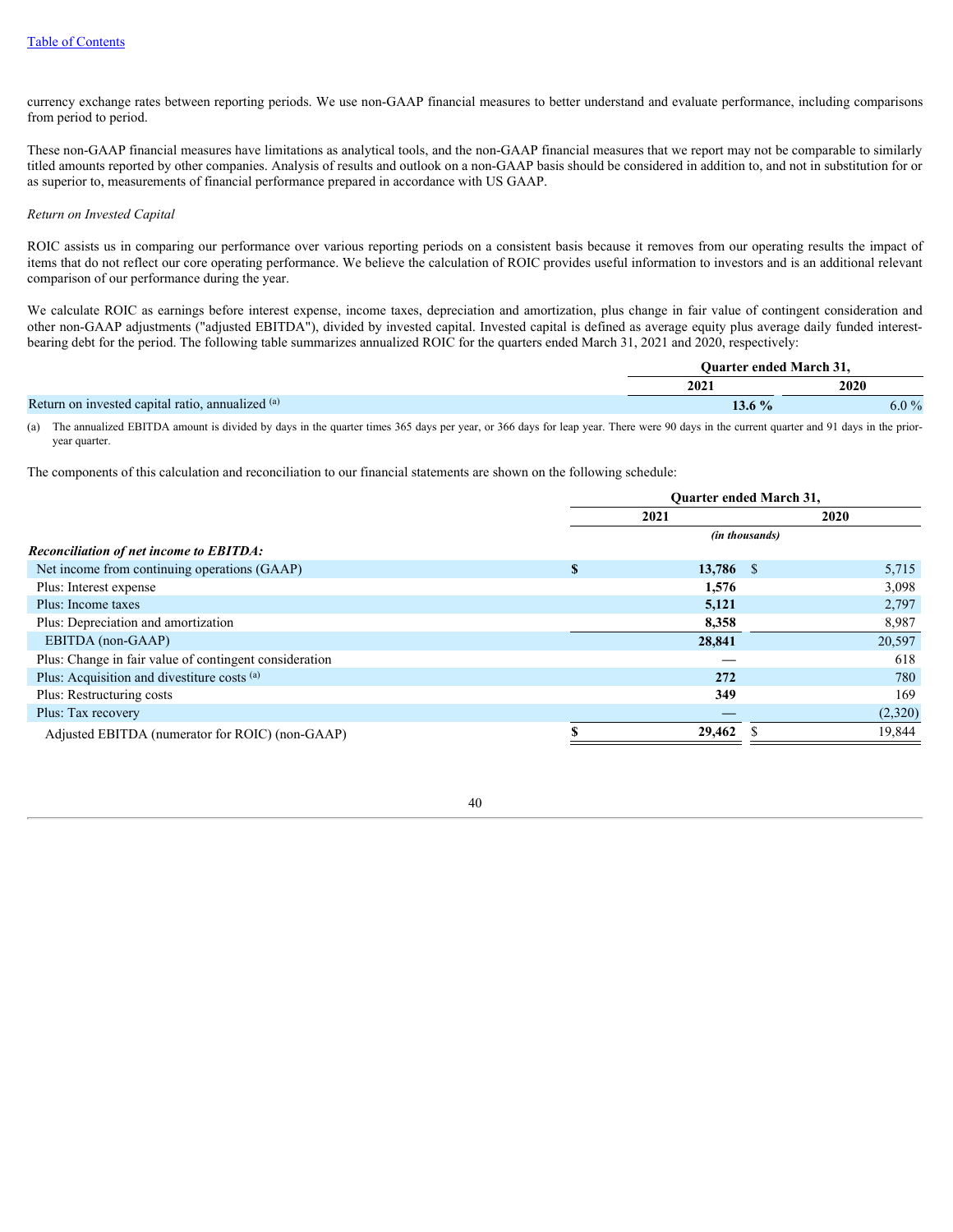currency exchange rates between reporting periods. We use non-GAAP financial measures to better understand and evaluate performance, including comparisons from period to period.

These non-GAAP financial measures have limitations as analytical tools, and the non-GAAP financial measures that we report may not be comparable to similarly titled amounts reported by other companies. Analysis of results and outlook on a non-GAAP basis should be considered in addition to, and not in substitution for or as superior to, measurements of financial performance prepared in accordance with US GAAP.

## *Return on Invested Capital*

ROIC assists us in comparing our performance over various reporting periods on a consistent basis because it removes from our operating results the impact of items that do not reflect our core operating performance. We believe the calculation of ROIC provides useful information to investors and is an additional relevant comparison of our performance during the year.

We calculate ROIC as earnings before interest expense, income taxes, depreciation and amortization, plus change in fair value of contingent consideration and other non-GAAP adjustments ("adjusted EBITDA"), divided by invested capital. Invested capital is defined as average equity plus average daily funded interestbearing debt for the period. The following table summarizes annualized ROIC for the quarters ended March 31, 2021 and 2020, respectively:

|                                                  | <b>Ouarter ended March 31,</b> |                   |
|--------------------------------------------------|--------------------------------|-------------------|
|                                                  | 2021                           | 202c<br>AUA       |
| Return on invested capital ratio, annualized (a) | $13.6 \%$                      | 6.0 $\frac{9}{2}$ |

(a) The annualized EBITDA amount is divided by days in the quarter times 365 days per year, or 366 days for leap year. There were 90 days in the current quarter and 91 days in the prioryear quarter.

The components of this calculation and reconciliation to our financial statements are shown on the following schedule:

|                                                        | Quarter ended March 31, |         |  |  |  |  |  |  |
|--------------------------------------------------------|-------------------------|---------|--|--|--|--|--|--|
|                                                        | 2021                    | 2020    |  |  |  |  |  |  |
|                                                        | (in thousands)          |         |  |  |  |  |  |  |
| <b>Reconciliation of net income to EBITDA:</b>         |                         |         |  |  |  |  |  |  |
| Net income from continuing operations (GAAP)           | 13,786 \$               | 5,715   |  |  |  |  |  |  |
| Plus: Interest expense                                 | 1,576                   | 3,098   |  |  |  |  |  |  |
| Plus: Income taxes                                     | 5,121                   | 2,797   |  |  |  |  |  |  |
| Plus: Depreciation and amortization                    | 8,358                   | 8,987   |  |  |  |  |  |  |
| EBITDA (non-GAAP)                                      | 28,841                  | 20,597  |  |  |  |  |  |  |
| Plus: Change in fair value of contingent consideration |                         | 618     |  |  |  |  |  |  |
| Plus: Acquisition and divestiture costs (a)            | 272                     | 780     |  |  |  |  |  |  |
| Plus: Restructuring costs                              | 349                     | 169     |  |  |  |  |  |  |
| Plus: Tax recovery                                     |                         | (2,320) |  |  |  |  |  |  |
| Adjusted EBITDA (numerator for ROIC) (non-GAAP)        | 29,462                  | 19,844  |  |  |  |  |  |  |
|                                                        |                         |         |  |  |  |  |  |  |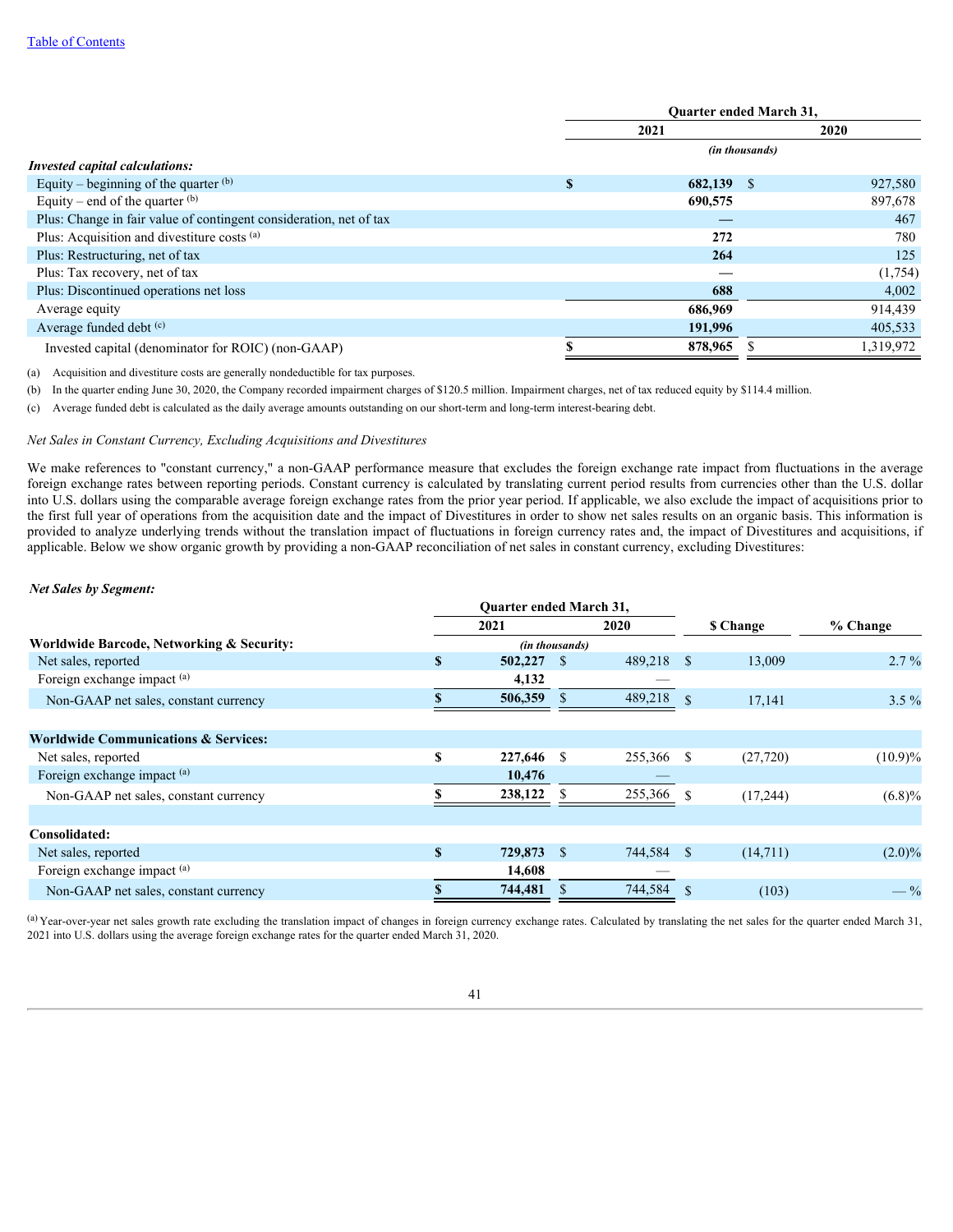|                                                                    | <b>Ouarter ended March 31,</b> |           |
|--------------------------------------------------------------------|--------------------------------|-----------|
|                                                                    | 2021                           | 2020      |
|                                                                    | (in thousands)                 |           |
| <b>Invested capital calculations:</b>                              |                                |           |
| Equity – beginning of the quarter $(b)$                            | 682,139 \$                     | 927,580   |
| Equity – end of the quarter $(b)$                                  | 690,575                        | 897,678   |
| Plus: Change in fair value of contingent consideration, net of tax |                                | 467       |
| Plus: Acquisition and divestiture costs (a)                        | 272                            | 780       |
| Plus: Restructuring, net of tax                                    | 264                            | 125       |
| Plus: Tax recovery, net of tax                                     |                                | (1,754)   |
| Plus: Discontinued operations net loss                             | 688                            | 4,002     |
| Average equity                                                     | 686,969                        | 914,439   |
| Average funded debt (c)                                            | 191,996                        | 405,533   |
| Invested capital (denominator for ROIC) (non-GAAP)                 | 878,965                        | 1,319,972 |

(a) Acquisition and divestiture costs are generally nondeductible for tax purposes.

(b) In the quarter ending June 30, 2020, the Company recorded impairment charges of \$120.5 million. Impairment charges, net of tax reduced equity by \$114.4 million.

(c) Average funded debt is calculated as the daily average amounts outstanding on our short-term and long-term interest-bearing debt.

#### *Net Sales in Constant Currency, Excluding Acquisitions and Divestitures*

We make references to "constant currency," a non-GAAP performance measure that excludes the foreign exchange rate impact from fluctuations in the average foreign exchange rates between reporting periods. Constant currency is calculated by translating current period results from currencies other than the U.S. dollar into U.S. dollars using the comparable average foreign exchange rates from the prior year period. If applicable, we also exclude the impact of acquisitions prior to the first full year of operations from the acquisition date and the impact of Divestitures in order to show net sales results on an organic basis. This information is provided to analyze underlying trends without the translation impact of fluctuations in foreign currency rates and, the impact of Divestitures and acquisitions, if applicable. Below we show organic growth by providing a non-GAAP reconciliation of net sales in constant currency, excluding Divestitures:

#### *Net Sales by Segment:*

|  | 2021    |      | 2020              |                                                  |                                                      | % Change              |  |
|--|---------|------|-------------------|--------------------------------------------------|------------------------------------------------------|-----------------------|--|
|  |         |      |                   |                                                  |                                                      |                       |  |
|  | 502,227 |      |                   |                                                  | 13,009                                               | $2.7\%$               |  |
|  | 4,132   |      |                   |                                                  |                                                      |                       |  |
|  | 506,359 |      | 489,218           |                                                  | 17,141                                               | 3.5 %                 |  |
|  |         |      |                   |                                                  |                                                      |                       |  |
|  |         |      |                   |                                                  |                                                      |                       |  |
|  |         |      |                   |                                                  | (27, 720)                                            | $(10.9)\%$            |  |
|  | 10,476  |      |                   |                                                  |                                                      |                       |  |
|  | 238,122 |      |                   |                                                  |                                                      | $(6.8)\%$             |  |
|  |         |      |                   |                                                  |                                                      |                       |  |
|  |         |      |                   |                                                  |                                                      |                       |  |
|  | 729,873 | - 55 |                   |                                                  | (14,711)                                             | $(2.0)\%$             |  |
|  | 14,608  |      | $\hspace{0.05cm}$ |                                                  |                                                      |                       |  |
|  | 744,481 |      | 744,584           |                                                  | (103)                                                | $-$ %                 |  |
|  |         |      | 227,646 \$        | Quarter ended March 31,<br><i>(in thousands)</i> | 489,218 \$<br>255,366 \$<br>255,366 \$<br>744,584 \$ | \$ Change<br>(17,244) |  |

(a) Year-over-year net sales growth rate excluding the translation impact of changes in foreign currency exchange rates. Calculated by translating the net sales for the quarter ended March 31, 2021 into U.S. dollars using the average foreign exchange rates for the quarter ended March 31, 2020.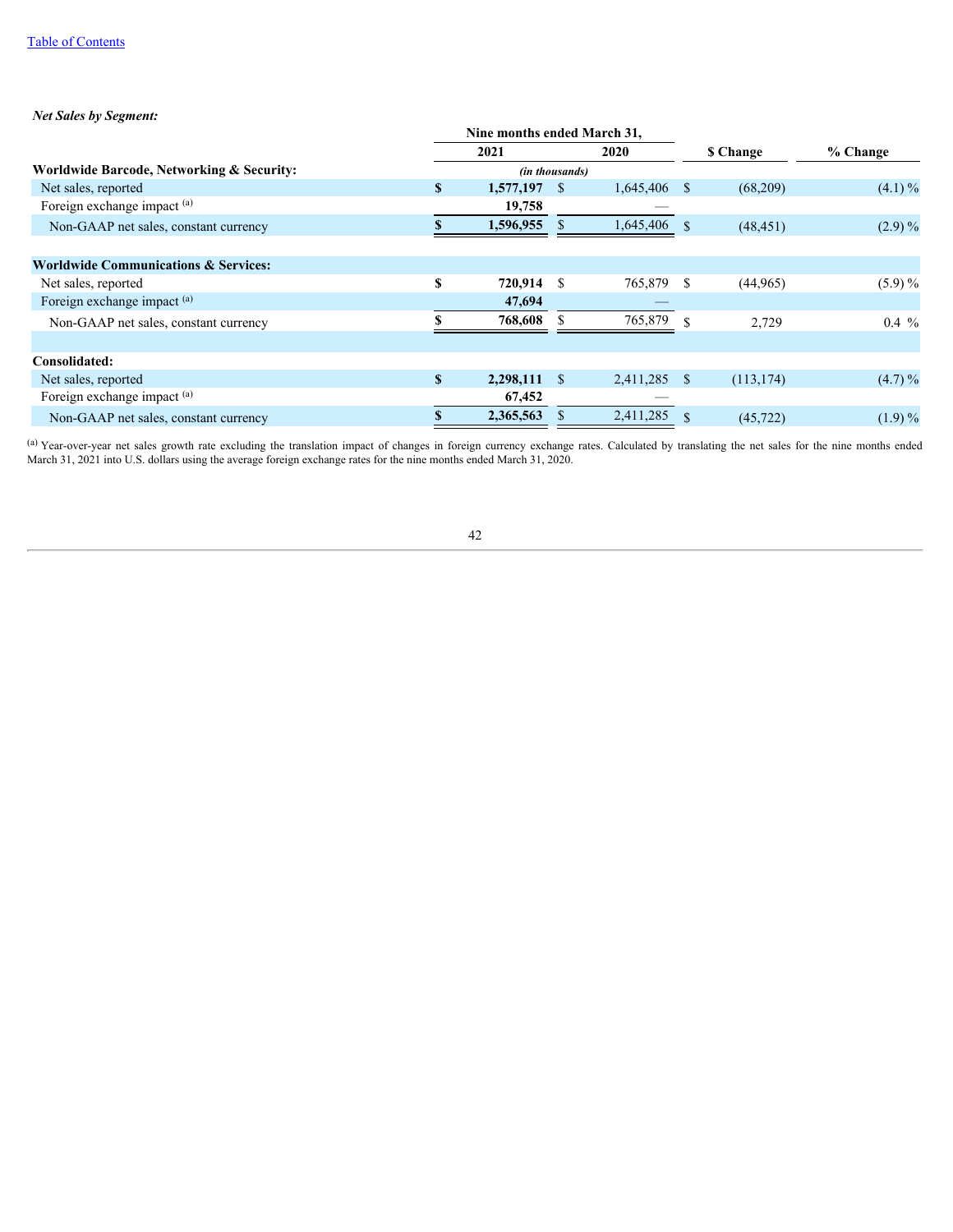| <b>Net Sales by Segment:</b>                    |              | Nine months ended March 31, |              |                  |           |
|-------------------------------------------------|--------------|-----------------------------|--------------|------------------|-----------|
|                                                 |              | 2021                        | 2020         | <b>\$ Change</b> | % Change  |
| Worldwide Barcode, Networking & Security:       |              | (in thousands)              |              |                  |           |
| Net sales, reported                             | $\mathbf{s}$ | $1,577,197$ \$              | 1,645,406 \$ | (68,209)         | $(4.1)\%$ |
| Foreign exchange impact (a)                     |              | 19,758                      |              |                  |           |
| Non-GAAP net sales, constant currency           |              | 1,596,955 \$                | 1,645,406 \$ | (48, 451)        | $(2.9)\%$ |
| <b>Worldwide Communications &amp; Services:</b> |              |                             |              |                  |           |
| Net sales, reported                             | S            | 720,914 \$                  | 765,879 \$   | (44, 965)        | $(5.9)\%$ |
| Foreign exchange impact (a)                     |              | 47,694                      |              |                  |           |
| Non-GAAP net sales, constant currency           |              | 768,608 \$                  | 765,879 \$   | 2,729            | $0.4\%$   |
| Consolidated:                                   |              |                             |              |                  |           |
| Net sales, reported                             | $\mathbf{s}$ | 2,298,111 \$                | 2,411,285 \$ | (113, 174)       | (4.7) %   |
| Foreign exchange impact (a)                     |              | 67,452                      |              |                  |           |
| Non-GAAP net sales, constant currency           |              | 2,365,563<br>- \$           | 2,411,285 \$ | (45, 722)        | $(1.9)\%$ |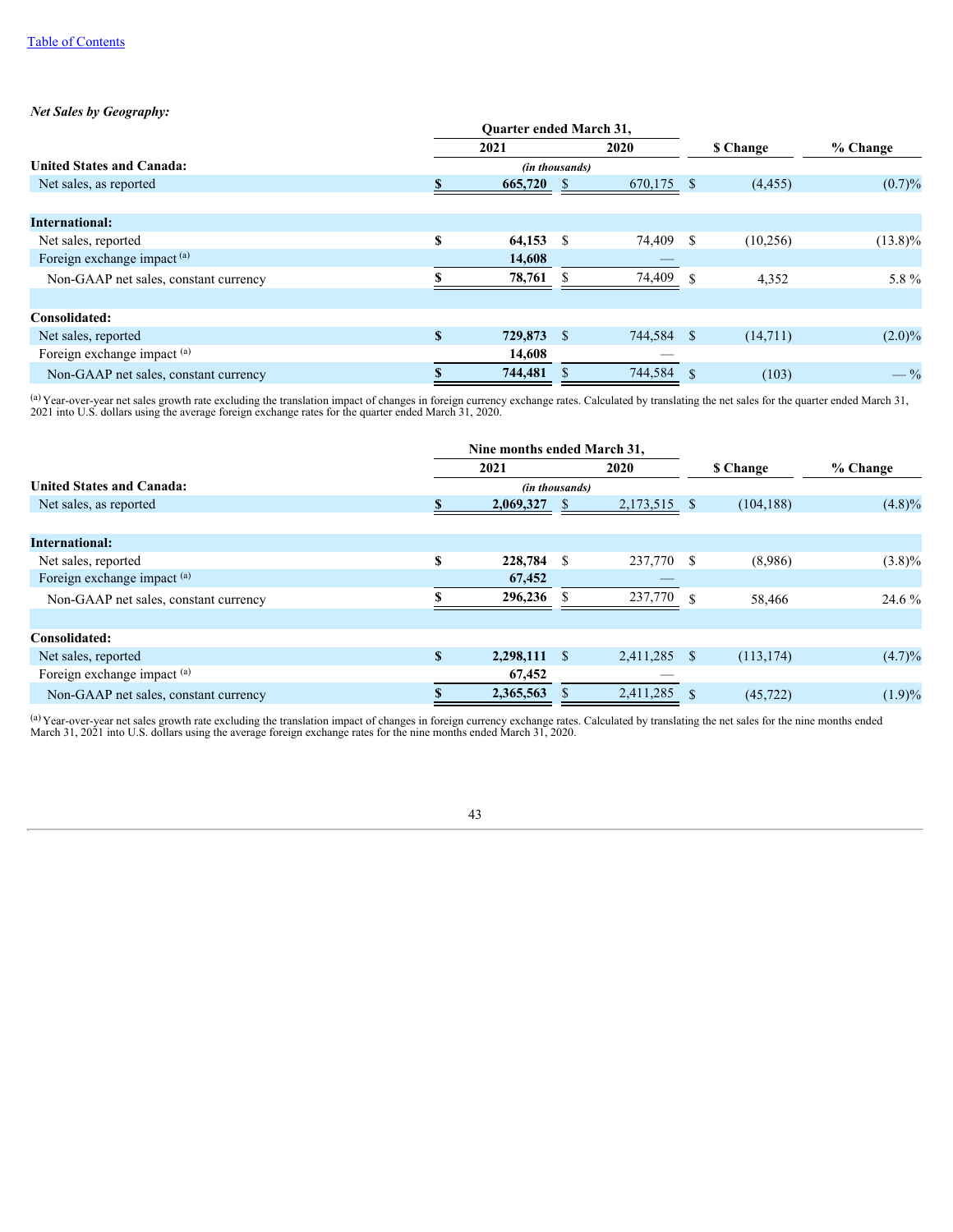## *Net Sales by Geography:*

|                                        | <b>Ouarter ended March 31,</b> |              |                 |           |            |  |  |
|----------------------------------------|--------------------------------|--------------|-----------------|-----------|------------|--|--|
|                                        | 2021                           | 2020         | <b>S</b> Change |           | % Change   |  |  |
| <b>United States and Canada:</b>       | <i>(in thousands)</i>          |              |                 |           |            |  |  |
| Net sales, as reported                 | 665,720                        | $670,175$ \$ |                 | (4, 455)  | (0.7)%     |  |  |
|                                        |                                |              |                 |           |            |  |  |
| <b>International:</b>                  |                                |              |                 |           |            |  |  |
| Net sales, reported                    | $64,153$ \$                    | 74,409 \$    |                 | (10, 256) | $(13.8)\%$ |  |  |
| Foreign exchange impact <sup>(a)</sup> | 14,608                         |              |                 |           |            |  |  |
| Non-GAAP net sales, constant currency  | 78,761                         | 74,409       |                 | 4,352     | 5.8 %      |  |  |
|                                        |                                |              |                 |           |            |  |  |
| Consolidated:                          |                                |              |                 |           |            |  |  |
| Net sales, reported                    | 729,873 \$                     | 744,584 \$   |                 | (14, 711) | $(2.0)\%$  |  |  |
| Foreign exchange impact (a)            | 14,608                         |              |                 |           |            |  |  |
| Non-GAAP net sales, constant currency  | 744,481                        | 744,584      |                 | (103)     | $-$ %      |  |  |

<sup>(a)</sup> Year-over-year net sales growth rate excluding the translation impact of changes in foreign currency exchange rates. Calculated by translating the net sales for the quarter ended March 31,<br>2021 into U.S. dollars usin  $(a)$   $V_{\alpha 27-\text{O} \text{V} \alpha 7-\text{V} \alpha 27}$  not calor growth

|                                       | Nine months ended March 31, |                       |                |                 |           |
|---------------------------------------|-----------------------------|-----------------------|----------------|-----------------|-----------|
|                                       | 2021                        |                       | 2020           | <b>S</b> Change | % Change  |
| <b>United States and Canada:</b>      |                             | <i>(in thousands)</i> |                |                 |           |
| Net sales, as reported                | 2,069,327                   |                       | $2,173,515$ \$ | (104, 188)      | (4.8)%    |
|                                       |                             |                       |                |                 |           |
| <b>International:</b>                 |                             |                       |                |                 |           |
| Net sales, reported                   | 228,784 \$                  |                       | 237,770 \$     | (8,986)         | $(3.8)\%$ |
| Foreign exchange impact (a)           | 67,452                      |                       |                |                 |           |
| Non-GAAP net sales, constant currency | 296,236                     |                       | 237,770 \$     | 58,466          | 24.6 %    |
|                                       |                             |                       |                |                 |           |
| Consolidated:                         |                             |                       |                |                 |           |
| Net sales, reported                   | $2,298,111$ \$              |                       | 2,411,285 \$   | (113, 174)      | (4.7)%    |
| Foreign exchange impact (a)           | 67,452                      |                       |                |                 |           |
| Non-GAAP net sales, constant currency | 2,365,563                   |                       | 2,411,285      | (45, 722)       | $(1.9)\%$ |

<sup>(a)</sup> Year-over-year net sales growth rate excluding the translation impact of changes in foreign currency exchange rates. Calculated by translating the net sales for the nine months ended March 31, 2021 into U.S. dollars  $(a)$   $V_{\alpha 27-\text{O} \text{V} \alpha 7-\text{V} \alpha 27}$  not calor growth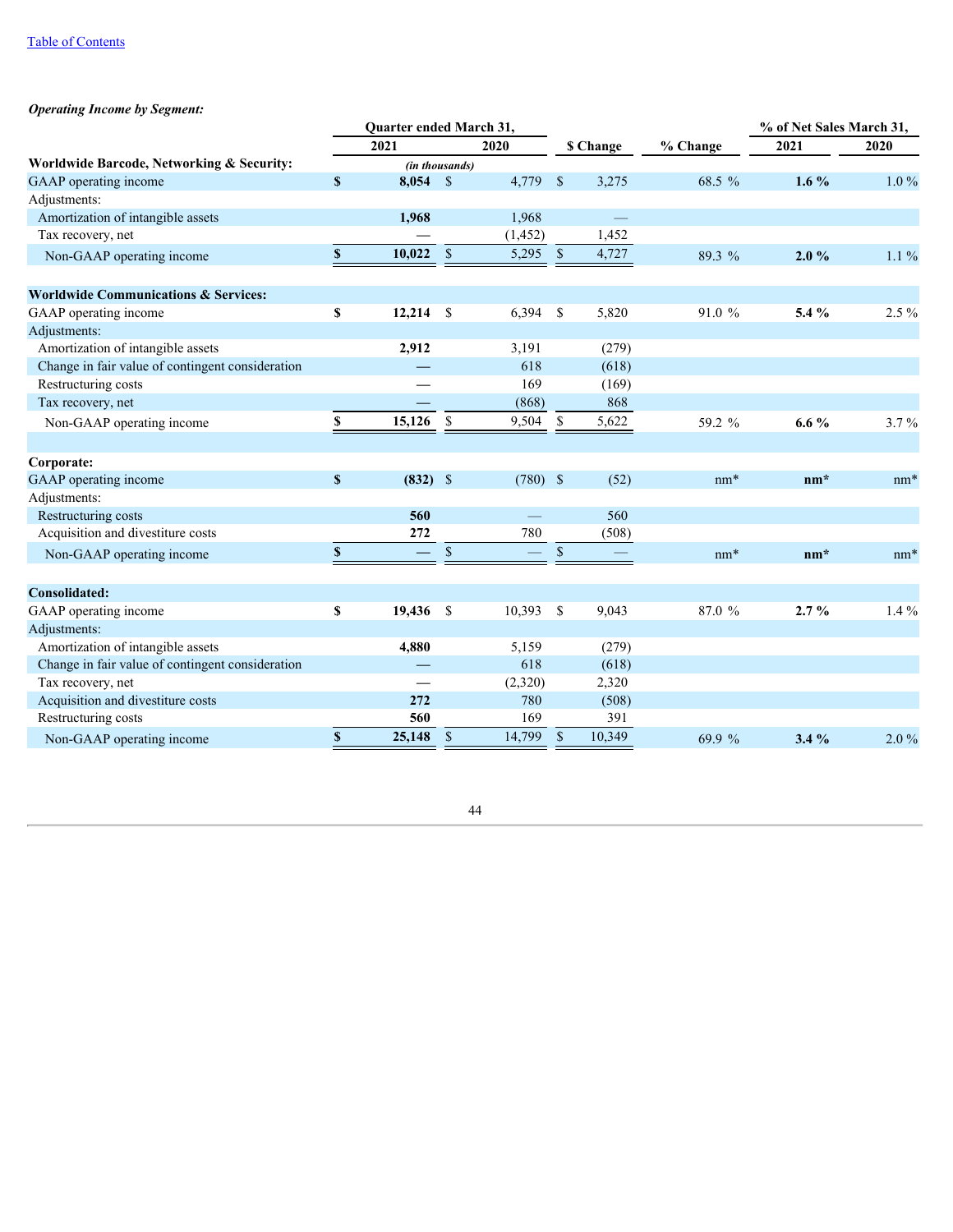# *Operating Income by Segment:*

|                                                  |             | Quarter ended March 31,         |                    |             |                          |          | % of Net Sales March 31, |          |
|--------------------------------------------------|-------------|---------------------------------|--------------------|-------------|--------------------------|----------|--------------------------|----------|
|                                                  |             | 2021                            | 2020               |             | \$ Change                | % Change | 2021                     | 2020     |
| Worldwide Barcode, Networking & Security:        |             | (in thousands)                  |                    |             |                          |          |                          |          |
| GAAP operating income                            | S           | $8,054$ \$                      |                    | 4,779 \$    | 3,275                    | 68.5 %   | 1.6 $%$                  | $1.0 \%$ |
| Adjustments:                                     |             |                                 |                    |             |                          |          |                          |          |
| Amortization of intangible assets                |             | 1,968                           |                    | 1,968       | $\overline{\phantom{m}}$ |          |                          |          |
| Tax recovery, net                                |             | $\qquad \qquad -$               |                    | (1, 452)    | 1,452                    |          |                          |          |
| Non-GAAP operating income                        | S.          | 10,022                          | -\$                | 5,295       | 4,727<br>- S             | 89.3 %   | 2.0%                     | $1.1\%$  |
| <b>Worldwide Communications &amp; Services:</b>  |             |                                 |                    |             |                          |          |                          |          |
| GAAP operating income                            | \$          | $12,214$ \$                     |                    | $6,394$ \$  | 5,820                    | 91.0 %   | $5.4\%$                  | 2.5 %    |
| Adjustments:                                     |             |                                 |                    |             |                          |          |                          |          |
| Amortization of intangible assets                |             | 2,912                           |                    | 3,191       | (279)                    |          |                          |          |
| Change in fair value of contingent consideration |             | $\overline{\phantom{m}}$        |                    | 618         | (618)                    |          |                          |          |
| Restructuring costs                              |             | $\overline{\phantom{0}}$        |                    | 169         | (169)                    |          |                          |          |
| Tax recovery, net                                |             | $\hspace{0.05cm}$               |                    | (868)       | 868                      |          |                          |          |
| Non-GAAP operating income                        | S           | 15,126                          | -S                 | 9,504       | 5,622                    | 59.2 %   | $6.6\%$                  | $3.7\%$  |
|                                                  |             |                                 |                    |             |                          |          |                          |          |
| Corporate:<br>GAAP operating income              | S           | $(832)$ \$                      |                    | $(780)$ \$  | (52)                     | $nm*$    | $nm*$                    | $nm*$    |
| Adjustments:                                     |             |                                 |                    |             |                          |          |                          |          |
| Restructuring costs                              |             | 560                             |                    |             | 560                      |          |                          |          |
| Acquisition and divestiture costs                |             | 272                             |                    | 780         | (508)                    |          |                          |          |
| Non-GAAP operating income                        | S           | $\frac{1}{2}$                   | $\mathbf{\hat{s}}$ | $\equiv$    | - \$                     | $nm*$    | $nm*$                    | $nm*$    |
|                                                  |             |                                 |                    |             |                          |          |                          |          |
| <b>Consolidated:</b>                             |             |                                 |                    |             |                          |          |                          |          |
| GAAP operating income                            | $\mathbf S$ | $19,436$ \$                     |                    | $10,393$ \$ | 9,043                    | 87.0 %   | $2.7\%$                  | $1.4\%$  |
| Adjustments:                                     |             |                                 |                    |             |                          |          |                          |          |
| Amortization of intangible assets                |             | 4,880                           |                    | 5,159       | (279)                    |          |                          |          |
| Change in fair value of contingent consideration |             | $\overline{\phantom{m}}$        |                    | 618         | (618)                    |          |                          |          |
| Tax recovery, net                                |             | $\hspace{0.1mm}-\hspace{0.1mm}$ |                    | (2,320)     | 2,320                    |          |                          |          |
| Acquisition and divestiture costs                |             | 272                             |                    | 780         | (508)                    |          |                          |          |
| Restructuring costs                              |             | 560                             |                    | 169         | 391                      |          |                          |          |
| Non-GAAP operating income                        | S           | 25,148                          | -S                 | 14,799      | 10,349<br>-S             | 69.9 %   | 3.4%                     | $2.0\%$  |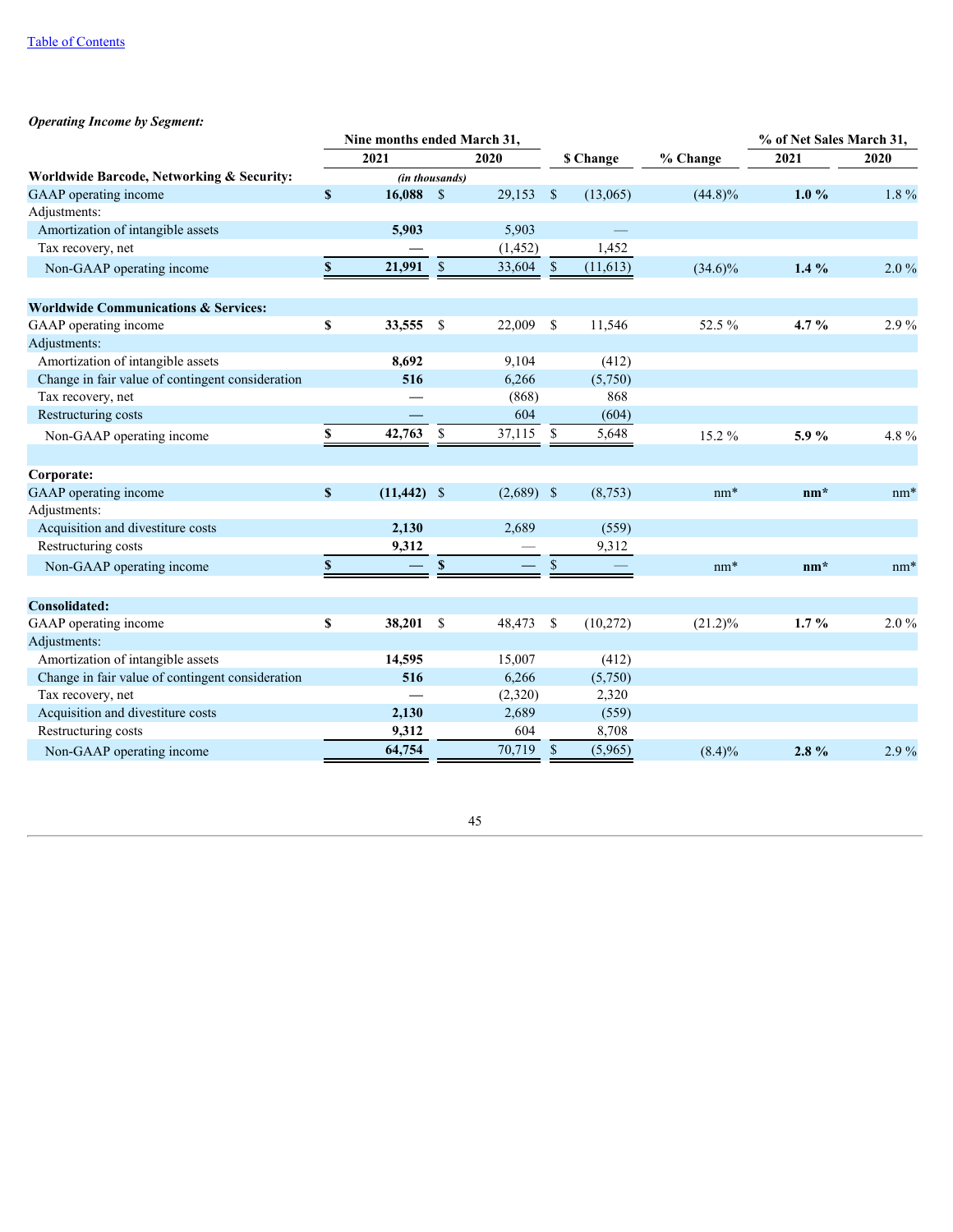# *Operating Income by Segment:*

|                                                  |              | Nine months ended March 31, |               |                          |          |                          |            | % of Net Sales March 31, |         |
|--------------------------------------------------|--------------|-----------------------------|---------------|--------------------------|----------|--------------------------|------------|--------------------------|---------|
|                                                  |              | 2021                        |               | 2020                     |          | \$ Change                | % Change   | 2021                     | 2020    |
| Worldwide Barcode, Networking & Security:        |              | (in thousands)              |               |                          |          |                          |            |                          |         |
| GAAP operating income                            | S            | $16,088$ \$                 |               | $29,153$ \$              |          | (13,065)                 | $(44.8)\%$ | $1.0\%$                  | $1.8\%$ |
| Adjustments:                                     |              |                             |               |                          |          |                          |            |                          |         |
| Amortization of intangible assets                |              | 5,903                       |               | 5,903                    |          | $\overline{\phantom{m}}$ |            |                          |         |
| Tax recovery, net                                |              |                             |               | (1, 452)                 |          | 1,452                    |            |                          |         |
| Non-GAAP operating income                        |              | $21,991$ \$                 |               | 33,604                   | -S       | (11, 613)                | $(34.6)\%$ | $1.4\%$                  | $2.0\%$ |
| <b>Worldwide Communications &amp; Services:</b>  |              |                             |               |                          |          |                          |            |                          |         |
| GAAP operating income                            | S            | 33,555 \$                   |               | $22,009$ \$              |          | 11,546                   | 52.5 %     | 4.7 $%$                  | 2.9%    |
| Adjustments:                                     |              |                             |               |                          |          |                          |            |                          |         |
| Amortization of intangible assets                |              | 8,692                       |               | 9,104                    |          | (412)                    |            |                          |         |
| Change in fair value of contingent consideration |              | 516                         |               | 6,266                    |          | (5,750)                  |            |                          |         |
| Tax recovery, net                                |              |                             |               | (868)                    |          | 868                      |            |                          |         |
| Restructuring costs                              |              |                             |               | 604                      |          | (604)                    |            |                          |         |
| Non-GAAP operating income                        |              | 42,763                      | <sup>\$</sup> | $37,115$ \$              |          | 5,648                    | 15.2%      | 5.9%                     | 4.8%    |
| Corporate:                                       |              |                             |               |                          |          |                          |            |                          |         |
| GAAP operating income                            | $\mathbf{s}$ | $(11, 442)$ \$              |               | $(2,689)$ \$             |          | (8,753)                  | $nm*$      | $nm*$                    | $nm*$   |
| Adjustments:                                     |              |                             |               |                          |          |                          |            |                          |         |
| Acquisition and divestiture costs                |              | 2,130                       |               | 2,689                    |          | (559)                    |            |                          |         |
| Restructuring costs                              |              | 9,312                       |               | $\overline{\phantom{a}}$ |          | 9,312                    |            |                          |         |
| Non-GAAP operating income                        | -8           | $-$ \$                      |               | $-$ \$                   |          | $\equiv$                 | $nm*$      | $nm*$                    | $nm*$   |
| <b>Consolidated:</b>                             |              |                             |               |                          |          |                          |            |                          |         |
| GAAP operating income                            | S            | 38,201 \$                   |               | 48,473                   | <b>S</b> | (10,272)                 | $(21.2)\%$ | $1.7\%$                  | $2.0\%$ |
| Adjustments:                                     |              |                             |               |                          |          |                          |            |                          |         |
| Amortization of intangible assets                |              | 14,595                      |               | 15,007                   |          | (412)                    |            |                          |         |
| Change in fair value of contingent consideration |              | 516                         |               | 6,266                    |          | (5,750)                  |            |                          |         |
| Tax recovery, net                                |              |                             |               | (2,320)                  |          | 2,320                    |            |                          |         |
| Acquisition and divestiture costs                |              | 2,130                       |               | 2,689                    |          | (559)                    |            |                          |         |
| Restructuring costs                              |              | 9,312                       |               | 604                      |          | 8,708                    |            |                          |         |
| Non-GAAP operating income                        |              | 64,754                      |               | 70,719                   | -S       | (5,965)                  | $(8.4)\%$  | $2.8\%$                  | $2.9\%$ |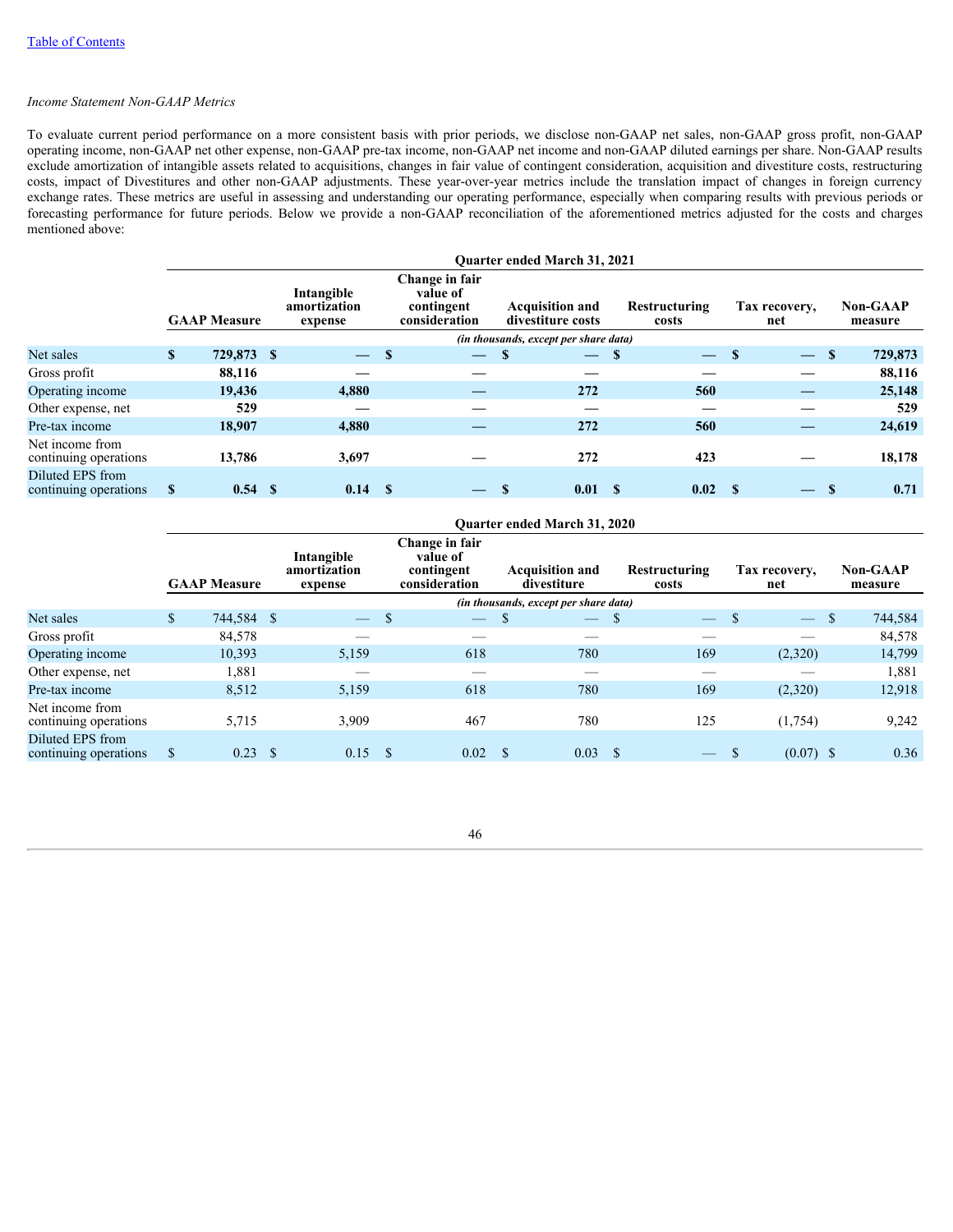#### *Income Statement Non-GAAP Metrics*

Tableof Contents<br>
To evaluate current period performance on a more consistent basis with prior periods, we disclose non-GAAP net sales, non-GAAP gross profit, non-GAAP<br>
operating income, non-GAAP net other expense, non-GA operating income, non-GAAP net other expense, non-GAAP pre-tax income, non-GAAP net income and non-GAAP diluted earnings per share. Non-GAAP results exclude amortization of intangible assets related to acquisitions, changes in fair value of contingent consideration, acquisition and divestiture costs, restructuring costs, impact of Divestitures and other non-GAAP adjust Table of Contents<br>
Income Statement Non-GAAP Metrics<br>
To evaluate current period performance on a more consistent basis with prior periods, we disclose non-GAAP net sales, non-GAAP gross profit, non-GAAP<br>
poperating incom exchange rates. These metrics are useful in assessing and understanding our operating performance, especially when comparing results with previous periods or forecasting performance for future periods. Below we provide a n Table of Contents<br>
To evaluate current period performance on a more consistent basis with prior periods, we disclose non-GAAP ret sales, non-GAAP gross profit, non-GAAP<br>
Operating pieconcy, non-GAAP reconciliation of inta mentioned above:

|                                           |                     |                                       |                                                           | Quarter ended March 31, 2021                |                        |                      |                          |                            |
|-------------------------------------------|---------------------|---------------------------------------|-----------------------------------------------------------|---------------------------------------------|------------------------|----------------------|--------------------------|----------------------------|
|                                           | <b>GAAP Measure</b> | Intangible<br>amortization<br>expense | Change in fair<br>value of<br>contingent<br>consideration | <b>Acquisition and</b><br>divestiture costs | Restructuring<br>costs | Tax recovery,<br>net |                          | <b>Non-GAAP</b><br>measure |
|                                           |                     |                                       |                                                           | (in thousands, except per share data)       |                        |                      |                          |                            |
| Net sales                                 | 729,873 \$          | $-$ S                                 | $\overline{\phantom{m}}$                                  | $\sim$ $\sim$                               | $-$ S                  |                      | $\overline{\phantom{0}}$ | 729,873                    |
| Gross profit                              | 88,116              |                                       |                                                           |                                             |                        |                      |                          | 88,116                     |
| Operating income                          | 19,436              | 4,880                                 | $\hspace{0.05cm}$                                         | 272                                         | 560                    |                      |                          | 25,148                     |
| Other expense, net                        | 529                 |                                       | $\hspace{0.05cm}$                                         | $\hspace{0.05cm}$                           |                        |                      |                          | 529                        |
| Pre-tax income                            | 18,907              | 4,880                                 | $\overline{\phantom{m}}$                                  | 272                                         | 560                    |                      |                          | 24,619                     |
| Net income from<br>continuing operations  | 13,786              | 3,697                                 | $\hspace{0.05cm}$                                         | 272                                         | 423                    |                      |                          | 18,178                     |
| Diluted EPS from<br>continuing operations | 0.54 S              | 0.14S                                 | $\overline{\phantom{m}}$                                  | 0.01 S                                      | 0.02 S                 |                      | $\overline{\phantom{a}}$ | 0.71                       |

|                                           |   |                     |                                       |                                                           | Quarter ended March 31, 2020          |                        |                          |                          |                            |
|-------------------------------------------|---|---------------------|---------------------------------------|-----------------------------------------------------------|---------------------------------------|------------------------|--------------------------|--------------------------|----------------------------|
|                                           |   | <b>GAAP Measure</b> | Intangible<br>amortization<br>expense | Change in fair<br>value of<br>contingent<br>consideration | <b>Acquisition and</b><br>divestiture | Restructuring<br>costs | Tax recovery,<br>net     |                          | <b>Non-GAAP</b><br>measure |
|                                           |   |                     |                                       |                                                           | (in thousands, except per share data) |                        |                          |                          |                            |
| Net sales                                 | S | 744,584 \$          | $\frac{1}{2}$                         | $\overline{\phantom{m}}$                                  | $\overline{\phantom{a}}$              |                        | <u>and</u>               | $\overline{\phantom{m}}$ | 744,584                    |
| Gross profit                              |   | 84,578              |                                       |                                                           |                                       |                        |                          |                          | 84,578                     |
| Operating income                          |   | 10,393              | 5,159                                 | 618                                                       | 780                                   | 169                    |                          | (2,320)                  | 14,799                     |
| Other expense, net                        |   | 1,881               | $\overbrace{\hspace{25mm}}^{}$        | $\hspace{0.05cm}$                                         | $\overbrace{\phantom{aaaaa}}$         |                        |                          |                          | 1,881                      |
| Pre-tax income                            |   | 8,512               | 5,159                                 | 618                                                       | 780                                   | 169                    |                          | (2,320)                  | 12,918                     |
| Net income from<br>continuing operations  |   | 5,715               | 3,909                                 | 467                                                       | 780                                   | 125                    |                          | (1,754)                  | 9,242                      |
| Diluted EPS from<br>continuing operations |   | 0.23<br>- \$        | 0.15                                  | 0.02<br><sup>S</sup>                                      | 0.03 S<br>- 30                        |                        | $\overline{\phantom{a}}$ | $(0.07)$ \$              | 0.36                       |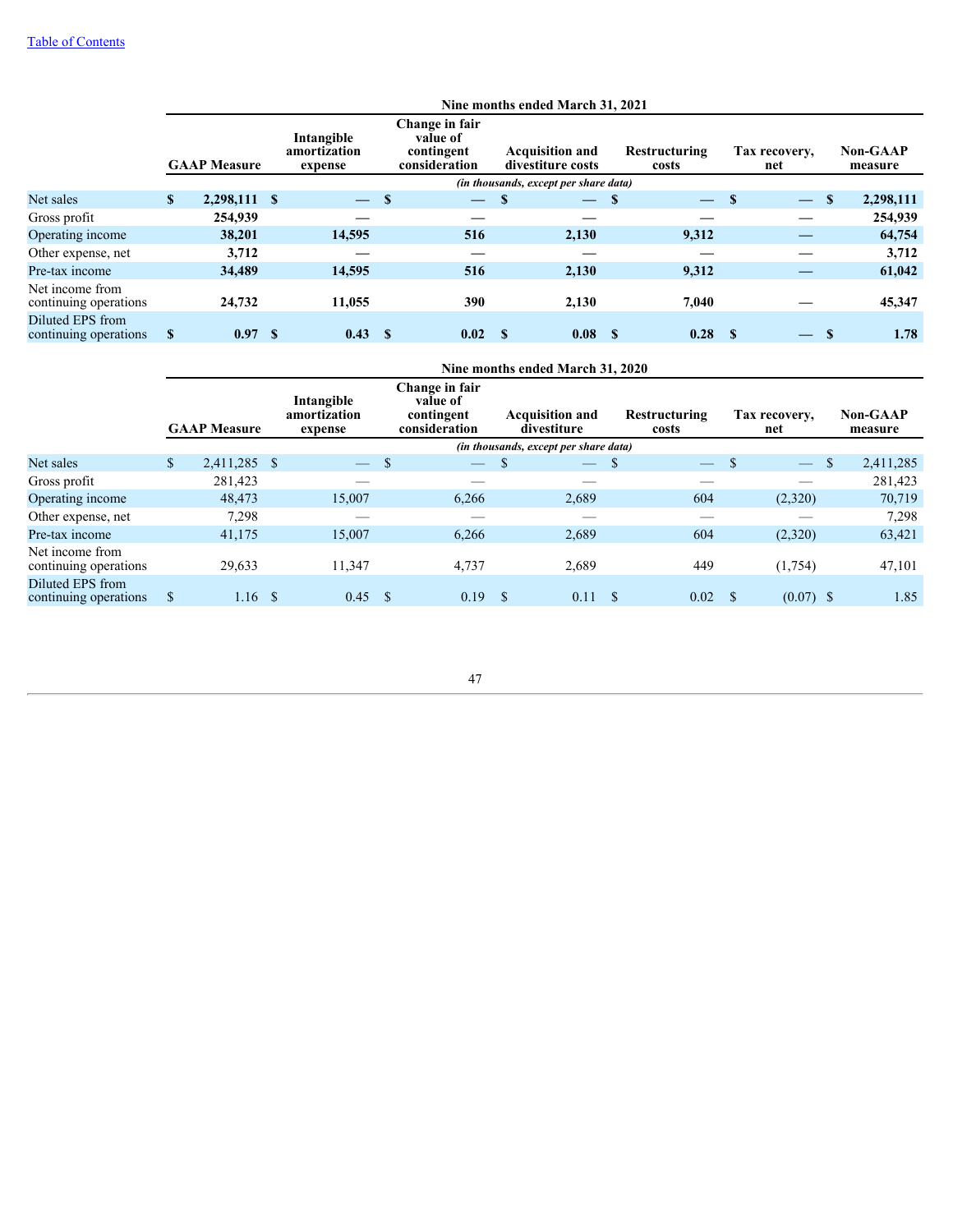|                                           |    |                     |                                       |       |                                                           | Nine months ended March 31, 2021            |                                 |                                 |      |                          |                     |
|-------------------------------------------|----|---------------------|---------------------------------------|-------|-----------------------------------------------------------|---------------------------------------------|---------------------------------|---------------------------------|------|--------------------------|---------------------|
|                                           |    | <b>GAAP Measure</b> | Intangible<br>amortization<br>expense |       | Change in fair<br>value of<br>contingent<br>consideration | <b>Acquisition and</b><br>divestiture costs |                                 | Restructuring<br>costs          |      | Tax recovery,<br>net     | Non-GAAP<br>measure |
|                                           |    |                     |                                       |       |                                                           | (in thousands, except per share data)       |                                 |                                 |      |                          |                     |
| Net sales                                 | -S | 2,298,111 \$        |                                       | $-$ S | $\overline{\phantom{m}}$                                  |                                             | $\overline{\phantom{m}}$        | $\overline{\phantom{m}}$        | - 35 | $\overline{\phantom{a}}$ | 2,298,111           |
| Gross profit                              |    | 254,939             | $\overbrace{\phantom{aaaaa}}$         |       |                                                           |                                             |                                 |                                 |      | $\hspace{0.05cm}$        | 254,939             |
| Operating income                          |    | 38,201              | 14,595                                |       | 516                                                       |                                             | 2,130                           | 9,312                           |      | $\overline{\phantom{m}}$ | 64,754              |
| Other expense, net                        |    | 3,712               | $\hspace{0.05cm}$                     |       | $\qquad \qquad \overline{\qquad \qquad }$                 |                                             | $\hspace{0.1mm}-\hspace{0.1mm}$ | $\hspace{0.1mm}-\hspace{0.1mm}$ |      | $\overline{\phantom{m}}$ | 3,712               |
| Pre-tax income                            |    | 34,489              | 14,595                                |       | 516                                                       |                                             | 2,130                           | 9,312                           |      | $\overline{\phantom{m}}$ | 61,042              |
| Net income from<br>continuing operations  |    | 24,732              | 11,055                                |       | 390                                                       |                                             | 2,130                           | 7,040                           |      | $\hspace{0.05cm}$        | 45,347              |
| Diluted EPS from<br>continuing operations | -8 | 0.97 S              | 0.43 S                                |       | 0.02 S                                                    |                                             | 0.08 S                          | 0.28                            | -8   | $\sim$                   | 1.78                |

|                                           |                     |                                       |     |                                                           | Nine months ended March 31, 2020      |                               |                      |                            |
|-------------------------------------------|---------------------|---------------------------------------|-----|-----------------------------------------------------------|---------------------------------------|-------------------------------|----------------------|----------------------------|
|                                           | <b>GAAP</b> Measure | Intangible<br>amortization<br>expense |     | Change in fair<br>value of<br>contingent<br>consideration | <b>Acquisition and</b><br>divestiture | <b>Restructuring</b><br>costs | Tax recovery,<br>net | <b>Non-GAAP</b><br>measure |
|                                           |                     |                                       |     |                                                           | (in thousands, except per share data) |                               |                      |                            |
| Net sales                                 | 2,411,285 \$        | $\overline{\phantom{m}}$              |     | $\overline{\phantom{m}}$                                  | $\overline{\phantom{0}}$              | $\overline{\phantom{0}}$      | المستنقص             | 2,411,285                  |
| Gross profit                              | 281,423             | $\overline{\phantom{m}}$              |     |                                                           |                                       |                               | $\hspace{0.05cm}$    | 281,423                    |
| Operating income                          | 48,473              | 15,007                                |     | 6,266                                                     | 2,689                                 | 604                           | (2,320)              | 70,719                     |
| Other expense, net                        | 7,298               | $\overbrace{\hspace{25mm}}^{}$        |     |                                                           |                                       |                               |                      | 7,298                      |
| Pre-tax income                            | 41,175              | 15,007                                |     | 6,266                                                     | 2,689                                 | 604                           | (2,320)              | 63,421                     |
| Net income from<br>continuing operations  | 29,633              | 11,347                                |     | 4,737                                                     | 2,689                                 | 449                           | (1,754)              | 47,101                     |
| Diluted EPS from<br>continuing operations | 1.16 <sup>°</sup>   | 0.45                                  | -\$ | 0.19                                                      | 0.11<br>$^{\circ}$                    | 0.02 S                        | $(0.07)$ \$          | 1.85                       |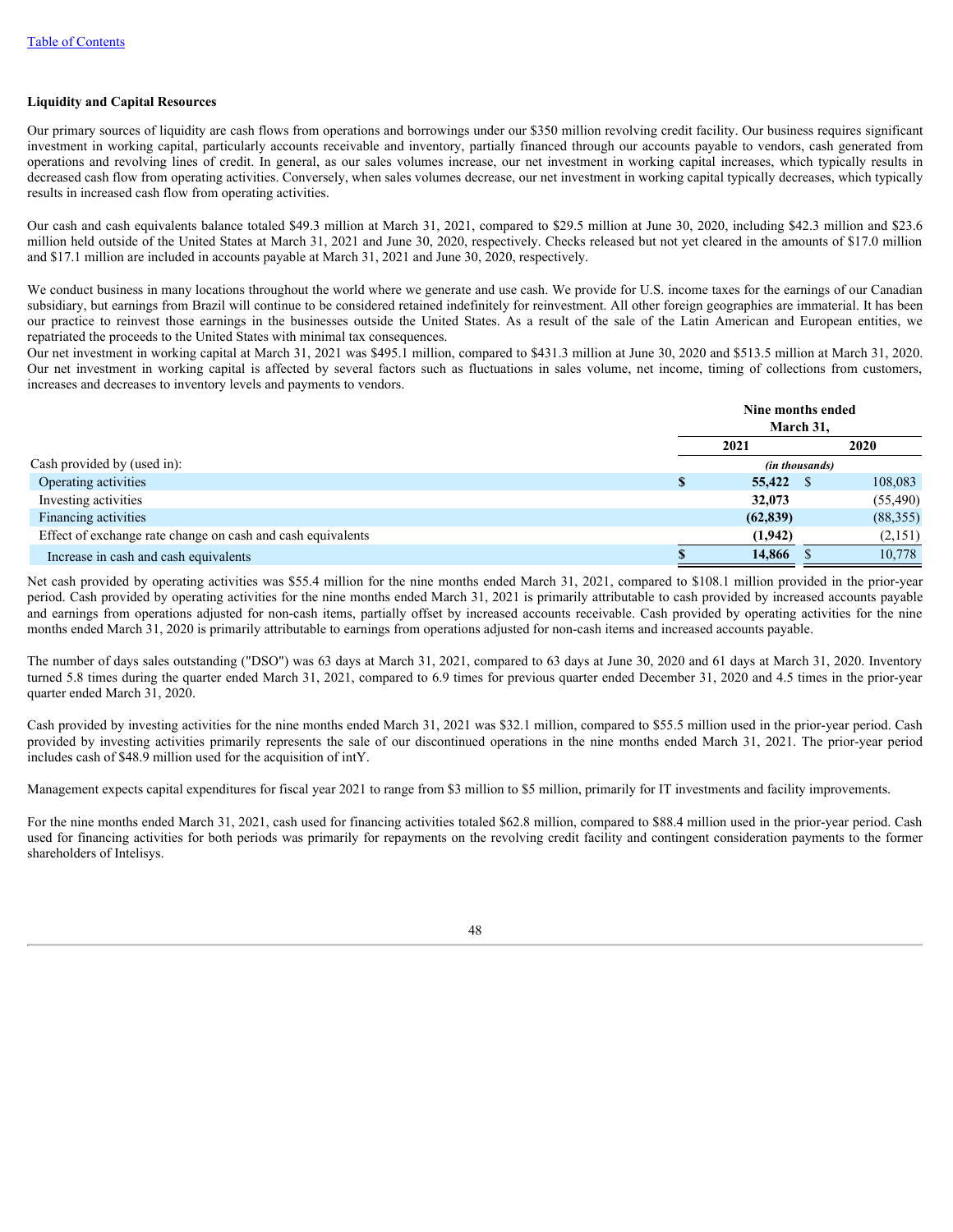#### **Liquidity and Capital Resources**

Our primary sources of liquidity are cash flows from operations and borrowings under our \$350 million revolving credit facility. Our business requires significant investment in working capital, particularly accounts receivable and inventory, partially financed through our accounts payable to vendors, cash generated from operations and revolving lines of credit. In general, as our sa Tableof Contents<br>
Our primary sources of liquidity are cash flows from operations and borrowings under our \$350 million revolving credit facility. Our business requires significant<br>
investment in working capital, particul decreased cash flow from operating activities. Conversely, when sales volumes decrease, our net investment in working capital typically decreases, which typically results in increased cash flow from operating activities. Table of Contents<br>
Using the Contents<br>
Using the Superintan weakers of Figuridaty are eash flows from operations and borrowings under our \$350 million revolving credit facility. Our business requires significant<br>
investme

| <b>Table of Contents</b>                                                                                                                                                                                                                                                                                                                                                                                                                                                                                                                                                                                                                                                                                                                                                                                                                                                                                                                                                                                                                                                                                                                                                                                                                                                                                                                                                                                                     |              |                                |                   |
|------------------------------------------------------------------------------------------------------------------------------------------------------------------------------------------------------------------------------------------------------------------------------------------------------------------------------------------------------------------------------------------------------------------------------------------------------------------------------------------------------------------------------------------------------------------------------------------------------------------------------------------------------------------------------------------------------------------------------------------------------------------------------------------------------------------------------------------------------------------------------------------------------------------------------------------------------------------------------------------------------------------------------------------------------------------------------------------------------------------------------------------------------------------------------------------------------------------------------------------------------------------------------------------------------------------------------------------------------------------------------------------------------------------------------|--------------|--------------------------------|-------------------|
| <b>Liquidity and Capital Resources</b>                                                                                                                                                                                                                                                                                                                                                                                                                                                                                                                                                                                                                                                                                                                                                                                                                                                                                                                                                                                                                                                                                                                                                                                                                                                                                                                                                                                       |              |                                |                   |
| Our primary sources of liquidity are cash flows from operations and borrowings under our \$350 million revolving credit facility. Our business requires significant<br>investment in working capital, particularly accounts receivable and inventory, partially financed through our accounts payable to vendors, cash generated from<br>operations and revolving lines of credit. In general, as our sales volumes increase, our net investment in working capital increases, which typically results in<br>decreased cash flow from operating activities. Conversely, when sales volumes decrease, our net investment in working capital typically decreases, which typically<br>results in increased cash flow from operating activities.                                                                                                                                                                                                                                                                                                                                                                                                                                                                                                                                                                                                                                                                                 |              |                                |                   |
| Our cash and cash equivalents balance totaled \$49.3 million at March 31, 2021, compared to \$29.5 million at June 30, 2020, including \$42.3 million and \$23.6<br>million held outside of the United States at March 31, 2021 and June 30, 2020, respectively. Checks released but not yet cleared in the amounts of \$17.0 million<br>and \$17.1 million are included in accounts payable at March 31, 2021 and June 30, 2020, respectively.                                                                                                                                                                                                                                                                                                                                                                                                                                                                                                                                                                                                                                                                                                                                                                                                                                                                                                                                                                              |              |                                |                   |
| We conduct business in many locations throughout the world where we generate and use cash. We provide for U.S. income taxes for the earnings of our Canadian<br>subsidiary, but earnings from Brazil will continue to be considered retained indefinitely for reinvestment. All other foreign geographies are immaterial. It has been<br>our practice to reinvest those earnings in the businesses outside the United States. As a result of the sale of the Latin American and European entities, we<br>repatriated the proceeds to the United States with minimal tax consequences.<br>Our net investment in working capital at March 31, 2021 was \$495.1 million, compared to \$431.3 million at June 30, 2020 and \$513.5 million at March 31, 2020.<br>Our net investment in working capital is affected by several factors such as fluctuations in sales volume, net income, timing of collections from customers,<br>increases and decreases to inventory levels and payments to vendors.                                                                                                                                                                                                                                                                                                                                                                                                                            |              |                                |                   |
|                                                                                                                                                                                                                                                                                                                                                                                                                                                                                                                                                                                                                                                                                                                                                                                                                                                                                                                                                                                                                                                                                                                                                                                                                                                                                                                                                                                                                              |              | Nine months ended<br>March 31, |                   |
|                                                                                                                                                                                                                                                                                                                                                                                                                                                                                                                                                                                                                                                                                                                                                                                                                                                                                                                                                                                                                                                                                                                                                                                                                                                                                                                                                                                                                              |              |                                |                   |
|                                                                                                                                                                                                                                                                                                                                                                                                                                                                                                                                                                                                                                                                                                                                                                                                                                                                                                                                                                                                                                                                                                                                                                                                                                                                                                                                                                                                                              |              | 2021                           | 2020              |
| Cash provided by (used in):                                                                                                                                                                                                                                                                                                                                                                                                                                                                                                                                                                                                                                                                                                                                                                                                                                                                                                                                                                                                                                                                                                                                                                                                                                                                                                                                                                                                  |              | (in thousands)                 |                   |
| Operating activities                                                                                                                                                                                                                                                                                                                                                                                                                                                                                                                                                                                                                                                                                                                                                                                                                                                                                                                                                                                                                                                                                                                                                                                                                                                                                                                                                                                                         | $\mathbf{s}$ | $55,422$ \$                    | 108,083           |
| Investing activities                                                                                                                                                                                                                                                                                                                                                                                                                                                                                                                                                                                                                                                                                                                                                                                                                                                                                                                                                                                                                                                                                                                                                                                                                                                                                                                                                                                                         |              | 32,073                         | (55, 490)         |
| Financing activities                                                                                                                                                                                                                                                                                                                                                                                                                                                                                                                                                                                                                                                                                                                                                                                                                                                                                                                                                                                                                                                                                                                                                                                                                                                                                                                                                                                                         |              | (62, 839)                      | (88,355)          |
| Effect of exchange rate change on cash and cash equivalents<br>Increase in cash and cash equivalents                                                                                                                                                                                                                                                                                                                                                                                                                                                                                                                                                                                                                                                                                                                                                                                                                                                                                                                                                                                                                                                                                                                                                                                                                                                                                                                         |              | (1,942)<br>14,866              | (2,151)<br>10,778 |
|                                                                                                                                                                                                                                                                                                                                                                                                                                                                                                                                                                                                                                                                                                                                                                                                                                                                                                                                                                                                                                                                                                                                                                                                                                                                                                                                                                                                                              |              |                                |                   |
| Net cash provided by operating activities was \$55.4 million for the nine months ended March 31, 2021, compared to \$108.1 million provided in the prior-year<br>period. Cash provided by operating activities for the nine months ended March 31, 2021 is primarily attributable to cash provided by increased accounts payable<br>and earnings from operations adjusted for non-cash items, partially offset by increased accounts receivable. Cash provided by operating activities for the nine<br>months ended March 31, 2020 is primarily attributable to earnings from operations adjusted for non-cash items and increased accounts payable.<br>The number of days sales outstanding ("DSO") was 63 days at March 31, 2021, compared to 63 days at June 30, 2020 and 61 days at March 31, 2020. Inventory<br>turned 5.8 times during the quarter ended March 31, 2021, compared to 6.9 times for previous quarter ended December 31, 2020 and 4.5 times in the prior-year<br>quarter ended March 31, 2020.<br>Cash provided by investing activities for the nine months ended March 31, 2021 was \$32.1 million, compared to \$55.5 million used in the prior-year period. Cash<br>provided by investing activities primarily represents the sale of our discontinued operations in the nine months ended March 31, 2021. The prior-year period<br>includes cash of \$48.9 million used for the acquisition of intY. |              |                                |                   |
| Management expects capital expenditures for fiscal year 2021 to range from \$3 million to \$5 million, primarily for IT investments and facility improvements.                                                                                                                                                                                                                                                                                                                                                                                                                                                                                                                                                                                                                                                                                                                                                                                                                                                                                                                                                                                                                                                                                                                                                                                                                                                               |              |                                |                   |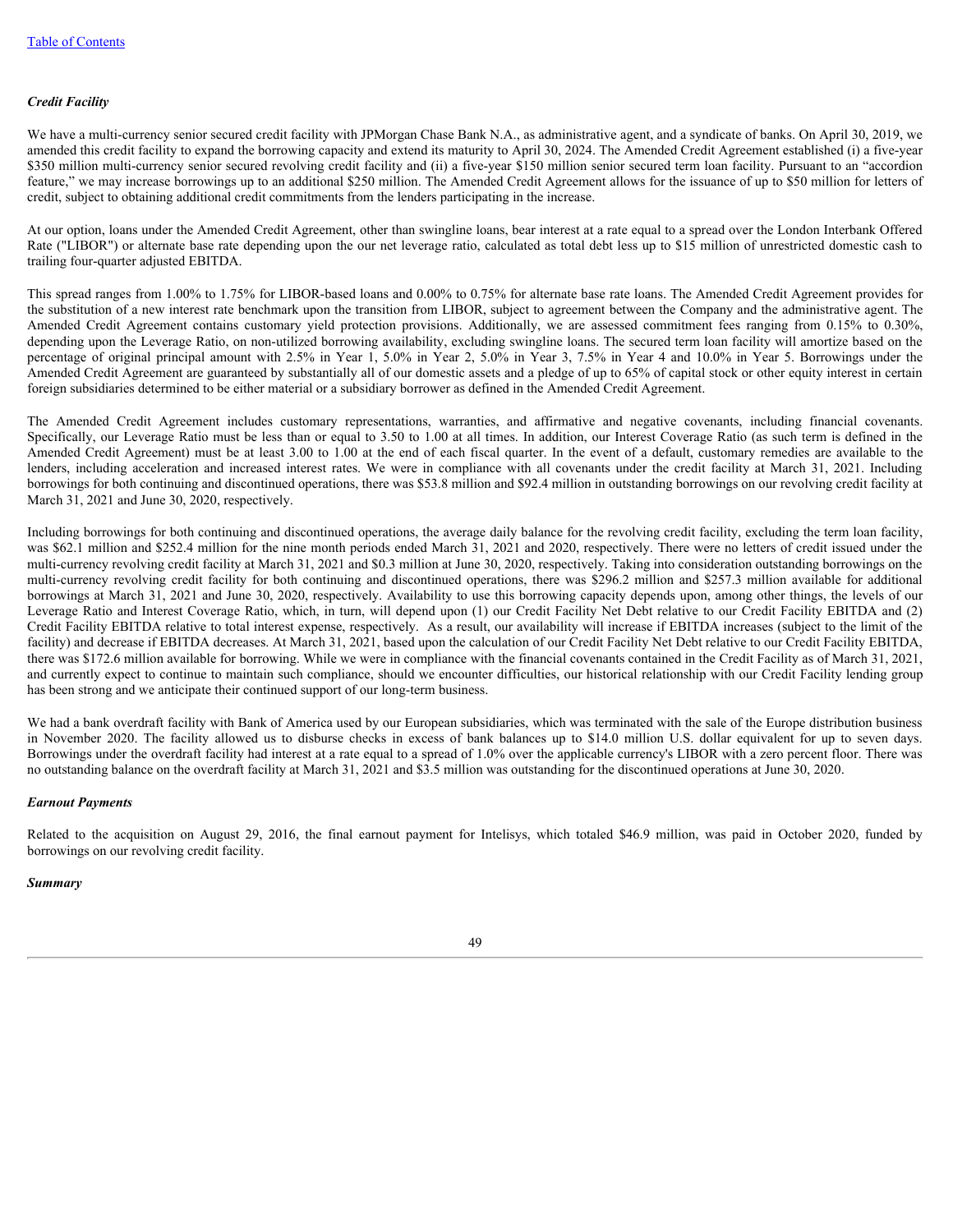## *Credit Facility*

We have a multi-currency senior secured credit facility with JPMorgan Chase Bank N.A., as administrative agent, and a syndicate of banks. On April 30, 2019, we amended this credit facility to expand the borrowing capacity and extend its maturity to April 30, 2024. The Amended Credit Agreement established (i) a five-year \$350 million multi-currency senior secured revolving credit facility and (ii) a five-year \$150 million senior secured term loan facility. Pursuant to an "accordion feature," we may increase borrowings up to an additional \$250 million. The Amended Credit Agreement allows for the issuance of up to \$50 million for letters of credit, subject to obtaining additional credit commitments from the lenders participating in the increase.

At our option, loans under the Amended Credit Agreement, other than swingline loans, bear interest at a rate equal to a spread over the London Interbank Offered Rate ("LIBOR") or alternate base rate depending upon the our net leverage ratio, calculated as total debt less up to \$15 million of unrestricted domestic cash to trailing four-quarter adjusted EBITDA.

This spread ranges from 1.00% to 1.75% for LIBOR-based loans and 0.00% to 0.75% for alternate base rate loans. The Amended Credit Agreement provides for the substitution of a new interest rate benchmark upon the transition from LIBOR, subject to agreement between the Company and the administrative agent. The Tableof Contents<br>
Tradit Facility cost another strength are controlling with JPMorgan Chase Bank N A., as administrative agent, and a syndicate of banks, On April 30, 2019, we<br>
We have a multi-currency senior secured the depending upon the Leverage Ratio, on non-utilized borrowing availability, excluding swingline loans. The secured term loan facility will amortize based on the Table of Contents<br>We have multi-currency senior secured credit facility with *PPMorgan* Chase Bank N.A., as administrative agent, and a synthcate of banks. On April 30, 2019, we<br>Mechand this credit facility be expand the b Amended Credit Agreement are guaranteed by substantially all of our domestic assets and a pledge of up to 65% of capital stock or other equity interest in certain foreign subsidiaries determined to be either material or a subsidiary borrower as defined in the Amended Credit Agreement. The Ecreanists<br>
The American Credit Agreement includes control and the Section American Creanistic Agreement includes control and the Section Agreement and the Section Agreement includes customary representations control a Lender Contacts<br>
Vendit Fuelding<br>
We can entire stress research created result firsting with *PMorgan* Chase Bank N A<sub>n</sub> as administrative agent, and a synchete of thusk, On April 30, 2019, we<br>
We have a multi-surrouve ser

Specifically, our Leverage Ratio must be less than or equal to 3.50 to 1.00 at all times. In addition, our Interest Coverage Ratio (as such term is defined in the Amended Credit Agreement) must be at least 3.00 to 1.00 at the end of each fiscal quarter. In the event of a default, customary remedies are available to the borrowings for both continuing and discontinued operations, there was \$53.8 million and \$92.4 million in outstanding borrowings on our revolving credit facility at March 31, 2021 and June 30, 2020, respectively.

Including borrowings for both continuing and discontinued operations, the average daily balance for the revolving credit facility, excluding the term loan facility, was \$62.1 million and \$252.4 million for the nine month periods ended March 31, 2021 and 2020, respectively. There were no letters of credit issued under the multi-currency revolving credit facility at March 31, 2021 and \$0.3 million at June 30, 2020, respectively. Taking into consideration outstanding borrowings on the Credit Fredity<br>Credit Fredity<br>We have a multi-currency serior second interdity for bit physics and tends in factural Facility for Apple 3.224-13 million and the<br>manuscle this credit facility experiment and control in the p borrowings at March 31, 2021 and June 30, 2020, respectively. Availability to use this borrowing capacity depends upon, among other things, the levels of our Leverage Ratio and Interest Coverage Ratio, which, in turn, will depend upon (1) our Credit Facility Net Debt relative to our Credit Facility EBITDA and (2) Credit Facility EBITDA relative to total interest expense, respectively. As a result, our availability will increase if EBITDA increases (subject to the limit of the facility) and decrease if EBITDA decreases. At March 31, 2021, based upon the calculation of our Credit Facility Net Debt relative to our Credit Facility EBITDA, there was \$172.6 million available for borrowing. While we were in compliance with the financial covenants contained in the Credit Facility as of March 31, 2021, and currently expect to continue to maintain such compliance, should we encounter difficulties, our historical relationship with our Credit Facility lending group has been strong and we anticipate their continued support of our long-term business. At one option, location the Amended Creative Antioxide Researcts, other interest of the facility and the facility allows allow the facility allow the three the locations of the facility of the facility of the facility of t Amenda Cristi Agrees on minimic consensus payed products. And intelligely, we are assessed consensus 20, 2016, the Superinter Consensus 29, 2016, the final energy from the acquisition of the acquisition on August 29, 2016,

We had a bank overdraft facility with Bank of America used by our European subsidiaries, which was terminated with the sale of the Europe distribution business Borrowings under the overdraft facility had interest at a rate equal to a spread of 1.0% over the applicable currency's LIBOR with a zero percent floor. There was no outstanding balance on the overdraft facility at March 31, 2021 and \$3.5 million was outstanding for the discontinued operations at June 30, 2020.

### *Earnout Payments*

borrowings on our revolving credit facility.

*Summary*

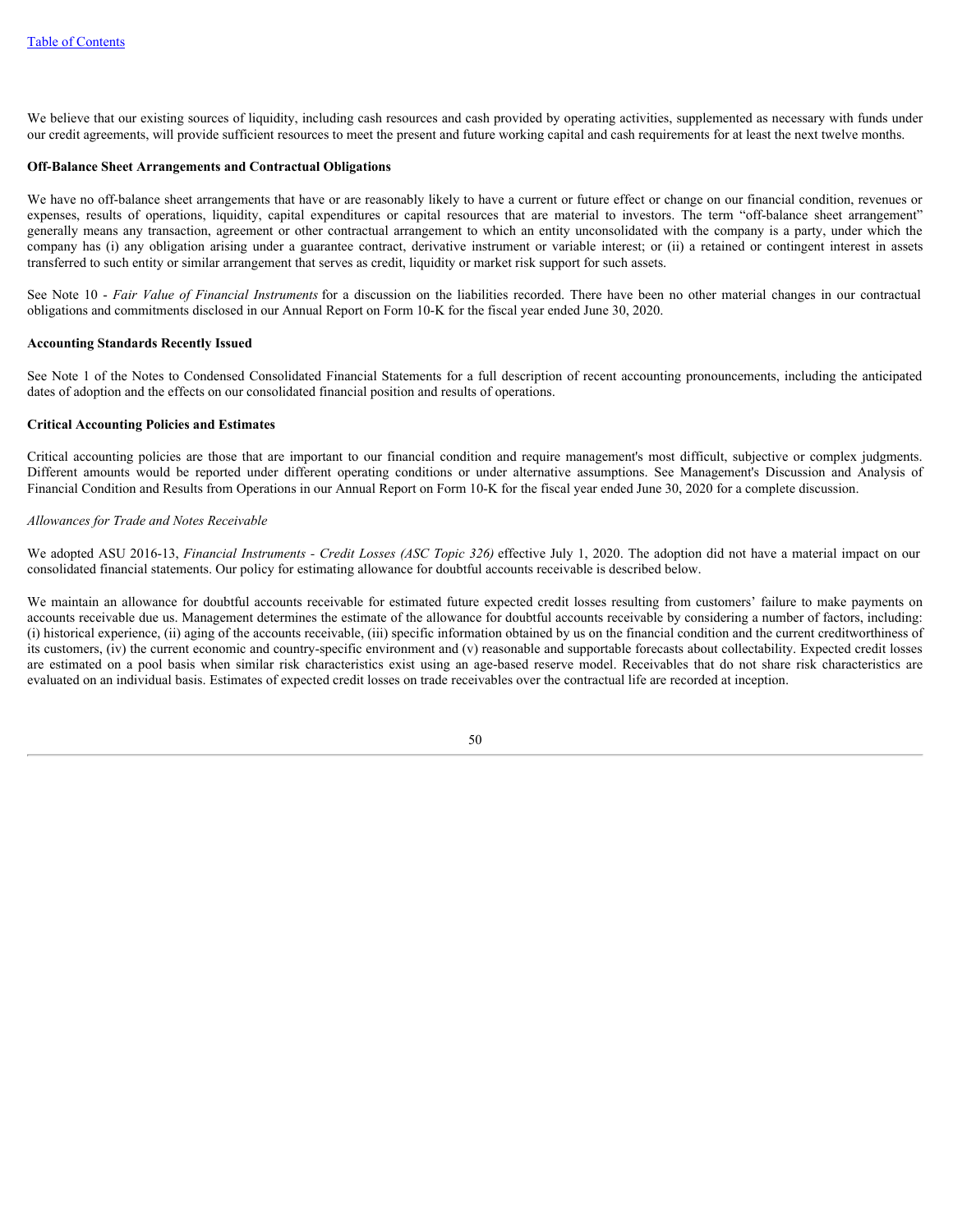We believe that our existing sources of liquidity, including cash resources and cash provided by operating activities, supplemented as necessary with funds under our credit agreements, will provide sufficient resources to meet the present and future working capital and cash requirements for at least the next twelve months.

#### **Off-Balance Sheet Arrangements and Contractual Obligations**

We have no off-balance sheet arrangements that have or are reasonably likely to have a current or future effect or change on our financial condition, revenues or expenses, results of operations, liquidity, capital expendit Tableof Contents<br>We believe that our existing sources of liquidity, including cash resources and cash provided by operating activities, supplemented as necessary with funds under<br>our credit agreements, will provide suffic Table of Contents<br>We believe that our existing sources of liquidity, including cash resources and cash provided by operating activities, supplemented as necessary with funds under<br>our credit agreements, will provide suffic Table of Contents<br>We believe that our existing sources of liquidity, including eash resources and cash provided by operating activities, supplemented as necessary with funds under<br>our credit agreements, will provide suffi transferred to such entity or similar arrangement that serves as credit, liquidity or market risk support for such assets. Table of Contents<br>We believe that our evisting sources of liquidity, including cash resources and cash provided by operating activities, supplemented as necessary with funds under<br>our credit agreements, will provide attifa Table of Critical accounting policies and Kimisto including total transmission and only provided by opening activities, supplemented as necessary with finds under the return of the state are the meant of the mean of the st Table of Cententia<br>We below that us eventy sources of liquiday, including cost resources and data provided by quenting sativities, supplemented in retires work firms under<br>our cash agreements, will movide authorities of th

obligations and commitments disclosed in our Annual Report on Form 10-K for the fiscal year ended June 30, 2020.

#### **Accounting Standards Recently Issued**

See Note 1 of the Notes to Condensed Consolidated Financial Statements for a full description of recent accounting pronouncements, including the anticipated dates of adoption and the effects on our consolidated financial position and results of operations.

#### **Critical Accounting Policies and Estimates**

Financial Condition and Results from Operations in our Annual Report on Form 10-K for the fiscal year ended June 30, 2020 for a complete discussion.

#### *Allowances for Trade and Notes Receivable*

We adopted ASU 2016-13, *Financial Instruments - Credit Losses (ASC Topic 326)* effective July 1, 2020. The adoption did not have a material impact on our consolidated financial statements. Our policy for estimating allowance for doubtful accounts receivable is described below.

We maintain an allowance for doubtful accounts receivable for estimated future expected credit losses resulting from customers' failure to make payments on accounts receivable due us. Management determines the estimate of the allowance for doubtful accounts receivable by considering a number of factors, including: (i) historical experience, (ii) aging of the accounts receivable, (iii) specific information obtained by us on the financial condition and the current creditworthiness of its customers, (iv) the current economic and country-specific environment and (v) reasonable and supportable forecasts about collectability. Expected credit losses Off-Balmee Sheet Arrangements and Contractual Obligations<br>We have no off-share-select arrangements: has have reasonably blog's these surrent or factor of the entire of the contract and the company of the company spectra re evaluated on an individual basis. Estimates of expected credit losses on trade receivables over the contractual life are recorded at inception.

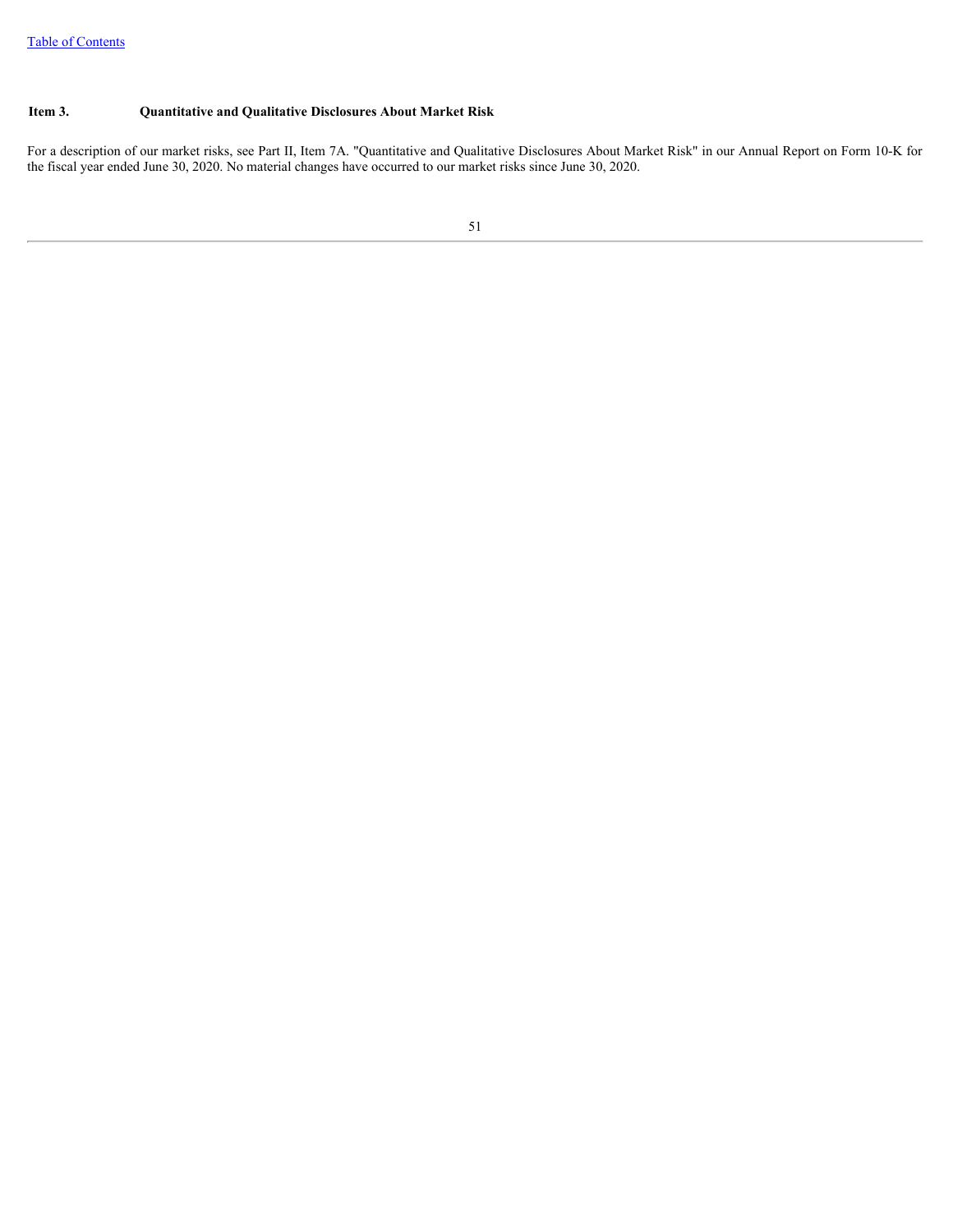# **Item 3. Quantitative and Qualitative Disclosures About Market Risk**

For a description of our market risks, see Part II, Item 7A. "Quantitative and Qualitative Disclosures About Market Risk" in our Annual Report on Form 10-K for the fiscal year ended June 30, 2020. No material changes have occurred to our market risks since June 30, 2020.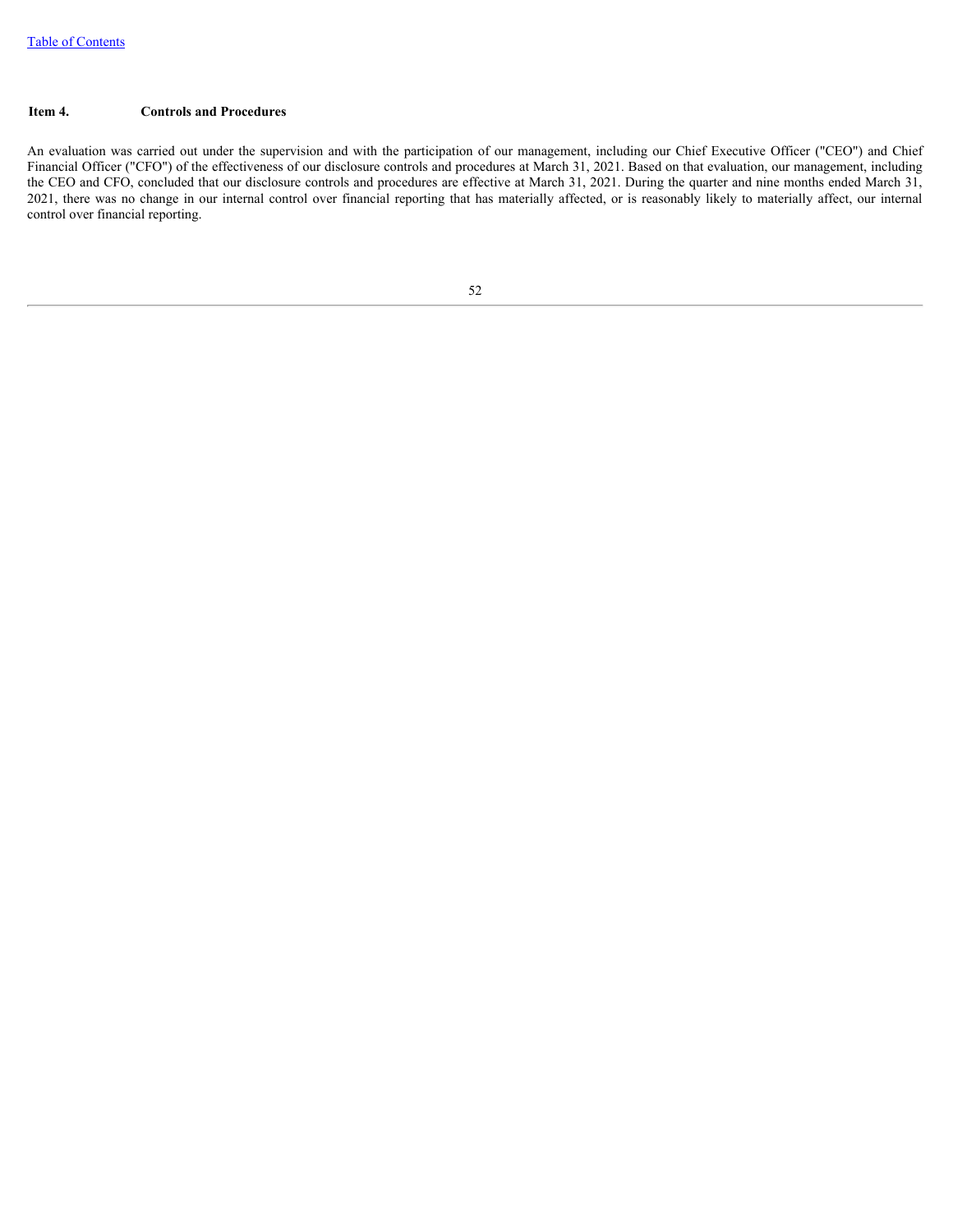#### **Item 4. Controls and Procedures**

An evaluation was carried out under the supervision and with the participation of our management, including our Chief Executive Officer ("CEO") and Chief Financial Officer ("CFO") of the effectiveness of our disclosure controls and procedures at March 31, 2021. Based on that evaluation, our management, including the CEO and CFO, concluded that our disclosure controls and procedures are effective at March 31, 2021. During the quarter and nine months ended March 31, 2021, there was no change in our internal control over financial reporting that has materially affected, or is reasonably likely to materially affect, our internal control over financial reporting.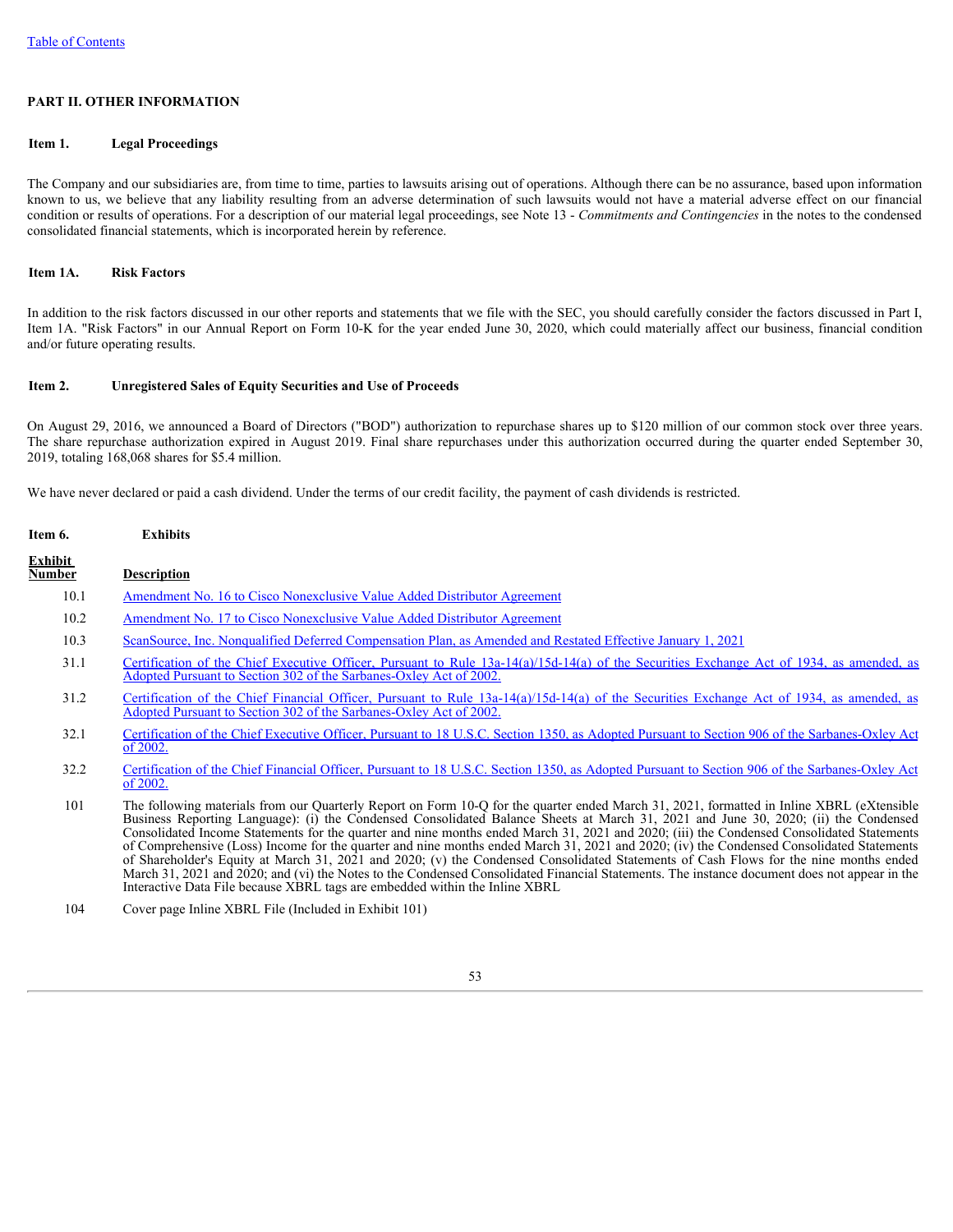# **PART II. OTHER INFORMATION**

## **Item 1. Legal Proceedings**

The Company and our subsidiaries are, from time to time, parties to lawsuits arising out of operations. Although there can be no assurance, based upon information Table of Contents<br> **The Company and our subsidiaries are, from time to time, parties to lawsuits arising out of operations. Although there can be no assurance, based upon information<br>
Rhown to us, we believe that any liabi** condition or results of operations. For a description of our material legal proceedings, see Note 13 - *Commitments and Contingencies* in the notes to the condensed consolidated financial statements, which is incorporated herein by reference. Table of Contents<br>
The Correnty and turnstshakenes are, firm lime in time parties to hascuits arising eat of operations. Allough there can be re ausurance, based ignor information<br>
How how it to, we believe that any labili

### **Item 1A. Risk Factors**

## **Item 2. Unregistered Sales of Equity Securities and Use of Proceeds**

|                                 | The Company and our subsidiaries are, from time to time, parties to lawsuits arising out of operations. Although there can be no assurance, based upon information<br>known to us, we believe that any liability resulting from an adverse determination of such lawsuits would not have a material adverse effect on our financial<br>condition or results of operations. For a description of our material legal proceedings, see Note 13 - Commitments and Contingencies in the notes to the condensed<br>consolidated financial statements, which is incorporated herein by reference.                                                                                                                                                                                                                                                                                                                                                        |
|---------------------------------|---------------------------------------------------------------------------------------------------------------------------------------------------------------------------------------------------------------------------------------------------------------------------------------------------------------------------------------------------------------------------------------------------------------------------------------------------------------------------------------------------------------------------------------------------------------------------------------------------------------------------------------------------------------------------------------------------------------------------------------------------------------------------------------------------------------------------------------------------------------------------------------------------------------------------------------------------|
| Item 1A.                        | <b>Risk Factors</b>                                                                                                                                                                                                                                                                                                                                                                                                                                                                                                                                                                                                                                                                                                                                                                                                                                                                                                                               |
|                                 | In addition to the risk factors discussed in our other reports and statements that we file with the SEC, you should carefully consider the factors discussed in Part I,<br>Item 1A. "Risk Factors" in our Annual Report on Form 10-K for the year ended June 30, 2020, which could materially affect our business, financial condition<br>and/or future operating results.                                                                                                                                                                                                                                                                                                                                                                                                                                                                                                                                                                        |
| Item 2.                         | <b>Unregistered Sales of Equity Securities and Use of Proceeds</b>                                                                                                                                                                                                                                                                                                                                                                                                                                                                                                                                                                                                                                                                                                                                                                                                                                                                                |
|                                 | On August 29, 2016, we announced a Board of Directors ("BOD") authorization to repurchase shares up to \$120 million of our common stock over three years.<br>The share repurchase authorization expired in August 2019. Final share repurchases under this authorization occurred during the quarter ended September 30,<br>2019, totaling 168,068 shares for \$5.4 million.                                                                                                                                                                                                                                                                                                                                                                                                                                                                                                                                                                     |
|                                 | We have never declared or paid a cash dividend. Under the terms of our credit facility, the payment of cash dividends is restricted.                                                                                                                                                                                                                                                                                                                                                                                                                                                                                                                                                                                                                                                                                                                                                                                                              |
| Item 6.                         | <b>Exhibits</b>                                                                                                                                                                                                                                                                                                                                                                                                                                                                                                                                                                                                                                                                                                                                                                                                                                                                                                                                   |
| <b>Exhibit</b><br><b>Number</b> | <b>Description</b>                                                                                                                                                                                                                                                                                                                                                                                                                                                                                                                                                                                                                                                                                                                                                                                                                                                                                                                                |
| 10.1                            | Amendment No. 16 to Cisco Nonexclusive Value Added Distributor Agreement                                                                                                                                                                                                                                                                                                                                                                                                                                                                                                                                                                                                                                                                                                                                                                                                                                                                          |
| 10.2                            | Amendment No. 17 to Cisco Nonexclusive Value Added Distributor Agreement                                                                                                                                                                                                                                                                                                                                                                                                                                                                                                                                                                                                                                                                                                                                                                                                                                                                          |
| 10.3                            | ScanSource, Inc. Nonqualified Deferred Compensation Plan, as Amended and Restated Effective January 1, 2021                                                                                                                                                                                                                                                                                                                                                                                                                                                                                                                                                                                                                                                                                                                                                                                                                                       |
| 31.1                            | Certification of the Chief Executive Officer, Pursuant to Rule 13a-14(a)/15d-14(a) of the Securities Exchange Act of 1934, as amended, as<br>Adopted Pursuant to Section 302 of the Sarbanes-Oxley Act of 2002.                                                                                                                                                                                                                                                                                                                                                                                                                                                                                                                                                                                                                                                                                                                                   |
| 31.2                            | Certification of the Chief Financial Officer, Pursuant to Rule 13a-14(a)/15d-14(a) of the Securities Exchange Act of 1934, as amended, as<br>Adopted Pursuant to Section 302 of the Sarbanes-Oxley Act of 2002.                                                                                                                                                                                                                                                                                                                                                                                                                                                                                                                                                                                                                                                                                                                                   |
| 32.1                            | Certification of the Chief Executive Officer, Pursuant to 18 U.S.C. Section 1350, as Adopted Pursuant to Section 906 of the Sarbanes-Oxley Act<br>of $2002$ .                                                                                                                                                                                                                                                                                                                                                                                                                                                                                                                                                                                                                                                                                                                                                                                     |
| 32.2                            | Certification of the Chief Financial Officer, Pursuant to 18 U.S.C. Section 1350, as Adopted Pursuant to Section 906 of the Sarbanes-Oxley Act<br>of 2002.                                                                                                                                                                                                                                                                                                                                                                                                                                                                                                                                                                                                                                                                                                                                                                                        |
| 101                             | The following materials from our Quarterly Report on Form 10-Q for the quarter ended March 31, 2021, formatted in Inline XBRL (eXtensible<br>Business Reporting Language): (i) the Condensed Consolidated Balance Sheets at March 31, 2021 and June 30, 2020; (ii) the Condensed<br>Consolidated Income Statements for the quarter and nine months ended March 31, 2021 and 2020; (iii) the Condensed Consolidated Statements<br>of Comprehensive (Loss) Income for the quarter and nine months ended March 31, 2021 and 2020; (iv) the Condensed Consolidated Statements<br>of Shareholder's Equity at March 31, 2021 and 2020; (v) the Condensed Consolidated Statements of Cash Flows for the nine months ended<br>March 31, 2021 and 2020; and (vi) the Notes to the Condensed Consolidated Financial Statements. The instance document does not appear in the<br>Interactive Data File because XBRL tags are embedded within the Inline XBRL |
| 104                             | Cover page Inline XBRL File (Included in Exhibit 101)                                                                                                                                                                                                                                                                                                                                                                                                                                                                                                                                                                                                                                                                                                                                                                                                                                                                                             |
|                                 |                                                                                                                                                                                                                                                                                                                                                                                                                                                                                                                                                                                                                                                                                                                                                                                                                                                                                                                                                   |
|                                 | 53                                                                                                                                                                                                                                                                                                                                                                                                                                                                                                                                                                                                                                                                                                                                                                                                                                                                                                                                                |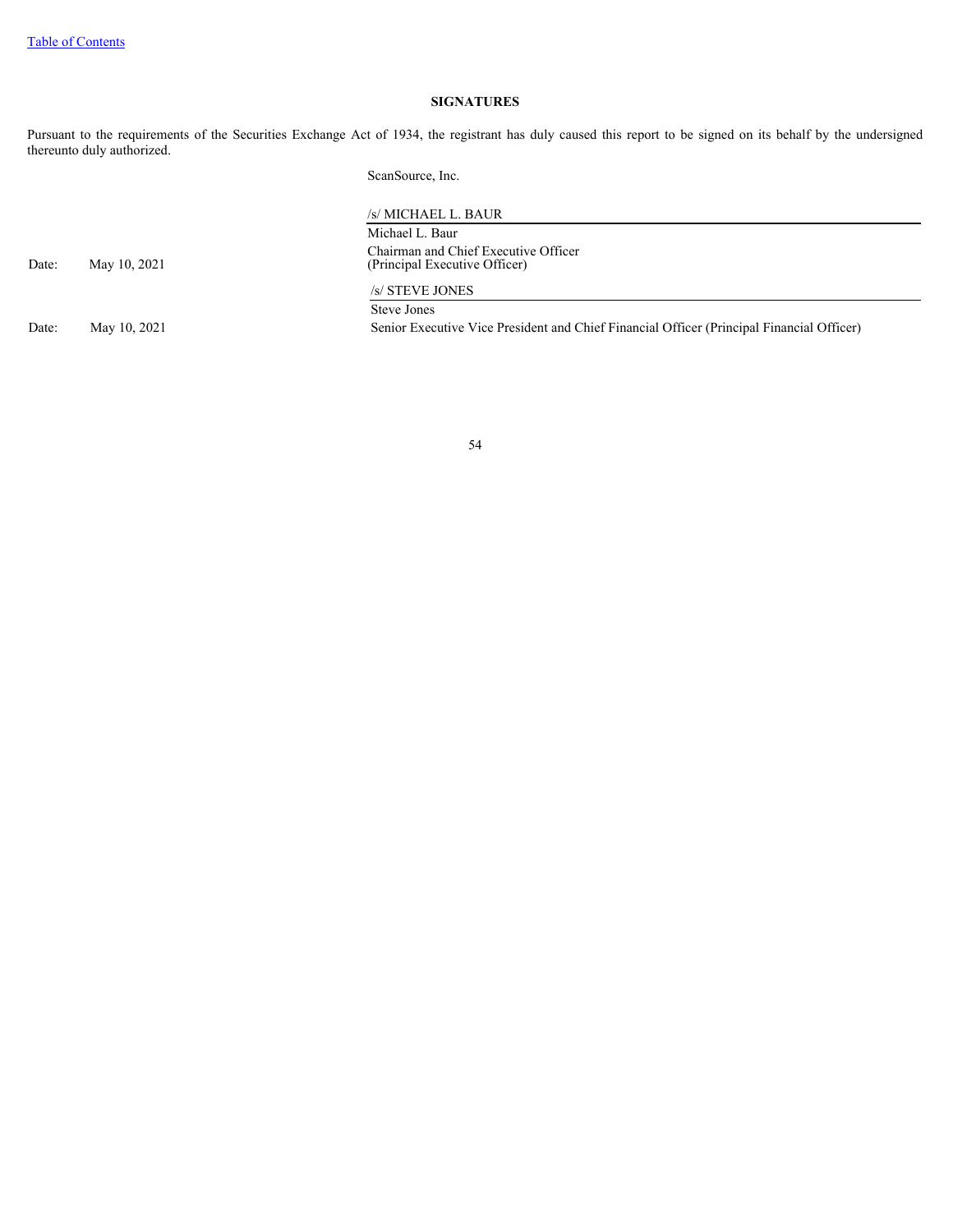## **SIGNATURES**

Fableof Contents<br>
Pursuant to the requirements of the Securities Exchange Act of 1934, the registrant has duly caused this report to be signed on its behalf by the undersigned<br>
SeanSource, Inc.<br>
SeanSource, Inc.<br>
Michael thereunto duly authorized.

Chairman and Chief Executive Officer

ScanSource, Inc.

Michael L. Baur

/s/ MICHAEL L. BAUR

Date: May 10, 2021 (Principal Executive Officer)

/s/ STEVE JONES

Steve Jones

Date: May 10, 2021 Senior Executive Vice President and Chief Financial Officer (Principal Financial Officer)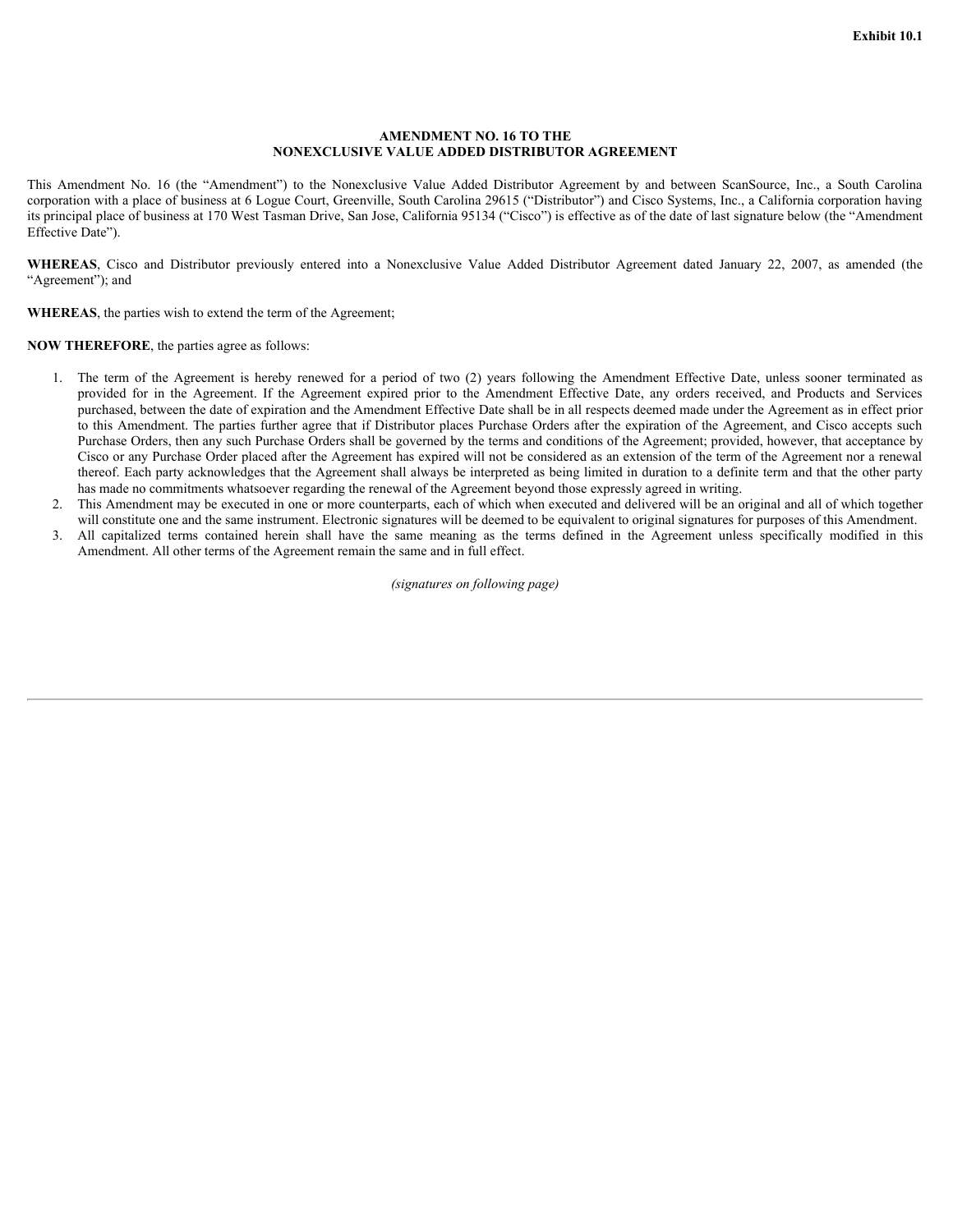## **AMENDMENT NO. 16 TO THE NONEXCLUSIVE VALUE ADDED DISTRIBUTOR AGREEMENT**

**EXAMBLE AMENDMENT NO. 16 TO THE**<br> **NONEXCLUSIVE VALUE ADDED DISTRIBUTOR AGREEMENT**<br>
This Amendment No. 16 (the "Amendment") to the Nonexclusive Value Added Distributor Agreement by and between ScanSource, Inc., a Californ corporation with a place of business at 6 Logue Court, Greenville, South Carolina 29615 ("Distributor") and Cisco Systems, Inc., a California corporation having its principal place of business at 170 West Tasman Drive, San Jose, California 95134 ("Cisco") is effective as of the date of last signature below (the "Amendment Effective Date"). **Exhibit 10.1**<br> **NONEXCLUSIVE VALUE ADDED DISTRIBUTOR AGREEMENT**<br>
This Amendment No. 16 (the "Amendment") to the Nonexclusive Value Added Distributor Agreement by and between ScanSource, Inc., a South Carolina<br>
is principa

"Agreement"); and

**WHEREAS**, the parties wish to extend the term of the Agreement;

**NOW THEREFORE**, the parties agree as follows:

- <span id="page-54-0"></span>Exhibit 10.1<br>
2. The term of the Agreement (No. 16 (10) the Agreement Society Content Content (No. 16 (10) The Nonethelisty Content (No. 16 (10) the Nonethelisty Content (No. 16 (10) the Society Content (No. 16 (2) years o **EXAMENT SONEX CLUSIVE VALUE ADDED DISTRIBUTOR AGREEMENT**<br> **Examples the Agreement (Agreement Computer)** on the Nonecolayies Value Added Distributor Agreement by and hereon ScanSource, Inc., a South Carolina<br>
on with a pla purchased, between the date of expiration and the Amendment Effective Date shall be in all respects deemed made under the Agreement as in effect prior to this Amendment. The parties further agree that if Distributor places Purchase Orders after the expiration of the Agreement, and Cisco accepts such Purchase Orders, then any such Purchase Orders shall be governed by the terms and conditions of the Agreement; provided, however, that acceptance by Cisco or any Purchase Order placed after the Agreement has expired will not be considered as an extension of the term of the Agreement nor a renewal thereof. Each party acknowledges that the Agreement shall always be interpreted as being limited in duration to a definite term and that the other party has made no commitments whatsoever regarding the renewal of the Agreement beyond those expressly agreed in writing. **SECURE MONDATION CONTROVE AT A CO THE SECURE SECURE SECURE ARE ANNOUNCED TO ASSESS THE SECURE TRANSFERENCE CONTROLL TO UNIT CONTROLL TO UNIT CONTROLL TO UNIT CONTROLL TO UNIT CONTROLL TO UNIT CONTROLL TO UNIT CONTROLL TO**
- 2. This Amendment may be executed in one or more counterparts, each of which when executed and delivered will be an original and all of which together will constitute one and the same instrument. Electronic signatures will be deemed to be equivalent to original signatures for purposes of this Amendment.
- Amendment. All other terms of the Agreement remain the same and in full effect.

*(signatures on following page)*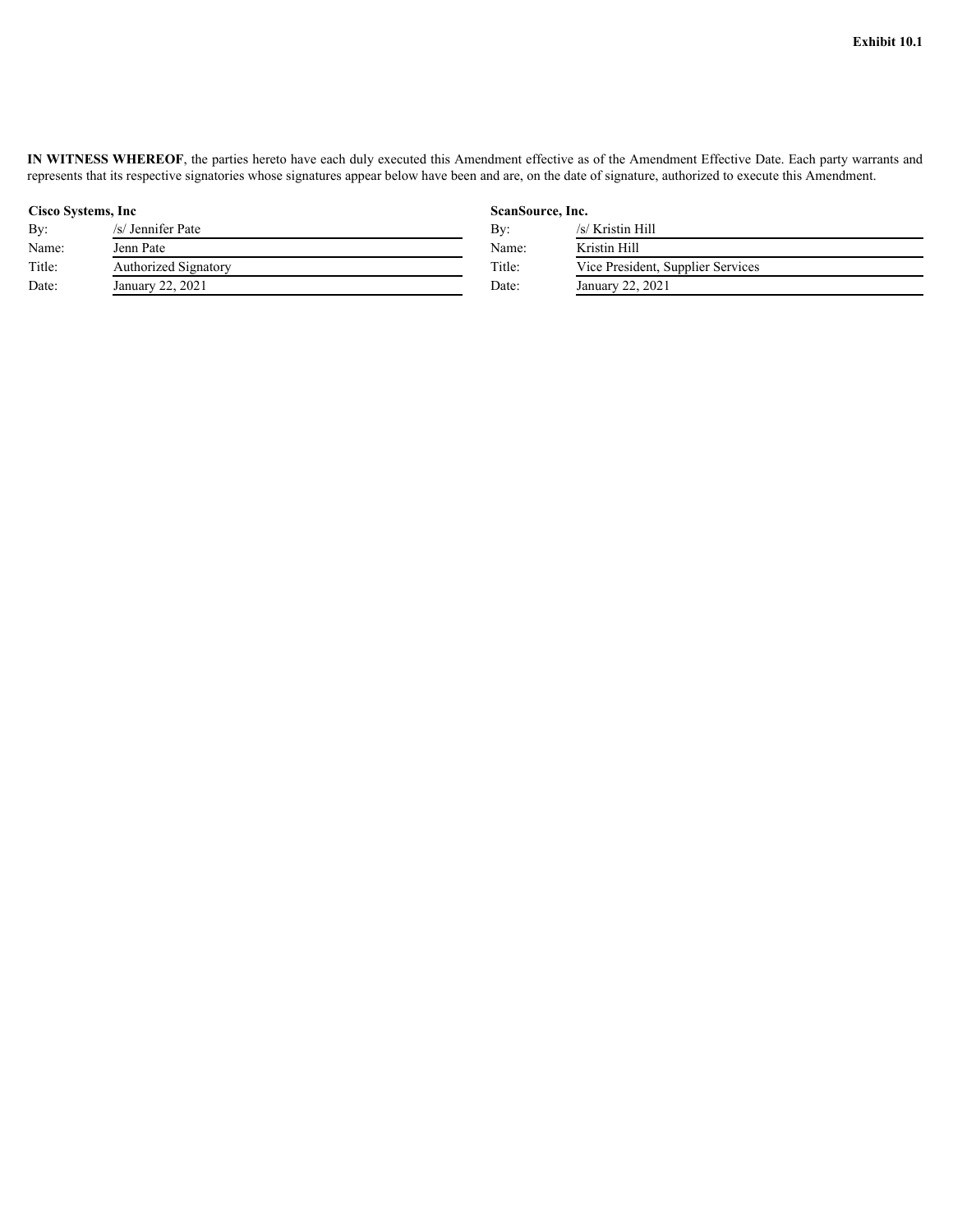**IN WITNESS WHEREOF**, the parties hereto have each duly executed this Amendment effective as of the Amendment Effective Date. Each party warrants and represents that its respective signatories whose signatures appear below have been and are, on the date of signature, authorized to execute this Amendment.

# **Cisco Systems, Inc ScanSource, Inc.**

| Bv     | <sup>'</sup> Jennifer Pate  | By:    | /s/ Kristin Hill                  |
|--------|-----------------------------|--------|-----------------------------------|
| Name:  | Jenn Pate                   | Name:  | Kristin Hill                      |
| Title: | <b>Authorized Signatory</b> | Title: | Vice President, Supplier Services |
| Date:  | January 22, 2021            | Date:  | January 22, 2021                  |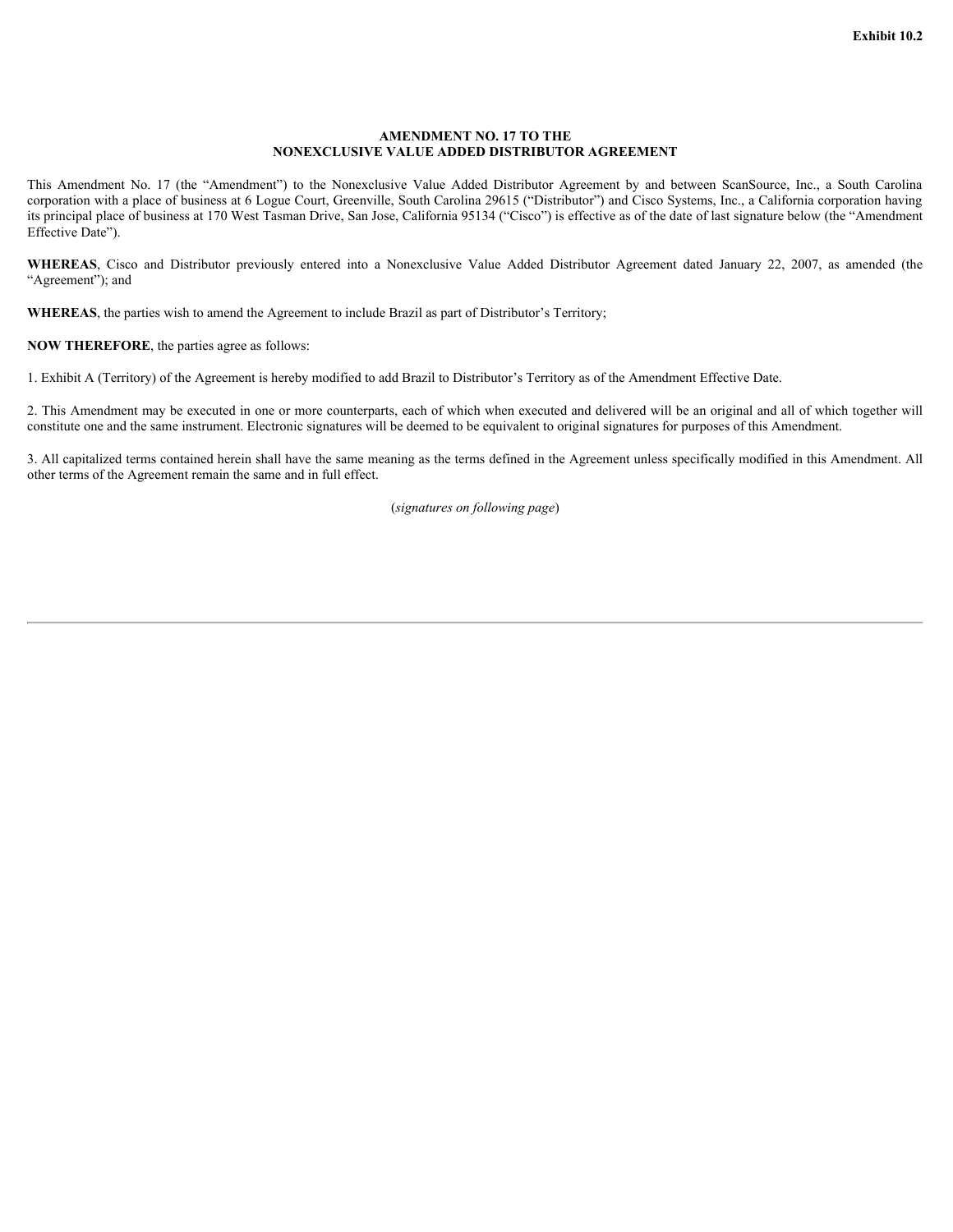## **AMENDMENT NO. 17 TO THE NONEXCLUSIVE VALUE ADDED DISTRIBUTOR AGREEMENT**

Exhibit 10.2<br>
MENDMENT NO. 17 TO THE<br>
MONEXCLUSIVE VALUE ADDED DISTRIBUTOR AGREEMENT<br>
Corporation with a place of business at 6 Logue Court, Greenville, South Carolina 296136 ("Distributor Agreement by and between ScanSour corporation with a place of business at 6 Logue Court, Greenville, South Carolina 29615 ("Distributor") and Cisco Systems, Inc., a California corporation having its principal place of business at 170 West Tasman Drive, San Jose, California 95134 ("Cisco") is effective as of the date of last signature below (the "Amendment Effective Date"). **WHEREAS, The Constrainers of the Construct CONSTRIBUTY CONTROLLATE THE AGREEMENT**<br> **WHEREAS ARE THE CONSTRIBUTE OF A CONSTRIBUTOR AGREEMENT**<br>
Supportion with a place of business at 170 West Tasman Drive, San Jose, Califor

<span id="page-56-0"></span>"Agreement"); and

**WHEREAS**, the parties wish to amend the Agreement to include Brazil as part of Distributor's Territory;

**NOW THEREFORE**, the parties agree as follows:

1. Exhibit A (Territory) of the Agreement is hereby modified to add Brazil to Distributor's Territory as of the Amendment Effective Date.

2. This Amendment may be executed in one or more counterparts, each of which when executed and delivered will be an original and all of which together will constitute one and the same instrument. Electronic signatures will be deemed to be equivalent to original signatures for purposes of this Amendment.

3. All capitalized terms contained herein shall have the same meaning as the terms defined in the Agreement unless specifically modified in this Amendment. All other terms of the Agreement remain the same and in full effect.

(*signatures on following page*)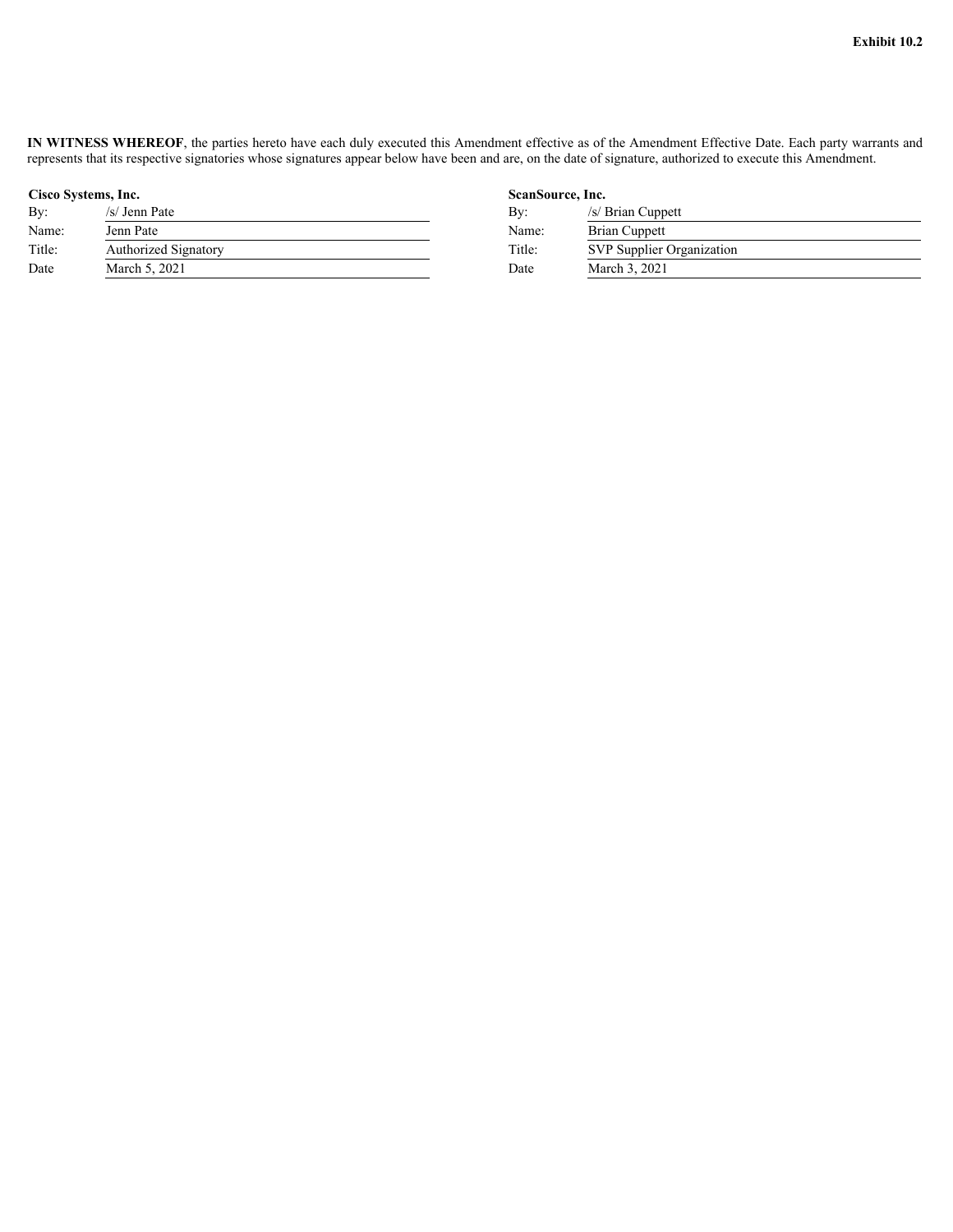**IN WITNESS WHEREOF**, the parties hereto have each duly executed this Amendment effective as of the Amendment Effective Date. Each party warrants and represents that its respective signatories whose signatures appear below have been and are, on the date of signature, authorized to execute this Amendment.

| Cisco Systems, Inc. |                             | ScanSource, Inc. |                           |
|---------------------|-----------------------------|------------------|---------------------------|
| By:                 | /s/ Jenn Pate               | Bv:              | /s/ Brian Cuppett         |
| Name:               | Jenn Pate                   | Name:            | Brian Cuppett             |
| Title:              | <b>Authorized Signatory</b> | Title:           | SVP Supplier Organization |
| Date                | March 5, 2021               | Date             | March 3, 2021             |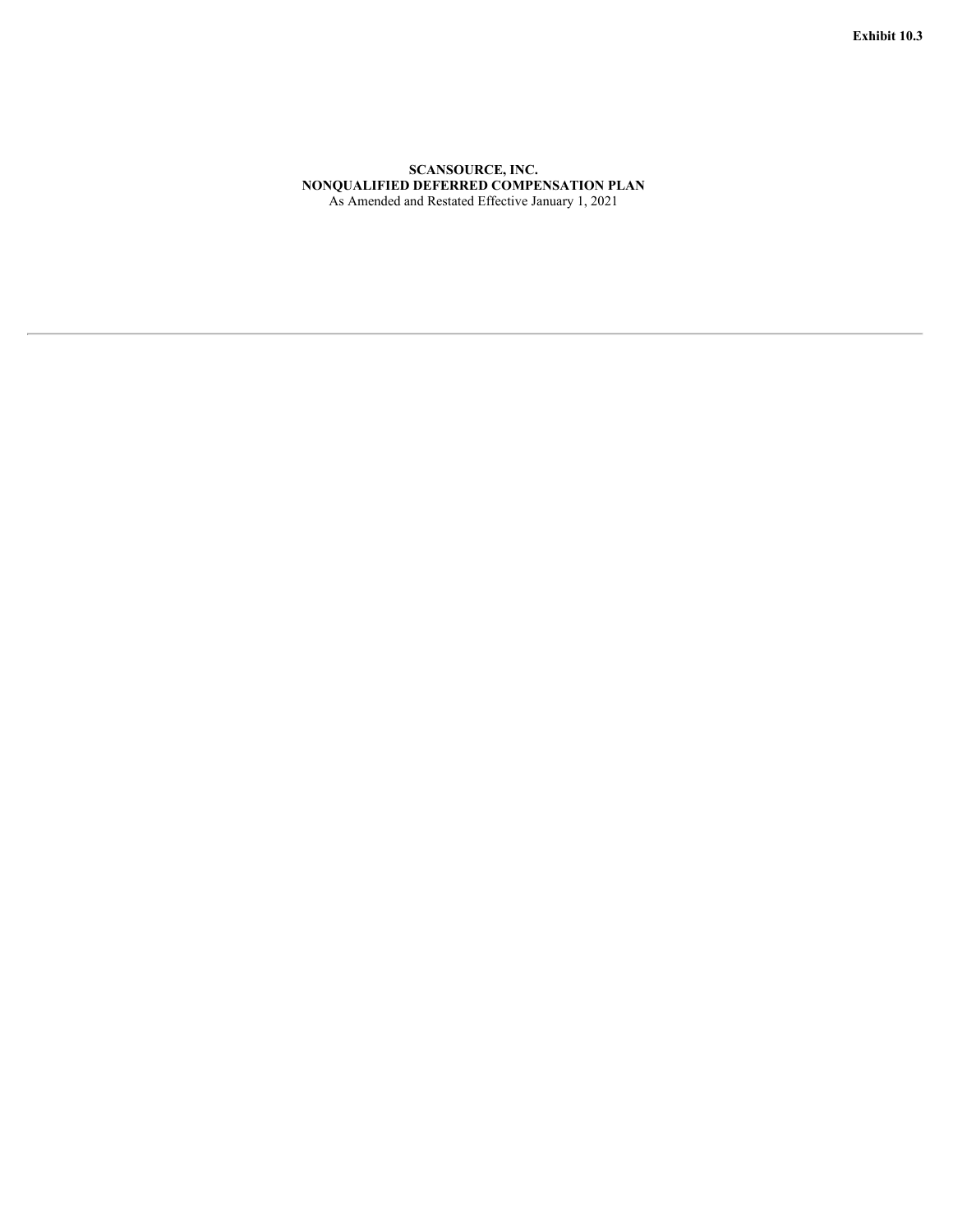## <span id="page-58-0"></span>**SCANSOURCE, INC. NONQUALIFIED DEFERRED COMPENSATION PLAN**  As Amended and Restated Effective January 1, 2021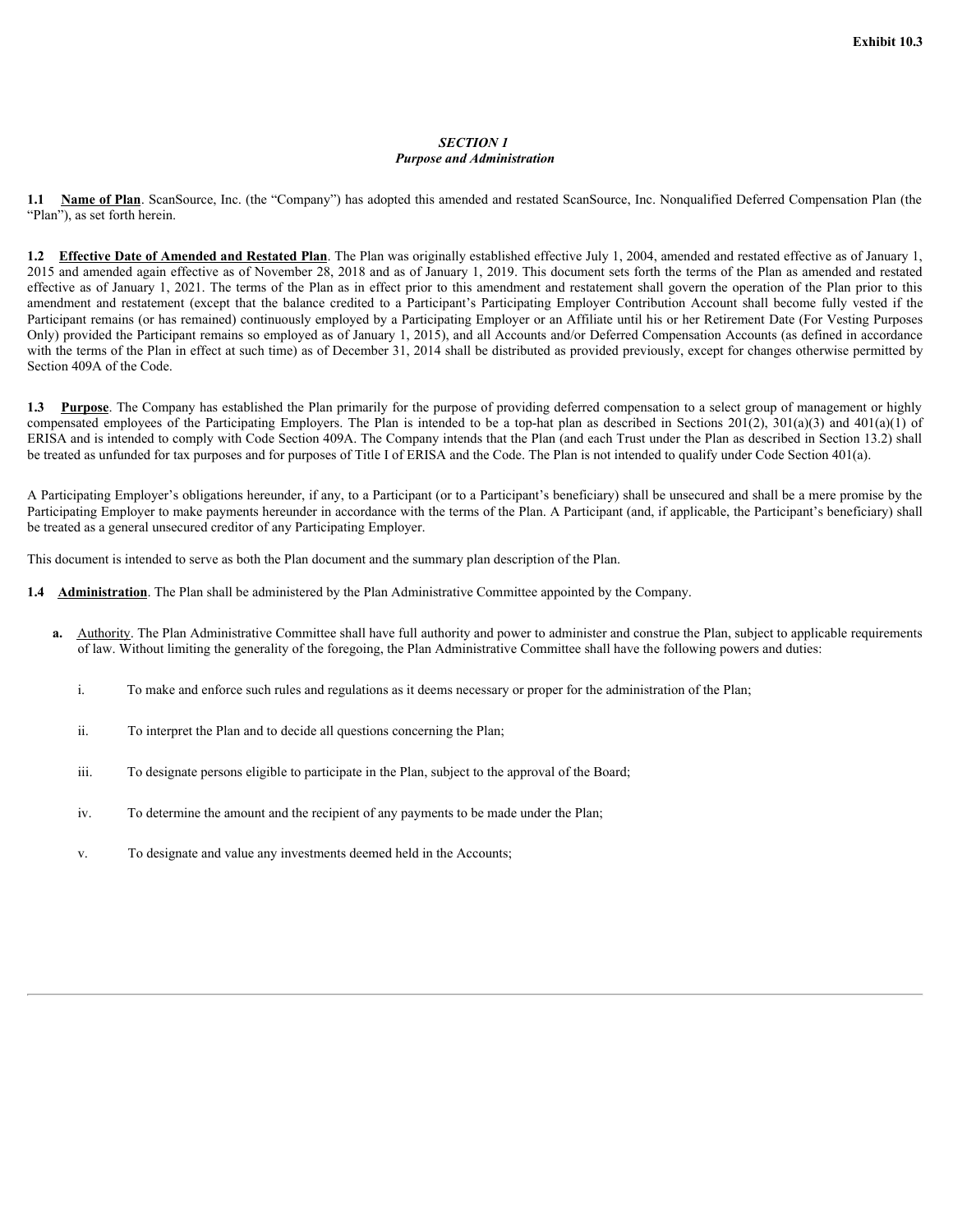## *SECTION 1 Purpose and Administration*

**1.1 Name of Plan**. ScanSource, Inc. (the "Company") has adopted this amended and restated ScanSource, Inc. Nonqualified Deferred Compensation Plan (the "Plan"), as set forth herein.

**1.2 Effective Date of Amended and Restated Plan**. The Plan was originally established effective July 1, 2004, amended and restated effective as of January 1, 2015 and amended again effective as of November 28, 2018 and as of January 1, 2019. This document sets forth the terms of the Plan as amended and restated effective as of January 1, 2021. The terms of the Plan as in effect prior to this amendment and restatement shall govern the operation of the Plan prior to this **Exhibit 10.3**<br>*Parpose and Administration*<br>*Parpose and Administration***<br><b>Parameters** and restatement (except that the "Company") has adopted this amended and restated ScanSource, Inc. Nonqualified Deferred Compensation Participant remains (or has remained) continuously employed by a Participating Employer or an Affiliate until his or her Retirement Date (For Vesting Purposes Only) provided the Participant remains so employed as of January 1, 2015), and all Accounts and/or Deferred Compensation Accounts (as defined in accordance with the terms of the Plan in effect at such time) as of December 31, 2014 shall be distributed as provided previously, except for changes otherwise permitted by Section 409A of the Code. compensation of the Scotting Employees of the Participation of the Plan is intended to the Participating Employees of the Plan is interest of the Plan is intended to the Plan is interest and the Plan is interest and the Pl

**1.3 Purpose**. The Company has established the Plan primarily for the purpose of providing deferred compensation to a select group of management or highly ERISA and is intended to comply with Code Section 409A. The Company intends that the Plan (and each Trust under the Plan as described in Section 13.2) shall be treated as unfunded for tax purposes and for purposes of Title I of ERISA and the Code. The Plan is not intended to qualify under Code Section 401(a).

A Participating Employer's obligations hereunder, if any, to a Participant (or to a Participant's beneficiary) shall be unsecured and shall be a mere promise by the Participating Employer to make payments hereunder in accordance with the terms of the Plan. A Participant (and, if applicable, the Participant's beneficiary) shall be treated as a general unsecured creditor of any Participating Employer.

This document is intended to serve as both the Plan document and the summary plan description of the Plan.

- **1.4 Administration**. The Plan shall be administered by the Plan Administrative Committee appointed by the Company.
	- **a.** Authority. The Plan Administrative Committee shall have full authority and power to administer and construe the Plan, subject to applicable requirements of law. Without limiting the generality of the foregoing, the Plan Administrative Committee shall have the following powers and duties:
		- i. To make and enforce such rules and regulations as it deems necessary or proper for the administration of the Plan;
		- ii. To interpret the Plan and to decide all questions concerning the Plan;
		- iii. To designate persons eligible to participate in the Plan, subject to the approval of the Board;
		- iv. To determine the amount and the recipient of any payments to be made under the Plan;
		- v. To designate and value any investments deemed held in the Accounts;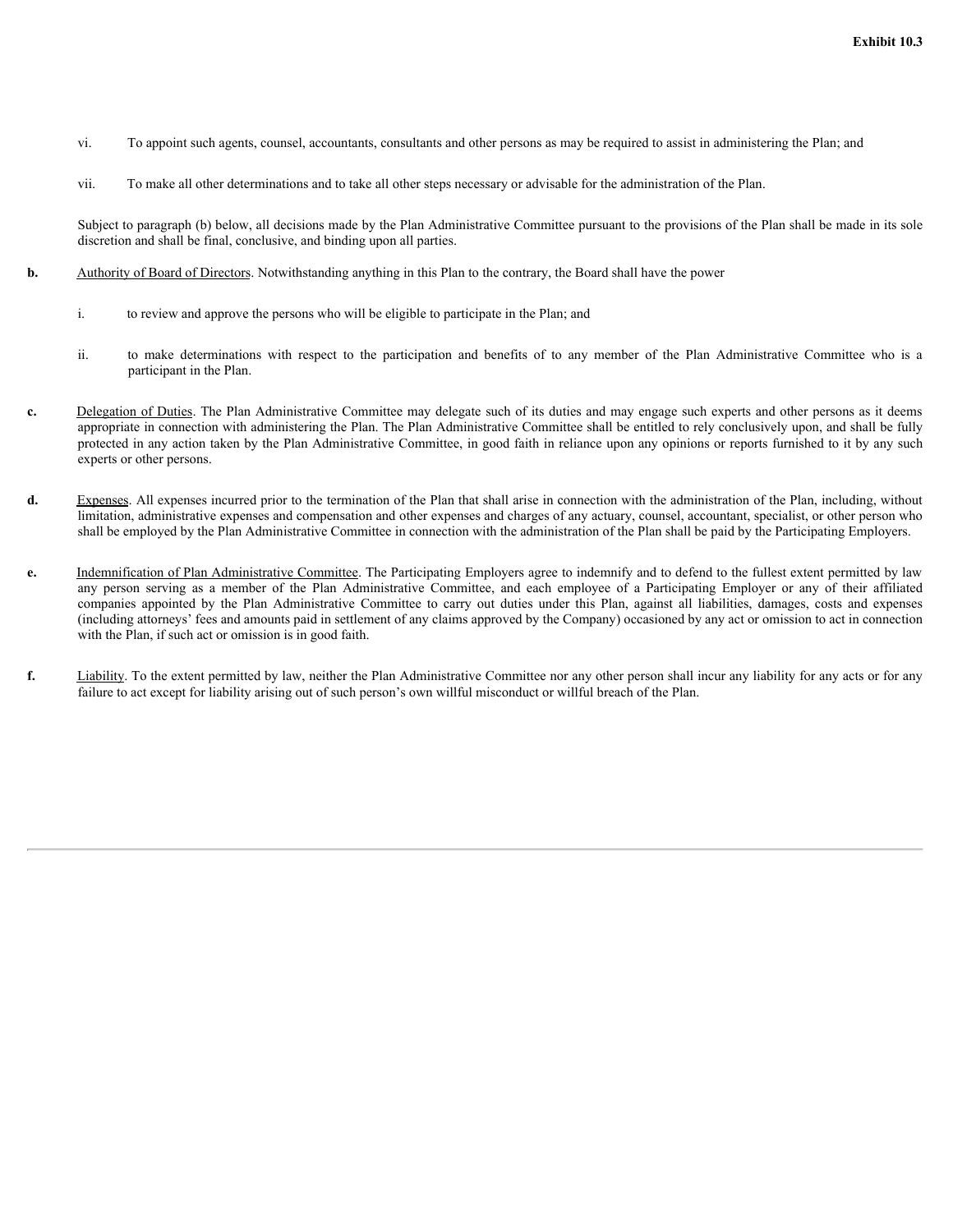- vi. To appoint such agents, counsel, accountants, consultants and other persons as may be required to assist in administering the Plan; and
- vii. To make all other determinations and to take all other steps necessary or advisable for the administration of the Plan.

Subject to paragraph (b) below, all decisions made by the Plan Administrative Committee pursuant to the provisions of the Plan shall be made in its sole discretion and shall be final, conclusive, and binding upon all parties.

- **b.** Authority of Board of Directors. Notwithstanding anything in this Plan to the contrary, the Board shall have the power
	- i. to review and approve the persons who will be eligible to participate in the Plan; and
	- participant in the Plan.
- **Exhibit 10.3**<br>
<sup>1</sup> To appoint such agents, counsel, accountants, consultants and other persons as may be required to assist in administrating the Plan, and<br>
<sup>1</sup> To make all other determinations and to take all other steps **c.** Delegation of Duties. The Plan Administrative Committee may delegate such of its duties and may engage such experts and other persons as it deems appropriate in connection with administering the Plan. The Plan Administrative Committee shall be entitled to rely conclusively upon, and shall be fully protected in any action taken by the Plan Administrative Committee, in good faith in reliance upon any opinions or reports furnished to it by any such experts or other persons.
- **d.** Expenses. All expenses incurred prior to the termination of the Plan that shall arise in connection with the administration of the Plan, including, without limitation, administrative expenses and compensation and other expenses and charges of any actuary, counsel, accountant, specialist, or other person who shall be employed by the Plan Administrative Committee in connection with the administration of the Plan shall be paid by the Participating Employers.
- **e.** Indemnification of Plan Administrative Committee. The Participating Employers agree to indemnify and to defend to the fullest extent permitted by law vi. To appoint such agents, conned, accountants, considents and other persons as may be required to assist in administence the Plan, and<br>vi. To make all other determinations and to take all other steps accossary or advisab compare such agents, coursed, accountants, coroldinits and other presens is rings the espinted bundeline of the Plan<br>existence plane and selection and the base of the Plan Administrative Committee parameter for the Plan Ad (including attorneys' fees and amounts paid in settlement of any claims approved by the Company) occasioned by any act or omission to act in connection with the Plan, if such act or omission is in good faith.
- **f.** Liability. To the extent permitted by law, neither the Plan Administrative Committee nor any other person shall incur any liability for any acts or for any failure to act except for liability arising out of such person's own willful misconduct or willful breach of the Plan.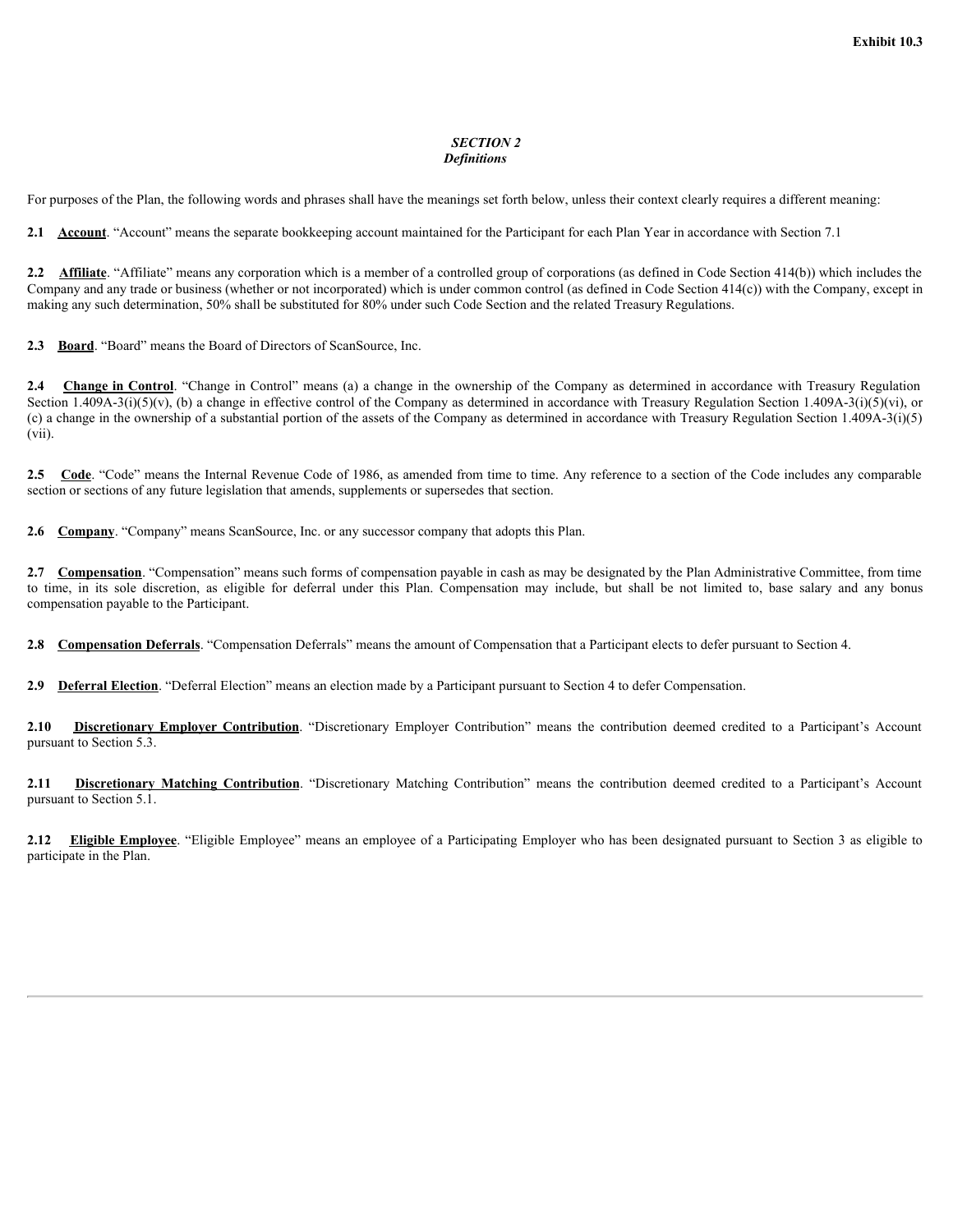#### *SECTION 2 Definitions*

For purposes of the Plan, the following words and phrases shall have the meanings set forth below, unless their context clearly requires a different meaning:

**2.1 Account**. "Account" means the separate bookkeeping account maintained for the Participant for each Plan Year in accordance with Section 7.1

2.2 **Affiliate**. "Affiliate" means any corporation which is a member of a controlled group of corporations (as defined in Code Section 414(b)) which includes the Company and any trade or business (whether or not incorporated) which is under common control (as defined in Code Section 414(c)) with the Company, except in making any such determination, 50% shall be substituted for 80% under such Code Section and the related Treasury Regulations.

**2.3 Board**. "Board" means the Board of Directors of ScanSource, Inc.

2.4 Change in Control. "Change in Control" means (a) a change in the ownership of the Company as determined in accordance with Treasury Regulation Section 1.409A-3(i)(5)(v), (b) a change in effective control of the Company as determined in accordance with Treasury Regulation Section 1.409A-3(i)(5)(vi), or (c) a change in the ownership of a substantial portion of the assets of the Company as determined in accordance with Treasury Regulation Section 1.409A-3(i)(5) (vii).  $$BCTION2$$ <br>
21.  $$\Delta$$ <br>
22. Affiliate "Accoun" means the separate bookbeeping account mainimate for the Purincipan for each Plan Yent in decordance with Section 7.1.<br>
22. Affiliate "Accoun" means the separate bookbeeping acco **2.1 Architek** "Account" means the separate bookkeeping account maintimed for the Participant for each Plan air Cole Secion 414(b)) which includes the Contribution Contribution (3.2 Of Discretion Contribution Contribution) **2.2 <u>Offities</u>**<sup>-</sup> Antisies<sup>-</sup> Transform any controllerio which is a newbor of a contribution por contribution (is defined in Cole Section 14-0)) with the change of the Contribution of the Contribution of the Contribution

**2.5 Code**. "Code" means the Internal Revenue Code of 1986, as amended from time to time. Any reference to a section of the Code includes any comparable section or sections of any future legislation that amends, supplements or supersedes that section.

**2.6 Company**. "Company" means ScanSource, Inc. or any successor company that adopts this Plan.

**2.7 Compensation**. "Compensation" means such forms of compensation payable in cash as may be designated by the Plan Administrative Committee, from time compensation payable to the Participant.

**2.8 Compensation Deferrals**. "Compensation Deferrals" means the amount of Compensation that a Participant elects to defer pursuant to Section 4.

**2.9 Deferral Election**. "Deferral Election" means an election made by a Participant pursuant to Section 4 to defer Compensation.

pursuant to Section 5.3.

pursuant to Section 5.1.

**2.12 Eligible Employee**. "Eligible Employee" means an employee of a Participating Employer who has been designated pursuant to Section 3 as eligible to participate in the Plan.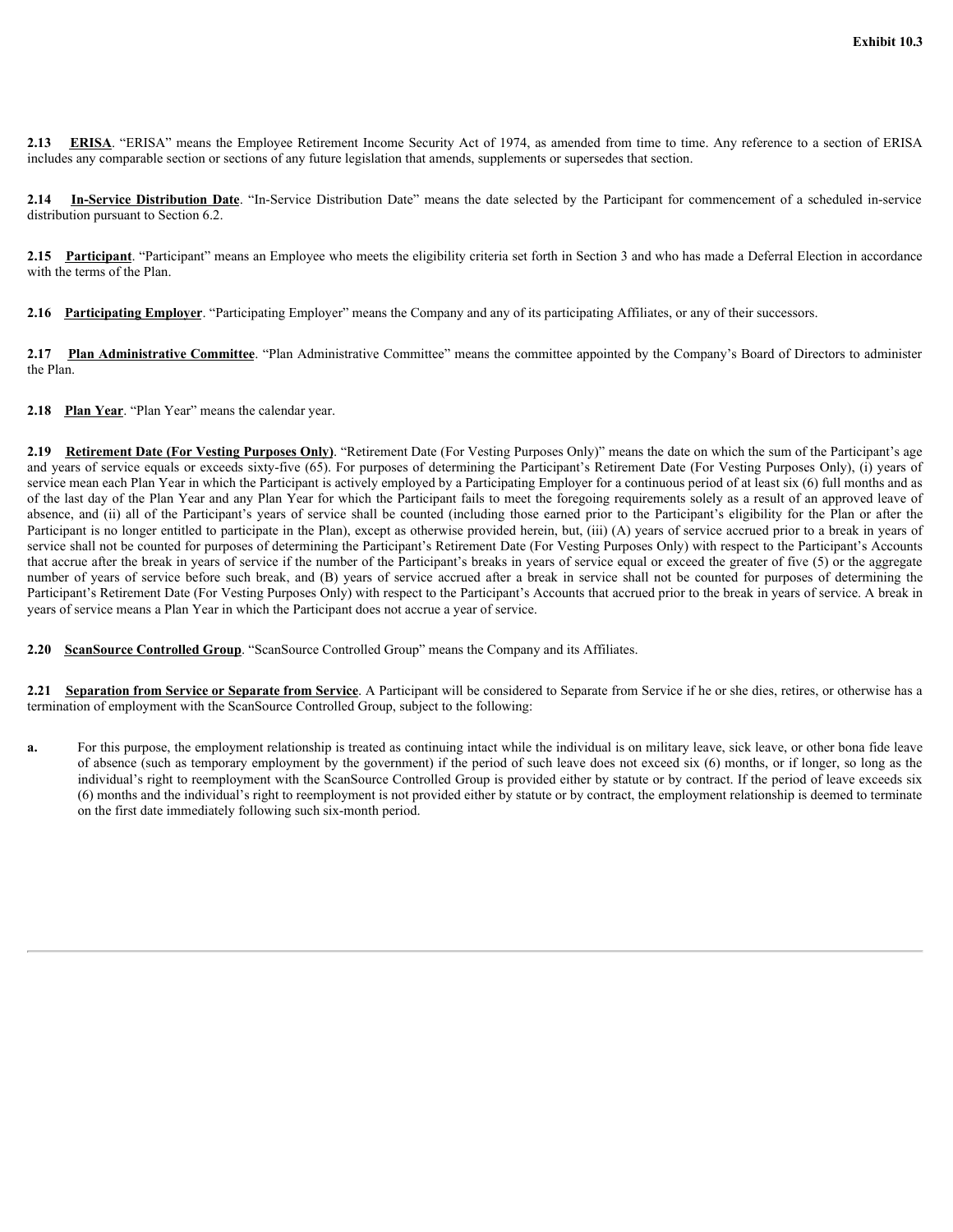2.13 ERISA<sup>.</sup> "ERISA" means the Employee Retirement Income Security Act of 1974, as amended from time to time. Any reference to a section of ERISA includes any comparable section or sections of any future legislation that amends, supplements or supersedes that section. **2.13 ERISA** "ERISA" means the Employee Retirement Income Security Act of 1974, as amended from time to time. Any reference to a section of ERISA includes any comparable section or sections of any future legislation that a

distribution pursuant to Section 6.2.

2.15 Participant. "Participant" means an Employee who meets the eligibility criteria set forth in Section 3 and who has made a Deferral Election in accordance with the terms of the Plan.

2.16 Participating Employer. "Participating Employer" means the Company and any of its participating Affiliates, or any of their successors.

**2.17 Plan Administrative Committee**. "Plan Administrative Committee" means the committee appointed by the Company's Board of Directors to administer the Plan.

2.18 Plan Year. "Plan Year" means the calendar year.

**2.19 Retirement Date (For Vesting Purposes Only)**. "Retirement Date (For Vesting Purposes Only)" means the date on which the sum of the Participant's age and years of service equals or exceeds sixty-five (65). For purposes of determining the Participant's Retirement Date (For Vesting Purposes Only), (i) years of service mean each Plan Year in which the Participant is actively employed by a Participating Employer for a continuous period of at least six (6) full months and as of the last day of the Plan Year and any Plan Year for which the Participant fails to meet the foregoing requirements solely as a result of an approved leave of **EADS.** "ERISA" means the Employee Redictional hostine Security Act of 1974, at annoted from time to this. Any reference to a serion of ERISA<br>
2.14 **In Seconds Determine Due** <sup>10</sup><sup>2</sup> <sup>to</sup> November Due France in the weakend Participant is no longer entitled to participate in the Plan), except as otherwise provided herein, but, (iii) (A) years of service accrued prior to a break in years of service shall not be counted for purposes of determining the Participant's Retirement Date (For Vesting Purposes Only) with respect to the Participant's Accounts that accrue after the break in years of service if the number of the Participant's breaks in years of service equal or exceed the greater of five (5) or the aggregate **number of the service before the service before such break in the service before such a service before such an<br>entities any compatibility and the service before the service before the service before the service before th** Participant's Retirement Date (For Vesting Purposes Only) with respect to the Participant's Accounts that accrued prior to the break in years of service. A break in years of service means a Plan Year in which the Participant does not accrue a year of service.

**2.20 ScanSource Controlled Group**. "ScanSource Controlled Group" means the Company and its Affiliates.

2.21 Separation from Service or Separate from Service</u>. A Participant will be considered to Separate from Service if he or she dies, retires, or otherwise has a termination of employment with the ScanSource Controlled Group, subject to the following:

**a.** For this purpose, the employment relationship is treated as continuing intact while the individual is on military leave, sick leave, or other bona fide leave of absence (such as temporary employment by the government) if the period of such leave does not exceed six (6) months, or if longer, so long as the individual's right to reemployment with the ScanSource Controlled Group is provided either by statute or by contract. If the period of leave exceeds six (6) months and the individual's right to reemployment is not provided either by statute or by contract, the employment relationship is deemed to terminate on the first date immediately following such six-month period.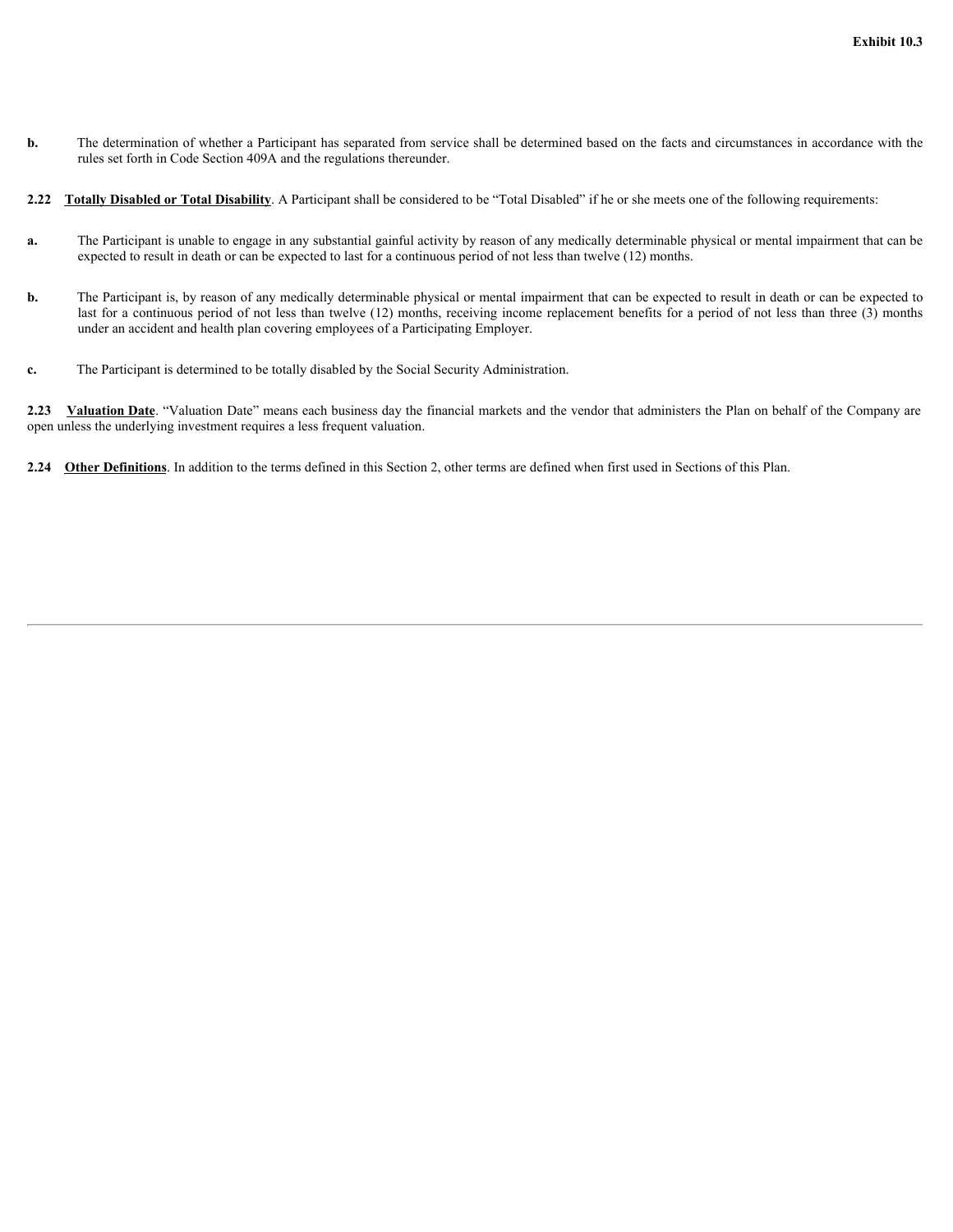- **b.** The determination of whether a Participant has separated from service shall be determined based on the facts and circumstances in accordance with the rules set forth in Code Section 409A and the regulations thereunder.
- **2.22 Totally Disabled or Total Disability**. A Participant shall be considered to be "Total Disabled" if he or she meets one of the following requirements:
- **a.** The Participant is unable to engage in any substantial gainful activity by reason of any medically determinable physical or mental impairment that can be expected to result in death or can be expected to last for a continuous period of not less than twelve (12) months.
- **b.** The Participant is, by reason of any medically determinable physical or mental impairment that can be expected to result in death or can be expected to last for a continuous period of not less than twelve (12) months, receiving income replacement benefits for a period of not less than three (3) months under an accident and health plan covering employees of a Participating Employer.
- **c.** The Participant is determined to be totally disabled by the Social Security Administration.

2.23 Valuation Date. "Valuation Date" means each business day the financial markets and the vendor that administers the Plan on behalf of the Company are open unless the underlying investment requires a less frequent valuation.

**2.24 Other Definitions**. In addition to the terms defined in this Section 2, other terms are defined when first used in Sections of this Plan.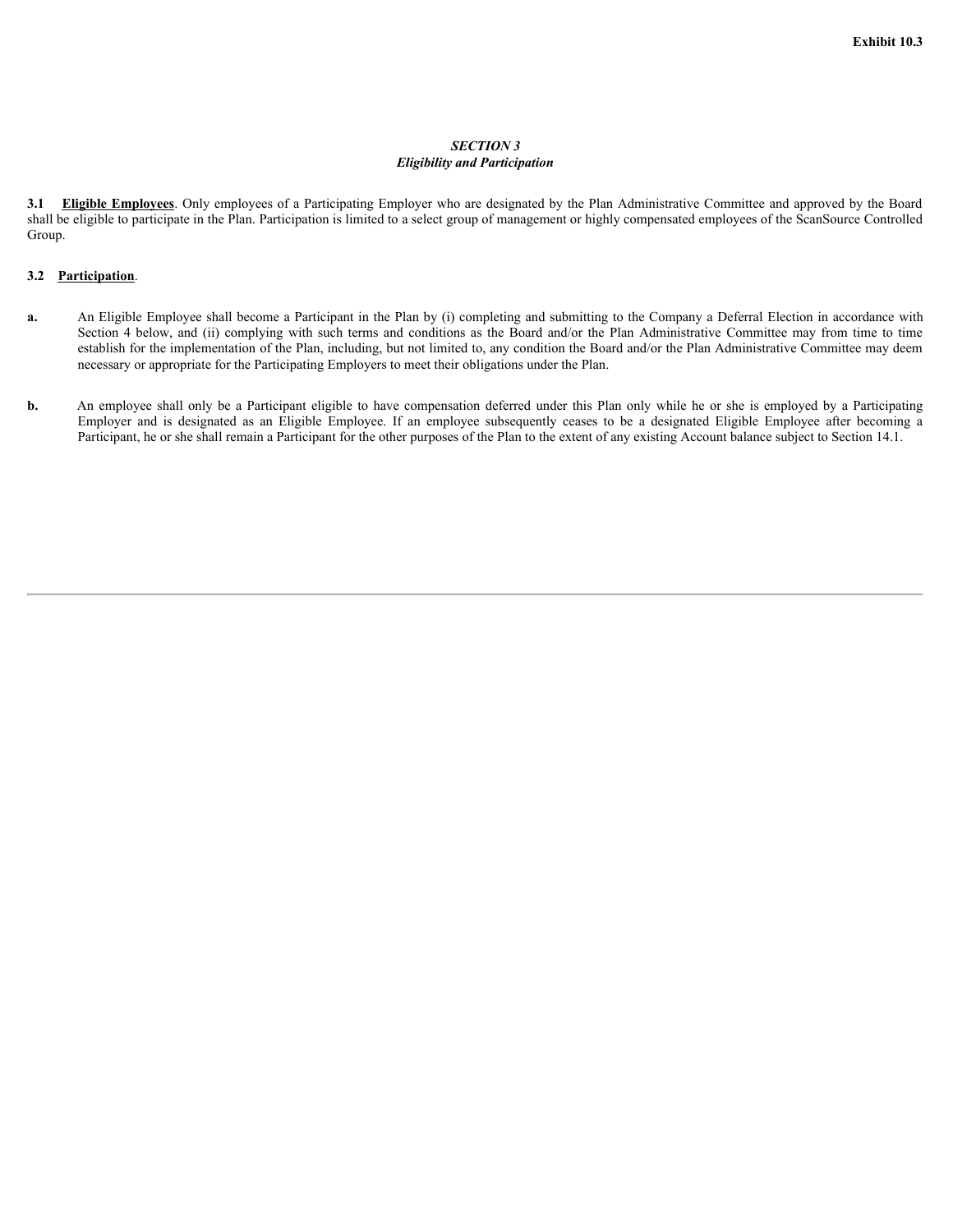## *SECTION 3 Eligibility and Participation*

**3.1 Eligible Employees**. Only employees of a Participating Employer who are designated by the Plan Administrative Committee and approved by the Board shall be eligible to participate in the Plan. Participation is limited to a select group of management or highly compensated employees of the ScanSource Controlled Group.

## **3.2 Participation**.

- **a.** An Eligible Employee shall become a Participant in the Plan by (i) completing and submitting to the Company a Deferral Election in accordance with **Exhibit 10.3**<br> **Eligibility and Participation**<br> **Eligibility and Participation**<br> **Eligibits Committee and approved by the Board figure in the Plan. Participation is limited to a select group of management or highly compen** establish for the implementation of the Plan, including, but not limited to, any condition the Board and/or the Plan Administrative Committee may deem necessary or appropriate for the Participating Employers to meet their obligations under the Plan. **b. b.** An employee shall only sumplexes of a Participating Franchoff and Participation<br> **b.** An employee shall only be a Participant eligible to participant in the United V of Scheme shall only be a Participant eligibl Englishly and Participation<br>
Employees of a Participating Employee who are designated by the Plan Administrative Committee and approved by the Foord<br>
digible to participate in the Plan. Participation is limited to a select
- Participant, he or she shall remain a Participant for the other purposes of the Plan to the extent of any existing Account balance subject to Section 14.1.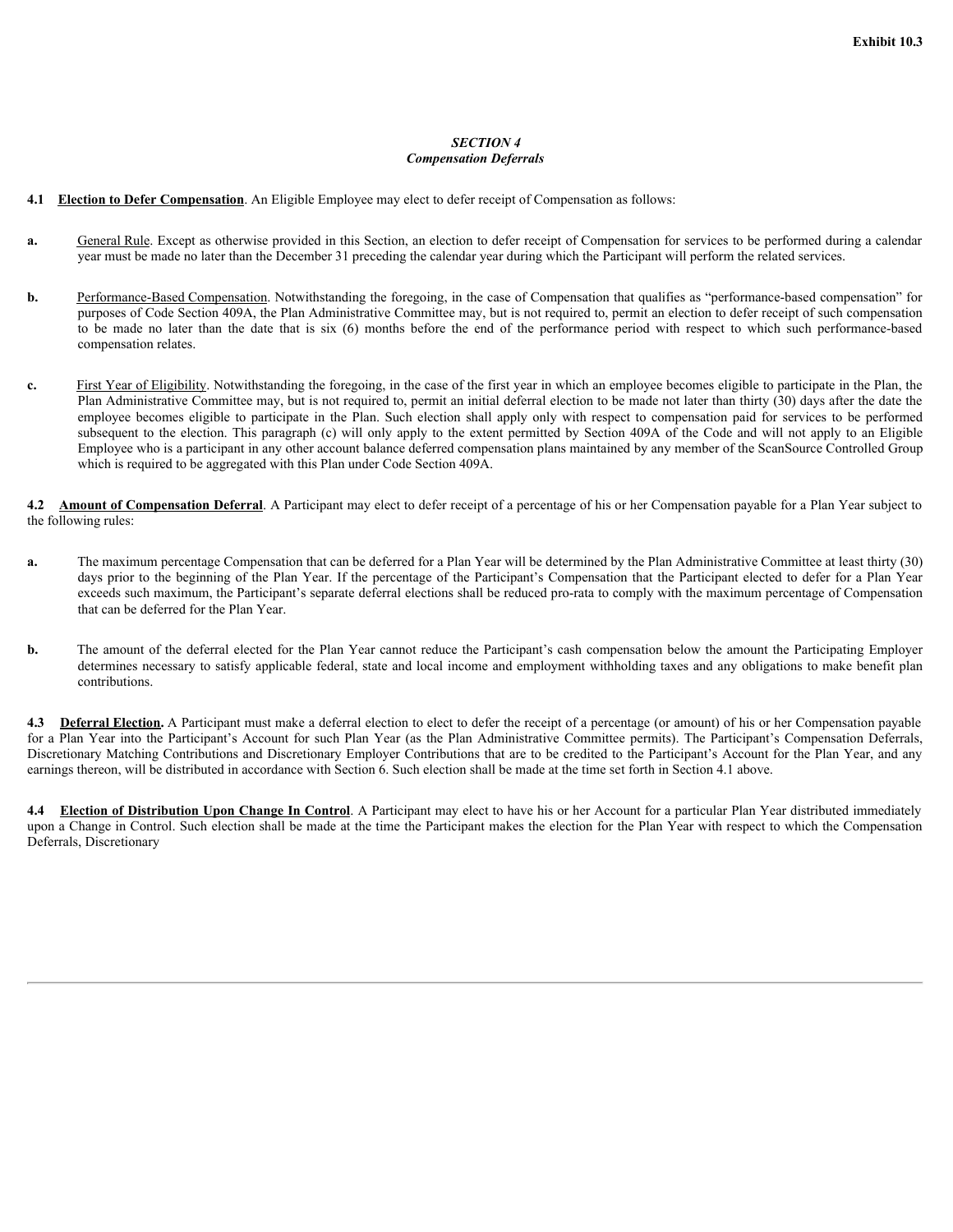## *SECTION 4 Compensation Deferrals*

- **4.1 Election to Defer Compensation**. An Eligible Employee may elect to defer receipt of Compensation as follows:
- **a.** General Rule. Except as otherwise provided in this Section, an election to defer receipt of Compensation for services to be performed during a calendar year must be made no later than the December 31 preceding the calendar year during which the Participant will perform the related services.
- **b.** Performance-Based Compensation. Notwithstanding the foregoing, in the case of Compensation that qualifies as "performance-based compensation" for purposes of Code Section 409A, the Plan Administrative Committee may, but is not required to, permit an election to defer receipt of such compensation compensation relates.
- **Exhibit 10.3**<br> **Compensation**. An Eligible Employee may elect to defer recognity of Compensation as follows:<br>
Contained the the compensation of the Section, an election of the free recognition for services to be performe **c.** First Year of Eligibility. Notwithstanding the foregoing, in the case of the first year in which an employee becomes eligible to participate in the Plan, the Plan Administrative Committee may, but is not required to, permit an initial deferral election to be made not later than thirty (30) days after the date the **Exhibit 10.3**<br> **Compensation** *Deferrals*<br> **Comensation** *Deferrals*<br> **Comensation** *Comensation An* Eligible Employee may elect to defer receipt of Compensation for services to be performed during a calendar<br>
pear mus subsequent to the election. This paragraph (c) will only apply to the extent permitted by Section 409A of the Code and will not apply to an Eligible Employee who is a participant in any other account balance deferred compensation plans maintained by any member of the ScanSource Controlled Group which is required to be aggregated with this Plan under Code Section 409A. for a Plan Year into the Section of the Receive into the Section and the Participant's foreversion for a Plan Year into the Plan Year (Compension for a Plan Year into the Plan Year into the Plan Year into the Plan Year in

**4.2 Amount of Compensation Deferral**. A Participant may elect to defer receipt of a percentage of his or her Compensation payable for a Plan Year subject to the following rules:

- **a.** The maximum percentage Compensation that can be deferred for a Plan Year will be determined by the Plan Administrative Committee at least thirty (30) days prior to the beginning of the Plan Year. If the percentage of the Participant's Compensation that the Participant elected to defer for a Plan Year exceeds such maximum, the Participant's separate deferral elections shall be reduced pro-rata to comply with the maximum percentage of Compensation that can be deferred for the Plan Year.
- **b.** The amount of the deferral elected for the Plan Year cannot reduce the Participant's cash compensation below the amount the Participating Employer determines necessary to satisfy applicable federal, state and local income and employment withholding taxes and any obligations to make benefit plan contributions.

**4.3 Deferral Election.** A Participant must make a deferral election to elect to defer the receipt of a percentage (or amount) of his or her Compensation payable Discretionary Matching Contributions and Discretionary Employer Contributions that are to be credited to the Participant's Account for the Plan Year, and any earnings thereon, will be distributed in accordance with Section 6. Such election shall be made at the time set forth in Section 4.1 above.

**4.4 Election of Distribution Upon Change In Control**. A Participant may elect to have his or her Account for a particular Plan Year distributed immediately upon a Change in Control. Such election shall be made at the time the Participant makes the election for the Plan Year with respect to which the Compensation Deferrals, Discretionary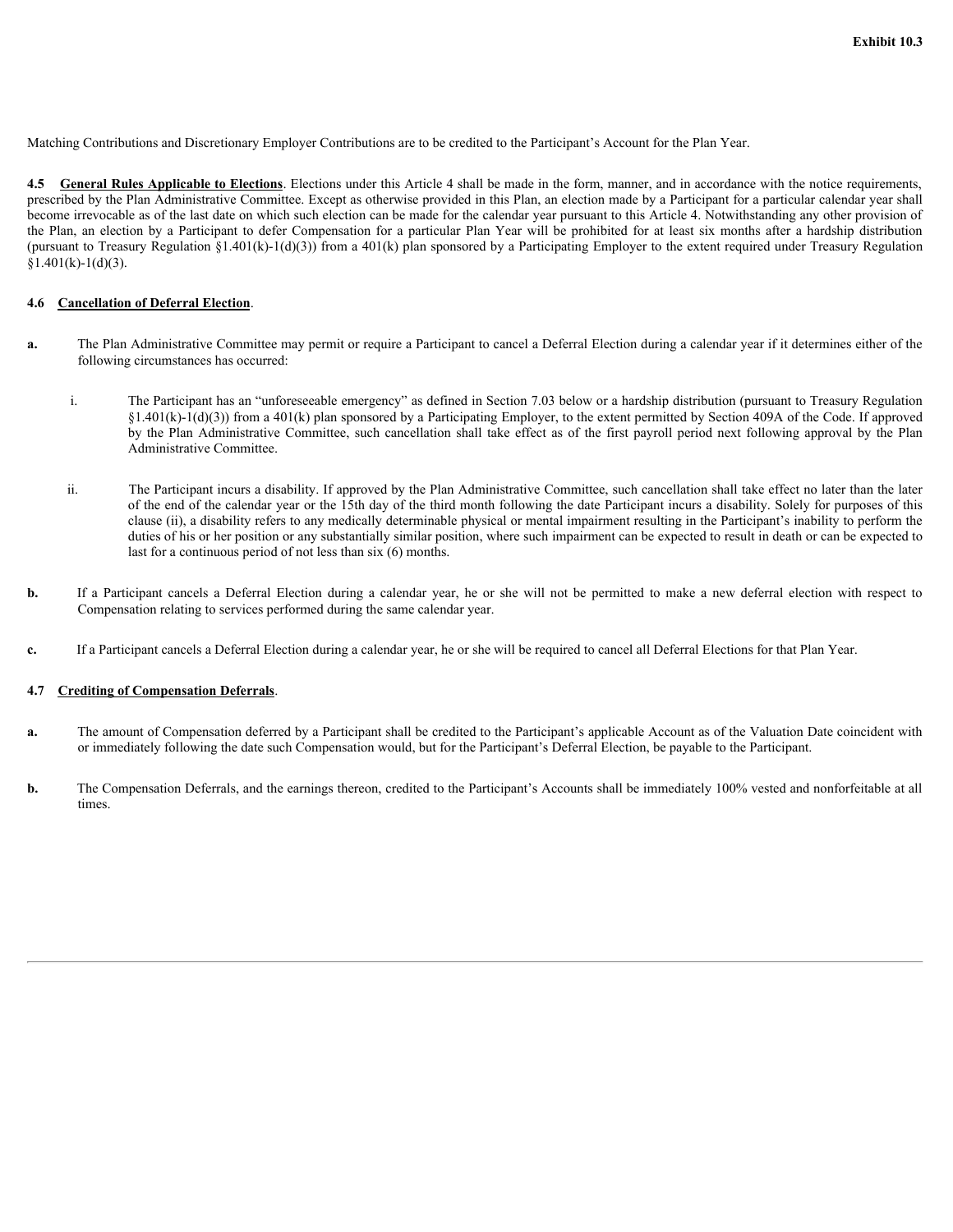Matching Contributions and Discretionary Employer Contributions are to be credited to the Participant's Account for the Plan Year.

**4.5 General Rules Applicable to Elections**. Elections under this Article 4 shall be made in the form, manner, and in accordance with the notice requirements, prescribed by the Plan Administrative Committee. Except as otherwise provided in this Plan, an election made by a Participant for a particular calendar year shall become irrevocable as of the last date on which such election can be made for the calendar year pursuant to this Article 4. Notwithstanding any other provision of **Exhibit 10.3**<br> **Exhibit 10.3**<br> **Matching Contributions and Discretionary Employer Contributions are to be credited to the Participant's Account for the Plan Year.<br>
4.5 <b>General Rules Applicable to Elections**. Except as ot (pursuant to Treasury Regulation §1.401(k)-1(d)(3)) from a 401(k) plan sponsored by a Participating Employer to the extent required under Treasury Regulation  $§1.401(k)-1(d)(3).$ **Exhibit 10.3**<br> **Exhibit Max**<br> **Interactionary Employer Contributions are to be credited to the Participant's Account for the Plan Year.**<br> **Interaction Scheme Scheme to this Antities and the matter in the form, manner, an b.**<br> **Ab.** Contract Mate Applicable to Usedium, Historic under the Article 4 shirtler make in the form, namer, and in accordance with be relate requirements, the principal of the Election of Most Computer control of the D

#### **4.6 Cancellation of Deferral Election**.

- **a.** The Plan Administrative Committee may permit or require a Participant to cancel a Deferral Election during a calendar year if it determines either of the following circumstances has occurred:
	- i. The Participant has an "unforeseeable emergency" as defined in Section 7.03 below or a hardship distribution (pursuant to Treasury Regulation §1.401(k)-1(d)(3)) from a 401(k) plan sponsored by a Participating Employer, to the extent permitted by Section 409A of the Code. If approved Administrative Committee.
	- ii. The Participant incurs a disability. If approved by the Plan Administrative Committee, such cancellation shall take effect no later than the later of the end of the calendar year or the 15th day of the third month following the date Participant incurs a disability. Solely for purposes of this clause (ii), a disability refers to any medically determinable physical or mental impairment resulting in the Participant's inability to perform the duties of his or her position or any substantially similar position, where such impairment can be expected to result in death or can be expected to last for a continuous period of not less than six (6) months.
- Compensation relating to services performed during the same calendar year.
- **c.** If a Participant cancels a Deferral Election during a calendar year, he or she will be required to cancel all Deferral Elections for that Plan Year.

## **4.7 Crediting of Compensation Deferrals**.

- **a.** The amount of Compensation deferred by a Participant shall be credited to the Participant's applicable Account as of the Valuation Date coincident with or immediately following the date such Compensation would, but for the Participant's Deferral Election, be payable to the Participant.
- **b.** The Compensation Deferrals, and the earnings thereon, credited to the Participant's Accounts shall be immediately 100% vested and nonforfeitable at all times.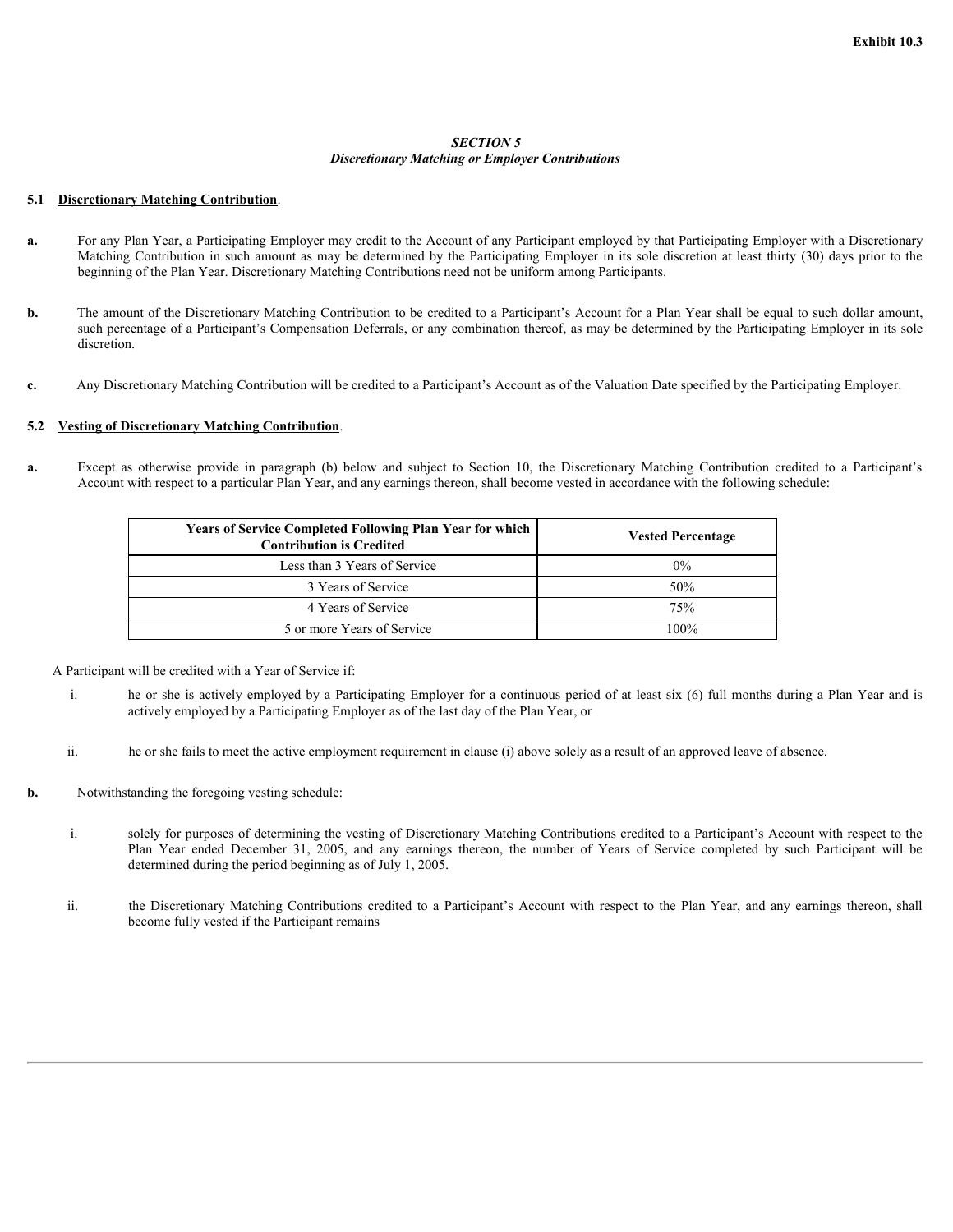## *SECTION 5 Discretionary Matching or Employer Contributions*

#### **5.1 Discretionary Matching Contribution**.

- **a.** For any Plan Year, a Participating Employer may credit to the Account of any Participant employed by that Participating Employer with a Discretionary Matching Contribution in such amount as may be determined by the Participating Employer in its sole discretion at least thirty (30) days prior to the beginning of the Plan Year. Discretionary Matching Contributions need not be uniform among Participants.
- **b.** The amount of the Discretionary Matching Contribution to be credited to a Participant's Account for a Plan Year shall be equal to such dollar amount, such percentage of a Participant's Compensation Deferrals, or any combination thereof, as may be determined by the Participating Employer in its sole discretion.
- **c.** Any Discretionary Matching Contribution will be credited to a Participant's Account as of the Valuation Date specified by the Participating Employer.

#### **5.2 Vesting of Discretionary Matching Contribution**.

|    |                                                                                                                                                                                                                                                                                                                                                                                                                            |                                                                                                                                                                                                                                                                                     | Exhibit 10.3 |
|----|----------------------------------------------------------------------------------------------------------------------------------------------------------------------------------------------------------------------------------------------------------------------------------------------------------------------------------------------------------------------------------------------------------------------------|-------------------------------------------------------------------------------------------------------------------------------------------------------------------------------------------------------------------------------------------------------------------------------------|--------------|
|    |                                                                                                                                                                                                                                                                                                                                                                                                                            |                                                                                                                                                                                                                                                                                     |              |
|    |                                                                                                                                                                                                                                                                                                                                                                                                                            | <b>SECTION 5</b><br><b>Discretionary Matching or Employer Contributions</b>                                                                                                                                                                                                         |              |
|    | 5.1 Discretionary Matching Contribution.                                                                                                                                                                                                                                                                                                                                                                                   |                                                                                                                                                                                                                                                                                     |              |
| a. | For any Plan Year, a Participating Employer may credit to the Account of any Participant employed by that Participating Employer with a Discretionary<br>Matching Contribution in such amount as may be determined by the Participating Employer in its sole discretion at least thirty (30) days prior to the<br>beginning of the Plan Year. Discretionary Matching Contributions need not be uniform among Participants. |                                                                                                                                                                                                                                                                                     |              |
| b. | The amount of the Discretionary Matching Contribution to be credited to a Participant's Account for a Plan Year shall be equal to such dollar amount,<br>such percentage of a Participant's Compensation Deferrals, or any combination thereof, as may be determined by the Participating Employer in its sole<br>discretion.                                                                                              |                                                                                                                                                                                                                                                                                     |              |
| c. | Any Discretionary Matching Contribution will be credited to a Participant's Account as of the Valuation Date specified by the Participating Employer.                                                                                                                                                                                                                                                                      |                                                                                                                                                                                                                                                                                     |              |
|    | 5.2 Vesting of Discretionary Matching Contribution.                                                                                                                                                                                                                                                                                                                                                                        |                                                                                                                                                                                                                                                                                     |              |
| a. | Except as otherwise provide in paragraph (b) below and subject to Section 10, the Discretionary Matching Contribution credited to a Participant's<br>Account with respect to a particular Plan Year, and any earnings thereon, shall become vested in accordance with the following schedule:                                                                                                                              |                                                                                                                                                                                                                                                                                     |              |
|    |                                                                                                                                                                                                                                                                                                                                                                                                                            |                                                                                                                                                                                                                                                                                     |              |
|    | Years of Service Completed Following Plan Year for which<br><b>Contribution is Credited</b>                                                                                                                                                                                                                                                                                                                                | <b>Vested Percentage</b>                                                                                                                                                                                                                                                            |              |
|    | Less than 3 Years of Service                                                                                                                                                                                                                                                                                                                                                                                               | $0\%$                                                                                                                                                                                                                                                                               |              |
|    | 3 Years of Service                                                                                                                                                                                                                                                                                                                                                                                                         | 50%                                                                                                                                                                                                                                                                                 |              |
|    | 4 Years of Service                                                                                                                                                                                                                                                                                                                                                                                                         | 75%                                                                                                                                                                                                                                                                                 |              |
|    | 5 or more Years of Service                                                                                                                                                                                                                                                                                                                                                                                                 | 100%                                                                                                                                                                                                                                                                                |              |
|    | A Participant will be credited with a Year of Service if:                                                                                                                                                                                                                                                                                                                                                                  |                                                                                                                                                                                                                                                                                     |              |
|    | i.<br>actively employed by a Participating Employer as of the last day of the Plan Year, or                                                                                                                                                                                                                                                                                                                                | he or she is actively employed by a Participating Employer for a continuous period of at least six (6) full months during a Plan Year and is                                                                                                                                        |              |
|    | ii.                                                                                                                                                                                                                                                                                                                                                                                                                        | he or she fails to meet the active employment requirement in clause (i) above solely as a result of an approved leave of absence.                                                                                                                                                   |              |
|    | Notwithstanding the foregoing vesting schedule:                                                                                                                                                                                                                                                                                                                                                                            |                                                                                                                                                                                                                                                                                     |              |
|    | i.<br>determined during the period beginning as of July 1, 2005.                                                                                                                                                                                                                                                                                                                                                           | solely for purposes of determining the vesting of Discretionary Matching Contributions credited to a Participant's Account with respect to the<br>Plan Year ended December 31, 2005, and any earnings thereon, the number of Years of Service completed by such Participant will be |              |
|    | ii.<br>become fully vested if the Participant remains                                                                                                                                                                                                                                                                                                                                                                      | the Discretionary Matching Contributions credited to a Participant's Account with respect to the Plan Year, and any earnings thereon, shall                                                                                                                                         |              |
|    |                                                                                                                                                                                                                                                                                                                                                                                                                            |                                                                                                                                                                                                                                                                                     |              |

- i. he or she is actively employed by a Participating Employer for a continuous period of at least six (6) full months during a Plan Year and is actively employed by a Participating Employer as of the last day of the Plan Year, or
- ii. he or she fails to meet the active employment requirement in clause (i) above solely as a result of an approved leave of absence.
- **b.** Notwithstanding the foregoing vesting schedule:
	- i. solely for purposes of determining the vesting of Discretionary Matching Contributions credited to a Participant's Account with respect to the determined during the period beginning as of July 1, 2005.
	- become fully vested if the Participant remains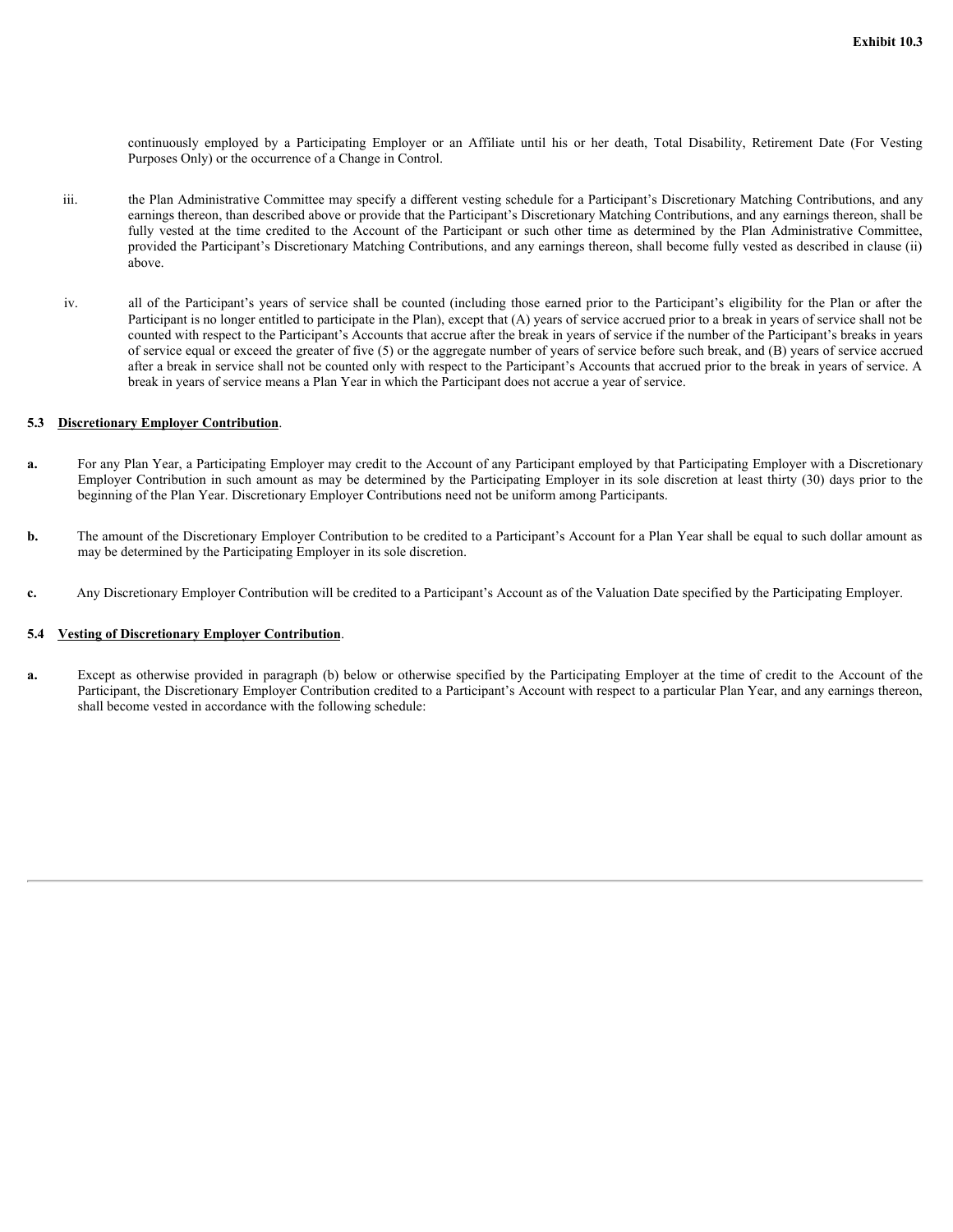Purposes Only) or the occurrence of a Change in Control.

- **Exhibit 10.3**<br>Continuously employed by a Participating Employer or an Affiliate until his or her death, Total Disability, Retirement Date (For Vesting<br>Purposes Only) or the occurrence of a Change in Control.<br>the Plan Admi iii. the Plan Administrative Committee may specify a different vesting schedule for a Participant's Discretionary Matching Contributions, and any earnings thereon, than described above or provide that the Participant's Discretionary Matching Contributions, and any earnings thereon, shall be **Exhibit 10.3**<br>Continuously employed by a Participaning Employer or an Affiliate until his or her death, Total Disability, Retirement Date (For Vesting<br>Purposes Only) or the occurrence of a Change in Control.<br>the Plan Admi provided the Participant's Discretionary Matching Contributions, and any earnings thereon, shall become fully vested as described in clause (ii) above.
- iv. all of the Participant's years of service shall be counted (including those earned prior to the Participant's eligibility for the Plan or after the Participant is no longer entitled to participate in the Plan), except that (A) years of service accrued prior to a break in years of service shall not be counted with respect to the Participant's Accounts that accrue after the break in years of service if the number of the Participant's breaks in years of service equal or exceed the greater of five (5) or the aggregate number of years of service before such break, and (B) years of service accrued after a break in service shall not be counted only with respect to the Participant's Accounts that accrued prior to the break in years of service. A break in years of service means a Plan Year in which the Participant does not accrue a year of service.

#### **5.3 Discretionary Employer Contribution**.

- **a.** For any Plan Year, a Participating Employer may credit to the Account of any Participant employed by that Participating Employer with a Discretionary Employer Contribution in such amount as may be determined by the Participating Employer in its sole discretion at least thirty (30) days prior to the beginning of the Plan Year. Discretionary Employer Contributions need not be uniform among Participants.
- **b.** The amount of the Discretionary Employer Contribution to be credited to a Participant's Account for a Plan Year shall be equal to such dollar amount as may be determined by the Participating Employer in its sole discretion.
- **c.** Any Discretionary Employer Contribution will be credited to a Participant's Account as of the Valuation Date specified by the Participating Employer.

## **5.4 Vesting of Discretionary Employer Contribution**.

**a.** Except as otherwise provided in paragraph (b) below or otherwise specified by the Participating Employer at the time of credit to the Account of the Participant, the Discretionary Employer Contribution credited to a Participant's Account with respect to a particular Plan Year, and any earnings thereon, shall become vested in accordance with the following schedule: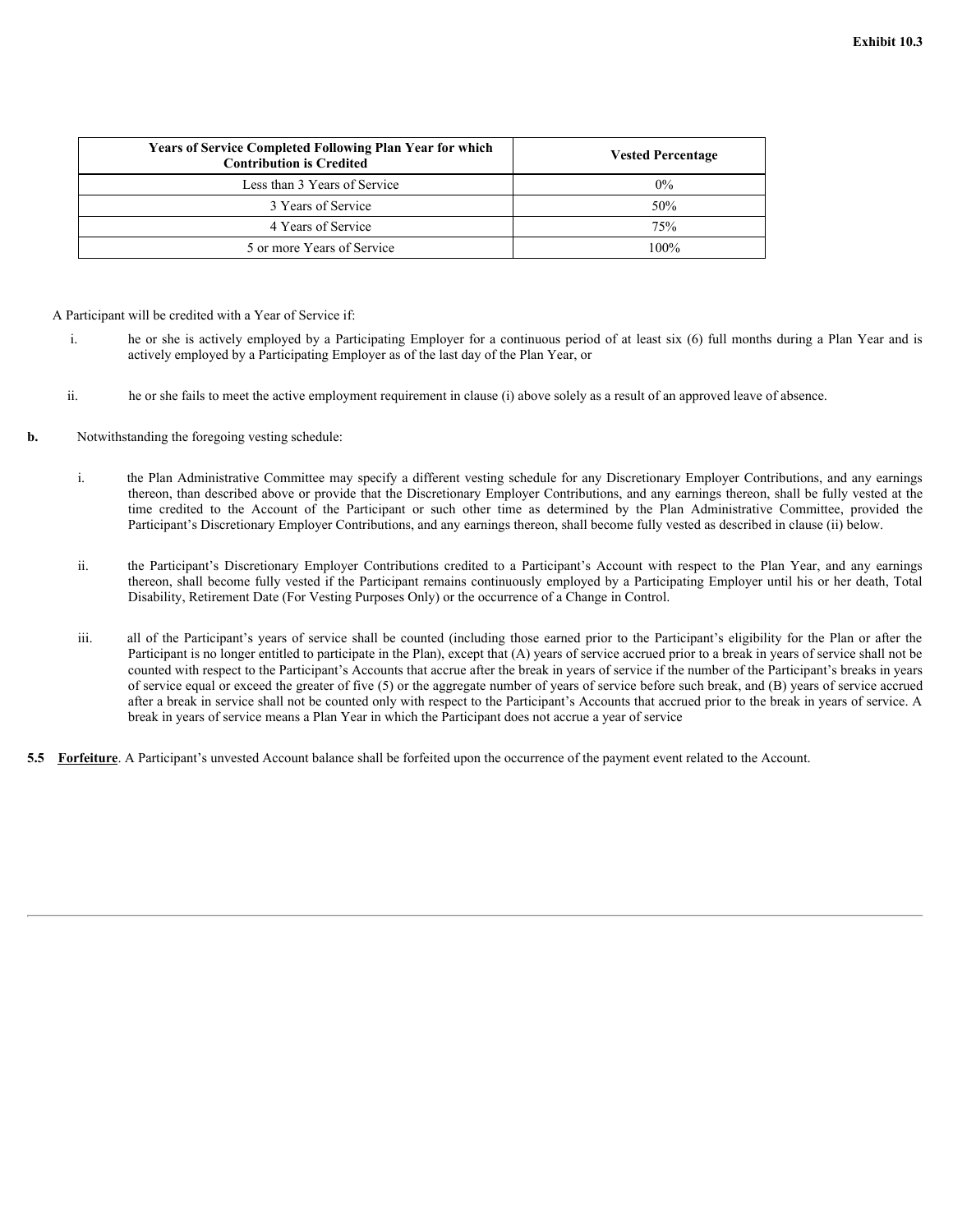|      |                                                                                                                                                                                                                                                                                                                                                                                                                                                                                                                                                                                                                                                                                                                                                                                                                                                                                                   |                          | <b>Exhibit 10.3</b> |
|------|---------------------------------------------------------------------------------------------------------------------------------------------------------------------------------------------------------------------------------------------------------------------------------------------------------------------------------------------------------------------------------------------------------------------------------------------------------------------------------------------------------------------------------------------------------------------------------------------------------------------------------------------------------------------------------------------------------------------------------------------------------------------------------------------------------------------------------------------------------------------------------------------------|--------------------------|---------------------|
|      |                                                                                                                                                                                                                                                                                                                                                                                                                                                                                                                                                                                                                                                                                                                                                                                                                                                                                                   |                          |                     |
|      |                                                                                                                                                                                                                                                                                                                                                                                                                                                                                                                                                                                                                                                                                                                                                                                                                                                                                                   |                          |                     |
|      | <b>Years of Service Completed Following Plan Year for which</b><br><b>Contribution is Credited</b>                                                                                                                                                                                                                                                                                                                                                                                                                                                                                                                                                                                                                                                                                                                                                                                                | <b>Vested Percentage</b> |                     |
|      | Less than 3 Years of Service                                                                                                                                                                                                                                                                                                                                                                                                                                                                                                                                                                                                                                                                                                                                                                                                                                                                      | $0\%$                    |                     |
|      | 3 Years of Service                                                                                                                                                                                                                                                                                                                                                                                                                                                                                                                                                                                                                                                                                                                                                                                                                                                                                | 50%                      |                     |
|      | 4 Years of Service                                                                                                                                                                                                                                                                                                                                                                                                                                                                                                                                                                                                                                                                                                                                                                                                                                                                                | 75%                      |                     |
|      | 5 or more Years of Service                                                                                                                                                                                                                                                                                                                                                                                                                                                                                                                                                                                                                                                                                                                                                                                                                                                                        | 100%                     |                     |
|      |                                                                                                                                                                                                                                                                                                                                                                                                                                                                                                                                                                                                                                                                                                                                                                                                                                                                                                   |                          |                     |
|      |                                                                                                                                                                                                                                                                                                                                                                                                                                                                                                                                                                                                                                                                                                                                                                                                                                                                                                   |                          |                     |
|      | intricipant will be credited with a Year of Service if:                                                                                                                                                                                                                                                                                                                                                                                                                                                                                                                                                                                                                                                                                                                                                                                                                                           |                          |                     |
|      | he or she is actively employed by a Participating Employer for a continuous period of at least six (6) full months during a Plan Year and is                                                                                                                                                                                                                                                                                                                                                                                                                                                                                                                                                                                                                                                                                                                                                      |                          |                     |
|      | actively employed by a Participating Employer as of the last day of the Plan Year, or                                                                                                                                                                                                                                                                                                                                                                                                                                                                                                                                                                                                                                                                                                                                                                                                             |                          |                     |
|      |                                                                                                                                                                                                                                                                                                                                                                                                                                                                                                                                                                                                                                                                                                                                                                                                                                                                                                   |                          |                     |
|      | he or she fails to meet the active employment requirement in clause (i) above solely as a result of an approved leave of absence.                                                                                                                                                                                                                                                                                                                                                                                                                                                                                                                                                                                                                                                                                                                                                                 |                          |                     |
|      |                                                                                                                                                                                                                                                                                                                                                                                                                                                                                                                                                                                                                                                                                                                                                                                                                                                                                                   |                          |                     |
|      | Notwithstanding the foregoing vesting schedule:                                                                                                                                                                                                                                                                                                                                                                                                                                                                                                                                                                                                                                                                                                                                                                                                                                                   |                          |                     |
|      | the Plan Administrative Committee may specify a different vesting schedule for any Discretionary Employer Contributions, and any earnings<br>thereon, than described above or provide that the Discretionary Employer Contributions, and any earnings thereon, shall be fully vested at the<br>time credited to the Account of the Participant or such other time as determined by the Plan Administrative Committee, provided the<br>Participant's Discretionary Employer Contributions, and any earnings thereon, shall become fully vested as described in clause (ii) below.                                                                                                                                                                                                                                                                                                                  |                          |                     |
| ii.  | the Participant's Discretionary Employer Contributions credited to a Participant's Account with respect to the Plan Year, and any earnings<br>thereon, shall become fully vested if the Participant remains continuously employed by a Participating Employer until his or her death, Total<br>Disability, Retirement Date (For Vesting Purposes Only) or the occurrence of a Change in Control.                                                                                                                                                                                                                                                                                                                                                                                                                                                                                                  |                          |                     |
| iii. | all of the Participant's years of service shall be counted (including those earned prior to the Participant's eligibility for the Plan or after the<br>Participant is no longer entitled to participate in the Plan), except that (A) years of service accrued prior to a break in years of service shall not be<br>counted with respect to the Participant's Accounts that accrue after the break in years of service if the number of the Participant's breaks in years<br>of service equal or exceed the greater of five (5) or the aggregate number of years of service before such break, and (B) years of service accrued<br>after a break in service shall not be counted only with respect to the Participant's Accounts that accrued prior to the break in years of service. A<br>break in years of service means a Plan Year in which the Participant does not accrue a year of service |                          |                     |
|      | feiture. A Participant's unvested Account balance shall be forfeited upon the occurrence of the payment event related to the Account.                                                                                                                                                                                                                                                                                                                                                                                                                                                                                                                                                                                                                                                                                                                                                             |                          |                     |

A Participant will be credited with a Year of Service if:

- i. he or she is actively employed by a Participating Employer for a continuous period of at least six (6) full months during a Plan Year and is actively employed by a Participating Employer as of the last day of the Plan Year, or
- ii. he or she fails to meet the active employment requirement in clause (i) above solely as a result of an approved leave of absence.
- **b.** Notwithstanding the foregoing vesting schedule:
	- i. the Plan Administrative Committee may specify a different vesting schedule for any Discretionary Employer Contributions, and any earnings thereon, than described above or provide that the Discretionary Employer Contributions, and any earnings thereon, shall be fully vested at the Participant's Discretionary Employer Contributions, and any earnings thereon, shall become fully vested as described in clause (ii) below.
	- thereon, shall become fully vested if the Participant remains continuously employed by a Participating Employer until his or her death, Total Disability, Retirement Date (For Vesting Purposes Only) or the occurrence of a Change in Control.
	- Participant is no longer entitled to participate in the Plan), except that (A) years of service accrued prior to a break in years of service shall not be counted with respect to the Participant's Accounts that accrue after the break in years of service if the number of the Participant's breaks in years of service equal or exceed the greater of five (5) or the aggregate number of years of service before such break, and (B) years of service accrued after a break in service shall not be counted only with respect to the Participant's Accounts that accrued prior to the break in years of service. A break in years of service means a Plan Year in which the Participant does not accrue a year of service
- **5.5 Forfeiture**. A Participant's unvested Account balance shall be forfeited upon the occurrence of the payment event related to the Account.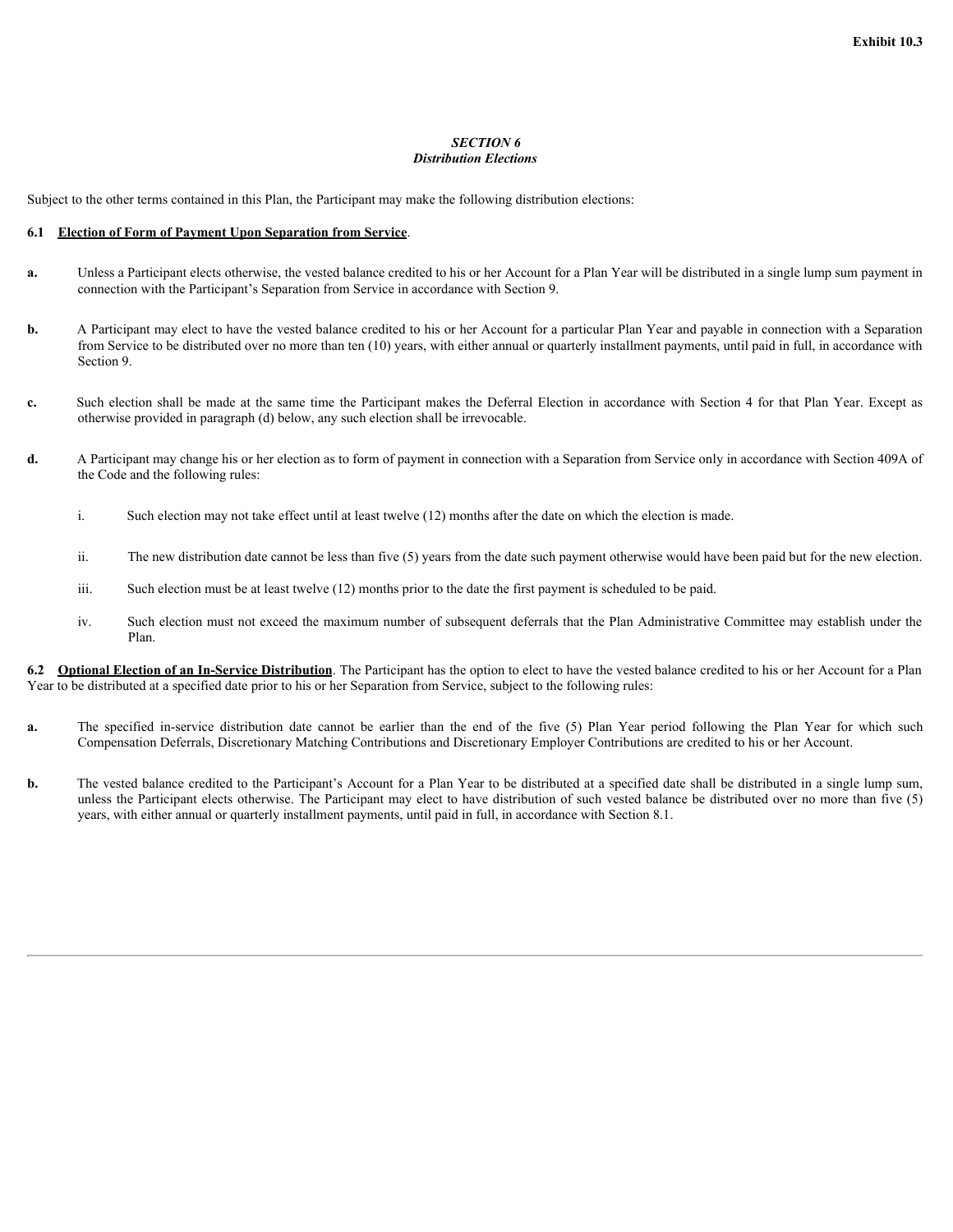## *SECTION 6 Distribution Elections*

Subject to the other terms contained in this Plan, the Participant may make the following distribution elections:

#### **6.1 Election of Form of Payment Upon Separation from Service**.

- **a.** Unless a Participant elects otherwise, the vested balance credited to his or her Account for a Plan Year will be distributed in a single lump sum payment in connection with the Participant's Separation from Service in accordance with Section 9.
- **b.** A Participant may elect to have the vested balance credited to his or her Account for a particular Plan Year and payable in connection with a Separation from Service to be distributed over no more than ten (10) years, with either annual or quarterly installment payments, until paid in full, in accordance with Section 9.
- **c.** Such election shall be made at the same time the Participant makes the Deferral Election in accordance with Section 4 for that Plan Year. Except as otherwise provided in paragraph (d) below, any such election shall be irrevocable.
- **d.** A Participant may change his or her election as to form of payment in connection with a Separation from Service only in accordance with Section 409A of the Code and the following rules:
	- i. Such election may not take effect until at least twelve (12) months after the date on which the election is made.
	- ii. The new distribution date cannot be less than five (5) years from the date such payment otherwise would have been paid but for the new election.
	- iii. Such election must be at least twelve (12) months prior to the date the first payment is scheduled to be paid.
	- iv. Such election must not exceed the maximum number of subsequent deferrals that the Plan Administrative Committee may establish under the Plan.

**6.2 Optional Election of an In-Service Distribution**. The Participant has the option to elect to have the vested balance credited to his or her Account for a Plan Year to be distributed at a specified date prior to his or her Separation from Service, subject to the following rules:

- Compensation Deferrals, Discretionary Matching Contributions and Discretionary Employer Contributions are credited to his or her Account.
- **a.** Unions a Plantein deformation from Service<br> **a.** Unions a Planteinant electro-in-service distribution derivative distribution date has Account for a period in Year Plan Year period in a single in conservent with the f **b.** The vested balance credited to the Participant's Account for a Plan Year to be distributed at a specified date shall be distributed in a single lump sum, unless the Participant elects otherwise. The Participant may elect to have distribution of such vested balance be distributed over no more than five (5) years, with either annual or quarterly installment payments, until paid in full, in accordance with Section 8.1.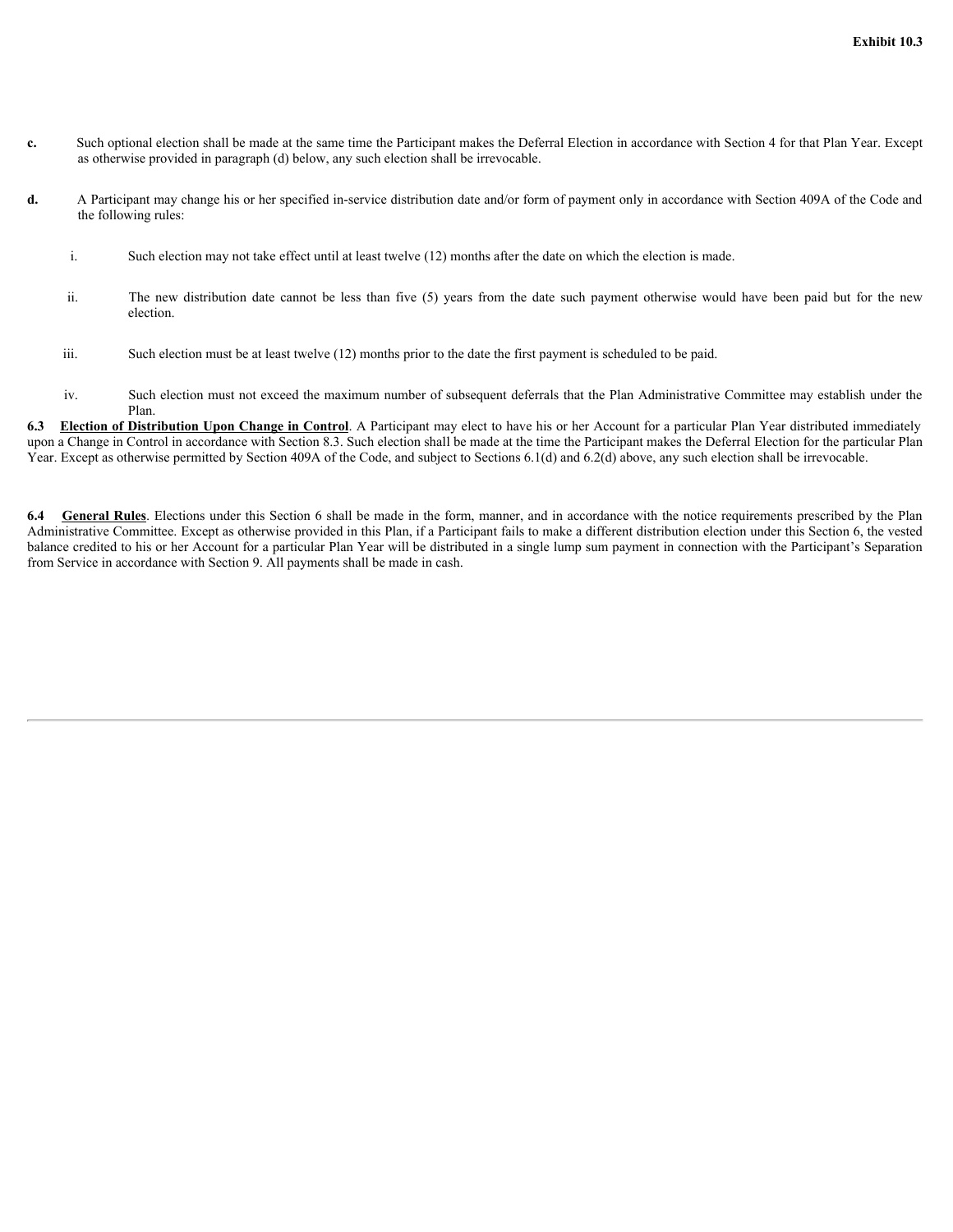- **c.** Such optional election shall be made at the same time the Participant makes the Deferral Election in accordance with Section 4 for that Plan Year. Except as otherwise provided in paragraph (d) below, any such election shall be irrevocable. **istanding the new distribution date and the sum einer the Participant makes the Deferral Election in accordance with Section 4 for that Plan Year. Except<br>as otherwise provided in paragraph (d) below, any such election sha**
- **d.** A Participant may change his or her specified in-service distribution date and/or form of payment only in accordance with Section 409A of the Code and the following rules:
	- i. Such election may not take effect until at least twelve (12) months after the date on which the election is made.
	- election.
	- iii. Such election must be at least twelve (12) months prior to the date the first payment is scheduled to be paid.
	- iv. Such election must not exceed the maximum number of subsequent deferrals that the Plan Administrative Committee may establish under the Plan.

**6.3 Election of Distribution Upon Change in Control**. A Participant may elect to have his or her Account for a particular Plan Year distributed immediately upon a Change in Control in accordance with Section 8.3. Such election shall be made at the time the Participant makes the Deferral Election for the particular Plan Year. Except as otherwise permitted by Section 409A of the Code, and subject to Sections 6.1(d) and 6.2(d) above, any such election shall be irrevocable.

**6.4 General Rules**. Elections under this Section 6 shall be made in the form, manner, and in accordance with the notice requirements prescribed by the Plan Administrative Committee. Except as otherwise provided in this Plan, if a Participant fails to make a different distribution election under this Section 6, the vested balance credited to his or her Account for a particular Plan Year will be distributed in a single lump sum payment in connection with the Participant's Separation from Service in accordance with Section 9. All payments shall be made in cash.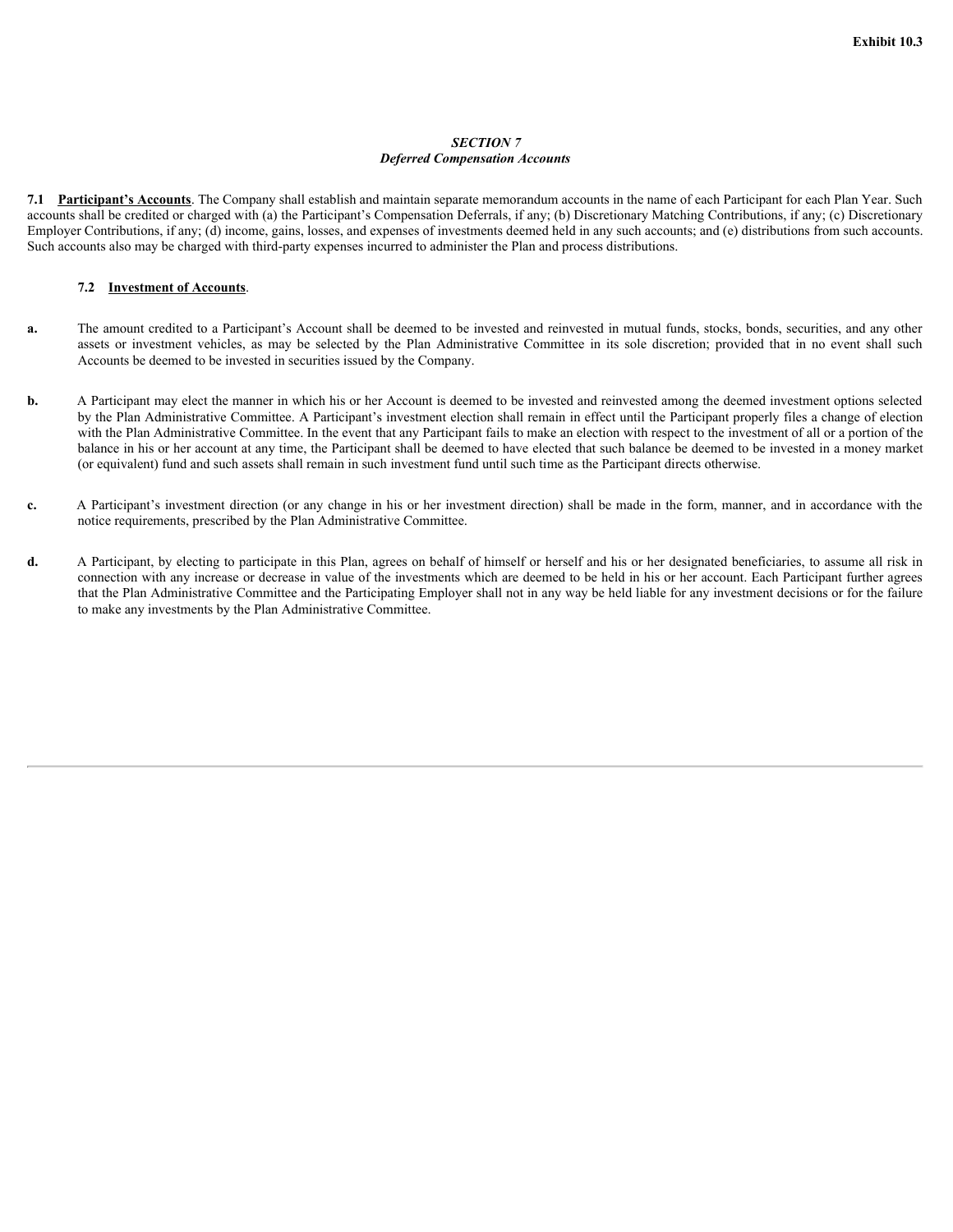# *SECTION 7 Deferred Compensation Accounts*

**7.1 Participant's Accounts**. The Company shall establish and maintain separate memorandum accounts in the name of each Participant for each Plan Year. Such accounts shall be credited or charged with (a) the Participant's Compensation Deferrals, if any; (b) Discretionary Matching Contributions, if any; (c) Discretionary Employer Contributions, if any; (d) income, gains, losses, and expenses of investments deemed held in any such accounts; and (e) distributions from such accounts. Such accounts also may be charged with third-party expenses incurred to administer the Plan and process distributions.

# **7.2 Investment of Accounts**.

- **a.** The amount credited to a Participant's Account shall be deemed to be invested and reinvested in mutual funds, stocks, bonds, securities, and any other Accounts be deemed to be invested in securities issued by the Company.
- **Exhibit 10.3**<br> **Beformed Compensation Accounts**<br> **Deferred Compensation Accounts**<br> **Deferred Compensation** Account Sin the Compensation Specificals, if any; (b) Discretionary Matching Contributions, if any; (c) Discretion **b.** A Participant may elect the manner in which his or her Account is deemed to be invested and reinvested among the deemed investment options selected by the Plan Administrative Committee. A Participant's investment election shall remain in effect until the Participant properly files a change of election with the Plan Administrative Committee. In the event that any Participant fails to make an election with respect to the investment of all or a portion of the balance in his or her account at any time, the Participant shall be deemed to have elected that such balance be deemed to be invested in a money market (or equivalent) fund and such assets shall remain in such investment fund until such time as the Participant directs otherwise.
- **c.** A Participant's investment direction (or any change in his or her investment direction) shall be made in the form, manner, and in accordance with the notice requirements, prescribed by the Plan Administrative Committee.
- **d.** A Participant, by electing to participate in this Plan, agrees on behalf of himself or herself and his or her designated beneficiaries, to assume all risk in connection with any increase or decrease in value of the investments which are deemed to be held in his or her account. Each Participant further agrees that the Plan Administrative Committee and the Participating Employer shall not in any way be held liable for any investment decisions or for the failure to make any investments by the Plan Administrative Committee.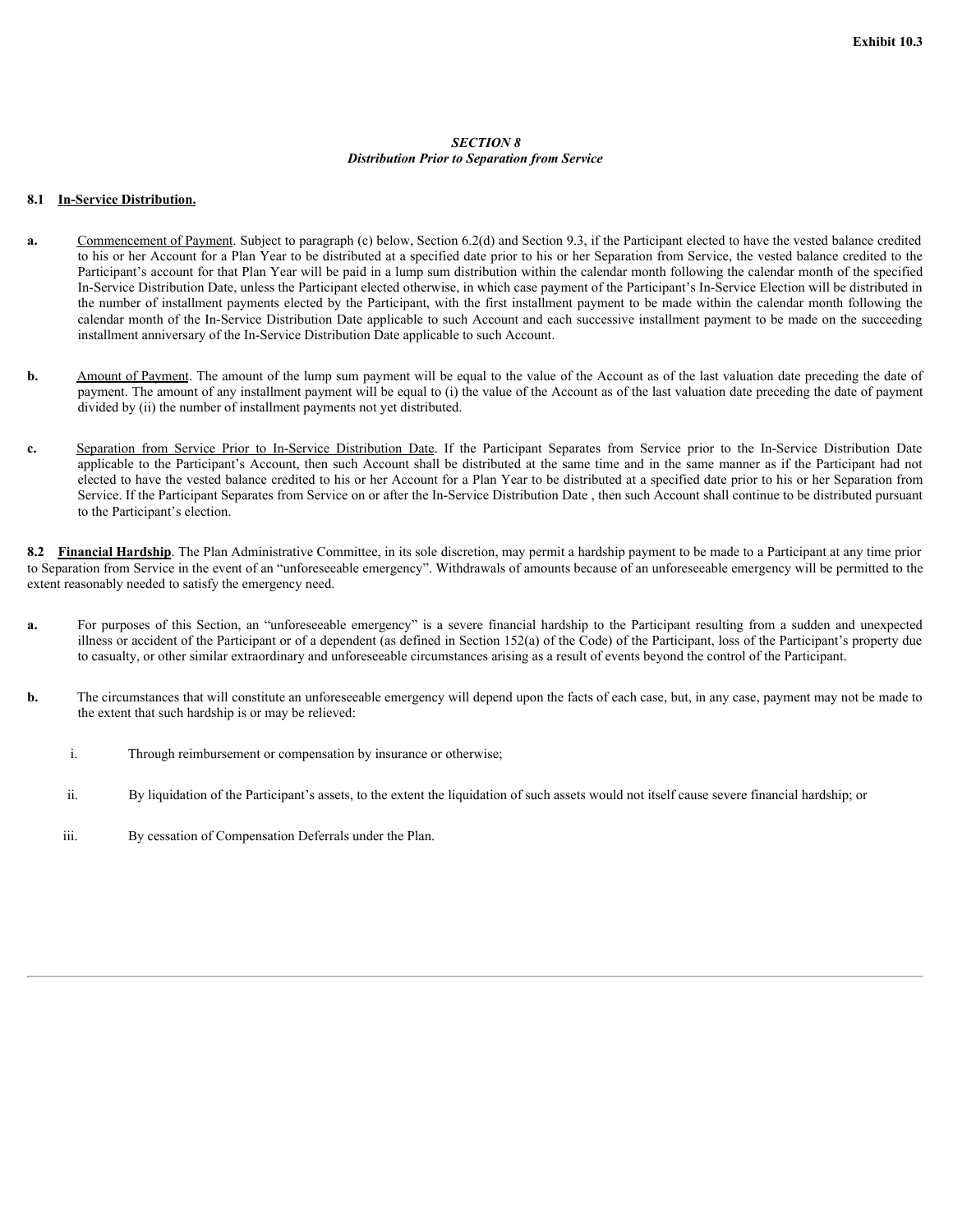# *SECTION 8 Distribution Prior to Separation from Service*

### **8.1 In-Service Distribution.**

- **a.** Commencement of Payment. Subject to paragraph (c) below, Section 6.2(d) and Section 9.3, if the Participant elected to have the vested balance credited to his or her Account for a Plan Year to be distributed at a specified date prior to his or her Separation from Service, the vested balance credited to the Participant's account for that Plan Year will be paid in a lump sum distribution within the calendar month following the calendar month of the specified In-Service Distribution Date, unless the Participant elected otherwise, in which case payment of the Participant's In-Service Election will be distributed in the number of installment payments elected by the Participant, with the first installment payment to be made within the calendar month following the calendar month of the In-Service Distribution Date applicable to such Account and each successive installment payment to be made on the succeeding installment anniversary of the In-Service Distribution Date applicable to such Account. **C.** Separation from Section Section from Service Prior to Separation *from* Service<br> **c.** Commencement of Program Coloice to paragraph (c) below, Section 6.2(d) and Section 9.3, if the Participant elected to have the vest **a. a. Example 2 A. Considerable Consideration A. Considerable emergency** is a severe financial hard to the properties of the Considerable emergency is a severe financial method in the consideration of the Par
- **b.** Amount of Payment. The amount of the lump sum payment will be equal to the value of the Account as of the last valuation date preceding the date of payment. The amount of any installment payment will be equal to (i) the value of the Account as of the last valuation date preceding the date of payment divided by (ii) the number of installment payments not yet distributed.
- applicable to the Participant's Account, then such Account shall be distributed at the same time and in the same manner as if the Participant had not elected to have the vested balance credited to his or her Account for a Plan Year to be distributed at a specified date prior to his or her Separation from Service. If the Participant Separates from Service on or after the In-Service Distribution Date , then such Account shall continue to be distributed pursuant to the Participant's election.

8.2 Financial Hardship. The Plan Administrative Committee, in its sole discretion, may permit a hardship payment to be made to a Participant at any time prior to Separation from Service in the event of an "unforeseeable emergency". Withdrawals of amounts because of an unforeseeable emergency will be permitted to the extent reasonably needed to satisfy the emergency need.

- illness or accident of the Participant or of a dependent (as defined in Section 152(a) of the Code) of the Participant, loss of the Participant's property due to casualty, or other similar extraordinary and unforeseeable circumstances arising as a result of events beyond the control of the Participant.
- **b.** The circumstances that will constitute an unforeseeable emergency will depend upon the facts of each case, but, in any case, payment may not be made to the extent that such hardship is or may be relieved:
	- i. Through reimbursement or compensation by insurance or otherwise;
	- ii. By liquidation of the Participant's assets, to the extent the liquidation of such assets would not itself cause severe financial hardship; or
	- iii. By cessation of Compensation Deferrals under the Plan.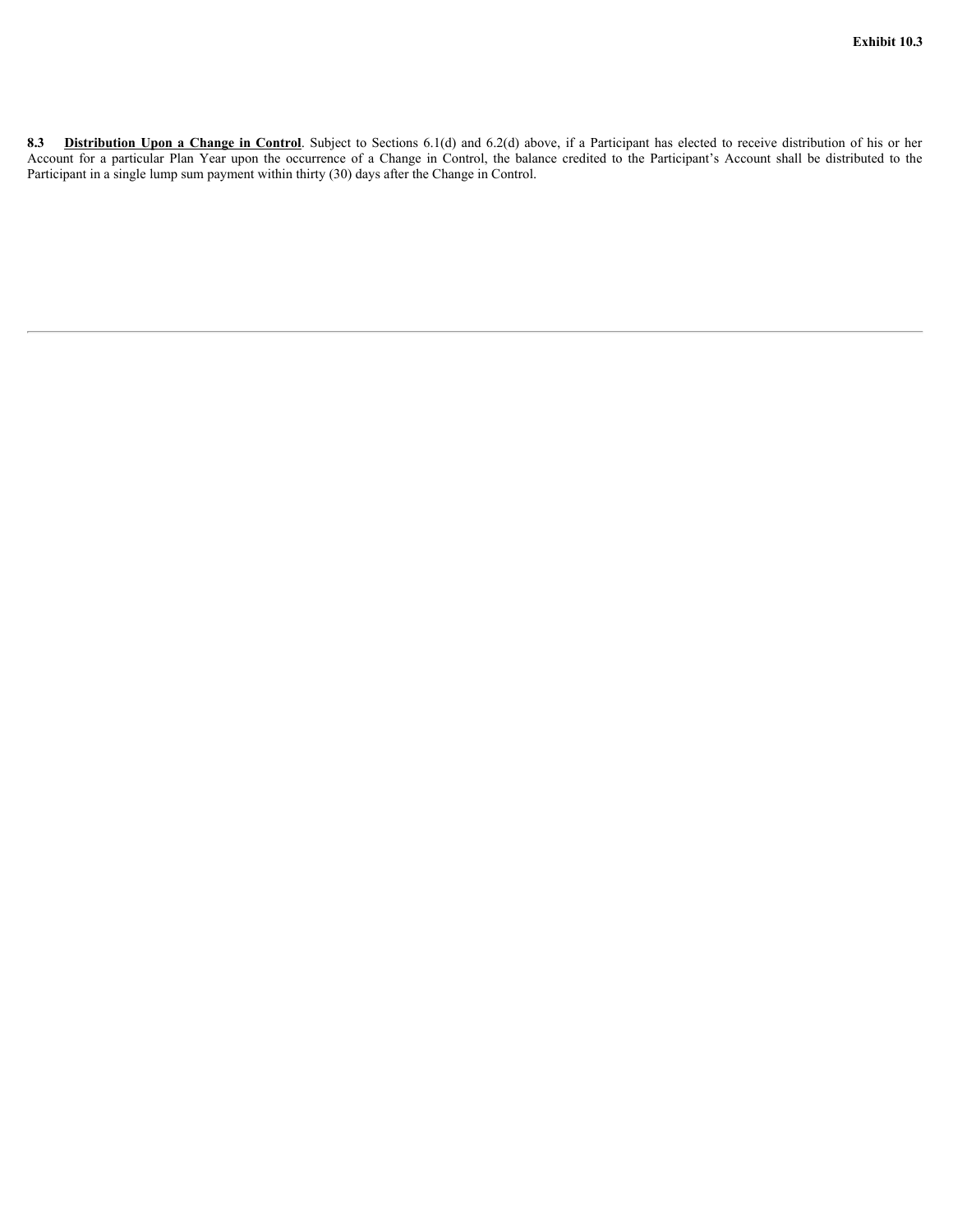**8.3 Distribution Upon a Change in Control**. Subject to Sections 6.1(d) and 6.2(d) above, if a Participant has elected to receive distribution of his or her Account for a particular Plan Year upon the occurrence of a Chang **Account for a particular Plan Year upon the occurrence of a Change in Control**, the balance credited to the Participant has elected to receive distribution of his or her Account for a particular Plan Year upon the occurre Participant in a single lump sum payment within thirty (30) days after the Change in Control.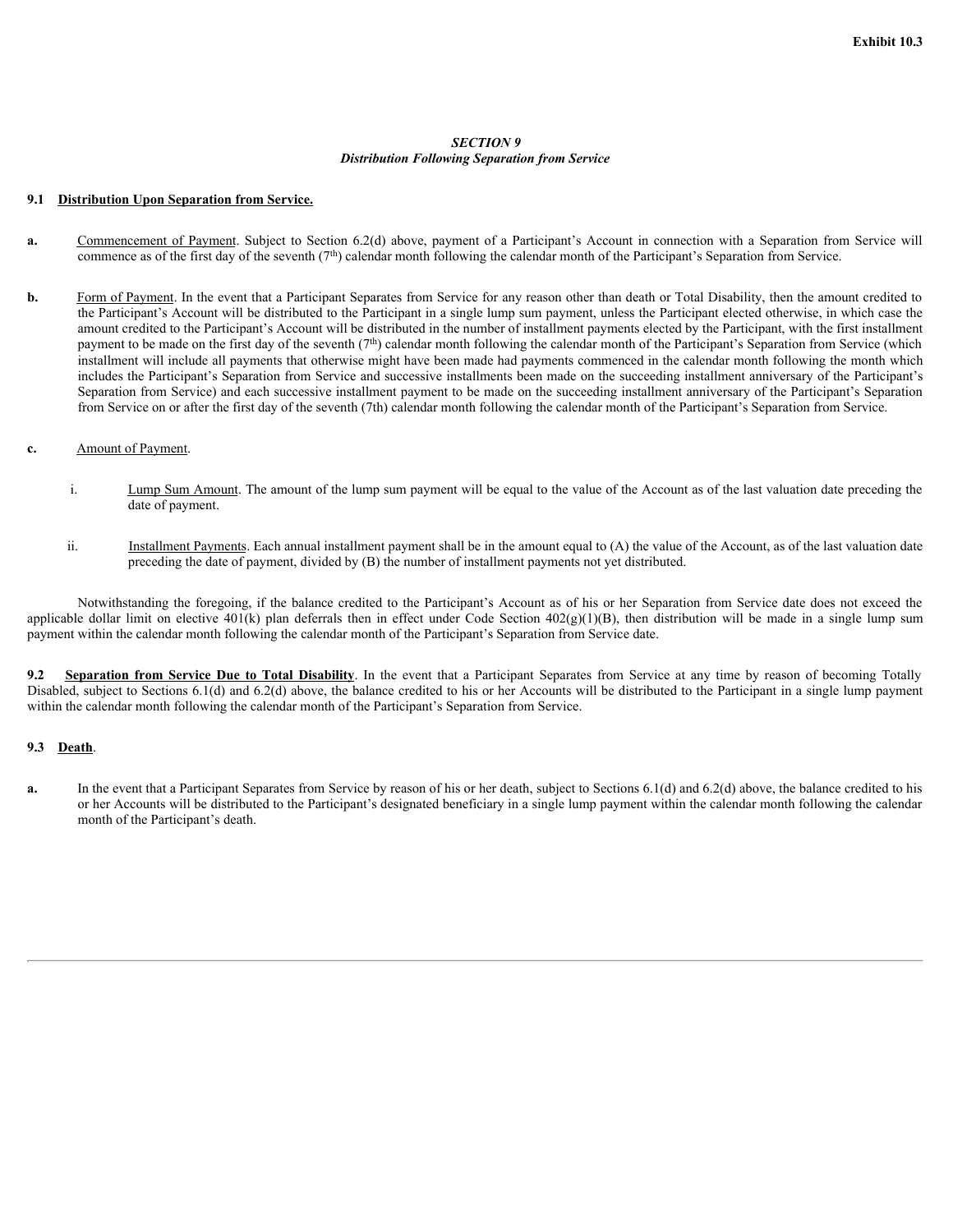# *SECTION 9 Distribution Following Separation from Service*

### **9.1 Distribution Upon Separation from Service.**

- commence as of the first day of the seventh  $(7<sup>th</sup>)$  calendar month following the calendar month of the Participant's Separation from Service.
- **B.** COMEN COM S<br> **A.** Commencement of Payment. Subject to Section 6.2(d) above, payment of a Participant's Account in connection with a Separation from Service will<br> **a.** Commencement of Payment. Subject to Section 6.2(d) **b.** Form of Payment. In the event that a Participant Separates from Service for any reason other than death or Total Disability, then the amount credited to the Participant's Account will be distributed to the Participant in a single lump sum payment, unless the Participant elected otherwise, in which case the amount credited to the Participant's Account will be distributed in the number of installment payments elected by the Participant, with the first installment payment to be made on the first day of the seventh (7<sup>th</sup>) calendar month following the calendar month of the Participant's Separation from Service (which installment will include all payments that otherwise might have been made had payments commenced in the calendar month following the month which includes the Participant's Separation from Service and successive installments been made on the succeeding installment anniversary of the Participant's Separation from Service) and each successive installment payment to be made on the succeeding installment anniversary of the Participant's Separation from Service on or after the first day of the seventh (7th) calendar month following the calendar month of the Participant's Separation from Service. **Distribution Lyon Separation from Service**<br> **Applicable on the controllar and the search COI show, payment of a Pathiopan's Account in connection with a Separation from Service will<br>
commences on distribution (** $T$ **) exist 9.2** Distribution Lipan Separation from Service Due to Total Disability In the event to the Participant's Separation from Service will commence to the Entropian Service Due to The Entropian Service at a Control Distributi

### **c.** Amount of Payment.

- i. Lump Sum Amount. The amount of the lump sum payment will be equal to the value of the Account as of the last valuation date preceding the date of payment.
- ii. Installment Payments. Each annual installment payment shall be in the amount equal to (A) the value of the Account, as of the last valuation date preceding the date of payment, divided by (B) the number of installment payments not yet distributed.

Notwithstanding the foregoing, if the balance credited to the Participant's Account as of his or her Separation from Service date does not exceed the payment within the calendar month following the calendar month of the Participant's Separation from Service date.

Disabled, subject to Sections 6.1(d) and 6.2(d) above, the balance credited to his or her Accounts will be distributed to the Participant in a single lump payment within the calendar month following the calendar month of the Participant's Separation from Service.

### **9.3 Death**.

**a.** In the event that a Participant Separates from Service by reason of his or her death, subject to Sections 6.1(d) and 6.2(d) above, the balance credited to his or her Accounts will be distributed to the Participant's designated beneficiary in a single lump payment within the calendar month following the calendar month of the Participant's death.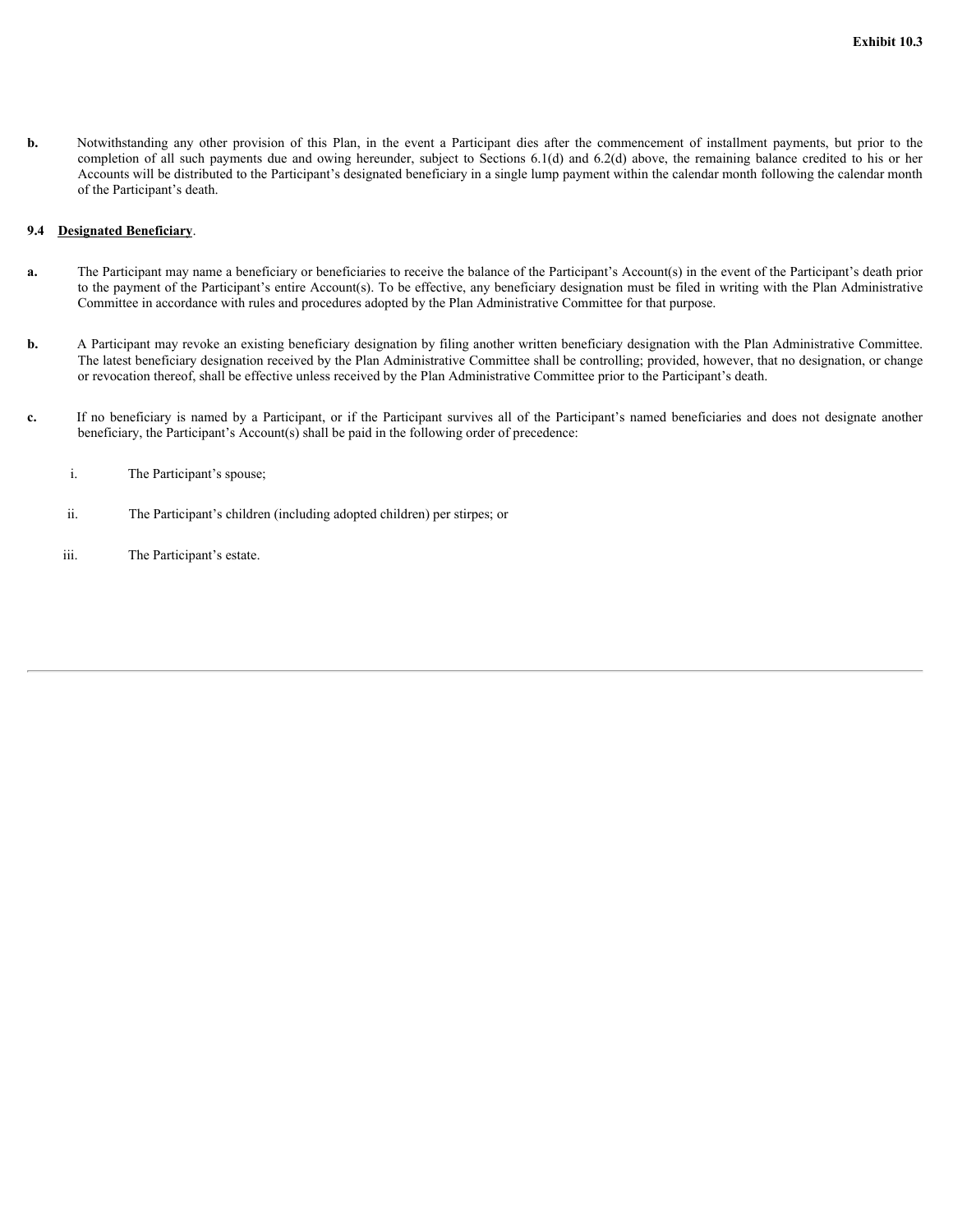**b.** Notwithstanding any other provision of this Plan, in the event a Participant dies after the commencement of installment payments, but prior to the completion of all such payments due and owing hereunder, subject to Se Exhibit 10.3<br>
Exhibit 10.3<br>
Completion of all such payments due and owing hereunder, subject to Sections 6.1(d) and 6.2(d) above, the remaining balance credited to his or her<br>
Accounts will be distributed to the Participa Accounts will be distributed to the Participant's designated beneficiary in a single lump payment within the calendar month following the calendar month of the Participant's death. **c.** If no beneficiary is not the Participant of this Plan, in the event a Participant dies after the commencement of intellibrent research is not the completent of all of and continue the all overlappearts of the Particip

# **9.4 Designated Beneficiary**.

- **a.** The Participant may name a beneficiary or beneficiaries to receive the balance of the Participant's Account(s) in the event of the Participant's death prior to the payment of the Participant's entire Account(s). To be effective, any beneficiary designation must be filed in writing with the Plan Administrative Committee in accordance with rules and procedures adopted by the Plan Administrative Committee for that purpose.
- **b.** A Participant may revoke an existing beneficiary designation by filing another written beneficiary designation with the Plan Administrative Committee. The latest beneficiary designation received by the Plan Administrative Committee shall be controlling; provided, however, that no designation, or change or revocation thereof, shall be effective unless received by the Plan Administrative Committee prior to the Participant's death.
- beneficiary, the Participant's Account(s) shall be paid in the following order of precedence:

- ii. The Participant's children (including adopted children) per stirpes; or
- iii. The Participant's estate.

i. The Participant's spouse;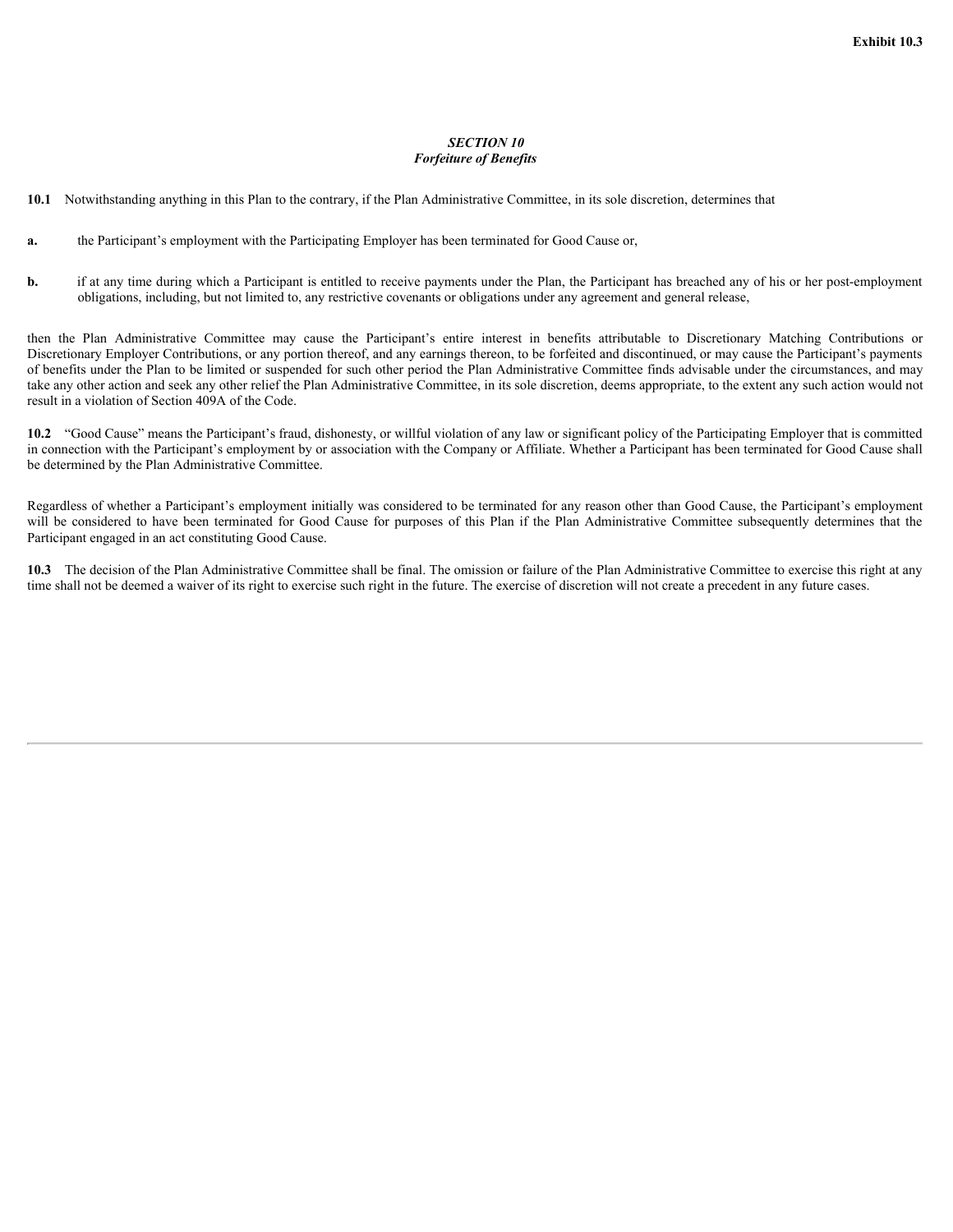# *SECTION 10 Forfeiture of Benefits*

- **10.1** Notwithstanding anything in this Plan to the contrary, if the Plan Administrative Committee, in its sole discretion, determines that
- **a.** the Participant's employment with the Participating Employer has been terminated for Good Cause or,
- **b.** if at any time during which a Participant is entitled to receive payments under the Plan, the Participant has breached any of his or her post-employment obligations, including, but not limited to, any restrictive covenants or obligations under any agreement and general release,

**Excellent the Plan Administrative Committee, in its sole discretion, eletermines that<br>
a.** the Participant's employment with the Participant's employer has bene terminated for Good Cause or,<br>
b. If at any time during whi Discretionary Employer Contributions, or any portion thereof, and any earnings thereon, to be forfeited and discontinued, or may cause the Participant's payments of benefits under the Plan to be limited or suspended for such other period the Plan Administrative Committee finds advisable under the circumstances, and may take any other action and seek any other relief the Plan Administrative Committee, in its sole discretion, deems appropriate, to the extent any such action would not result in a violation of Section 409A of the Code. **Excrete Administration of the considered to the consideration**  $\mathbf{R}$  and  $\mathbf{R}$  and  $\mathbf{R}$  and  $\mathbf{R}$  and  $\mathbf{R}$  and  $\mathbf{R}$  and  $\mathbf{R}$  and  $\mathbf{R}$  and  $\mathbf{R}$  and  $\mathbf{R}$  and  $\mathbf{R}$  are  $\mathbf{R}$  and

**10.2** "Good Cause" means the Participant's fraud, dishonesty, or willful violation of any law or significant policy of the Participating Employer that is committed in connection with the Participant's employment by or association with the Company or Affiliate. Whether a Participant has been terminated for Good Cause shall be determined by the Plan Administrative Committee.

Regardless of whether a Participant's employment initially was considered to be terminated for any reason other than Good Cause, the Participant's employment Participant engaged in an act constituting Good Cause.

**10.3** The decision of the Plan Administrative Committee shall be final. The omission or failure of the Plan Administrative Committee to exercise this right at any time shall not be deemed a waiver of its right to exercise such right in the future. The exercise of discretion will not create a precedent in any future cases.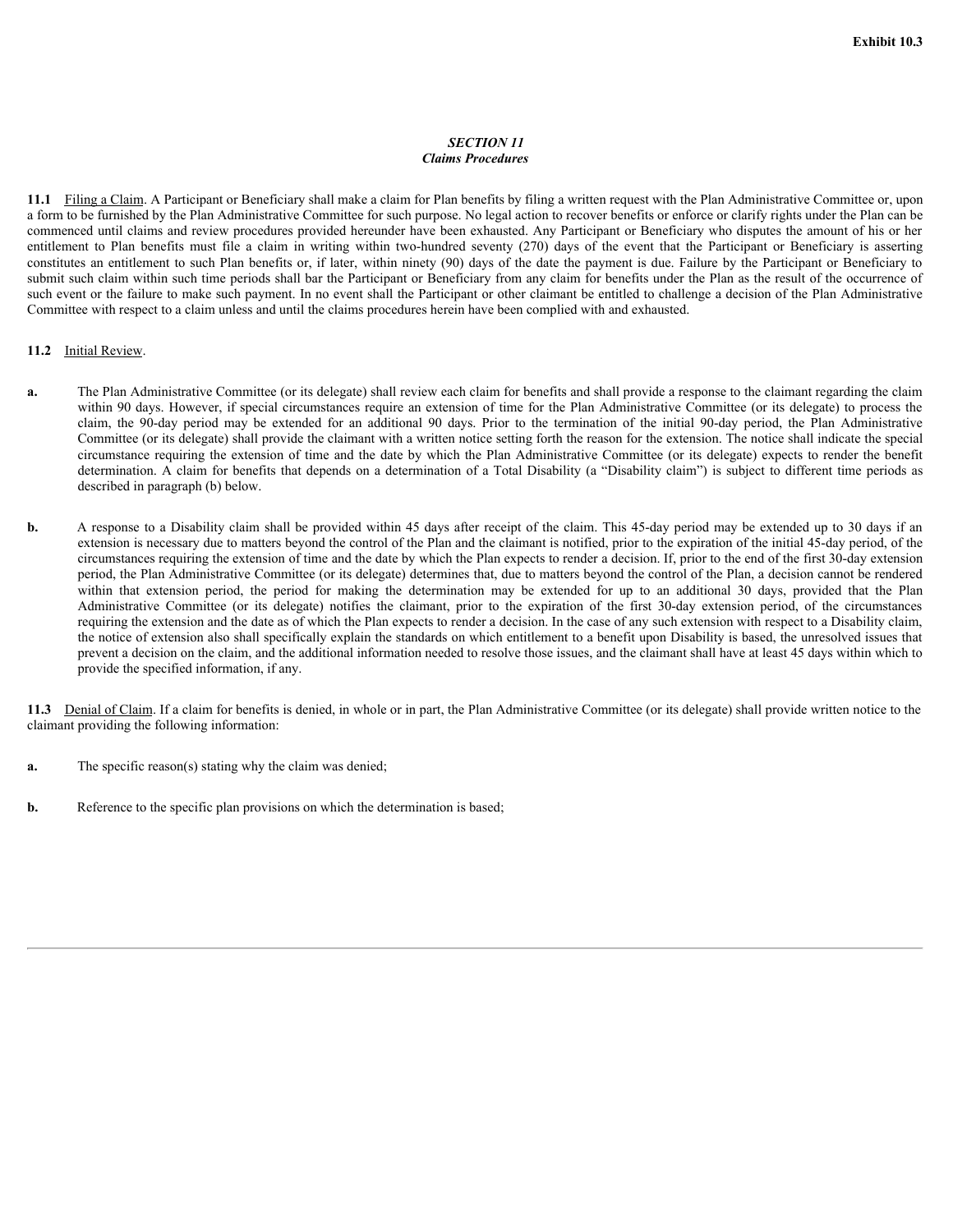### *SECTION 11 Claims Procedures*

**11.1** Filing a Claim. A Participant or Beneficiary shall make a claim for Plan benefits by filing a written request with the Plan Administrative Committee or, upon a form to be furnished by the Plan Administrative Committee for such purpose. No legal action to recover benefits or enforce or clarify rights under the Plan can be commenced until claims and review procedures provided hereunder have been exhausted. Any Participant or Beneficiary who disputes the amount of his or her entitlement to Plan benefits must file a claim in writing within two Exhibit 10.3<br>
Elaims Procedures<br>
11.1 Eling a Claim. A Participant or Beneficiary shall make a claim for Plan benefits by filing a written request with the Plan Administrative Committee or, upon<br>
a form to be furnished by constitutes an entitlement to such Plan benefits or, if later, within ninety (90) days of the date the payment is due. Failure by the Participant or Beneficiary to submit such claim within such time periods shall bar the Participant or Beneficiary from any claim for benefits under the Plan as the result of the occurrence of such event or the failure to make such payment. In no event shall the Participant or other claimant be entitled to challenge a decision of the Plan Administrative Committee with respect to a claim unless and until the claims procedures herein have been complied with and exhausted. Extended for a subsequent of the 90-day period may be extended for an additional 90 days. The 90-day period may be extended for the Plan Administrative Committee of particles with the Plan advertise by the Plan Administrat

# **11.2** Initial Review.

- **a.** The Plan Administrative Committee (or its delegate) shall review each claim for benefits and shall provide a response to the claimant regarding the claim within 90 days. However, if special circumstances require an extension of time for the Plan Administrative Committee (or its delegate) to process the Committee (or its delegate) shall provide the claimant with a written notice setting forth the reason for the extension. The notice shall indicate the special circumstance requiring the extension of time and the date by which the Plan Administrative Committee (or its delegate) expects to render the benefit determination. A claim for benefits that depends on a determination of a Total Disability (a "Disability claim") is subject to different time periods as described in paragraph (b) below.
- **b.** A response to a Disability claim shall be provided within 45 days after receipt of the claim. This 45-day period may be extended up to 30 days if an extension is necessary due to matters beyond the control of the Plan and the claimant is notified, prior to the expiration of the initial 45-day period, of the circumstances requiring the extension of time and the date by which the Plan expects to render a decision. If, prior to the end of the first 30-day extension period, the Plan Administrative Committee (or its delegate) determines that, due to matters beyond the control of the Plan, a decision cannot be rendered **SECTION IT**<br> **CONSULTER CONSULTER CONSULTER CONSULTER CONSULTER CONSULTER CONSULTER CONSULTER CONSULTER CONSULTER CONSULTER CONSULTER CONSULTER CONSULTER CONSULTER CONSULTER CONSULTER CONSULTER CONSULTER CONSULTER CONSUL SECTION II**<br>Commiss Procedures<br>
Administrative Committee or upper United action for Plan hencities by filing a senior regard with de Plan Administrative Committee (in the claimat<br>
by the final dealing this dealing contai requiring the extension and the date as of which the Plan expects to render a decision. In the case of any such extension with respect to a Disability claim, the notice of extension also shall specifically explain the standards on which entitlement to a benefit upon Disability is based, the unresolved issues that prevent a decision on the claim, and the additional information needed to resolve those issues, and the claimant shall have at least 45 days within which to provide the specified information, if any.

**11.3** Denial of Claim. If a claim for benefits is denied, in whole or in part, the Plan Administrative Committee (or its delegate) shall provide written notice to the claimant providing the following information:

- **a.** The specific reason(s) stating why the claim was denied;
- **b.** Reference to the specific plan provisions on which the determination is based;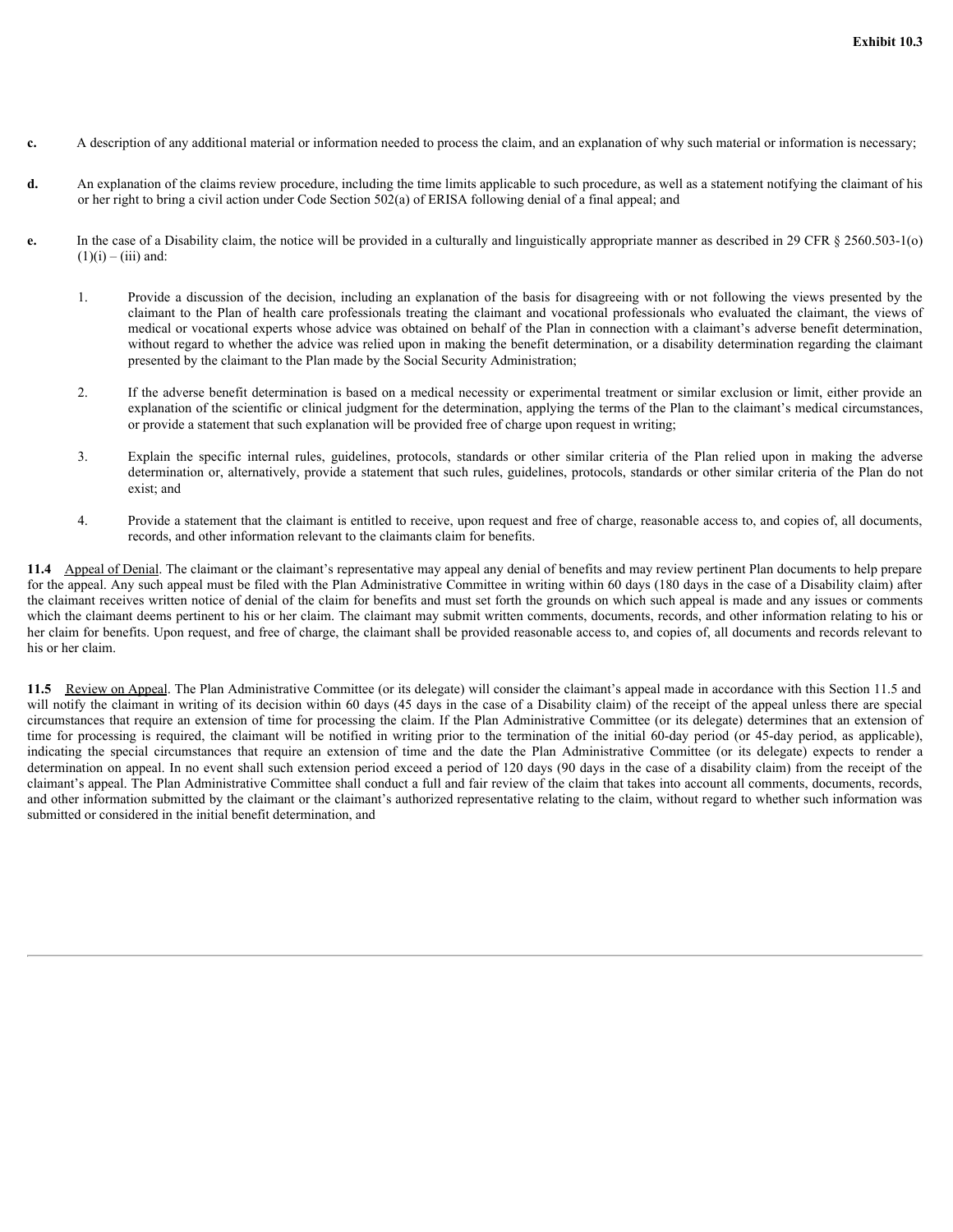- **c.** A description of any additional material or information needed to process the claim, and an explanation of why such material or information is necessary;
- **d.** An explanation of the claims review procedure, including the time limits applicable to such procedure, as well as a statement notifying the claimant of his or her right to bring a civil action under Code Section 502(a) of ERISA following denial of a final appeal; and
- **e.** In the case of a Disability claim, the notice will be provided in a culturally and linguistically appropriate manner as described in 29 CFR § 2560.503-1(o)  $(1)(i) - (iii)$  and:
- **1.** Provide a discussion of the decision, including the time limits applicable to such procedure, as well as a statement notifying the claimat of his of the right to bring a civil action under Code Section 502(a) of ERIS claimant to the Plan of health care professionals treating the claimant and vocational professionals who evaluated the claimant, the views of medical or vocational experts whose advice was obtained on behalf of the Plan in connection with a claimant's adverse benefit determination, without regard to whether the advice was relied upon in making the benefit determination, or a disability determination regarding the claimant presented by the claimant to the Plan made by the Social Security Administration; **Explain the cluster of the specific internal rules, guidelines, protocols, and and relief internal rules of change internal rules of the specific internal rules of the specific internal rules of the specific internal rul** 
	- 2. If the adverse benefit determination is based on a medical necessity or experimental treatment or similar exclusion or limit, either provide an explanation of the scientific or clinical judgment for the determination, applying the terms of the Plan to the claimant's medical circumstances, or provide a statement that such explanation will be provided free of charge upon request in writing;
	- determination or, alternatively, provide a statement that such rules, guidelines, protocols, standards or other similar criteria of the Plan do not exist; and
	- 4. Provide a statement that the claimant is entitled to receive, upon request and free of charge, reasonable access to, and copies of, all documents, records, and other information relevant to the claimants claim for benefits.

**11.4** Appeal of Denial. The claimant or the claimant's representative may appeal any denial of benefits and may review pertinent Plan documents to help prepare for the appeal. Any such appeal must be filed with the Plan Administrative Committee in writing within 60 days (180 days in the case of a Disability claim) after the claimant receives written notice of denial of the claim for benefits and must set forth the grounds on which such appeal is made and any issues or comments which the claimant deems pertinent to his or her claim. The claimant may submit written comments, documents, records, and other information relating to his or her claim for benefits. Upon request, and free of charge, the claimant shall be provided reasonable access to, and copies of, all documents and records relevant to his or her claim.

**11.5** Review on Appeal. The Plan Administrative Committee (or its delegate) will consider the claimant's appeal made in accordance with this Section 11.5 and will notify the claimant in writing of its decision within 60 days (45 days in the case of a Disability claim) of the receipt of the appeal unless there are special circumstances that require an extension of time for processing the claim. If the Plan Administrative Committee (or its delegate) determines that an extension of time the case of a Dosbitity charm, the notice will be provided in a culturally and imgensionally apply this or or following the views presented by the claimant for the claimant and vector for the claimant will be notice in the case of Disloider chain the neaties will be provided in a culturally and linguistically appropriate manner at described in  $2$  CHK § 360.80-4(o) the special committed in the special committed in the date in dependen determination on appeal. In no event shall such extension period exceed a period of 120 days (90 days in the case of a disability claim) from the receipt of the claimant's appeal. The Plan Administrative Committee shall conduct a full and fair review of the claim that takes into account all comments, documents, records, and other information submitted by the claimant or the claimant's authorized representative relating to the claim, without regard to whether such information was submitted or considered in the initial benefit determination, and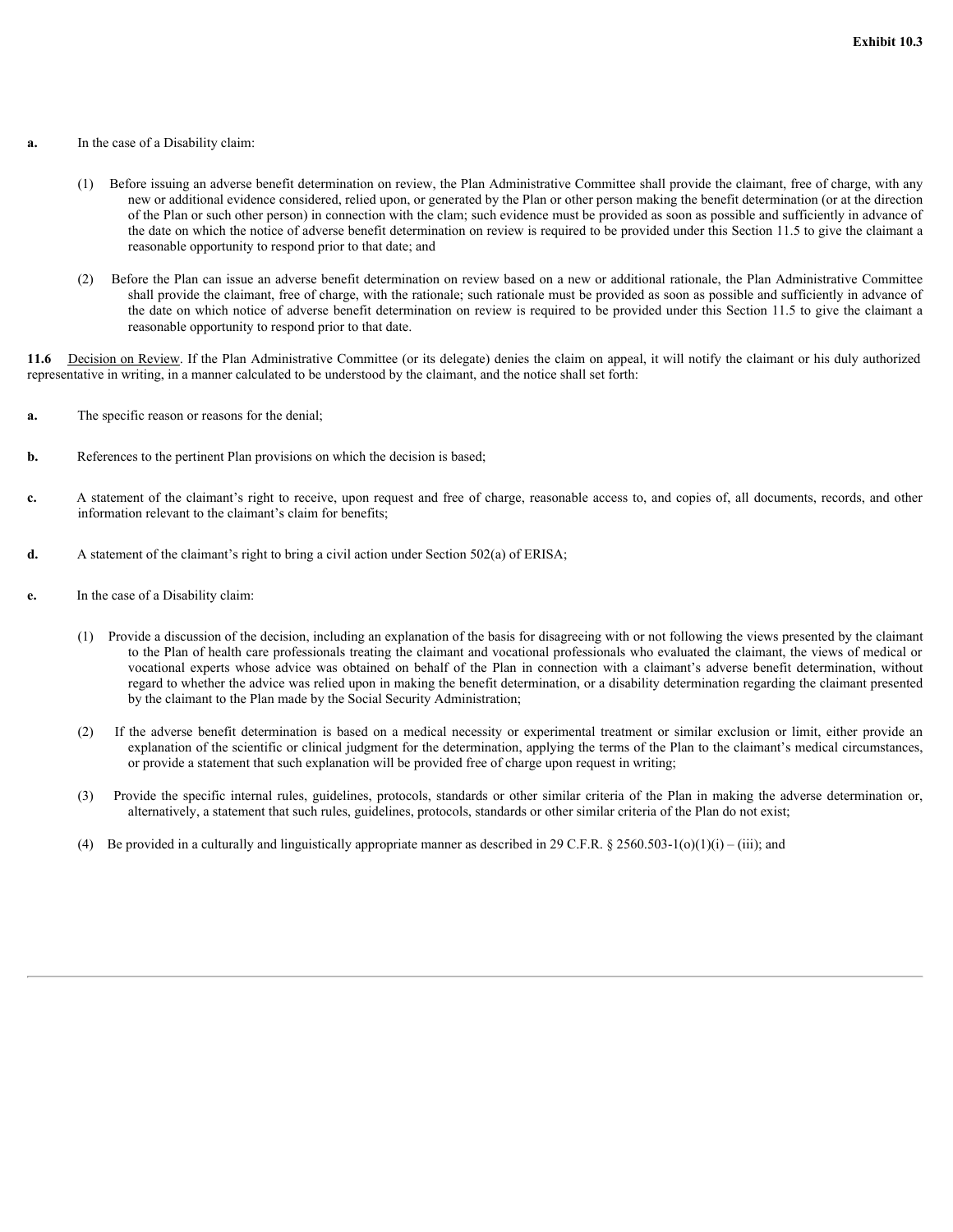- **a.** In the case of a Disability claim:
	- (1) Before issuing an adverse benefit determination on review, the Plan Administrative Committee shall provide the claimant, free of charge, with any new or additional evidence considered, relied upon, or generated by the Plan or other person making the benefit determination (or at the direction of the Plan or such other person) in connection with the clam; such evidence must be provided as soon as possible and sufficiently in advance of the date on which the notice of adverse benefit determination on review is required to be provided under this Section 11.5 to give the claimant a reasonable opportunity to respond prior to that date; and the isosing an adverse henchi determination on review, the Plan Administrative Committee shall provide the determination for a different and<br>the late was interest considered, espectral experts prove penerallely for Plan in
	- (2) Before the Plan can issue an adverse benefit determination on review based on a new or additional rationale, the Plan Administrative Committee shall provide the claimant, free of charge, with the rationale; such rationale must be provided as soon as possible and sufficiently in advance of the date on which notice of adverse benefit determination on review is required to be provided under this Section 11.5 to give the claimant a reasonable opportunity to respond prior to that date.

**11.6** Decision on Review. If the Plan Administrative Committee (or its delegate) denies the claim on appeal, it will notify the claimant or his duly authorized representative in writing, in a manner calculated to be understood by the claimant, and the notice shall set forth:

- **a.** The specific reason or reasons for the denial;
- **b.** References to the pertinent Plan provisions on which the decision is based;
- **c.** A statement of the claimant's right to receive, upon request and free of charge, reasonable access to, and copies of, all documents, records, and other information relevant to the claimant's claim for benefits;
- **d.** A statement of the claimant's right to bring a civil action under Section 502(a) of ERISA;
- **e.** In the case of a Disability claim:
- (1) Provide a discussion of the decision, including an explanation of the basis for disagreeing with or not following the views presented by the claimant to the Plan of health care professionals treating the claimant and vocational professionals who evaluated the claimant, the views of medical or regard to whether the advice was relied upon in making the benefit determination, or a disability determination regarding the claimant presented by the claimant to the Plan made by the Social Security Administration; The adverse benefit deterministics of the search adverse benefit determination is a medical necessarily or expected on a medical network of the search and the administrative Committee of the administrative committee on a (3) The specific internal resolution in the specific internal resolution and the specific internal rules of the specific internal resolution and the specific internal resolution and the specific internal rules of the spec
	- explanation of the scientific or clinical judgment for the determination, applying the terms of the Plan to the claimant's medical circumstances, or provide a statement that such explanation will be provided free of charge upon request in writing;
	- alternatively, a statement that such rules, guidelines, protocols, standards or other similar criteria of the Plan do not exist;
	- (4) Be provided in a culturally and linguistically appropriate manner as described in 29 C.F.R. § 2560.503-1(o)(1)(i) (iii); and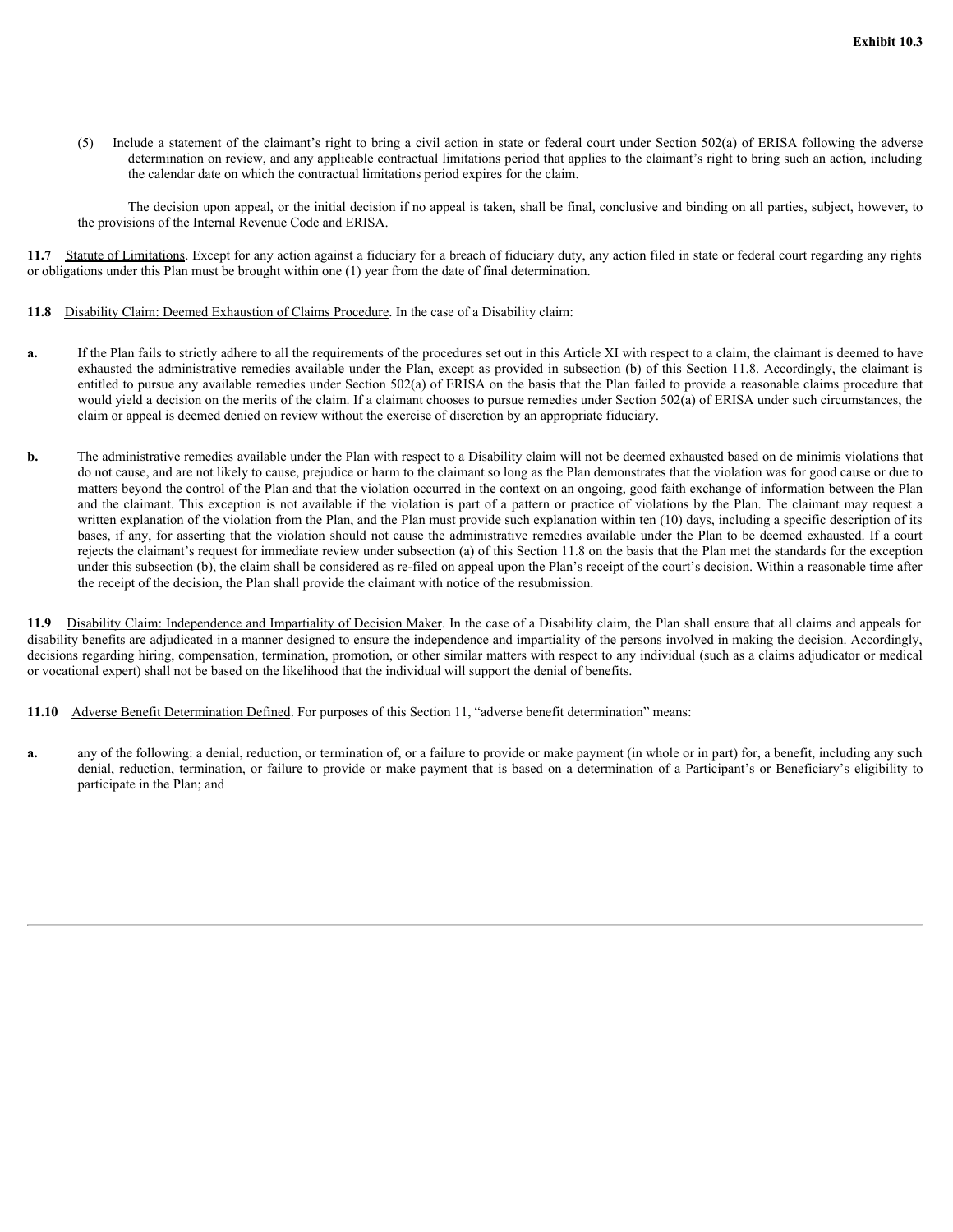(5) Include a statement of the claimant's right to bring a civil action in state or federal court under Section 502(a) of ERISA following the adverse determination on review, and any applicable contractual limitations period that applies to the claimant's right to bring such an action, including the calendar date on which the contractual limitations period expires for the claim.

The decision upon appeal, or the initial decision if no appeal is taken, shall be final, conclusive and binding on all parties, subject, however, to the provisions of the Internal Revenue Code and ERISA.

**11.7** Statute of Limitations. Except for any action against a fiduciary for a breach of fiduciary duty, any action filed in state or federal court regarding any rights or obligations under this Plan must be brought within one (1) year from the date of final determination.

- **11.8** Disability Claim: Deemed Exhaustion of Claims Procedure. In the case of a Disability claim:
- **a.** If the Plan fails to strictly adhere to all the requirements of the procedures set out in this Article XI with respect to a claim, the claimant is deemed to have exhausted the administrative remedies available under the Plan, except as provided in subsection (b) of this Section 11.8. Accordingly, the claimant is entitled to pursue any available remedies under Section 502(a) of ERISA on the basis that the Plan failed to provide a reasonable claims procedure that would yield a decision on the merits of the claim. If a claimant chooses to pursue remedies under Section 502(a) of ERISA under such circumstances, the claim or appeal is deemed denied on review without the exercise of discretion by an appropriate fiduciary.
- **b.** The administrative remedies available under the Plan with respect to a Disability claim will not be deemed exhausted based on de minimis violations that do not cause, and are not likely to cause, prejudice or harm to the claimant so long as the Plan demonstrates that the violation was for good cause or due to matters beyond the control of the Plan and that the violation occurred in the context on an ongoing, good faith exchange of information between the Plan and the claimant. This exception is not available if the violation is part of a pattern or practice of violations by the Plan. The claimant may request a written explanation of the violation from the Plan, and the Plan must provide such explanation within ten (10) days, including a specific description of its bases, if any, for asserting that the violation should not cause the administrative remedies available under the Plan to be deemed exhausted. If a court rejects the claimant's request for immediate review under subsection (a) of this Section 11.8 on the basis that the Plan met the standards for the exception under this subsection (b), the claim shall be considered as re-filed on appeal upon the Plan's receipt of the court's decision. Within a reasonable time after the receipt of the decision, the Plan shall provide the claimant with notice of the resubmission.

**11.9** Disability Claim: Independence and Impartiality of Decision Maker. In the case of a Disability claim, the Plan shall ensure that all claims and appeals for disability benefits are adjudicated in a manner designed to ensure the independence and impartiality of the persons involved in making the decision. Accordingly, decisions regarding hiring, compensation, termination, promotion, or other similar matters with respect to any individual (such as a claims adjudicator or medical or vocational expert) shall not be based on the likelihood that the individual will support the denial of benefits.

**11.10** Adverse Benefit Determination Defined. For purposes of this Section 11, "adverse benefit determination" means:

**a.** any of the following: a denial, reduction, or termination of, or a failure to provide or make payment (in whole or in part) for, a benefit, including any such denial, reduction, termination, or failure to provide or make payment that is based on a determination of a Participant's or Beneficiary's eligibility to participate in the Plan; and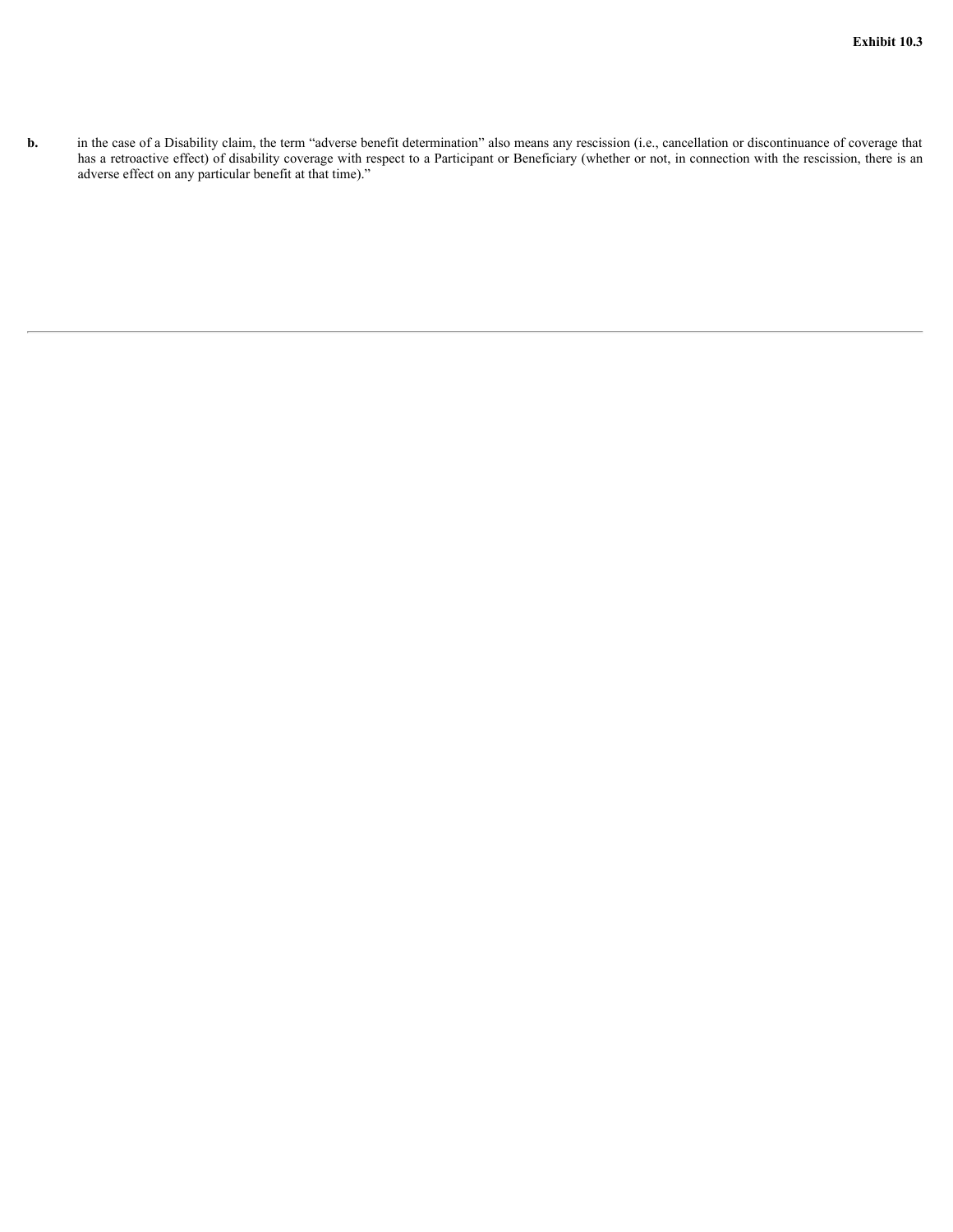**b.** in the case of a Disability claim, the term "adverse benefit determination" also means any rescission (i.e., cancellation or discontinuance of coverage that has a retroactive effect) of disability coverage with respect to a Participant or Beneficiary (whether or not, in connection with the rescission, there is an adverse effect on any particular benefit at that time)."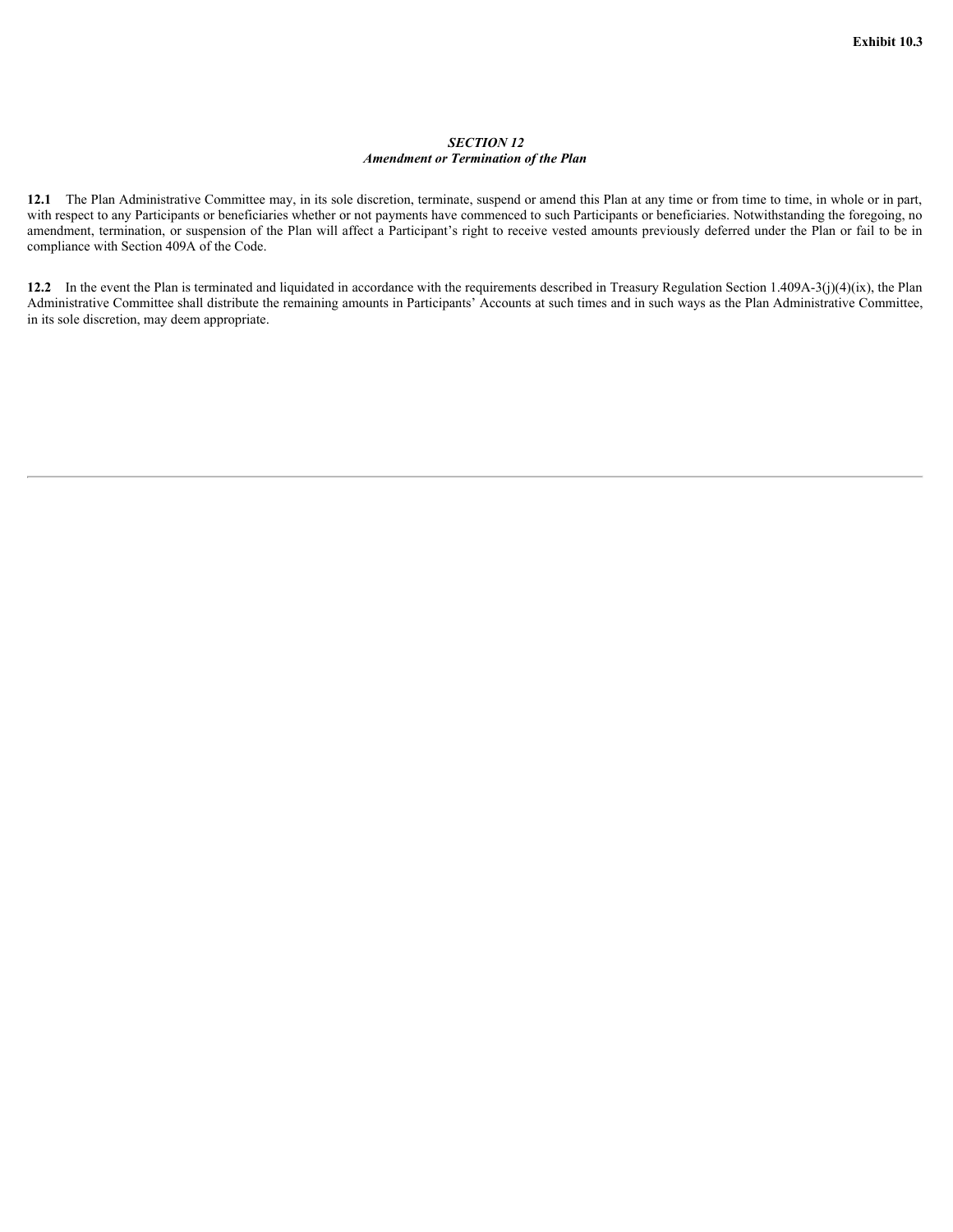# *SECTION 12 Amendment or Termination of the Plan*

**12.1** The Plan Administrative Committee may, in its sole discretion, terminate, suspend or amend this Plan at any time or from time to time, in whole or in part, with respect to any Participants or beneficiaries whether or not payments have commenced to such Participants or beneficiaries. Notwithstanding the foregoing, no amendment, termination, or suspension of the Plan will affect a Participant's right to receive vested amounts previously deferred under the Plan or fail to be in compliance with Section 409A of the Code.

**12.2** In the event the Plan is terminated and liquidated in accordance with the requirements described in Treasury Regulation Section 1.409A-3(j)(4)(ix), the Plan Administrative Committee shall distribute the remaining amounts in Participants' Accounts at such times and in such ways as the Plan Administrative Committee, in its sole discretion, may deem appropriate.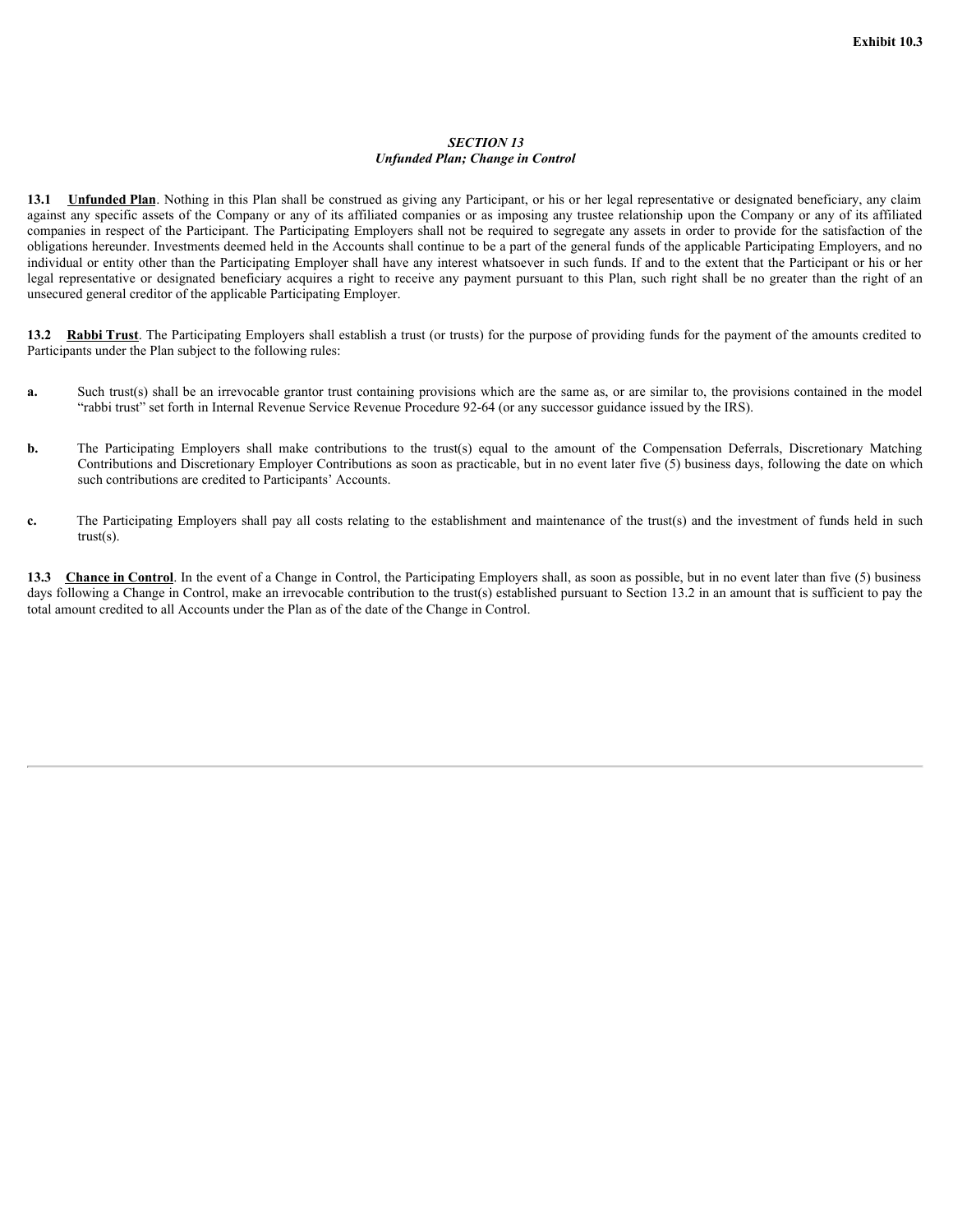# *SECTION 13 Unfunded Plan; Change in Control*

**13.1** Unfunded Plan. Nothing in this Plan shall be construed as giving any Participant, or his or her legal representative or designated beneficiary, any claim against any specific assets of the Company or any of its affiliated companies or as imposing any trustee relationship upon the Company or any of its affiliated companies in respect of the Participant. The Participating Employers shall not be required to segregate any assets in order to provide for the satisfaction of the obligations hereunder. Investments deemed held in the Accounts shall continue to be a part of the general funds of the applicable Participating Employers, and no individual or entity other than the Participating Employer shall have any interest whatsoever in such funds. If and to the extent that the Participant or his or her **CECTION 13**<br> **Confunded Plan.** Nothing in this Plan shall be construed as giving any Participants or this or her legal representative or designated beneficiary, any claim<br>
against any specific assets of the Company or any unsecured general creditor of the applicable Participating Employer. **b. b. b.** The Participating Employers shall make contributions to the Theorem of the Theorem Compete Control of the Competent Contributions of the Competent contributions of the Competent contribution Deferred to the

13.2 Rabbi Trust. The Participating Employers shall establish a trust (or trusts) for the purpose of providing funds for the payment of the amounts credited to Participants under the Plan subject to the following rules:

- **a.** Such trust(s) shall be an irrevocable grantor trust containing provisions which are the same as, or are similar to, the provisions contained in the model "rabbi trust" set forth in Internal Revenue Service Revenue Procedure 92-64 (or any successor guidance issued by the IRS).
- Contributions and Discretionary Employer Contributions as soon as practicable, but in no event later five (5) business days, following the date on which such contributions are credited to Participants' Accounts.
- **c.** The Participating Employers shall pay all costs relating to the establishment and maintenance of the trust(s) and the investment of funds held in such trust(s).

**13.3** Chance in Control. In the event of a Change in Control, the Participating Employers shall, as soon as possible, but in no event later than five (5) business days following a Change in Control, make an irrevocable contribution to the trust(s) established pursuant to Section 13.2 in an amount that is sufficient to pay the total amount credited to all Accounts under the Plan as of the date of the Change in Control.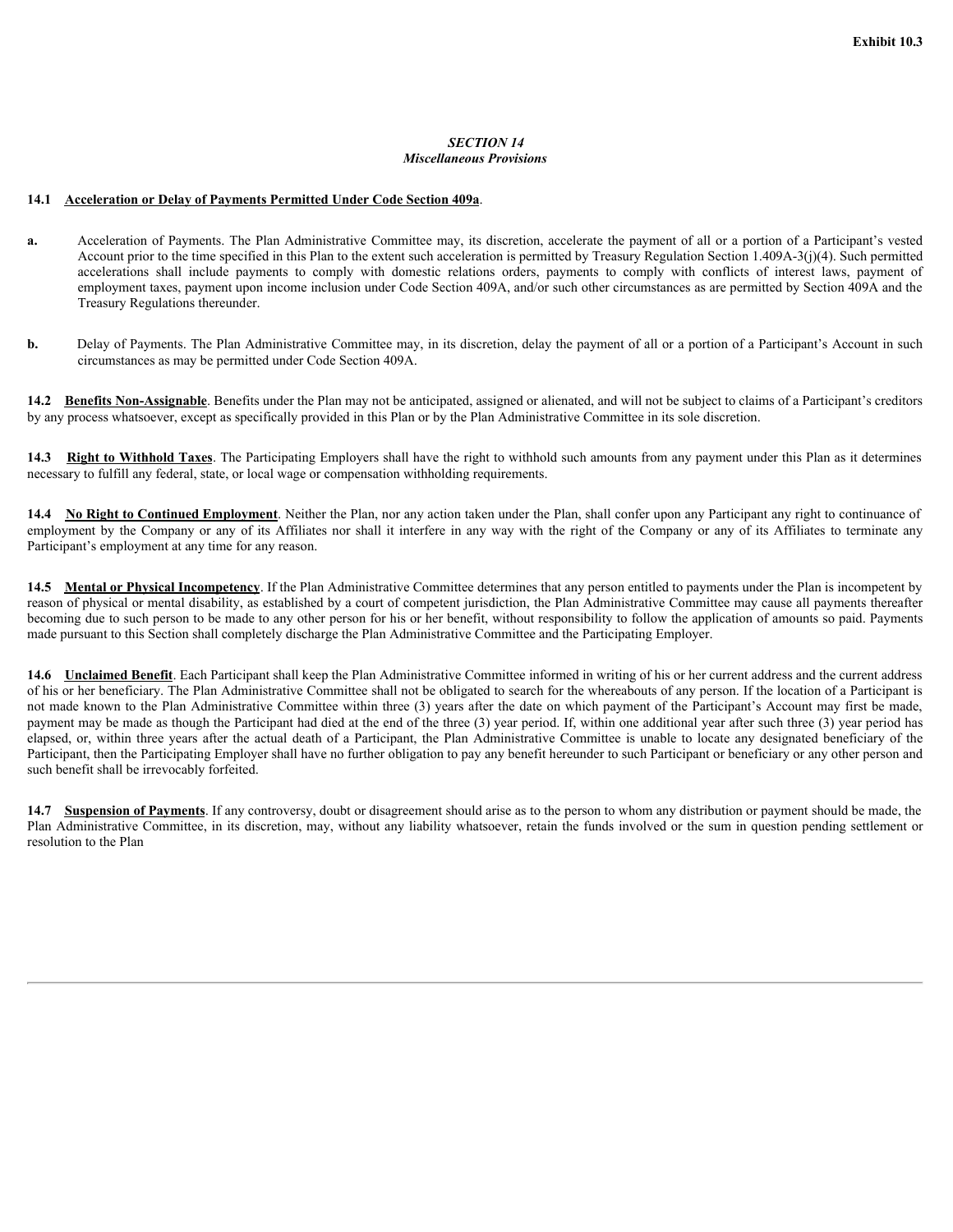### *SECTION 14 Miscellaneous Provisions*

### **14.1 Acceleration or Delay of Payments Permitted Under Code Section 409a**.

- **a.** Acceleration of Payments. The Plan Administrative Committee may, its discretion, accelerate the payment of all or a portion of a Participant's vested Account prior to the time specified in this Plan to the extent such acceleration is permitted by Treasury Regulation Section 1.409A-3(j)(4). Such permitted **ECTION 14**<br>**Also celeration or Delay of Payments Permitted Under Code Section 409a**<br>Acceleration of Payments The Plan Administrative Committee may, its discretion, accelerate the payment of all or a portion of a Participa employment taxes, payment upon income inclusion under Code Section 409A, and/or such other circumstances as are permitted by Section 409A and the Treasury Regulations thereunder. **EXAMBREE SET USY 14**<br> **SECTION 14**<br> **Acceleration of Paynonic Parmitred Lanke Confederation**<br> **Acceleration of Paynonic Parmitred Lanke Confederation**<br> **Acceleration of Paynonic Paynonic Paynonic Paynonic Confederation i**
- **b.** Delay of Payments. The Plan Administrative Committee may, in its discretion, delay the payment of all or a portion of a Participant's Account in such circumstances as may be permitted under Code Section 409A.

**14.2 Benefits Non-Assignable**. Benefits under the Plan may not be anticipated, assigned or alienated, and will not be subject to claims of a Participant's creditors by any process whatsoever, except as specifically provided in this Plan or by the Plan Administrative Committee in its sole discretion.

**14.3 Right to Withhold Taxes**. The Participating Employers shall have the right to withhold such amounts from any payment under this Plan as it determines necessary to fulfill any federal, state, or local wage or compensation withholding requirements.

14.4 No Right to Continued Employment. Neither the Plan, nor any action taken under the Plan, shall confer upon any Participant any right to continuance of employment by the Company or any of its Affiliates to terminate an Participant's employment at any time for any reason.

**14.5 Mental or Physical Incompetency**. If the Plan Administrative Committee determines that any person entitled to payments under the Plan is incompetent by reason of physical or mental disability, as established by a court of competent jurisdiction, the Plan Administrative Committee may cause all payments thereafter becoming due to such person to be made to any other person for his or her benefit, without responsibility to follow the application of amounts so paid. Payments made pursuant to this Section shall completely discharge the Plan Administrative Committee and the Participating Employer.

14.6 Unclaimed Benefit. Each Participant shall keep the Plan Administrative Committee informed in writing of his or her current address and the current address of his or her beneficiary. The Plan Administrative Committee shall not be obligated to search for the whereabouts of any person. If the location of a Participant is not made known to the Plan Administrative Committee within three (3) years after the date on which payment of the Participant's Account may first be made, payment may be made as though the Participant had died at the end of the three (3) year period. If, within one additional year after such three (3) year period has According of Particular Rich Ministeriative Committee any, it direction, according to the actual or professional or actual death of a Particular and the actual death of a Particular any of a Particular any order the actual Participant, then the Participating Employer shall have no further obligation to pay any benefit hereunder to such Participant or beneficiary or any other person and such benefit shall be irrevocably forfeited.

**14.7 Suspension of Payments**. If any controversy, doubt or disagreement should arise as to the person to whom any distribution or payment should be made, the Plan Administrative Committee, in its discretion, may, without any liability whatsoever, retain the funds involved or the sum in question pending settlement or resolution to the Plan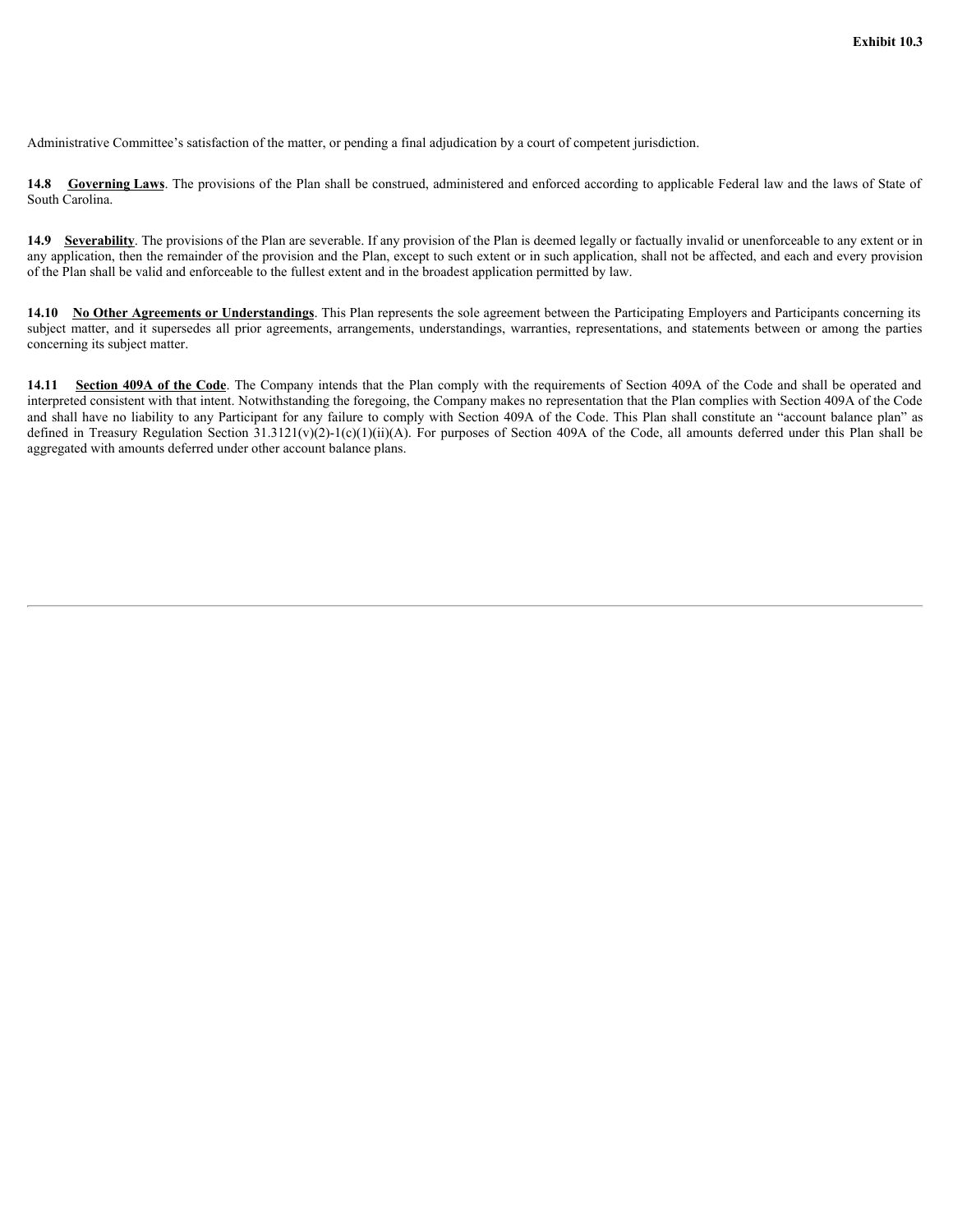Administrative Committee's satisfaction of the matter, or pending a final adjudication by a court of competent jurisdiction.

14.8 Governing Laws. The provisions of the Plan shall be construed, administered and enforced according to applicable Federal law and the laws of State of South Carolina.

14.9 Severability. The provisions of the Plan are severable. If any provision of the Plan is deemed legally or factually invalid or unenforceable to any extent or in any application, then the remainder of the provision and the Plan, except to such extent or in such application, shall not be affected, and each and every provision of the Plan shall be valid and enforceable to the fullest extent and in the broadest application permitted by law.

14.10 No Other Agreements or Understandings. This Plan represents the sole agreement between the Participating Employers and Participants concerning its concerning its subject matter.

**Exhibit 10.3**<br> **Exhibit 10.3**<br> **Committee's satisfaction of the matter, or pending a final adjudication by a court of competent jarisdiction.**<br> **Satisfactions**<br> **Satisfactions, The provisions of the Plan substandings**<br> **14.11 Section 409A of the Code**. The Company intends that the Plan comply with the requirements of Section 409A of the Code and shall be operated and interpreted consistent with that intent. Notwithstanding the foregoing, the Company makes no representation that the Plan complies with Section 409A of the Code and shall have no liability to any Participant for any failure to comply with Section 409A of the Code. This Plan shall constitute an "account balance plan" as **Exhibit 10.3**<br> **Administrative Committee's satisfaction of the mature, or pending a final adjudication by a court of competent jurisdiction.**<br> **HAS Conventing Lans** The provisions of the Plan and solvent between the en aggregated with amounts deferred under other account balance plans.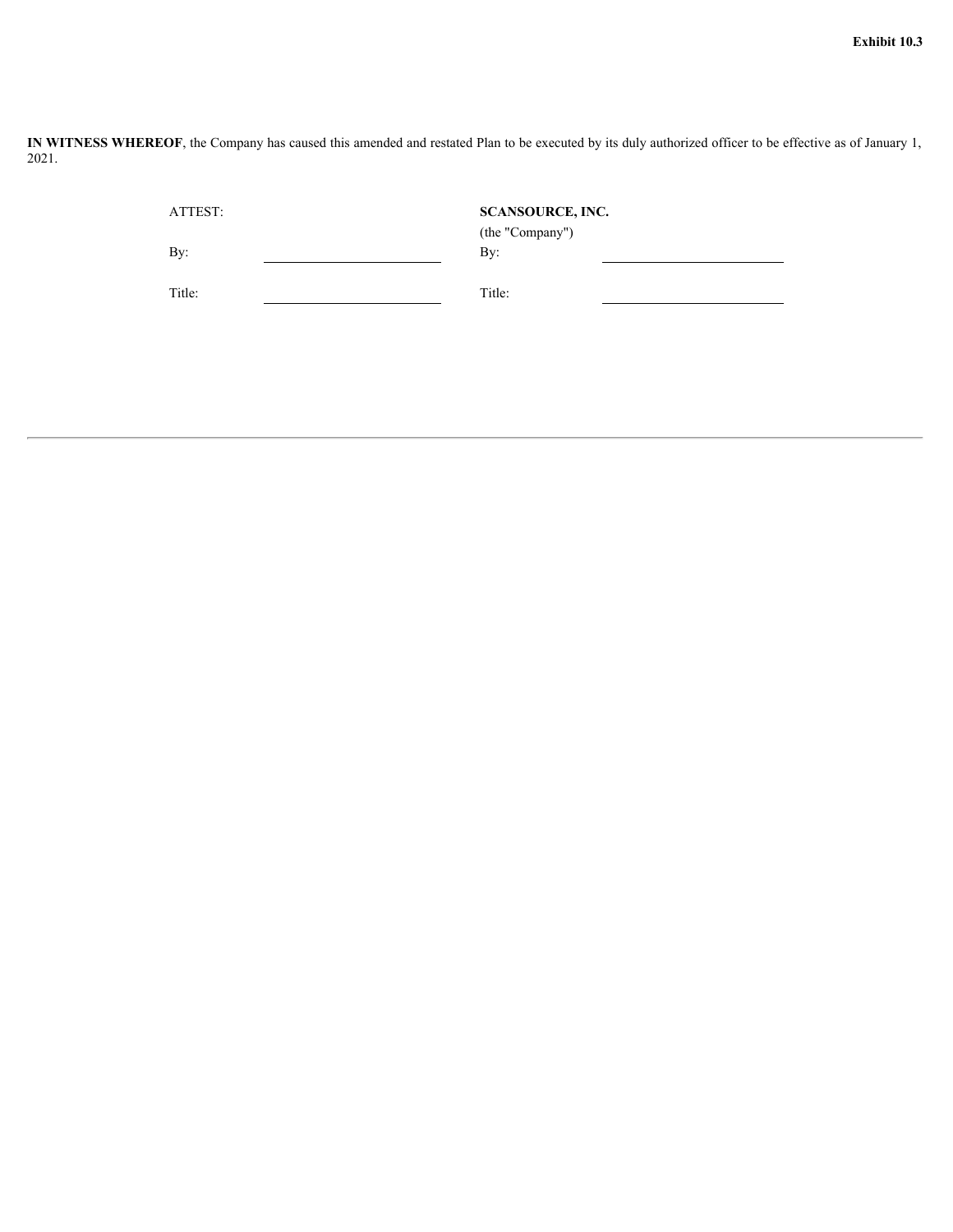**IN WITNESS WHEREOF**, the Company has caused this amended and restated Plan to be executed by its duly authorized officer to be effective as of January 1, 2021.

| ATTEST: | <b>SCANSOURCE, INC.</b><br>(the "Company") |  |
|---------|--------------------------------------------|--|
| By:     | By:                                        |  |
| Title:  | Title:                                     |  |
|         |                                            |  |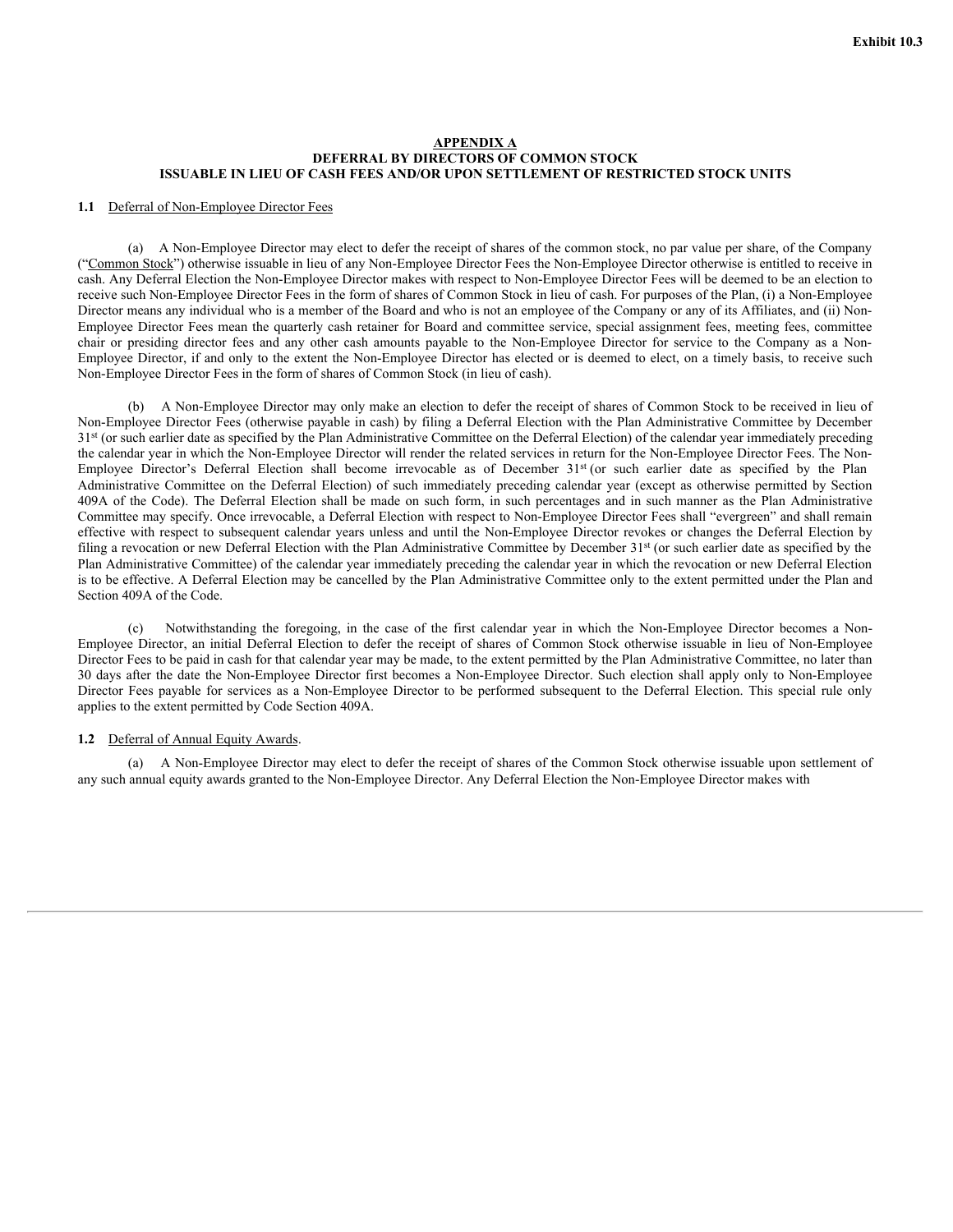### **APPENDIX A DEFERRAL BY DIRECTORS OF COMMON STOCK ISSUABLE IN LIEU OF CASH FEES AND/OR UPON SETTLEMENT OF RESTRICTED STOCK UNITS**

#### 1.1 Deferral of Non-Employee Director Fees

(a) A Non-Employee Director may elect to defer the receipt of shares of the common stock, no par value per share, of the Company ("Common Stock") otherwise issuable in lieu of any Non-Employee Director Fees the Non-Employee Director otherwise is entitled to receive in cash. Any Deferral Election the Non-Employee Director makes with respect to Non-Employee Director Fees will be deemed to be an election to receive such Non-Employee Director Fees in the form of shares of Common Stock in lieu of cash. For purposes of the Plan, (i) a Non-Employee Director means any individual who is a member of the Board and who is not an employee of the Company or any of its Affiliates, and (ii) Non-Employee Director Fees mean the quarterly cash retainer for Board and committee service, special assignment fees, meeting fees, committee chair or presiding director fees and any other cash amounts payable to the Non-Emplo Exhibit 10.3<br> **Chair of the Chair or present Amount Chair or present Amount Chair or present Amount Chair or present Amount Chair or the Non-Employee Director Fees and any bon-Employee Director Fees and Be company (Common** Employee Director, if and only to the extent the Non-Employee Director has elected or is deemed to elect, on a timely basis, to receive such Non-Employee Director Fees in the form of shares of Common Stock (in lieu of cash).

(b) A Non-Employee Director may only make an election to defer the receipt of shares of Common Stock to be received in lieu of Non-Employee Director Fees (otherwise payable in cash) by filing a Deferral Election with the Plan Administrative Committee by December  $31<sup>st</sup>$  (or such earlier date as specified by the Plan Administrative Committee on the Deferral Election) of the calendar year immediately preceding the calendar year in which the Non-Employee Director will render the related services in return for the Non-Employee Director Fees. The Non-**Exhibit 10.3**<br> **Exhibit 10.3**<br> **ENSLANDE DIFERRAM. IN DEFERRAM ANDER CONSIDE COMMONS TOCK (NOTE)**<br> **EXAMPLE IN LETTO CONSIDERED ANDER CONSIDE CONSIDENT OF RESTRICTED STOCK UNTIS<br>
The figure of the Company<br>
Common Single Exhibit 10.3**<br> **ASPENDIXA**<br> **ASSEAGE IN LIEU OF CASH REES ANDOR UPONS TYPICATIVENTS OF CONFORTS STOCK UNTIS**<br>
1.1 Deferral of Non-Imployee Director use<br>
1.1 Deferral of Non-Imployee Director uses<br>
1.1 Deferral of Non-Imp **EXERCT CONDUCT THE SECTION CONDUCT CONDUCT STOCK INTERFERRAL THE SECTION CONDUCT STOCK INTERFERENCE SECTION AND THE CONDUCT A NOT CONDUCT A CONDUCT A CONDUCT CONDUCT A CONDUCT CONDUCT CONDUCT CONDUCT CONDUCT CONDUCT COND** Committee may specify. Once irrevocable, a Deferral Election with respect to Non-Employee Director Fees shall "evergreen" and shall remain effective with respect to subsequent calendar years unless and until the Non-Employee Director revokes or changes the Deferral Election by filing a revocation or new Deferral Election with the Plan Administrative Committee by December  $31<sup>st</sup>$  (or such earlier date as specified by the Plan Administrative Committee) of the calendar year immediately preceding the calendar year in which the revocation or new Deferral Election is to be effective. A Deferral Election may be cancelled by the Plan Administrative Committee only to the extent permitted under the Plan and Section 409A of the Code. **ESTAIN DESTANAL IN APPLYINEX**<br>
(STAIN CRIME OF CASH FRES ANDOR UPON SUTTLEMENT OF RESTRICTED STOCK UNITS ETHE CASH COMPARY CONSIDERAT CONSIDERAT CONSIDER THE CASH COMPARY CONSIDER THE CASE OF THE CASE OF THE CASE OF THE 13. Deferral of Non-Employe Director Fees of Non-Employe Director Fees payable for services as a Non-Employe Director to be performed subsequent to the Company Content Fees payable in the Deferral Election for Section 15. Employee Director's Deferral Election shall become irrevocable as of December 31<sup>st</sup> (or such earlier date as specified by the Plan

Employee Director, an initial Deferral Election to defer the receipt of shares of Common Stock otherwise issuable in lieu of Non-Employee Director Fees to be paid in cash for that calendar year may be made, to the extent permitted by the Plan Administrative Committee, no later than 30 days after the date the Non-Employee Director first becomes a Non-Employee Director. Such election shall apply only to Non-Employee applies to the extent permitted by Code Section 409A.

#### **1.2** Deferral of Annual Equity Awards.

(a) A Non-Employee Director may elect to defer the receipt of shares of the Common Stock otherwise issuable upon settlement of any such annual equity awards granted to the Non-Employee Director. Any Deferral Election the Non-Employee Director makes with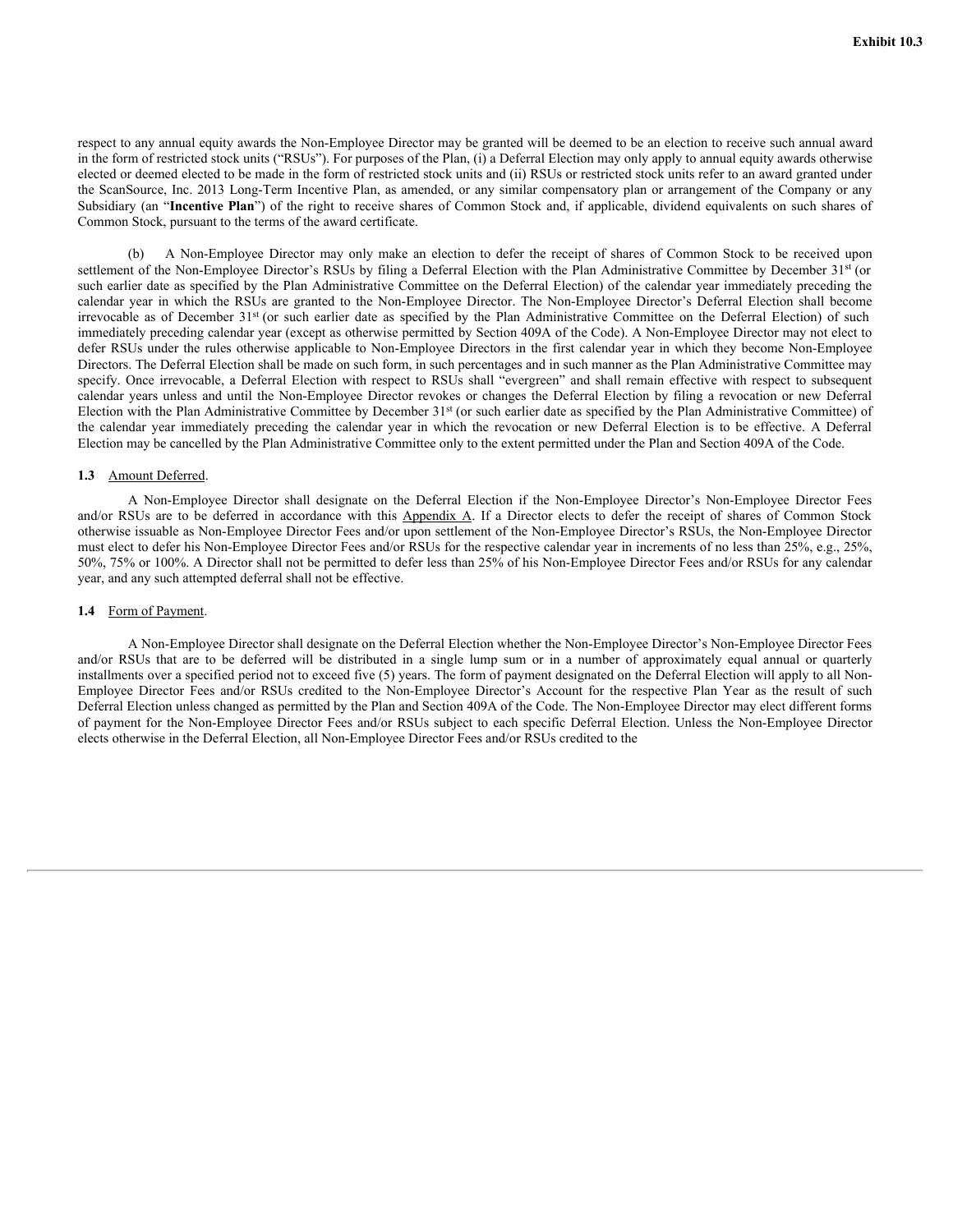respect to any annual equity awards the Non-Employee Director may be granted will be deemed to be an election to receive such annual award in the form of restricted stock units ("RSUs"). For purposes of the Plan, (i) a Deferral Election may only apply to annual equity awards otherwise elected or deemed elected to be made in the form of restricted stock units and (ii) RSUs or restricted stock units refer to an award granted under the ScanSource, Inc. 2013 Long-Term Incentive Plan, as amended, or any similar compensatory plan or arrangement of the Company or any Subsidiary (an "**Incentive Plan**") of the right to receive shares of Common Stock and, if applicable, dividend equivalents on such shares of Common Stock, pursuant to the terms of the award certificate.

**Exhibit 10.3**<br> **Exhibit 10.3**<br> **Exhibit 10.3**<br> **Common Street Sock units ("RSLS").** For proposes of the Plan, (i) a Deferral Hetion may only apply to annual anyone of estreted stock units critered stock units critered sto settlement of the Non-Employee Director's RSUs by filing a Deferral Election with the Plan Administrative Committee by December 31<sup>st</sup> (or such earlier date as specified by the Plan Administrative Committee on the Deferral Election) of the calendar year immediately preceding the Exhibit 10.3<br>
Exhibit 10.3<br>
respect to any annual equity avards the Non-Employee Director may be granted will be deemed to be an election to receive such annual avard<br>
in the form of restricted stock units ("RSUs"). For pu **Exhibit 10.3**<br> **Exhibit 10.3**<br> **Exhibit 10.3**<br> **Exhibit 10.3**<br> **Exhibit 10.3**<br> **Exhibit 20.3** (**Note that CON the CNS**<sup>1</sup>), The purposes of the Flan, (i) a Deferral Election may only apply to annual award<br>
also the decem immediately preceding calendar year (except as otherwise permitted by Section 409A of the Code). A Non-Employee Director may not elect to defer RSUs under the rules otherwise applicable to Non-Employee Directors in the first calendar year in which they become Non-Employee Directors. The Deferral Election shall be made on such form, in such percentages and in such manner as the Plan Administrative Committee may **Exhibit 10.3**<br> **Exhibit 10.3**<br>
The factor of exarticed slock and F. FISM 257. The propose of the Plan, (i) a Deferral Election has the plane of exarticle and the RSUs of the Plane Clear of the Plane Clear of exarticle an Field to the main depity a wately field by the T-Imployee Director range beyond will be desmed to be an election to cociety such annual award<br>
in the form of rearrived state in Non-Employee Director range beyond will be d Election with the Plan Administrative Committee by December  $31<sup>st</sup>$  (or such earlier date as specified by the Plan Administrative Committee) of **Example 19.** For the calendar year of the Non-Employes Director may be granted will be decomed to be an electrica to reseive such annual award<br>to the form of the restricted sole, the propose of the Plan, (1) a Deferral l Election may be cancelled by the Plan Administrative Committee only to the extent permitted under the Plan and Section 409A of the Code. **1.3** Amount Depict in any amount operity events the Non-Employee Director shall be deterred by the decision in two core shall any amount Department (a non-Employee Director any of the Department (a non-Employee Director Express to any annual orgin promots the Non-Employer Director may be granted will be decorded to be an electric nor receipt of the RSUs are the Common State and Consider the company or any and consider the common State an in the rest of the New York (1982). The public or RSUs that are to be distributed in a bit will be distributed in a single hard in the New York (1982) and the single propins of the New York (1982) and the New York (1982) a En Sources (The Director Fees and the Rother Fees and Sources Fees and Sources Fees and The Rother Fees and The Rother Fees and The Rother Fees and The Rother Fees and The Rother Fees and The Rother Fees and The Rother Fe irrevocable as of December 31<sup>st</sup> (or such earlier date as specified by the Plan Administrative Committee on the Deferral Election) of such

otherwise issuable as Non-Employee Director Fees and/or upon settlement of the Non-Employee Director's RSUs, the Non-Employee Director must elect to defer his Non-Employee Director Fees and/or RSUs for the respective calendar year in increments of no less than 25%, e.g., 25%, 50%, 75% or 100%. A Director shall not be permitted to defer less than 25% of his Non-Employee Director Fees and/or RSUs for any calendar year, and any such attempted deferral shall not be effective.

#### **1.4** Form of Payment.

A Non-Employee Director shall designate on the Deferral Election whether the Non-Employee Director's Non-Employee Director Fees installments over a specified period not to exceed five (5) years. The form of payment designated on the Deferral Election will apply to all Non-Deferral Election unless changed as permitted by the Plan and Section 409A of the Code. The Non-Employee Director may elect different forms of payment for the Non-Employee Director Fees and/or RSUs subject to each specific Deferral Election. Unless the Non-Employee Director elects otherwise in the Deferral Election, all Non-Employee Director Fees and/or RSUs credited to the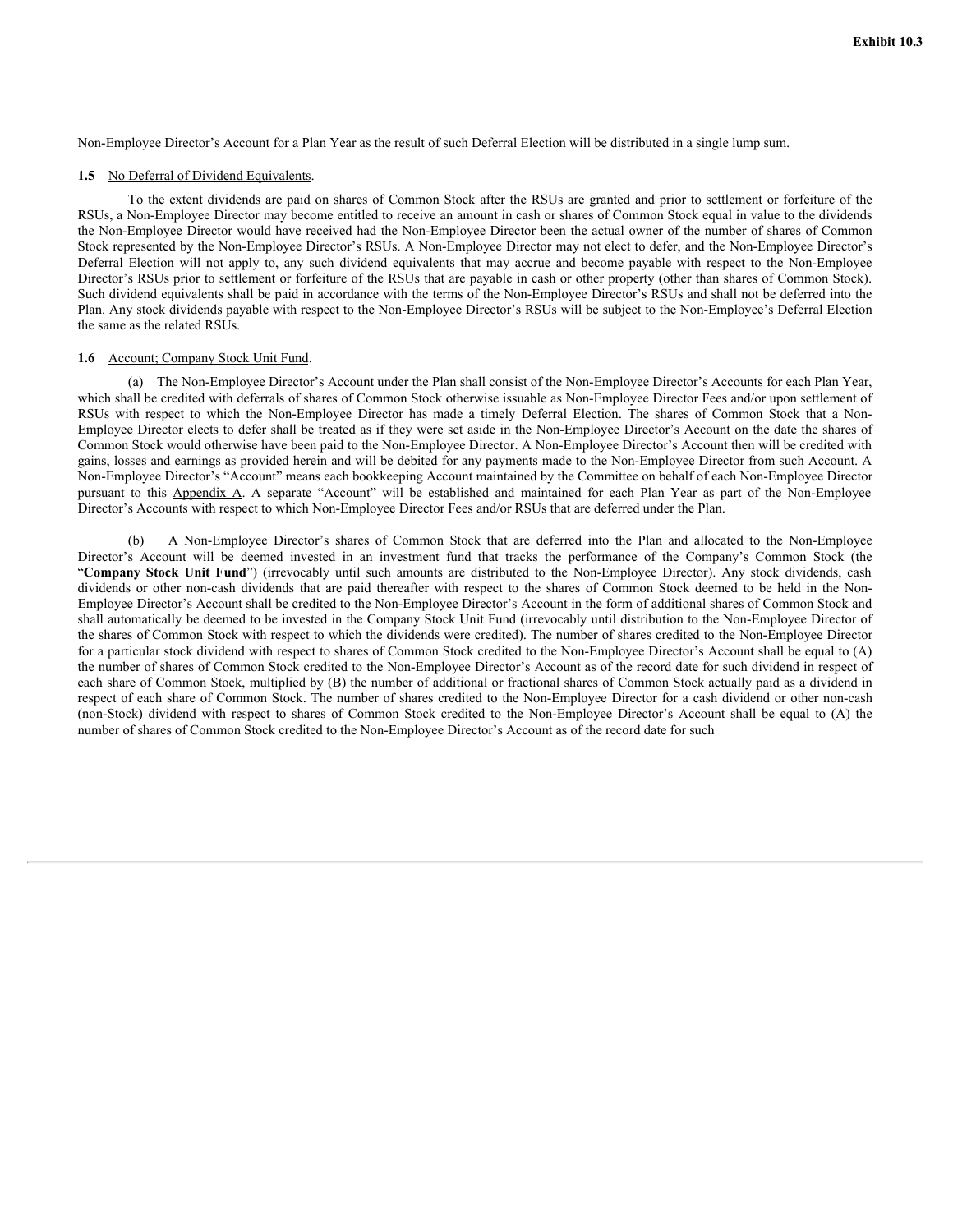Non-Employee Director's Account for a Plan Year as the result of such Deferral Election will be distributed in a single lump sum.

#### **1.5** No Deferral of Dividend Equivalents.

To the extent dividends are paid on shares of Common Stock after the RSUs are granted and prior to settlement or forfeiture of the RSUs, a Non-Employee Director may become entitled to receive an amount in cash or shares of Common Stock equal in value to the dividends the Non-Employee Director would have received had the Non-Employee Director been the actual owner of the number of shares of Common Stock represented by the Non-Employee Director's RSUs. A Non-Employee Director may not elect to defer, and the Non-Employee Director's Exhibit 10.3<br>
Non-Employee Director's Account for a Plan Year as the result of such Deferral Election will be distributed in a single lump sum.<br>
1.5 No Deferral of Dividend Equivalents.<br>
To the extent dividends are paid on Director's RSUs prior to settlement or forfeiture of the RSUs that are payable in cash or other property (other than shares of Common Stock). Such dividend equivalents shall be paid in accordance with the terms of the Non-Employee Director's RSUs and shall not be deferred into the Plan. Any stock dividends payable with respect to the Non-Employee Director's RSUs will be subject to the Non-Employee's Deferral Election the same as the related RSUs. **Exhibit 10.3**<br>
RSUs, Finghage Director's Account for a Plan Year as the result of such Deferral Flection will be distributed in a single lump sum,<br>
To the sected three-individual sequence of paid on denote of the Non-Empl **Exhibit 10.3**<br>
Non-Employee Director's Account for a Plan Year as be result of such Defermi Flection will be distributed in a single lamp sure.<br>
1.5 Non-Employee Director and on sinces of Common Stock after the RSUs are **Exhibit 10.3**<br>
Deferred of Dividense Equivalents,<br>
Deferred of Dividense Equivalents,<br>
To the extent dividends we paid on shares of Common Stock after the RS11s are granted and pinor to statlement or forfeiture of the<br>
To

# **1.6** Account; Company Stock Unit Fund.

(a) The Non-Employee Director's Account under the Plan shall consist of the Non-Employee Director's Accounts for each Plan Year, which shall be credited with deferrals of shares of Common Stock otherwise issuable as Non-Employee Director Fees and/or upon settlement of Employee Director elects to defer shall be treated as if they were set aside in the Non-Employee Director's Account on the date the shares of Common Stock would otherwise have been paid to the Non-Employee Director. A Non-Employee Director's Account then will be credited with gains, losses and earnings as provided herein and will be debited for any payments made to the Non-Employee Director from such Account. A Non-Employee Director's "Account" means each bookkeeping Account maintained by the Committee on behalf of each Non-Employee Director Director's Accounts with respect to which Non-Employee Director Fees and/or RSUs that are deferred under the Plan.

**Non-1-myloyer Director's Account for a Plan Year is the result of such Diefremi Electron will be distributed in a single lump sum.<br>
15. Substituted through linear tests of Conneos Stock share the RSUs are entered and note** Non-Employee Directes' Account for a Plan Year as the result of such Deferral Election will be distributed in a single lamp amounts are a state of the Non-Employee Director's and the Non-Employee Director's and the Non-Emp Non-Employee Directes' A Account for a Plan Year as the result of such Deferral Election will be distributed in a single lamp sum.<br>
1.5 Montherington dividends are paid on shores of Common Stock after the RNLs are genered Employee Director's Account shall be credited to the Non-Employee Director's Account in the form of additional shares of Common Stock and shall automatically be deemed to be invested in the Company Stock Unit Fund (irrevocably until distribution to the Non-Employee Director of the shares of Common Stock with respect to which the dividends were credited). The number of shares credited to the Non-Employee Director for a particular stock dividend with respect to shares of Common Stock credited to the Non-Employee Director's Account shall be equal to (A) the number of shares of Common Stock credited to the Non-Employee Director's Account as of the record date for such dividend in respect of each share of Common Stock, multiplied by (B) the number of additional or fractional shares of Common Stock actually paid as a dividend in respect of each share of Common Stock. The number of shares credited to the Non-Employee Director for a cash dividend or other non-cash RSU, 100 External dividend with respect to common Stock credit to the Non-Employe Director's Account in the Non-Employe Director's Account in the Non-Employee Director's Non-Employee Director's Non-Employee Director's Nonnumber of shares of Common Stock credited to the Non-Employee Director's Account as of the record date for such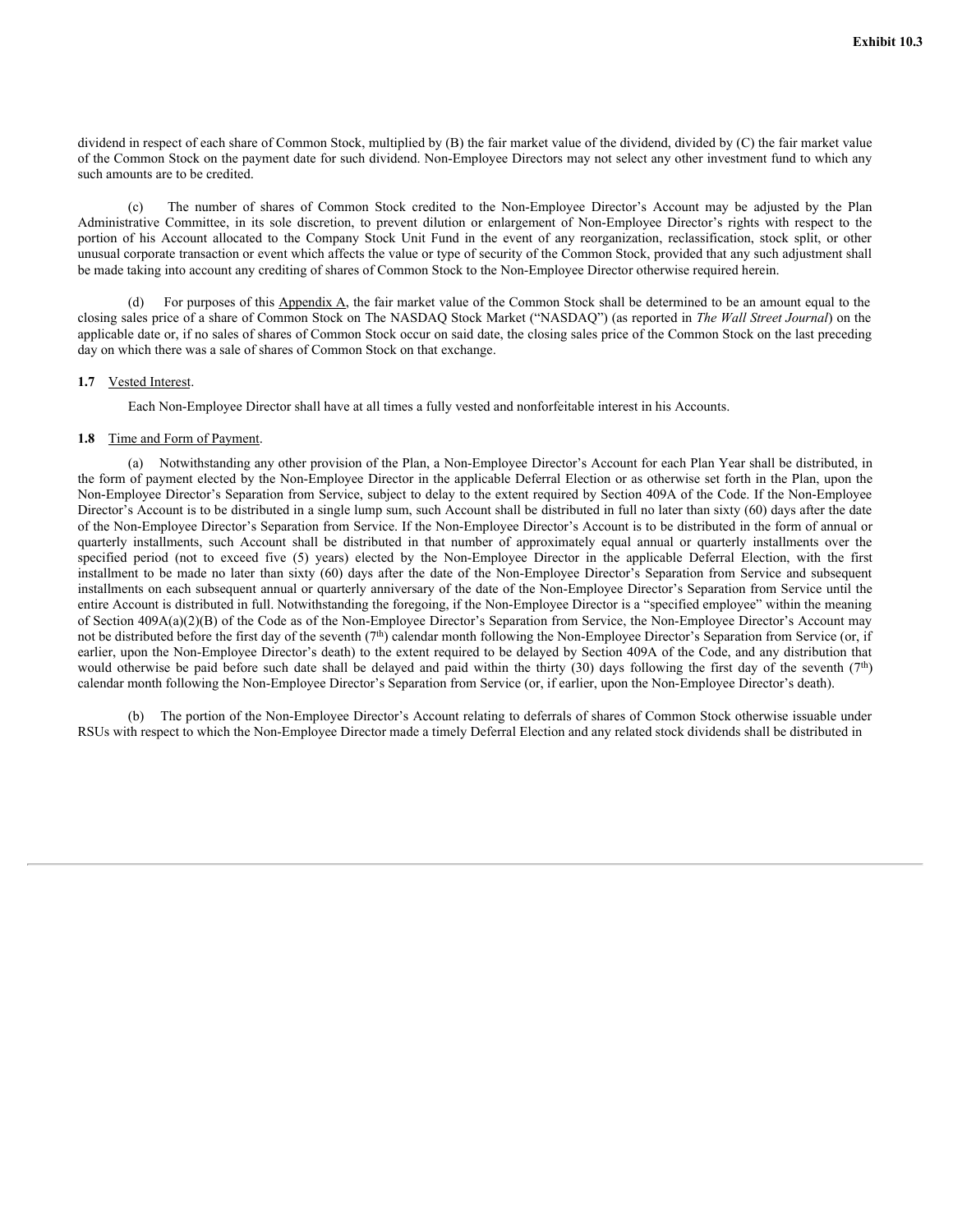dividend in respect of each share of Common Stock, multiplied by (B) the fair market value of the dividend, divided by (C) the fair market value of the Common Stock on the payment date for such dividend. Non-Employee Directors may not select any other investment fund to which any such amounts are to be credited.

**Exhibit 10.3**<br>
In respect of each share of Common Stock, multiplied by (B) the fair market value of the dividend, divided by (C) the fair market value<br>
Immon Stock on the payment date for such dividend. Non-Employee Dire **Exhibit 10.3**<br> **Exhibit 10.3**<br> **Common Stock on the payment date for such dividend. Non-Employee Directors may not select any other investment fund to which any<br>
such amounts are to be credited.<br>
Common Stock on the payme Exhibit 10.3**<br>
Exhibit 10.3<br>
dividend in respect of each share of Common Stock, multiplied by (B) the fair market value of the dividend, divided by (C) the fair market value<br>
such amounts are to be eredited.<br>
(c) The numb unusual corporate transaction or event which affects the value or type of security of the Common Stock, provided that any such adjustment shall be made taking into account any crediting of shares of Common Stock to the Non-Employee Director otherwise required herein.

(d) For purposes of this Appendix A, the fair market value of the Common Stock shall be determined to be an amount equal to the closing sales price of a share of Common Stock on The NASDAQ Stock Market ("NASDAQ") (as reported in *The Wall Street Journal*) on the applicable date or, if no sales of shares of Common Stock occur on said date, the closing sales price of the Common Stock on the last preceding day on which there was a sale of shares of Common Stock on that exchange.

# **1.7** Vested Interest.

Each Non-Employee Director shall have at all times a fully vested and nonforfeitable interest in his Accounts.

#### **1.8** Time and Form of Payment.

(a) Notwithstanding any other provision of the Plan, a Non-Employee Director's Account for each Plan Year shall be distributed, in the form of payment elected by the Non-Employee Director in the applicable Deferral Election or as otherwise set forth in the Plan, upon the Non-Employee Director's Separation from Service, subject to delay to the extent required by Section 409A of the Code. If the Non-Employee Director's Account is to be distributed in a single lump sum, such Account shall be distributed in full no later than sixty (60) days after the date of the Non-Employee Director's Separation from Service. If the Non-Employee Director's Account is to be distributed in the form of annual or **Exhibit distributed in respect of the share of Common Stock, multiplied by (B) the for reached value of the dividently dividently (C) the for metat value<br>of the Common Stock on the payarent distributed for such dividend N** specified in cropset of each share of Common Sook, eathiplied by (B) the fair nandet value of the dividend, dividend by (C) the fair nandet value<br>such amounts are to be endirely mean of the such dividend. Non-Employee Dire dividend in respect of each stare of Common Stock, multiplied by (B) the fair mader value of the dividend, divided by (5) the fair mader value of the common Stock on the popular disc for dividend. Non-Employee Directors ma installments on each subsequent annual or quarterly anniversary of the date of the Non-Employee Director's Separation from Service until the entire Account is distributed in full. Notwithstanding the foregoing, if the Non-Employee Director is a "specified employee" within the meaning of Section 409A(a)(2)(B) of the Code as of the Non-Employee Director's Separation from Service, the Non-Employee Director's Account may not be distributed before the first day of the seventh  $(7<sup>th</sup>)$  calendar month following the Non-Employee Director's Separation from Service (or, if earlier, upon the Non-Employee Director's death) to the extent required to be delayed by Section 409A of the Code, and any distribution that of he Common Stock on the paint of the such dividend. Non-Employes Directors may not select any other twestment first to which the delayed by the Paint of Common Stock credical to the Non-Employes Director's Account any b calendar month following the Non-Employee Director's Separation from Service (or, if earlier, upon the Non-Employee Director's death). would otherwise be paid before such date shall be delayed and paid within the thirty (30) days following the first day of the seventh (7<sup>th</sup>)

(b) The portion of the Non-Employee Director's Account relating to deferrals of shares of Common Stock otherwise issuable under RSUs with respect to which the Non-Employee Director made a timely Deferral Election and any related stock dividends shall be distributed in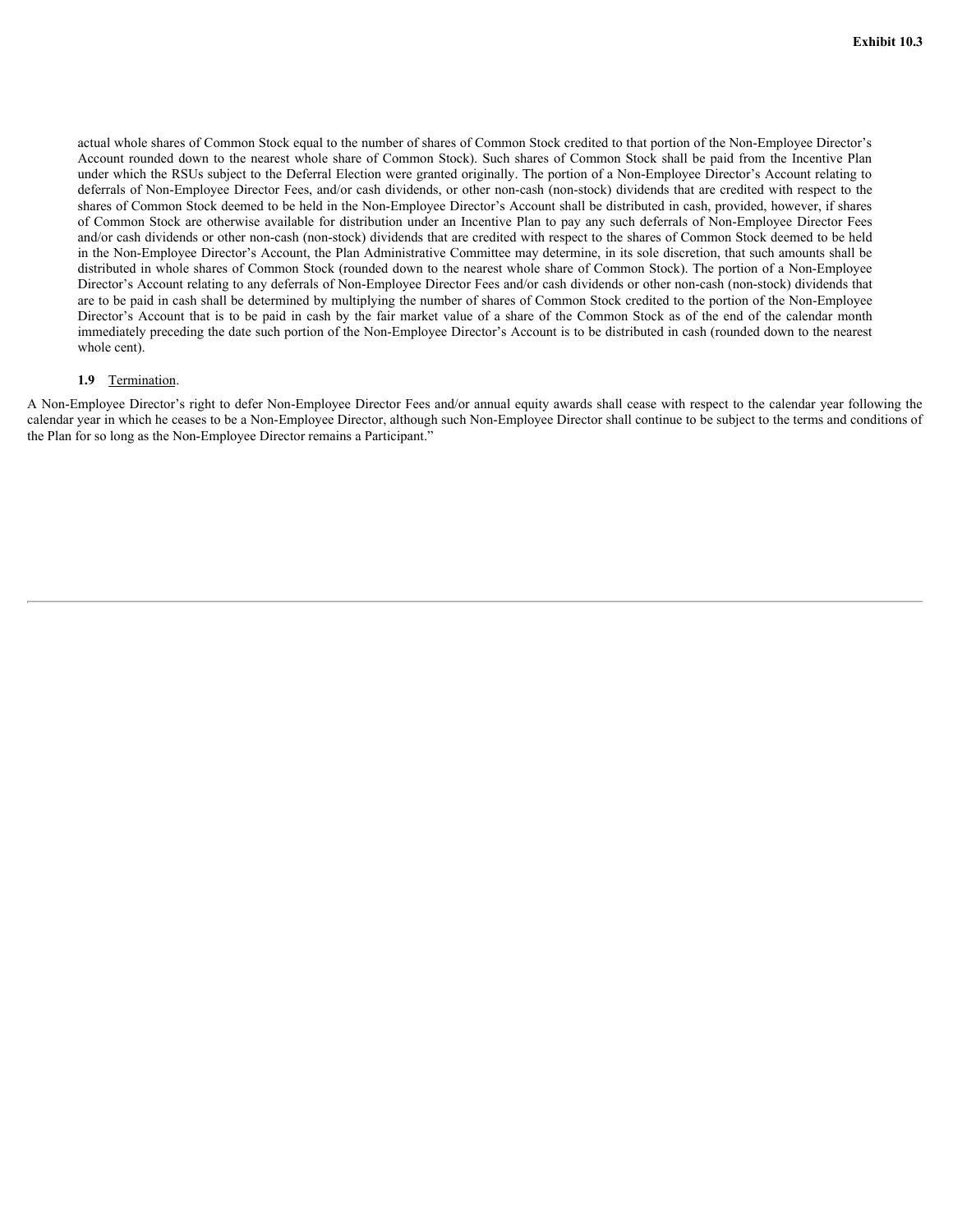actual whole shares of Common Stock equal to the number of shares of Common Stock credited to that portion of the Non-Employee Director's Account rounded down to the nearest whole share of Common Stock). Such shares of Common Stock shall be paid from the Incentive Plan under which the RSUs subject to the Deferral Election were granted originally. The portion of a Non-Employee Director's Account relating to deferrals of Non-Employee Director Fees, and/or cash dividends, or other non-cash (non-stock) dividends that are credited with respect to the shares of Common Stock deemed to be held in the Non-Employee Director's Account shall be distributed in cash, provided, however, if shares of Common Stock are otherwise available for distribution under an Incentive Plan to pay any such deferrals of Non-Employee Director Fees and/or cash dividends or other non-cash (non-stock) dividends that are credited with respect to the shares of Common Stock deemed to be held in the Non-Employee Director's Account, the Plan Administrative Committee may determine, in its sole discretion, that such amounts shall be distributed in whole shares of Common Stock (rounded down to the nearest whole share of Common Stock). The portion of a Non-Employee Director's Account relating to any deferrals of Non-Employee Director Fees and/or cash dividends or other non-cash (non-stock) dividends that are to be paid in cash shall be determined by multiplying the number of shares of Common Stock credited to the portion of the Non-Employee Director's Account that is to be paid in cash by the fair market value of a share of the Common Stock as of the end of the calendar month immediately preceding the date such portion of the Non-Employee Director's Account is to be distributed in cash (rounded down to the nearest whole cent).

#### **1.9** Termination.

A Non-Employee Director's right to defer Non-Employee Director Fees and/or annual equity awards shall cease with respect to the calendar year following the calendar year in which he ceases to be a Non-Employee Director, although such Non-Employee Director shall continue to be subject to the terms and conditions of the Plan for so long as the Non-Employee Director remains a Participant."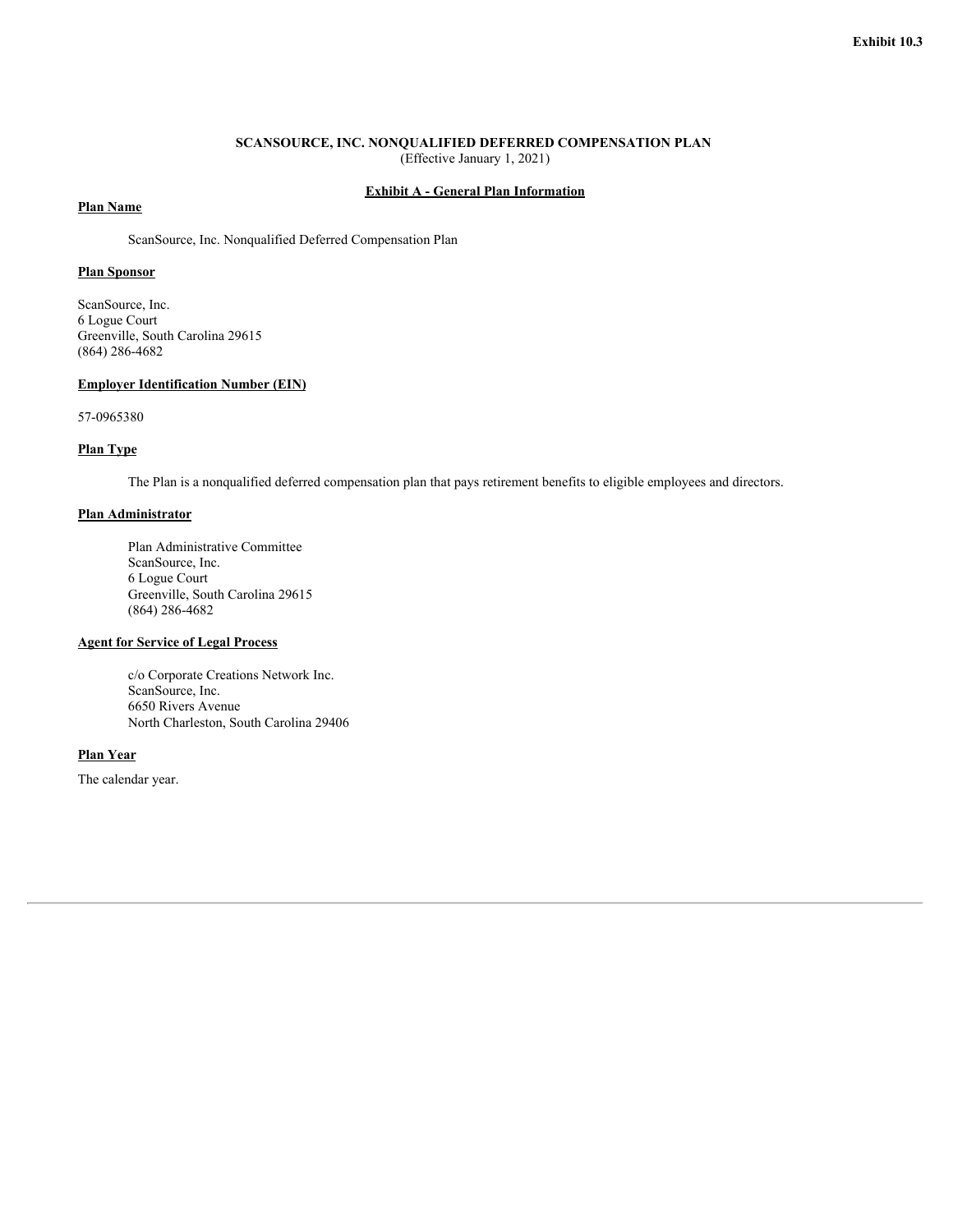# **SCANSOURCE, INC. NONQUALIFIED DEFERRED COMPENSATION PLAN**

(Effective January 1, 2021)

### **Exhibit A - General Plan Information**

# **Plan Name**

ScanSource, Inc. Nonqualified Deferred Compensation Plan

# **Plan Sponsor**

ScanSource, Inc. 6 Logue Court Greenville, South Carolina 29615 (864) 286-4682

# **Employer Identification Number (EIN)**

57-0965380

# **Plan Type**

The Plan is a nonqualified deferred compensation plan that pays retirement benefits to eligible employees and directors.

# **Plan Administrator**

Plan Administrative Committee ScanSource, Inc. 6 Logue Court Greenville, South Carolina 29615 (864) 286-4682

# **Agent for Service of Legal Process**

c/o Corporate Creations Network Inc. ScanSource, Inc. 6650 Rivers Avenue North Charleston, South Carolina 29406

# **Plan Year**

The calendar year.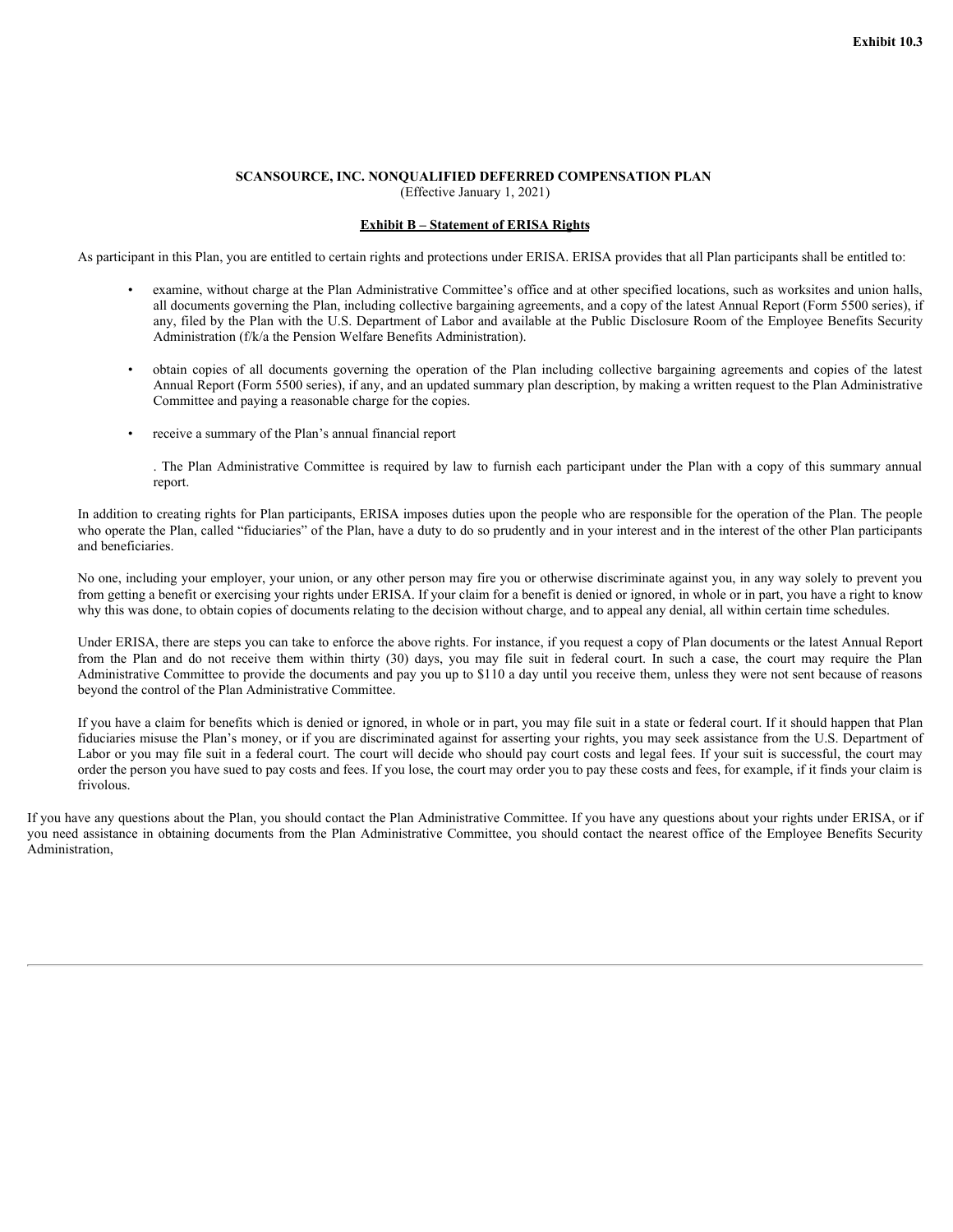# **SCANSOURCE, INC. NONQUALIFIED DEFERRED COMPENSATION PLAN**

(Effective January 1, 2021)

### **Exhibit B – Statement of ERISA Rights**

As participant in this Plan, you are entitled to certain rights and protections under ERISA. ERISA provides that all Plan participants shall be entitled to:

- examine, without charge at the Plan Administrative Committee's office and at other specified locations, such as worksites and union halls, all documents governing the Plan, including collective bargaining agreements, and a copy of the latest Annual Report (Form 5500 series), if any, filed by the Plan with the U.S. Department of Labor and available at the Public Disclosure Room of the Employee Benefits Security Administration (f/k/a the Pension Welfare Benefits Administration). **•** SCANSOURCE, INC. NONQUALIFIED DEFERRED COMPENSATION PLAN<br>
• (Effective January 1, 2021)<br>
• **Cabibit B** – **Statement of ERISA. Rights**<br>
• examine, without charge at the Plan Administrative Committee's office and at oth
- Annual Report (Form 5500 series), if any, and an updated summary plan description, by making a written request to the Plan Administrative Committee and paying a reasonable charge for the copies.
- receive a summary of the Plan's annual financial report

. The Plan Administrative Committee is required by law to furnish each participant under the Plan with a copy of this summary annual report.

In addition to creating rights for Plan participants, ERISA imposes duties upon the people who are responsible for the operation of the Plan. The people who operate the Plan, called "fiduciaries" of the Plan, have a duty to do so prudently and in your interest and in the interest of the other Plan participants and beneficiaries.

No one, including your employer, your union, or any other person may fire you or otherwise discriminate against you, in any way solely to prevent you from getting a benefit or exercising your rights under ERISA. If your claim for a benefit is denied or ignored, in whole or in part, you have a right to know why this was done, to obtain copies of documents relating to the decision without charge, and to appeal any denial, all within certain time schedules.

Under ERISA, there are steps you can take to enforce the above rights. For instance, if you request a copy of Plan documents or the latest Annual Report Administrative Committee to provide the documents and pay you up to \$110 a day until you receive them, unless they were not sent because of reasons beyond the control of the Plan Administrative Committee.

**SCANSOURCE, INC. NONOUALIFIED DEFERRED COMPENSATION PLAN<br>
Exhibit Responses that the Plan and do notice of the Plan and Distribute Counter of ERISA Eights<br>
As participant in this flan and do notice of the Plan and do not** If you have a claim for benefits which is denied or ignored, in whole or in part, you may file suit in a state or federal court. If it should happen that Plan fiduciaries misuse the Plan's money, or if you are discriminated against for asserting your rights, you may seek assistance from the U.S. Department of Labor or you may file suit in a federal court. The court will decide who should pay court costs and legal fees. If your suit is successful, the court may order the person you have sued to pay costs and fees. If you lose, the court may order you to pay these costs and fees, for example, if it finds your claim is frivolous.

If you have any questions about the Plan, you should contact the Plan Administrative Committee. If you have any questions about your rights under ERISA, or if you need assistance in obtaining documents from the Plan Administrative Committee, you should contact the nearest office of the Employee Benefits Security Administration,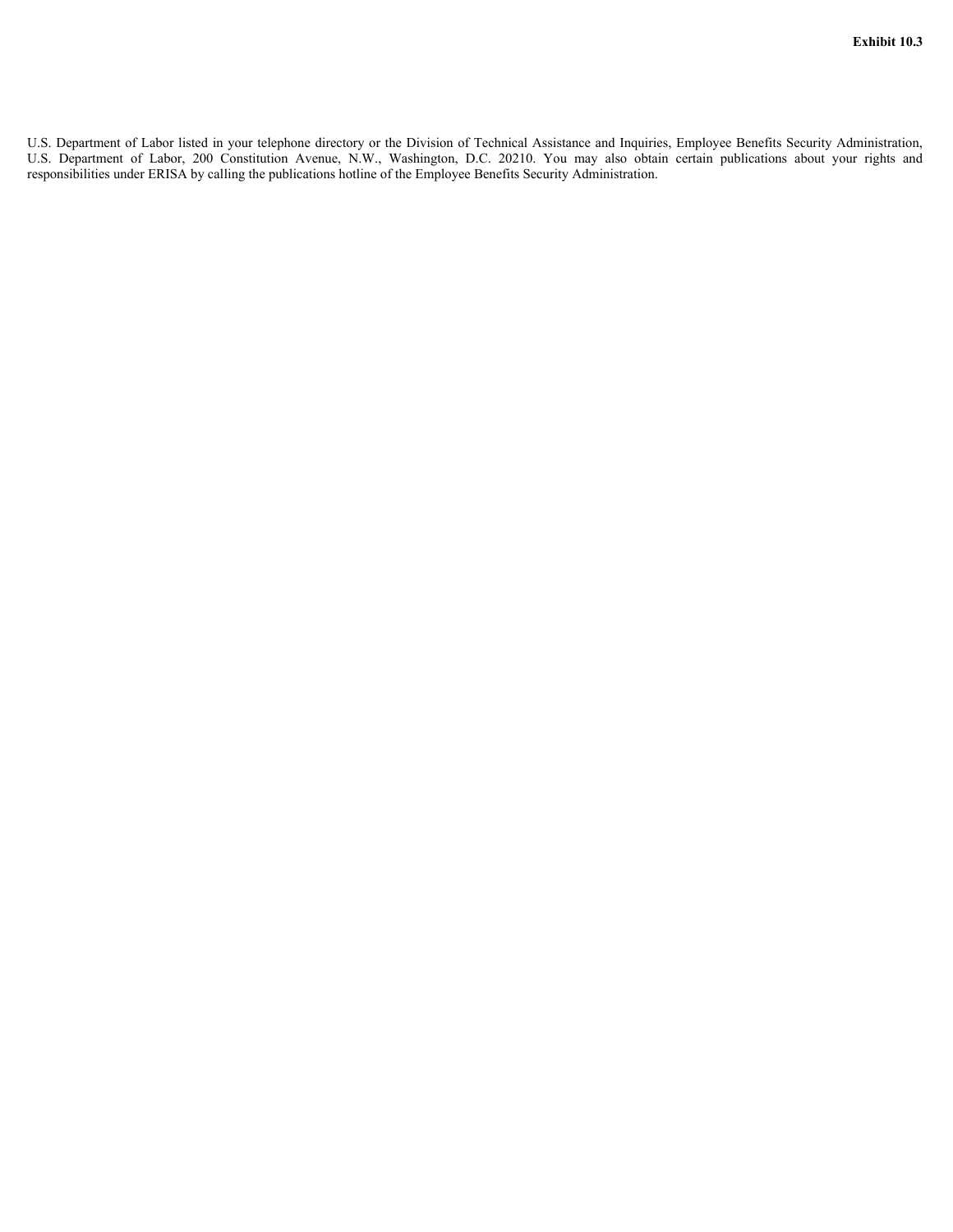U.S. Department of Labor listed in your telephone directory or the Division of Technical Assistance and Inquiries, Employee Benefits Security Administration, U.S. Department of Labor, 200 Constitution Avenue, N.W., Washing **U.S. Department of Labor listed in your telephone directory or the Division of Technical Assistance and Inquiries, Employee Benefits Security Administration, U.S. Department of Labor, 200 Constitution Avenue, N.W., Washin** responsibilities under ERISA by calling the publications hotline of the Employee Benefits Security Administration.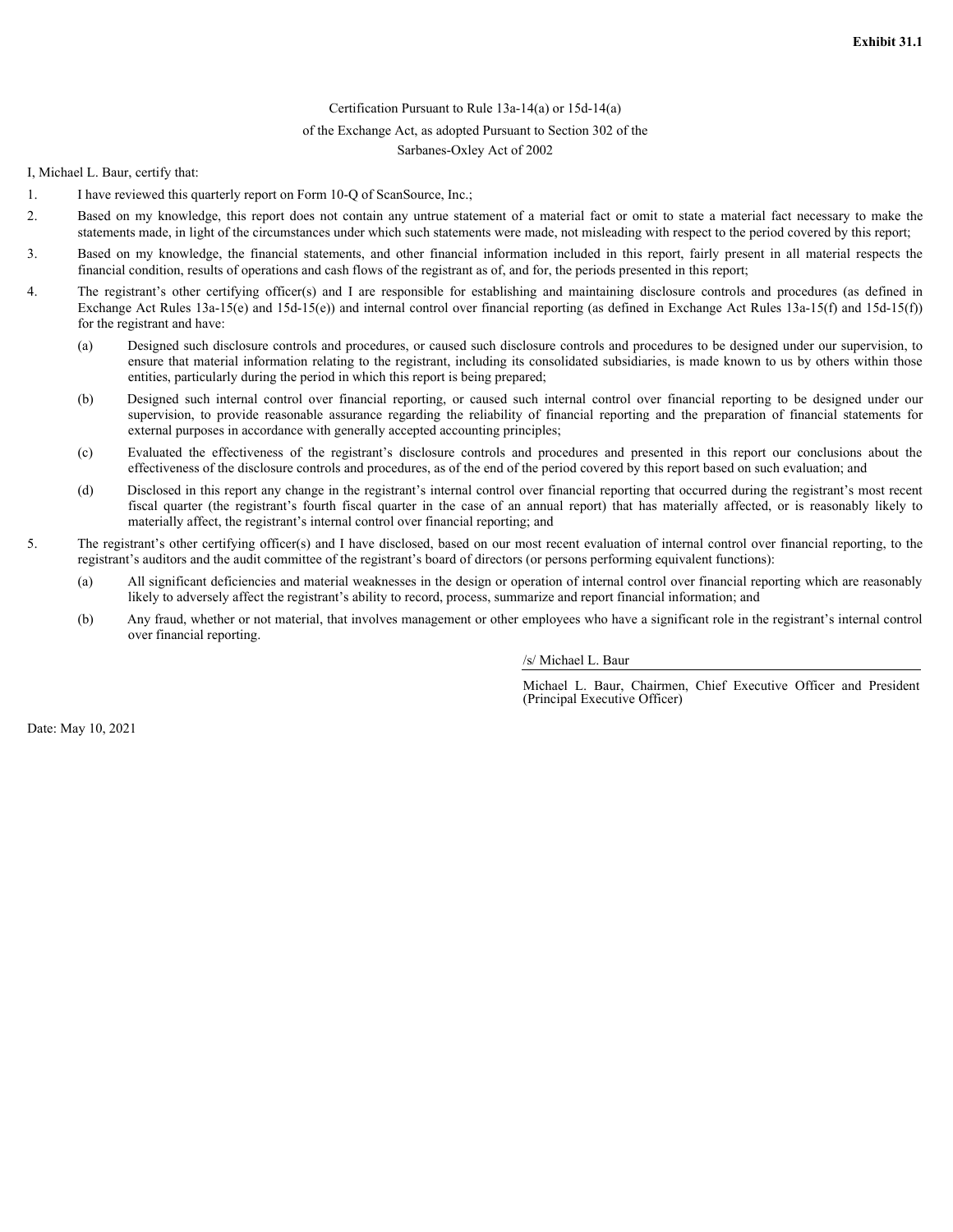# Certification Pursuant to Rule 13a-14(a) or 15d-14(a) of the Exchange Act, as adopted Pursuant to Section 302 of the Sarbanes-Oxley Act of 2002

I, Michael L. Baur, certify that:

- 1. I have reviewed this quarterly report on Form 10-Q of ScanSource, Inc.;
- statements made, in light of the circumstances under which such statements were made, not misleading with respect to the period covered by this report;
- financial condition, results of operations and cash flows of the registrant as of, and for, the periods presented in this report;
- **2.** Certification Pursuant to Rule 13a-14(a) or 15d-14(a) of the Exchange Act, as adopted Pursuant to Section 302 of the Exchange Act, as adopted Pursuant to Section 302 of the Exchange Act or Sarkton-Society Act of 2002 **Exhibit 31.1**<br>
3. Certification Pursuant to Rule 13a-14(a) or 15d-14(a)<br>
3. Statements, and the Exchange Art, as adopted Pursuant to Secion 302 of the<br>
3. Based on my knowledge, this report on Form 10-Q of ScanSource, In **Exhibit 31.1**<br> **4.** Certification Parsamt to Rule 13a-14(a) or 15d-14(a)<br>
of the Exchange Act, as adopted Parsamt to Section 302 of the<br>
3. The registral fact or omit to state a material fact or certify that.<br>
1. The reg Exchange Act Rules 13a-15(e) and 15d-15(e)) and internal control over financial reporting (as defined in Exchange Act Rules 13a-15(f) and 15d-15(f)) for the registrant and have: **Exhibit 31.1** Certification Parsumat to Rule 13e-14(a) or 15d-14(a)<br>of the Fxchange Act, as adopted Parsuate to Section 302 of the<br>14. Eaux, certify that:<br>
Sarbanes-Orley Act of 2002<br>
Laber eveiweed this quarterly report **Exhibit 31.1** Certification Pursuant to Rule 13a-14(a) or 15d-14(a)<br>of the Lechange Act, as adopted Pursuant to Section 302 of the<br>strength and the redactive content of the Commissue Content of a material fact or omit to **Example 13.** Certification Parsmant to Rule 13a-14(a) or 154-14(a)<br>of the lax-high definite and properties of the such and properties of the registrant of the registrant's disclosure control in the registrant's disclosur **Exhibit 34.1**<br>Certification Pursuant to Rote 13a-14(a) or 15d-14(a)<br>of the Fockharage Act, as adopted Pursuant to Secien 302 of the<br>corresponding material between the registrant control of an anticial fact or omit to sta a material fact or omit to state a material fact necessary to make the made, not misted ang with respect to the period covered by this report; this incomismed by the period covered by this report; the different different
	- (a) Designed such disclosure controls and procedures, or caused such disclosure controls and procedures to be designed under our supervision, to ensure that material information relating to the registrant, including its consolidated subsidiaries, is made known to us by others within those entities, particularly during the period in which this report is being prepared;
	- external purposes in accordance with generally accepted accounting principles;
	- effectiveness of the disclosure controls and procedures, as of the end of the period covered by this report based on such evaluation; and
	- (d) Disclosed in this report any change in the registrant's internal control over financial reporting that occurred during the registrant's most recent materially affect, the registrant's internal control over financial reporting; and
- 5. The registrant's other certifying officer(s) and I have disclosed, based on our most recent evaluation of internal control over financial reporting, to the registrant's auditors and the audit committee of the registrant's board of directors (or persons performing equivalent functions):
	- (a) All significant deficiencies and material weaknesses in the design or operation of internal control over financial reporting which are reasonably likely to adversely affect the registrant's ability to record, process, summarize and report financial information; and
	- (b) Any fraud, whether or not material, that involves management or other employees who have a significant role in the registrant's internal control over financial reporting.

/s/ Michael L. Baur

(Principal Executive Officer)

Date: May 10, 2021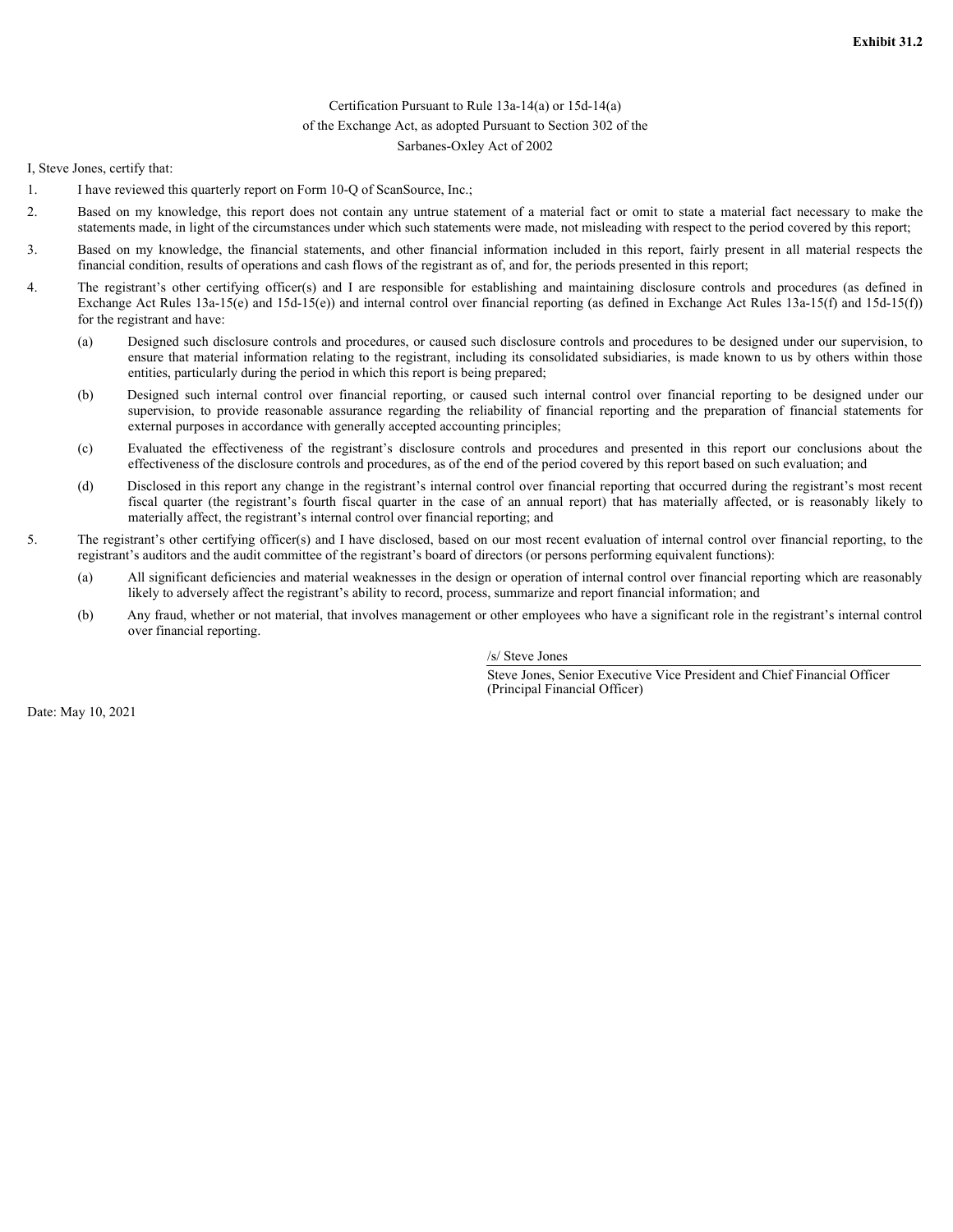# Certification Pursuant to Rule 13a-14(a) or 15d-14(a) of the Exchange Act, as adopted Pursuant to Section 302 of the Sarbanes-Oxley Act of 2002

I, Steve Jones, certify that:

- 1. I have reviewed this quarterly report on Form 10-Q of ScanSource, Inc.;
- statements made, in light of the circumstances under which such statements were made, not misleading with respect to the period covered by this report;
- financial condition, results of operations and cash flows of the registrant as of, and for, the periods presented in this report;
- **2.** Certification Pursuant to Rule 13a-14(a) or 15d-14(a)<br>
of the Exchange Act, as adopted Pursuant to Section 302 of the<br>
Sarbanes-Oxley Act of 2002<br>
1. Shower reviewed this quarterly report on Form 10-Q of ScanSource, **Exhibit 31.2**<br>
3. Certification Pursuant to Rule 13a-14(a) or 15d-14(a)<br>
3. Steve Jones, certify that:<br>
3. Steve Jones, certify that:<br>
3. Steve Jones, certify that:<br>
3. Based on my knowledge, this report does not contain **Exhibit 31.2**<br>
Certification Punsuant to Rule 13a-14(a) or 15d-14(a)<br>
of the Exchange Act, as adopted Pursuant to Section 302 of the<br>
1. Sarbanes-Oxley Act of 2002<br>
2. Based on my knowledge, this report does not contain Exchange Act Rules 13a-15(e) and 15d-15(e)) and internal control over financial reporting (as defined in Exchange Act Rules 13a-15(f) and 15d-15(f)) for the registrant and have:
	- (a) Designed such disclosure controls and procedures, or caused such disclosure controls and procedures to be designed under our supervision, to ensure that material information relating to the registrant, including its consolidated subsidiaries, is made known to us by others within those entities, particularly during the period in which this report is being prepared;
	- external purposes in accordance with generally accepted accounting principles;
	- effectiveness of the disclosure controls and procedures, as of the end of the period covered by this report based on such evaluation; and
	- **Exhibit 31.2**<br>
	Certification Pursuant to Rule 13a-14(a) or 15d-14(a)<br>
	of the Exchange Act, as adopted Pursuant to Section 302 of the<br>
	have reviewed this quarterly proper on Form 10-Q of ScanSource, Inc.:<br>
	Sarbanes-Oxley **Exhibit 31.2**<br>Certification Paramat to Role 13a-14(a) or 15d-14(a)<br>of the Euchange Act, as adopted Paramat to Scenara 302 of the<br>sign of the strength parametery report on Form 10-Q of SemSource, Inc.<br>
	Sarbanet-Otisq Act **Exhibit 31.2**<br>Certification Parsumat to Rule 13e-14(a) or 154-14(a)<br>or free Exchange Acts as a depend formatation Section 2002<br>Thave exciented the effectiveness of the state and the state and the registrantic Section 200 (d) Disclosed in this report any change in the registrant's internal control over financial reporting that occurred during the registrant's most recent **Fashiot 31.2**<br>Centification Persuant to Role 13a-14(a) or 15d-14(a)<br>
	is fit to sole sole control Persuant to Section 392 of the<br>
	is independent and sole control and the sole control and the case of an<br>
	is well discussed materially affect, the registrant's internal control over financial reporting; and
- 5. The registrant's other certifying officer(s) and I have disclosed, based on our most recent evaluation of internal control over financial reporting, to the registrant's auditors and the audit committee of the registrant's board of directors (or persons performing equivalent functions):
	- (a) All significant deficiencies and material weaknesses in the design or operation of internal control over financial reporting which are reasonably likely to adversely affect the registrant's ability to record, process, summarize and report financial information; and
	- (b) Any fraud, whether or not material, that involves management or other employees who have a significant role in the registrant's internal control over financial reporting.

/s/ Steve Jones

Steve Jones, Senior Executive Vice President and Chief Financial Officer (Principal Financial Officer)

Date: May 10, 2021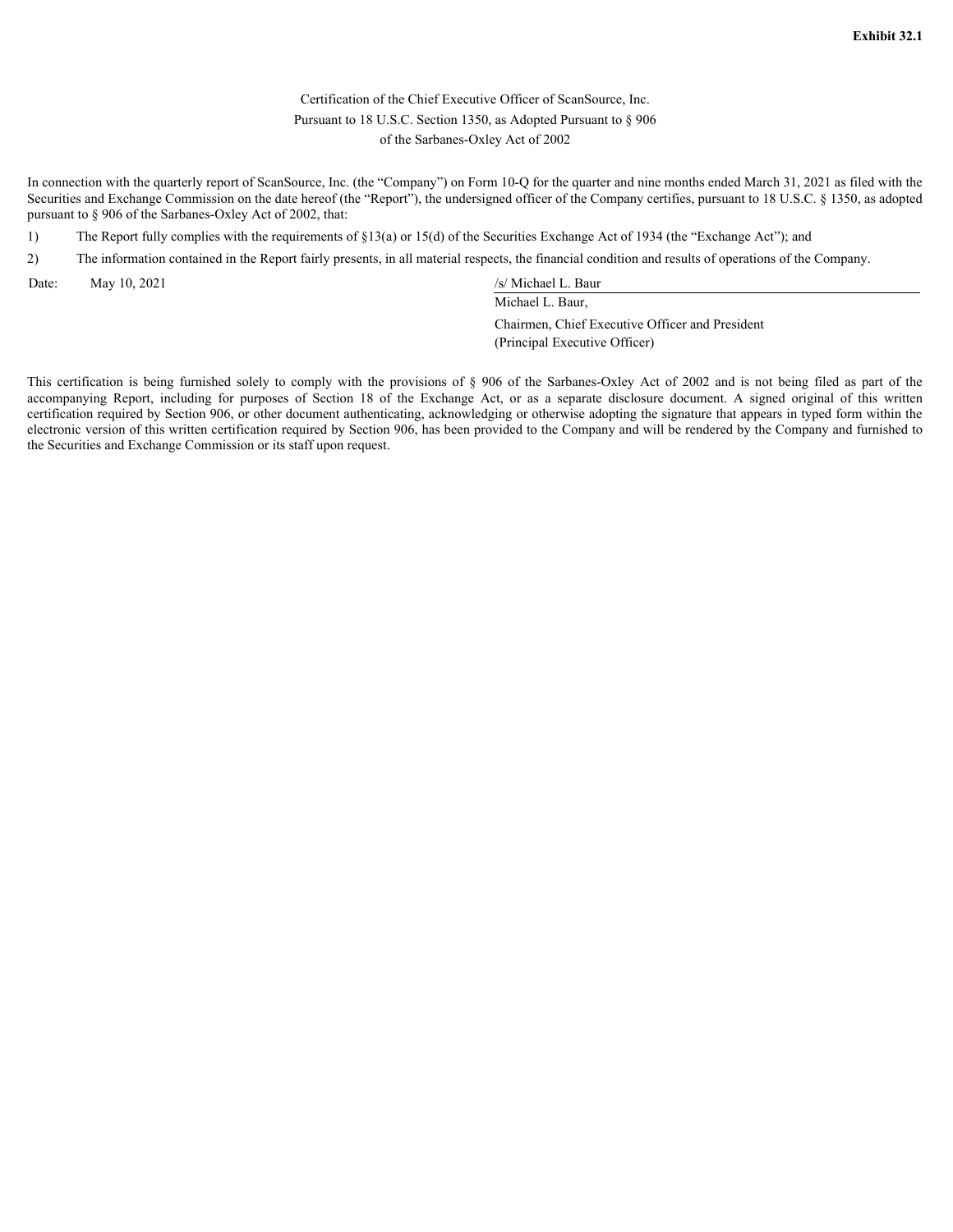Certification of the Chief Executive Officer of ScanSource, Inc. Pursuant to 18 U.S.C. Section 1350, as Adopted Pursuant to § 906

of the Sarbanes-Oxley Act of 2002

In connection with the quarterly report of ScanSource, Inc. (the "Company") on Form 10-Q for the quarter and nine months ended March 31, 2021 as filed with the Securities and Exchange Commission on the date hereof (the "Report"), the undersigned officer of the Company certifies, pursuant to 18 U.S.C. § 1350, as adopted pursuant to § 906 of the Sarbanes-Oxley Act of 2002, that:

1) The Report fully complies with the requirements of §13(a) or 15(d) of the Securities Exchange Act of 1934 (the "Exchange Act"); and

2) The information contained in the Report fairly presents, in all material respects, the financial condition and results of operations of the Company.

Date: May 10, 2021 /s/ Michael L. Baur

Michael L. Baur,

Chairmen, Chief Executive Officer and President (Principal Executive Officer)

**Exhibit 32.1**<br>
Certification of the Chief Executive Officer of Scansbource, Inc.<br>
Pursuant to 8 906 of 18 C. Section 150, excellent the space of the Sarbanes-Oxley Act of 2002<br>
An anotheristic scenario and the Sarbanes-O **Exhibit 32.1**<br> **Excretistion of the Chief Freedotic Officer of SeanSource**, inc.<br> **Purposes to 18 OS EC.** Section 1850, as Adopted Parsonant to § 906<br>
In connection with the quarterly report of Securities and Freedomey T certification required by Section 906, or other document authenticating, acknowledging or otherwise adopting the signature that appears in typed form within the electronic version of this written certification required by Section 906, has been provided to the Company and will be rendered by the Company and furnished to the Securities and Exchange Commission or its staff upon request.